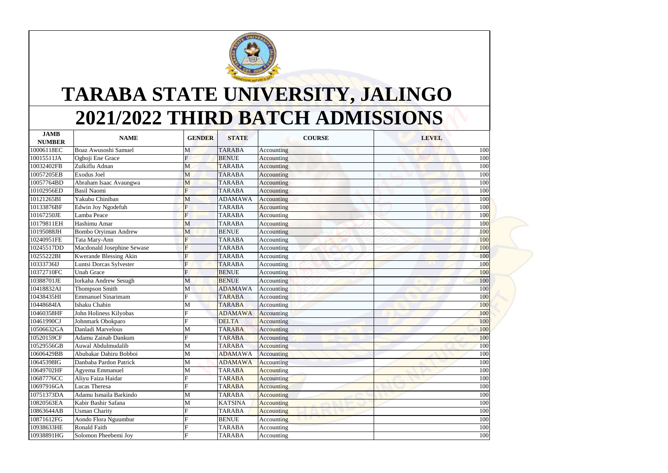| TARABA STATE UNIVERSITY, JALINGO<br>2021/2022 THIRD BATCH ADMISSIONS |                                      |                |                                |                          |              |  |  |  |  |  |
|----------------------------------------------------------------------|--------------------------------------|----------------|--------------------------------|--------------------------|--------------|--|--|--|--|--|
| <b>JAMB</b>                                                          | <b>NAME</b>                          | <b>GENDER</b>  | <b>STATE</b>                   | <b>COURSE</b>            | <b>LEVEL</b> |  |  |  |  |  |
| <b>NUMBER</b>                                                        |                                      |                |                                |                          |              |  |  |  |  |  |
| 10006118EC                                                           | Boaz Awusoshi Samuel                 | М              | <b>TARABA</b>                  | Accounting               | 100          |  |  |  |  |  |
| 10015511JA                                                           | Ogboji Ene Grace                     | F              | <b>BENUE</b>                   | Accounting               | 100          |  |  |  |  |  |
| 10032402FB<br>10057205EB                                             | Zulkiflu Adnan<br><b>Exodus Joel</b> | M              | <b>TARABA</b><br><b>TARABA</b> | Accounting               | 100<br>100   |  |  |  |  |  |
| 10057764BD                                                           | Abraham Isaac Avaungwa               | M              | <b>TARABA</b>                  | Accounting               | 100          |  |  |  |  |  |
| 10102956ED                                                           | <b>Basil Naomi</b>                   | M<br>F         | <b>TARABA</b>                  | Accounting<br>Accounting | 100          |  |  |  |  |  |
| 10121265BI                                                           | Yakubu Chiniban                      | M              | <b>ADAMAWA</b>                 | Accounting               | 100          |  |  |  |  |  |
| 10133876BF                                                           | Edwin Joy Ngodefuh                   |                | <b>TARABA</b>                  | Accounting               | 100          |  |  |  |  |  |
| 10167250JE                                                           | Lamba Peace                          | F              | <b>TARABA</b>                  | Accounting               | 100          |  |  |  |  |  |
| 10179811EH                                                           | Hashimu Amar                         | M              | <b>TARABA</b>                  | Accounting               | <b>100</b>   |  |  |  |  |  |
| 10195088JH                                                           | <b>Bombo Oryiman Andrew</b>          | M              | <b>BENUE</b>                   | Accounting               | 100          |  |  |  |  |  |
| 10240951FE                                                           | Tata Mary-Ann                        |                | <b>TARABA</b>                  | Accounting               | 100          |  |  |  |  |  |
| 10245517DD                                                           | Macdonald Josephine Sewase           | $\mathbf F$    | <b>TARABA</b>                  | Accounting               | 100          |  |  |  |  |  |
| 10255222BI                                                           | <b>Kwerande Blessing Akin</b>        | F              | <b>TARABA</b>                  | Accounting               | 100          |  |  |  |  |  |
| 10333736IJ                                                           | Luntsi Dorcas Sylvester              | F              | <b>TARABA</b>                  | Accounting               | 100          |  |  |  |  |  |
| 10372710FC                                                           | <b>Unah Grace</b>                    | $\overline{F}$ | <b>BENUE</b>                   | Accounting               | 100          |  |  |  |  |  |
| 10388701JE                                                           | Iorkaha Andrew Sesugh                | M              | <b>BENUE</b>                   | Accounting               | 100          |  |  |  |  |  |
| 10418832AI                                                           | <b>Thompson Smith</b>                | M              | <b>ADAMAWA</b>                 | Accounting               | 100          |  |  |  |  |  |
| 10438435HI                                                           | <b>Emmanuel Sinarimam</b>            |                | <b>TARABA</b>                  | Accounting               | 100          |  |  |  |  |  |
| 10448684IA                                                           | Ishaku Chabin                        | M              | <b>TARABA</b>                  | Accounting               | 100          |  |  |  |  |  |
| 10460358HF                                                           | John Holiness Kilyobas               |                | <b>ADAMAWA</b>                 | Accounting               | 100          |  |  |  |  |  |
| 10461990CJ                                                           | Johnmark Obokparo                    |                | <b>DELTA</b>                   | Accounting               | 100          |  |  |  |  |  |
| 10506632GA                                                           | Danladi Marvelous                    | М              | <b>TARABA</b>                  | Accounting               | 100          |  |  |  |  |  |
| 10520159CF                                                           | Adamu Zainab Dankum                  |                | <b>TARABA</b>                  | Accounting               | 100          |  |  |  |  |  |
| 10529556GB                                                           | Auwal Abdulmudalib                   | M              | <b>TARABA</b>                  | <b>Accounting</b>        | 100          |  |  |  |  |  |
| 10606429BB                                                           | Abubakar Dahiru Bobboi               | M              | <b>ADAMAWA</b>                 | Accounting               | 100          |  |  |  |  |  |
| 10645398IG                                                           | Danbaba Pardon Patrick               | M              | <b>ADAMAWA</b>                 | Accounting               | 100          |  |  |  |  |  |
| 10649702HF                                                           | Agyema Emmanuel                      | M              | <b>TARABA</b>                  | Accounting               | 100          |  |  |  |  |  |
| 10687776CC                                                           | Aliyu Faiza Haidar                   |                | <b>TARABA</b>                  | Accounting               | 100          |  |  |  |  |  |
| 10697916GA                                                           | Lucas Theresa                        |                | <b>TARABA</b>                  | <b>Accounting</b>        | 100          |  |  |  |  |  |
| 10751373DA                                                           | Adamu Ismaila Barkindo               | M              | <b>TARABA</b>                  | <b>Accounting</b>        | 100          |  |  |  |  |  |
| 10820563EA                                                           | Kabir Bashir Safana                  | М              | <b>KATSINA</b>                 | Accounting               | 100          |  |  |  |  |  |
| 10863644AB                                                           | <b>Usman Charity</b>                 |                | <b>TARABA</b>                  | <b>Accounting</b>        | 100          |  |  |  |  |  |
| 10871612FG                                                           | Aondo Flora Nguumbur                 |                | <b>BENUE</b>                   | Accounting               | 100          |  |  |  |  |  |
| 10938633HE<br>10938891HG                                             | <b>Ronald Faith</b>                  |                | <b>TARABA</b>                  | Accounting               | 100          |  |  |  |  |  |
|                                                                      | Solomon Pheebemi Joy                 |                | <b>TARABA</b>                  | Accounting               | 100          |  |  |  |  |  |



## **2021/2022 THIRD BATCH ADMISSIONS TARABA STATE UNIVERSITY, JALINGO**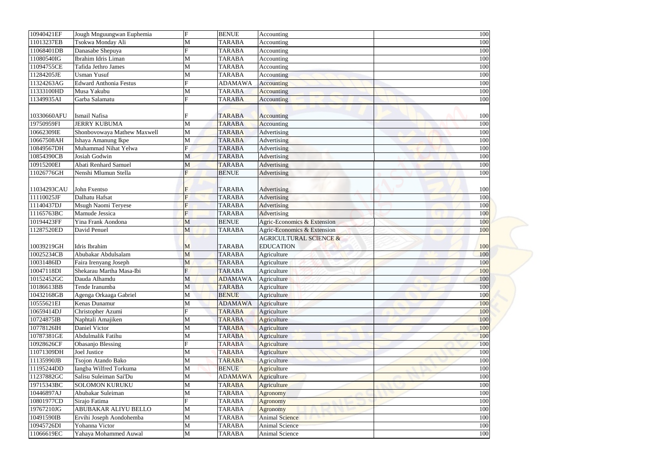| 10940421EF  | Jough Mnguungwan Euphemia     | $\boldsymbol{\mathrm{F}}$ | <b>BENUE</b>   | Accounting                        | 100 |
|-------------|-------------------------------|---------------------------|----------------|-----------------------------------|-----|
| 11013237EB  | Tsokwa Monday Ali             | M                         | <b>TARABA</b>  | Accounting                        | 100 |
| 11068401DB  | Danasabe Shepuya              |                           | <b>TARABA</b>  | Accounting                        | 100 |
| 11080540IG  | Ibrahim Idris Liman           | M                         | <b>TARABA</b>  | Accounting                        | 100 |
| 11094755CE  | Tafida Jethro James           | M                         | <b>TARABA</b>  | Accounting                        | 100 |
| 11284205JE  | <b>Usman Yusuf</b>            | M                         | <b>TARABA</b>  | Accounting                        | 100 |
| 11324263AG  | <b>Edward Anthonia Festus</b> | F                         | <b>ADAMAWA</b> | <b>Accounting</b>                 | 100 |
| 11333100HD  | Musa Yakubu                   | M                         | <b>TARABA</b>  | <b>Accounting</b>                 | 100 |
| 11349935AI  | Garba Salamatu                | F                         | <b>TARABA</b>  | Accounting                        | 100 |
|             |                               |                           |                |                                   |     |
| 10330660AFU | Ismail Nafisa                 |                           | <b>TARABA</b>  | Accounting                        | 100 |
| 19750959FI  | <b>JERRY KUBUMA</b>           | M                         | <b>TARABA</b>  | Accounting                        | 100 |
| 10662309IE  | Shonbovowaya Mathew Maxwell   | M                         | <b>TARABA</b>  | Advertising                       | 100 |
| 10667508AH  | Ishaya Amanung Ikpe           | M                         | <b>TARABA</b>  | Advertising                       | 100 |
| 10849567DH  | Muhammad Nihat Yelwa          | F                         | <b>TARABA</b>  | Advertising                       | 100 |
| 10854390CB  | Josiah Godwin                 | M                         | <b>TARABA</b>  | Advertising                       | 100 |
| 10915200EI  | <b>Abati Renhard Samuel</b>   | M                         | <b>TARABA</b>  | <b>Advertising</b>                | 100 |
| 11026776GH  | Nenshi Mlumun Stella          | F                         | <b>BENUE</b>   | Advertising                       | 100 |
|             |                               |                           |                |                                   |     |
| 11034293CAU | John Fxentso                  | $\mathbf F$               | <b>TARABA</b>  | Advertising                       | 100 |
| 11110025JF  | Dalhatu Hafsat                | F                         | <b>TARABA</b>  | Advertising                       | 100 |
| 11140437DJ  | Msugh Naomi Teryese           | F                         | <b>TARABA</b>  | Advertising                       | 100 |
| 11165763BC  | Mamude Jessica                | $\overline{F}$            | <b>TARABA</b>  | Advertising                       | 100 |
| 10194423FF  | Yina Frank Aondona            | M                         | <b>BENUE</b>   | Agric-Economics & Extension       | 100 |
| 11287520ED  | David Penuel                  | M                         | <b>TARABA</b>  | Agric-Economics & Extension       | 100 |
|             |                               |                           |                | <b>AGRICULTURAL SCIENCE &amp;</b> |     |
| 10039219GH  | Idris Ibrahim                 | $\mathbf{M}$              | <b>TARABA</b>  | <b>EDUCATION</b>                  | 100 |
| 10025234CB  | Abubakar Abdulsalam           | M                         | <b>TARABA</b>  | Agriculture                       | 100 |
| 10031486ID  | Faira Irenyang Joseph         | M                         | <b>TARABA</b>  | Agriculture                       | 100 |
| 10047118DI  | Shekarau Martha Masa-Ibi      | $\overline{F}$            | <b>TARABA</b>  | Agriculture                       | 100 |
| 10152452GC  | Dauda Alhamdu                 |                           | <b>ADAMAWA</b> | Agriculture                       | 100 |
|             |                               | M                         |                |                                   |     |
| 10186613BB  | Tende Iranumba                | M                         | <b>TARABA</b>  | Agriculture                       | 100 |
| 10432168GB  | Agenga Orkaaga Gabriel        | M                         | <b>BENUE</b>   | Agriculture                       | 100 |
| 10555621EI  | Kenas Dunamur                 | M<br>F                    | <b>ADAMAWA</b> | Agriculture                       | 100 |
| 10659414DJ  | Christopher Azumi             |                           | <b>TARABA</b>  | Agriculture                       | 100 |
| 10724875IB  | Naphtali Amajiken             | M                         | <b>TARABA</b>  | Agriculture                       | 100 |
| 10778126IH  | Daniel Victor                 | M                         | <b>TARABA</b>  | Agriculture                       | 100 |
| 10787381GE  | Abdulmalik Fatihu             | M                         | <b>TARABA</b>  | Agriculture                       | 100 |
| 10928626CF  | <b>Obasanjo Blessing</b>      |                           | <b>TARABA</b>  | Agriculture                       | 100 |
| 11071309DH  | Joel Justice                  | M                         | <b>TARABA</b>  | <b>Agriculture</b>                | 100 |
| 11135990JB  | Tsojon Atando Bako            | M                         | <b>TARABA</b>  | Agriculture                       | 100 |
| 11195244DD  | Iangba Wilfred Torkuma        | M                         | <b>BENUE</b>   | Agriculture                       | 100 |
| 11237882GC  | Salisu Suleiman Sai'Du        | M                         | <b>ADAMAWA</b> | <b>Agriculture</b>                | 100 |
| 19715343BC  | <b>SOLOMON KURUKU</b>         | M                         | <b>TARABA</b>  | <b>Agriculture</b>                | 100 |
| 10446897AJ  | Abubakar Suleiman             | M                         | <b>TARABA</b>  | <b>Agronomy</b>                   | 100 |
| 10801977CD  | Sirajo Fatima                 | F                         | <b>TARABA</b>  | Agronomy                          | 100 |
| 19767210JG  | ABUBAKAR ALIYU BELLO          | M                         | <b>TARABA</b>  | Agronomy                          | 100 |
| 10491590IB  | Ervihi Joseph Aondohemba      | M                         | <b>TARABA</b>  | <b>Animal Science</b>             | 100 |
| 10945726DI  | Yohanna Victor                | M                         | <b>TARABA</b>  | <b>Animal Science</b>             | 100 |
| 11066619EC  | Yahaya Mohammed Auwal         | M                         | <b>TARABA</b>  | Animal Science                    | 100 |
|             |                               |                           |                |                                   |     |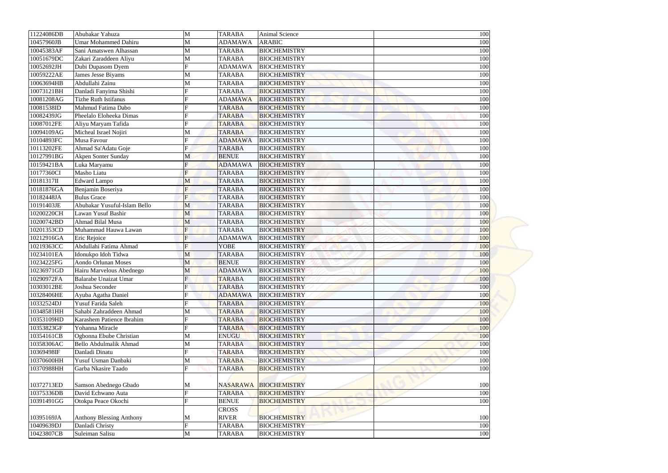| 11224086DB | Abubakar Yahuza                 | M              | <b>TARABA</b>  | <b>Animal Science</b> | 100 |
|------------|---------------------------------|----------------|----------------|-----------------------|-----|
| 10457960JB | <b>Umar Mohammed Dahiru</b>     | M              | <b>ADAMAWA</b> | <b>ARABIC</b>         | 100 |
| 10045383AF | Sani Amatswen Alhassan          | M              | <b>TARABA</b>  | <b>BIOCHEMISTRY</b>   | 100 |
| 10051679DC | Zakari Zaraddeen Aliyu          | M              | <b>TARABA</b>  | <b>BIOCHEMISTRY</b>   | 100 |
| 10052692JH | Dubi Dupasom Dyem               | $\mathbf F$    | <b>ADAMAWA</b> | <b>BIOCHEMISTRY</b>   | 100 |
| 10059222AE | James Jesse Biyams              | M              | <b>TARABA</b>  | <b>BIOCHEMISTRY</b>   | 100 |
| 10063694HB | Abdullahi Zainu                 | M              | <b>TARABA</b>  | <b>BIOCHEMISTRY</b>   | 100 |
| 10073121BH | Danladi Fanyima Shishi          |                | <b>TARABA</b>  | <b>BIOCHEMISTRY</b>   | 100 |
| 10081208AG | <b>Tizhe Ruth Istifanus</b>     |                | <b>ADAMAWA</b> | <b>BIOCHEMISTRY</b>   | 100 |
| 10081538ID | Mahmud Fatima Dabo              |                | <b>TARABA</b>  | <b>BIOCHEMISTRY</b>   | 100 |
| 10082439JG | Pheelalo Eloheeka Dimas         |                | <b>TARABA</b>  | <b>BIOCHEMISTRY</b>   | 100 |
| 10087012FE | Aliyu Maryam Tafida             |                | <b>TARABA</b>  | <b>BIOCHEMISTRY</b>   | 100 |
| 10094109AG | Micheal Israel Nojiri           | M              | <b>TARABA</b>  | <b>BIOCHEMISTRY</b>   | 100 |
| 10104893FC | Musa Favour                     | F              | <b>ADAMAWA</b> | <b>BIOCHEMISTRY</b>   | 100 |
| 10113202FE | Ahmad Sa'Adatu Goje             | F              | <b>TARABA</b>  | <b>BIOCHEMISTRY</b>   | 100 |
| 10127991BG | Akpen Sonter Sunday             | M              | <b>BENUE</b>   | <b>BIOCHEMISTRY</b>   | 100 |
| 10159421BA | Luka Maryamu                    | F              | <b>ADAMAWA</b> | <b>BIOCHEMISTRY</b>   | 100 |
| 10177360CI | Masho Liatu                     | F              | <b>TARABA</b>  | <b>BIOCHEMISTRY</b>   | 100 |
| 10181317II | <b>Edward Lampo</b>             | M              | <b>TARABA</b>  | <b>BIOCHEMISTRY</b>   | 100 |
| 10181876GA | Benjamin Boseriya               | $\overline{F}$ | <b>TARABA</b>  | <b>BIOCHEMISTRY</b>   | 100 |
| 10182448JA | <b>Bulus Grace</b>              | F              | <b>TARABA</b>  | <b>BIOCHEMISTRY</b>   | 100 |
| 10191403JE | Abubakar Yusuful-Islam Bello    | M              | <b>TARABA</b>  | <b>BIOCHEMISTRY</b>   | 100 |
| 10200220CH | Lawan Yusuf Bashir              | M              | <b>TARABA</b>  | <b>BIOCHEMISTRY</b>   | 100 |
| 10200742BD | Ahmad Bilal Musa                | M              | <b>TARABA</b>  | <b>BIOCHEMISTRY</b>   | 100 |
| 10201353CD | Muhammad Hauwa Lawan            |                | <b>TARABA</b>  | <b>BIOCHEMISTRY</b>   | 100 |
| 10212916GA | Eric Rejoice                    | F              | <b>ADAMAWA</b> | <b>BIOCHEMISTRY</b>   | 100 |
| 10219363CC | Abdullahi Fatima Ahmad          | F              | <b>YOBE</b>    | <b>BIOCHEMISTRY</b>   | 100 |
| 10234101EA | Idonukpo Idoh Tidwa             | M              | <b>TARABA</b>  | <b>BIOCHEMISTRY</b>   | 100 |
| 10234225FG | Aondo Orlunan Moses             | M              | <b>BENUE</b>   | <b>BIOCHEMISTRY</b>   | 100 |
| 10236971GD | Hairu Marvelous Abednego        | M              | <b>ADAMAWA</b> | <b>BIOCHEMISTRY</b>   | 100 |
| 10290972FA | <b>Balarabe Unaizat Umar</b>    | $\mathbf{F}$   | <b>TARABA</b>  | <b>BIOCHEMISTRY</b>   | 100 |
| 10303012BE | Joshua Seconder                 |                | <b>TARABA</b>  | <b>BIOCHEMISTRY</b>   | 100 |
| 10328406HE | Ayuba Agatha Daniel             |                | <b>ADAMAWA</b> | <b>BIOCHEMISTRY</b>   | 100 |
| 10332524DJ | Yusuf Farida Saleh              |                | <b>TARABA</b>  | <b>BIOCHEMISTRY</b>   | 100 |
| 10348581HH | Sahabi Zahraddeen Ahmad         | M              | <b>TARABA</b>  | <b>BIOCHEMISTRY</b>   | 100 |
| 10353109HD | Karashem Patience Ibrahim       |                | <b>TARABA</b>  | <b>BIOCHEMISTRY</b>   | 100 |
| 10353823GF | Yohanna Miracle                 |                | <b>TARABA</b>  | <b>BIOCHEMISTRY</b>   | 100 |
| 10354161CB | Ogbonna Ebube Christian         | M              | <b>ENUGU</b>   | <b>BIOCHEMISTRY</b>   | 100 |
| 10358306AC | Bello Abdulmalik Ahmad          | M              | <b>TARABA</b>  | <b>BIOCHEMISTRY</b>   | 100 |
| 10369498IF | Danladi Dinatu                  | F              | <b>TARABA</b>  | <b>BIOCHEMISTRY</b>   | 100 |
| 10370600HH | Yusuf Usman Danbaki             |                | <b>TARABA</b>  | <b>BIOCHEMISTRY</b>   | 100 |
|            |                                 | M<br>F         |                |                       |     |
| 10370988HH | Garba Nkasire Taado             |                | <b>TARABA</b>  | <b>BIOCHEMISTRY</b>   | 100 |
|            |                                 |                |                |                       |     |
| 10372713ED | Samson Abednego Gbado           | M              |                | NASARAWA BIOCHEMISTRY | 100 |
| 10375336DB | David Echwano Auta              | $\mathbf{E}$   | <b>TARABA</b>  | <b>BIOCHEMISTRY</b>   | 100 |
| 10391491GG | Otokpa Peace Okochi             |                | <b>BENUE</b>   | <b>BIOCHEMISTRY</b>   | 100 |
|            |                                 |                | <b>CROSS</b>   |                       |     |
| 10395169JA | <b>Anthony Blessing Anthony</b> | M              | <b>RIVER</b>   | <b>BIOCHEMISTRY</b>   | 100 |
| 10409639DJ | Danladi Christy                 | F              | <b>TARABA</b>  | <b>BIOCHEMISTRY</b>   | 100 |
| 10423807CB | Suleiman Salisu                 | M              | <b>TARABA</b>  | <b>BIOCHEMISTRY</b>   | 100 |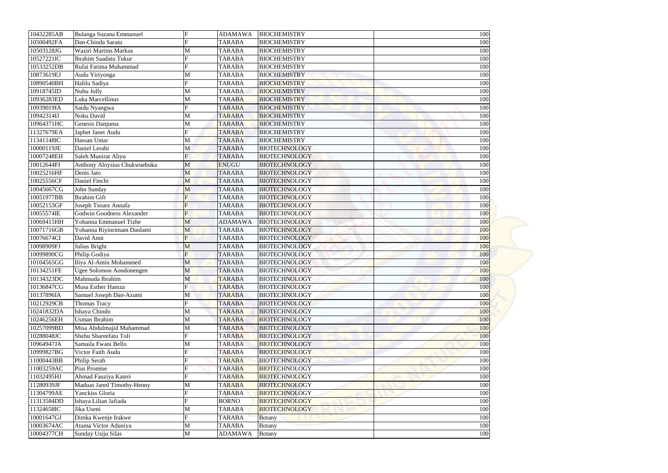| 10432285AB | Bulanga Suzana Emmanuel          | F | <b>ADAMAWA</b> | <b>BIOCHEMISTRY</b>  | 100 |
|------------|----------------------------------|---|----------------|----------------------|-----|
| 10500492FA | Dan-Chinda Saratu                |   | <b>TARABA</b>  | <b>BIOCHEMISTRY</b>  | 100 |
| 10503128JG | <b>Waziri Martins Markus</b>     |   | <b>TARABA</b>  | <b>BIOCHEMISTRY</b>  | 100 |
| 10527221IC | Ibrahim Saadatu Tukur            |   | <b>TARABA</b>  | <b>BIOCHEMISTRY</b>  | 100 |
| 10533252DB | Rufai Fatima Muhammad            |   | <b>TARABA</b>  | <b>BIOCHEMISTRY</b>  | 100 |
| 10873619EJ | Audu Yiriyonga                   | M | <b>TARABA</b>  | <b>BIOCHEMISTRY</b>  | 100 |
| 10890540BH | Halilu Sadiya                    | Ħ | <b>TARABA</b>  | <b>BIOCHEMISTRY</b>  | 100 |
| 10918745ID | Nuhu Jolly                       | M | <b>TARABA</b>  | <b>BIOCHEMISTRY</b>  | 100 |
| 10936283ED | Luka Marcellinus                 | М | <b>TARABA</b>  | <b>BIOCHEMISTRY</b>  | 100 |
| 10939019IA | Saidu Nyangwa                    |   | <b>TARABA</b>  | <b>BIOCHEMISTRY</b>  | 100 |
| 10942314IJ | Noku David                       | M | <b>TARABA</b>  | <b>BIOCHEMISTRY</b>  | 100 |
| 10964371HC | Genesis Danjuma                  |   | <b>TARABA</b>  | <b>BIOCHEMISTRY</b>  | 100 |
| 11327679EA | Japhet Janet Audu                |   | <b>TARABA</b>  | <b>BIOCHEMISTRY</b>  | 100 |
| 11341148IC | Hassan Umar                      | М | <b>TARABA</b>  | <b>BIOCHEMISTRY</b>  | 100 |
| 10000119JE | Daniel Lerabi                    | M | <b>TARABA</b>  | <b>BIOTECHNOLOGY</b> | 100 |
| 10007248EH | Saleh Munirat Aliyu              | F | <b>TARABA</b>  | <b>BIOTECHNOLOGY</b> | 100 |
| 10012644FI | Anthony Aloysius Chukwuebuka     | M | <b>ENUGU</b>   | <b>BIOTECHNOLOGY</b> | 100 |
| 10025216HF | Denis Jato                       | M | <b>TARABA</b>  | <b>BIOTECHNOLOGY</b> | 100 |
| 10025556CF | Daniel Finchi                    | M | <b>TARABA</b>  | <b>BIOTECHNOLOGY</b> | 100 |
| 10045667CG | John Sunday                      | M | <b>TARABA</b>  | <b>BIOTECHNOLOGY</b> | 100 |
| 10051977BB | <b>Ibrahim Gift</b>              | F | <b>TARABA</b>  | <b>BIOTECHNOLOGY</b> | 100 |
| 10052153GF | Joseph Tsoare Annafa             |   | <b>TARABA</b>  | <b>BIOTECHNOLOGY</b> | 100 |
| 10055574IE | <b>Godwin Goodness Alexander</b> | F | <b>TARABA</b>  | <b>BIOTECHNOLOGY</b> | 100 |
| 10069415HH | Yohanna Emmanuel Tizhe           | M | <b>ADAMAWA</b> | <b>BIOTECHNOLOGY</b> | 100 |
| 10071716GB | Yohanna Riyinrimam Danlami       | M | <b>TARABA</b>  | <b>BIOTECHNOLOGY</b> | 100 |
|            | David Anni                       | F |                | <b>BIOTECHNOLOGY</b> |     |
| 10076674CI |                                  |   | <b>TARABA</b>  |                      | 100 |
| 10098909FJ | Julius Bright                    | M | <b>TARABA</b>  | <b>BIOTECHNOLOGY</b> | 100 |
| 10099890CG | Philip Godiya                    | F | <b>TARABA</b>  | <b>BIOTECHNOLOGY</b> | 100 |
| 10104565GG | Iliya Al-Amin Mohammed           | M | <b>TARABA</b>  | <b>BIOTECHNOLOGY</b> | 100 |
| 10134251FE | Ugee Solomon Aondonengen         | M | <b>TARABA</b>  | <b>BIOTECHNOLOGY</b> | 100 |
| 10134323DC | Mahmuda Ibrahim                  | M | <b>TARABA</b>  | <b>BIOTECHNOLOGY</b> | 100 |
| 10136847CG | Musa Esther Hamza                | Ħ | <b>TARABA</b>  | <b>BIOTECHNOLOGY</b> | 100 |
| 10137896IA | Samuel Joseph Dan-Azumi          | М | <b>TARABA</b>  | <b>BIOTECHNOLOGY</b> | 100 |
| 10212929CB | Thomas Tracy                     | E | <b>TARABA</b>  | <b>BIOTECHNOLOGY</b> | 100 |
| 10241832DA | Ishaya Chindo                    | М | <b>TARABA</b>  | <b>BIOTECHNOLOGY</b> | 100 |
| 10246256EH | Usman Ibrahim                    | М | <b>TARABA</b>  | <b>BIOTECHNOLOGY</b> | 100 |
| 10257099BD | Misa Abdulmajid Muhammad         | М | <b>TARABA</b>  | <b>BIOTECHNOLOGY</b> | 100 |
| 10288048JC | Shehu Shareefatu Toli            |   | <b>TARABA</b>  | <b>BIOTECHNOLOGY</b> | 100 |
| 10964947JA | Samaila Fwani Bello              | М | <b>TARABA</b>  | <b>BIOTECHNOLOGY</b> | 100 |
| 10999827BG | Victor Faith Audu                |   | <b>TARABA</b>  | <b>BIOTECHNOLOGY</b> | 100 |
| 11000443BB | Philip Serah                     |   | <b>TARABA</b>  | <b>BIOTECHNOLOGY</b> | 100 |
| 11003259AC | Pius Promise                     |   | <b>TARABA</b>  | <b>BIOTECHNOLOGY</b> | 100 |
| 11032495HJ | Ahmad Fauziya Kateri             |   | <b>TARABA</b>  | <b>BIOTECHNOLOGY</b> | 100 |
| 11280939JF | Maduas Jared Timothy-Henny       | М | <b>TARABA</b>  | <b>BIOTECHNOLOGY</b> | 100 |
| 11304799AE | Yanckiss Gloria                  | E | <b>TARABA</b>  | <b>BIOTECHNOLOGY</b> | 100 |
| 11313584DD | Ishaya Lilian Jafiada            | Ħ | <b>BORNO</b>   | <b>BIOTECHNOLOGY</b> | 100 |
| 11324658IC | Jika Useni                       | М | <b>TARABA</b>  | <b>BIOTECHNOLOGY</b> | 100 |
| 10001647GJ | Dimka Kwenje Irakwe              | Ħ | <b>TARABA</b>  | <b>Botany</b>        | 100 |
| 10003674AC | Atama Victor Aduniya             | М | <b>TARABA</b>  | <b>Botany</b>        | 100 |
| 10004377CH | Sunday Usiju Silas               | M | <b>ADAMAWA</b> | Botany               | 100 |
|            |                                  |   |                |                      |     |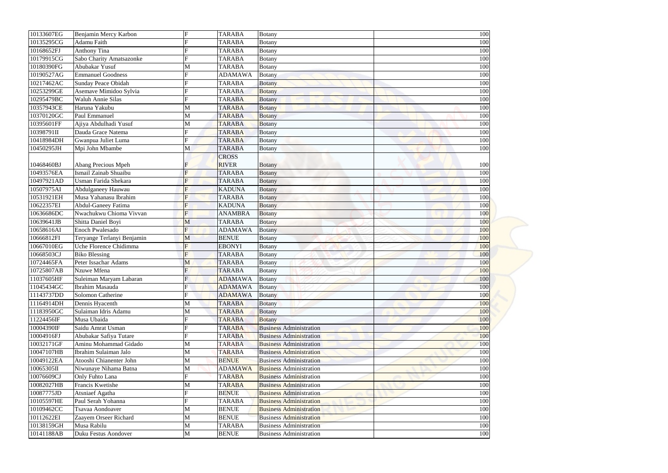| $\mathbf F$<br><b>TARABA</b><br>Benjamin Mercy Karbon<br><b>Botany</b><br><b>Adamu Faith</b><br><b>TARABA</b><br><b>Botany</b><br><b>Anthony Tina</b><br><b>TARABA</b><br><b>Botany</b><br>Sabo Charity Amatsazonke<br><b>TARABA</b><br><b>Botany</b><br>Abubakar Yusuf<br><b>TARABA</b><br>M<br><b>Botany</b><br><b>Emmanuel Goodness</b><br><b>ADAMAWA</b><br><b>Botany</b><br>Sunday Peace Obidah<br><b>TARABA</b><br><b>Botany</b><br>Asemave Mimidoo Sylvia<br><b>TARABA</b><br><b>Botany</b><br><b>Waluh Annie Silas</b><br><b>TARABA</b><br><b>Botany</b><br>Haruna Yakubu<br><b>TARABA</b><br>M<br><b>Botany</b><br>Paul Emmanuel<br><b>TARABA</b><br>M<br><b>Botany</b><br>Ajiya Abdulhadi Yusuf<br><b>TARABA</b><br>M<br><b>Botany</b><br>Dauda Grace Natema<br>$\mathbf{F}$<br><b>TARABA</b><br><b>Botany</b><br>Gwanpua Juliet Luma<br>$\mathbf{E}$<br><b>TARABA</b><br><b>Botany</b><br>Mpi John Mbambe<br>M<br><b>TARABA</b><br><b>Botany</b><br><b>CROSS</b><br><b>RIVER</b><br>Abang Precious Mpeh<br><b>Botany</b><br>Ismail Zainab Shuaibu<br><b>TARABA</b><br><b>Botany</b><br>Usman Farida Shekara<br>$\mathbf F$<br><b>TARABA</b><br><b>Botany</b><br>10507975AI<br>F<br><b>KADUNA</b><br>Abdulganeey Hauwau<br><b>Botany</b><br>Musa Yahanasu Ibrahim<br>10531921EH<br>$\mathbf F$<br><b>TARABA</b><br><b>Botany</b><br>10622357EI<br><b>Abdul-Ganeey Fatima</b><br><b>KADUNA</b><br><b>Botany</b><br>Nwachukwu Chioma Vivvan<br>F<br>10636686DC<br><b>ANAMBRA</b><br><b>Botany</b><br>10639641JB<br>Shitta Daniel Boyi<br><b>TARABA</b><br>M<br><b>Botany</b><br>F<br>10658616AI<br><b>Enoch Pwalesado</b><br><b>ADAMAWA</b><br><b>Botany</b><br>10666812FI<br>Teryange Terlanyi Benjamin<br><b>BENUE</b><br>M<br><b>Botany</b><br>10667010EG<br>$\mathbf{F}$<br>Uche Florence Chidimma<br><b>EBONYI</b><br><b>Botany</b><br>$\overline{F}$<br>10668503CJ<br><b>Biko Blessing</b><br><b>TARABA</b><br><b>Botany</b><br>10724465FA<br>Peter Issachar Adams<br><b>TARABA</b><br>M<br><b>Botany</b><br>10725807AB<br>Nzuwe Mfena<br><b>TARABA</b><br><b>Botany</b><br>11037605HF<br>Suleiman Maryam Labaran<br><b>ADAMAWA</b><br><b>Botany</b><br>11045434GC<br>Ibrahim Masauda<br><b>ADAMAWA</b><br><b>Botany</b><br>11143737DD<br>Solomon Catherine<br><b>ADAMAWA</b><br><b>Botany</b><br>11164914DH<br>Dennis Hyacenth<br><b>TARABA</b><br>M<br><b>Botany</b><br>11183950GC<br>Sulaiman Idris Adamu<br><b>TARABA</b><br>M<br><b>Botany</b><br>11224456IF<br>Musa Ubaida<br><b>TARABA</b><br><b>Botany</b><br>10004390IF<br>Saidu Amrat Usman<br><b>TARABA</b><br><b>Business Administration</b><br>Abubakar Safiya Tutare<br><b>Business Administration</b><br><b>TARABA</b><br>Aminu Mohammad Gidado<br>M<br><b>TARABA</b><br><b>Business Administration</b><br>Ibrahim Sulaiman Jalo<br><b>TARABA</b><br><b>Business Administration</b><br>M<br>Atooshi Chianenter John<br><b>BENUE</b><br>M<br><b>Business Administration</b><br>Niwunaye Nihama Batna<br><b>ADAMAWA</b><br><b>Business Administration</b><br>M<br>$\mathbf F$<br><b>TARABA</b><br><b>Business Administration</b><br>Only Fuhto Lana<br>Francis Kwetishe<br><b>TARABA</b><br>M<br><b>Business Administration</b><br>Atsniaef Agatha<br><b>BENUE</b><br><b>Business Administration</b><br>$\mathbf{F}$<br>Paul Serah Yohanna<br><b>TARABA</b><br><b>Business Administration</b><br><b>BENUE</b><br>Tsavaa Aondoaver<br><b>Business Administration</b><br>M |            |  |  |     |
|-----------------------------------------------------------------------------------------------------------------------------------------------------------------------------------------------------------------------------------------------------------------------------------------------------------------------------------------------------------------------------------------------------------------------------------------------------------------------------------------------------------------------------------------------------------------------------------------------------------------------------------------------------------------------------------------------------------------------------------------------------------------------------------------------------------------------------------------------------------------------------------------------------------------------------------------------------------------------------------------------------------------------------------------------------------------------------------------------------------------------------------------------------------------------------------------------------------------------------------------------------------------------------------------------------------------------------------------------------------------------------------------------------------------------------------------------------------------------------------------------------------------------------------------------------------------------------------------------------------------------------------------------------------------------------------------------------------------------------------------------------------------------------------------------------------------------------------------------------------------------------------------------------------------------------------------------------------------------------------------------------------------------------------------------------------------------------------------------------------------------------------------------------------------------------------------------------------------------------------------------------------------------------------------------------------------------------------------------------------------------------------------------------------------------------------------------------------------------------------------------------------------------------------------------------------------------------------------------------------------------------------------------------------------------------------------------------------------------------------------------------------------------------------------------------------------------------------------------------------------------------------------------------------------------------------------------------------------------------------------------------------------------------------------------------------------------------------------------------------------------------------------------------------------------------------------------------------------------------------------------------------------------------------------------------------------------------------------------------------------------------------------------------------------------------------------------------|------------|--|--|-----|
|                                                                                                                                                                                                                                                                                                                                                                                                                                                                                                                                                                                                                                                                                                                                                                                                                                                                                                                                                                                                                                                                                                                                                                                                                                                                                                                                                                                                                                                                                                                                                                                                                                                                                                                                                                                                                                                                                                                                                                                                                                                                                                                                                                                                                                                                                                                                                                                                                                                                                                                                                                                                                                                                                                                                                                                                                                                                                                                                                                                                                                                                                                                                                                                                                                                                                                                                                                                                                                                     |            |  |  |     |
|                                                                                                                                                                                                                                                                                                                                                                                                                                                                                                                                                                                                                                                                                                                                                                                                                                                                                                                                                                                                                                                                                                                                                                                                                                                                                                                                                                                                                                                                                                                                                                                                                                                                                                                                                                                                                                                                                                                                                                                                                                                                                                                                                                                                                                                                                                                                                                                                                                                                                                                                                                                                                                                                                                                                                                                                                                                                                                                                                                                                                                                                                                                                                                                                                                                                                                                                                                                                                                                     |            |  |  |     |
|                                                                                                                                                                                                                                                                                                                                                                                                                                                                                                                                                                                                                                                                                                                                                                                                                                                                                                                                                                                                                                                                                                                                                                                                                                                                                                                                                                                                                                                                                                                                                                                                                                                                                                                                                                                                                                                                                                                                                                                                                                                                                                                                                                                                                                                                                                                                                                                                                                                                                                                                                                                                                                                                                                                                                                                                                                                                                                                                                                                                                                                                                                                                                                                                                                                                                                                                                                                                                                                     | 10133607EG |  |  | 100 |
|                                                                                                                                                                                                                                                                                                                                                                                                                                                                                                                                                                                                                                                                                                                                                                                                                                                                                                                                                                                                                                                                                                                                                                                                                                                                                                                                                                                                                                                                                                                                                                                                                                                                                                                                                                                                                                                                                                                                                                                                                                                                                                                                                                                                                                                                                                                                                                                                                                                                                                                                                                                                                                                                                                                                                                                                                                                                                                                                                                                                                                                                                                                                                                                                                                                                                                                                                                                                                                                     | 10135295CG |  |  | 100 |
|                                                                                                                                                                                                                                                                                                                                                                                                                                                                                                                                                                                                                                                                                                                                                                                                                                                                                                                                                                                                                                                                                                                                                                                                                                                                                                                                                                                                                                                                                                                                                                                                                                                                                                                                                                                                                                                                                                                                                                                                                                                                                                                                                                                                                                                                                                                                                                                                                                                                                                                                                                                                                                                                                                                                                                                                                                                                                                                                                                                                                                                                                                                                                                                                                                                                                                                                                                                                                                                     | 10168652FJ |  |  | 100 |
|                                                                                                                                                                                                                                                                                                                                                                                                                                                                                                                                                                                                                                                                                                                                                                                                                                                                                                                                                                                                                                                                                                                                                                                                                                                                                                                                                                                                                                                                                                                                                                                                                                                                                                                                                                                                                                                                                                                                                                                                                                                                                                                                                                                                                                                                                                                                                                                                                                                                                                                                                                                                                                                                                                                                                                                                                                                                                                                                                                                                                                                                                                                                                                                                                                                                                                                                                                                                                                                     | 10179915CG |  |  | 100 |
|                                                                                                                                                                                                                                                                                                                                                                                                                                                                                                                                                                                                                                                                                                                                                                                                                                                                                                                                                                                                                                                                                                                                                                                                                                                                                                                                                                                                                                                                                                                                                                                                                                                                                                                                                                                                                                                                                                                                                                                                                                                                                                                                                                                                                                                                                                                                                                                                                                                                                                                                                                                                                                                                                                                                                                                                                                                                                                                                                                                                                                                                                                                                                                                                                                                                                                                                                                                                                                                     | 10180390FG |  |  | 100 |
|                                                                                                                                                                                                                                                                                                                                                                                                                                                                                                                                                                                                                                                                                                                                                                                                                                                                                                                                                                                                                                                                                                                                                                                                                                                                                                                                                                                                                                                                                                                                                                                                                                                                                                                                                                                                                                                                                                                                                                                                                                                                                                                                                                                                                                                                                                                                                                                                                                                                                                                                                                                                                                                                                                                                                                                                                                                                                                                                                                                                                                                                                                                                                                                                                                                                                                                                                                                                                                                     | 10190527AG |  |  | 100 |
|                                                                                                                                                                                                                                                                                                                                                                                                                                                                                                                                                                                                                                                                                                                                                                                                                                                                                                                                                                                                                                                                                                                                                                                                                                                                                                                                                                                                                                                                                                                                                                                                                                                                                                                                                                                                                                                                                                                                                                                                                                                                                                                                                                                                                                                                                                                                                                                                                                                                                                                                                                                                                                                                                                                                                                                                                                                                                                                                                                                                                                                                                                                                                                                                                                                                                                                                                                                                                                                     | 10217462AC |  |  | 100 |
|                                                                                                                                                                                                                                                                                                                                                                                                                                                                                                                                                                                                                                                                                                                                                                                                                                                                                                                                                                                                                                                                                                                                                                                                                                                                                                                                                                                                                                                                                                                                                                                                                                                                                                                                                                                                                                                                                                                                                                                                                                                                                                                                                                                                                                                                                                                                                                                                                                                                                                                                                                                                                                                                                                                                                                                                                                                                                                                                                                                                                                                                                                                                                                                                                                                                                                                                                                                                                                                     | 10253299GE |  |  | 100 |
|                                                                                                                                                                                                                                                                                                                                                                                                                                                                                                                                                                                                                                                                                                                                                                                                                                                                                                                                                                                                                                                                                                                                                                                                                                                                                                                                                                                                                                                                                                                                                                                                                                                                                                                                                                                                                                                                                                                                                                                                                                                                                                                                                                                                                                                                                                                                                                                                                                                                                                                                                                                                                                                                                                                                                                                                                                                                                                                                                                                                                                                                                                                                                                                                                                                                                                                                                                                                                                                     | 10295479BC |  |  | 100 |
|                                                                                                                                                                                                                                                                                                                                                                                                                                                                                                                                                                                                                                                                                                                                                                                                                                                                                                                                                                                                                                                                                                                                                                                                                                                                                                                                                                                                                                                                                                                                                                                                                                                                                                                                                                                                                                                                                                                                                                                                                                                                                                                                                                                                                                                                                                                                                                                                                                                                                                                                                                                                                                                                                                                                                                                                                                                                                                                                                                                                                                                                                                                                                                                                                                                                                                                                                                                                                                                     | 10357943CE |  |  | 100 |
|                                                                                                                                                                                                                                                                                                                                                                                                                                                                                                                                                                                                                                                                                                                                                                                                                                                                                                                                                                                                                                                                                                                                                                                                                                                                                                                                                                                                                                                                                                                                                                                                                                                                                                                                                                                                                                                                                                                                                                                                                                                                                                                                                                                                                                                                                                                                                                                                                                                                                                                                                                                                                                                                                                                                                                                                                                                                                                                                                                                                                                                                                                                                                                                                                                                                                                                                                                                                                                                     | 10370120GC |  |  | 100 |
|                                                                                                                                                                                                                                                                                                                                                                                                                                                                                                                                                                                                                                                                                                                                                                                                                                                                                                                                                                                                                                                                                                                                                                                                                                                                                                                                                                                                                                                                                                                                                                                                                                                                                                                                                                                                                                                                                                                                                                                                                                                                                                                                                                                                                                                                                                                                                                                                                                                                                                                                                                                                                                                                                                                                                                                                                                                                                                                                                                                                                                                                                                                                                                                                                                                                                                                                                                                                                                                     | 10395601FF |  |  | 100 |
|                                                                                                                                                                                                                                                                                                                                                                                                                                                                                                                                                                                                                                                                                                                                                                                                                                                                                                                                                                                                                                                                                                                                                                                                                                                                                                                                                                                                                                                                                                                                                                                                                                                                                                                                                                                                                                                                                                                                                                                                                                                                                                                                                                                                                                                                                                                                                                                                                                                                                                                                                                                                                                                                                                                                                                                                                                                                                                                                                                                                                                                                                                                                                                                                                                                                                                                                                                                                                                                     | 10398791II |  |  | 100 |
|                                                                                                                                                                                                                                                                                                                                                                                                                                                                                                                                                                                                                                                                                                                                                                                                                                                                                                                                                                                                                                                                                                                                                                                                                                                                                                                                                                                                                                                                                                                                                                                                                                                                                                                                                                                                                                                                                                                                                                                                                                                                                                                                                                                                                                                                                                                                                                                                                                                                                                                                                                                                                                                                                                                                                                                                                                                                                                                                                                                                                                                                                                                                                                                                                                                                                                                                                                                                                                                     | 10418984DH |  |  | 100 |
|                                                                                                                                                                                                                                                                                                                                                                                                                                                                                                                                                                                                                                                                                                                                                                                                                                                                                                                                                                                                                                                                                                                                                                                                                                                                                                                                                                                                                                                                                                                                                                                                                                                                                                                                                                                                                                                                                                                                                                                                                                                                                                                                                                                                                                                                                                                                                                                                                                                                                                                                                                                                                                                                                                                                                                                                                                                                                                                                                                                                                                                                                                                                                                                                                                                                                                                                                                                                                                                     | 10450295JH |  |  | 100 |
|                                                                                                                                                                                                                                                                                                                                                                                                                                                                                                                                                                                                                                                                                                                                                                                                                                                                                                                                                                                                                                                                                                                                                                                                                                                                                                                                                                                                                                                                                                                                                                                                                                                                                                                                                                                                                                                                                                                                                                                                                                                                                                                                                                                                                                                                                                                                                                                                                                                                                                                                                                                                                                                                                                                                                                                                                                                                                                                                                                                                                                                                                                                                                                                                                                                                                                                                                                                                                                                     |            |  |  |     |
|                                                                                                                                                                                                                                                                                                                                                                                                                                                                                                                                                                                                                                                                                                                                                                                                                                                                                                                                                                                                                                                                                                                                                                                                                                                                                                                                                                                                                                                                                                                                                                                                                                                                                                                                                                                                                                                                                                                                                                                                                                                                                                                                                                                                                                                                                                                                                                                                                                                                                                                                                                                                                                                                                                                                                                                                                                                                                                                                                                                                                                                                                                                                                                                                                                                                                                                                                                                                                                                     | 10468460BJ |  |  | 100 |
|                                                                                                                                                                                                                                                                                                                                                                                                                                                                                                                                                                                                                                                                                                                                                                                                                                                                                                                                                                                                                                                                                                                                                                                                                                                                                                                                                                                                                                                                                                                                                                                                                                                                                                                                                                                                                                                                                                                                                                                                                                                                                                                                                                                                                                                                                                                                                                                                                                                                                                                                                                                                                                                                                                                                                                                                                                                                                                                                                                                                                                                                                                                                                                                                                                                                                                                                                                                                                                                     | 10493576EA |  |  | 100 |
|                                                                                                                                                                                                                                                                                                                                                                                                                                                                                                                                                                                                                                                                                                                                                                                                                                                                                                                                                                                                                                                                                                                                                                                                                                                                                                                                                                                                                                                                                                                                                                                                                                                                                                                                                                                                                                                                                                                                                                                                                                                                                                                                                                                                                                                                                                                                                                                                                                                                                                                                                                                                                                                                                                                                                                                                                                                                                                                                                                                                                                                                                                                                                                                                                                                                                                                                                                                                                                                     | 10497921AD |  |  | 100 |
|                                                                                                                                                                                                                                                                                                                                                                                                                                                                                                                                                                                                                                                                                                                                                                                                                                                                                                                                                                                                                                                                                                                                                                                                                                                                                                                                                                                                                                                                                                                                                                                                                                                                                                                                                                                                                                                                                                                                                                                                                                                                                                                                                                                                                                                                                                                                                                                                                                                                                                                                                                                                                                                                                                                                                                                                                                                                                                                                                                                                                                                                                                                                                                                                                                                                                                                                                                                                                                                     |            |  |  | 100 |
|                                                                                                                                                                                                                                                                                                                                                                                                                                                                                                                                                                                                                                                                                                                                                                                                                                                                                                                                                                                                                                                                                                                                                                                                                                                                                                                                                                                                                                                                                                                                                                                                                                                                                                                                                                                                                                                                                                                                                                                                                                                                                                                                                                                                                                                                                                                                                                                                                                                                                                                                                                                                                                                                                                                                                                                                                                                                                                                                                                                                                                                                                                                                                                                                                                                                                                                                                                                                                                                     |            |  |  | 100 |
|                                                                                                                                                                                                                                                                                                                                                                                                                                                                                                                                                                                                                                                                                                                                                                                                                                                                                                                                                                                                                                                                                                                                                                                                                                                                                                                                                                                                                                                                                                                                                                                                                                                                                                                                                                                                                                                                                                                                                                                                                                                                                                                                                                                                                                                                                                                                                                                                                                                                                                                                                                                                                                                                                                                                                                                                                                                                                                                                                                                                                                                                                                                                                                                                                                                                                                                                                                                                                                                     |            |  |  | 100 |
|                                                                                                                                                                                                                                                                                                                                                                                                                                                                                                                                                                                                                                                                                                                                                                                                                                                                                                                                                                                                                                                                                                                                                                                                                                                                                                                                                                                                                                                                                                                                                                                                                                                                                                                                                                                                                                                                                                                                                                                                                                                                                                                                                                                                                                                                                                                                                                                                                                                                                                                                                                                                                                                                                                                                                                                                                                                                                                                                                                                                                                                                                                                                                                                                                                                                                                                                                                                                                                                     |            |  |  | 100 |
|                                                                                                                                                                                                                                                                                                                                                                                                                                                                                                                                                                                                                                                                                                                                                                                                                                                                                                                                                                                                                                                                                                                                                                                                                                                                                                                                                                                                                                                                                                                                                                                                                                                                                                                                                                                                                                                                                                                                                                                                                                                                                                                                                                                                                                                                                                                                                                                                                                                                                                                                                                                                                                                                                                                                                                                                                                                                                                                                                                                                                                                                                                                                                                                                                                                                                                                                                                                                                                                     |            |  |  | 100 |
|                                                                                                                                                                                                                                                                                                                                                                                                                                                                                                                                                                                                                                                                                                                                                                                                                                                                                                                                                                                                                                                                                                                                                                                                                                                                                                                                                                                                                                                                                                                                                                                                                                                                                                                                                                                                                                                                                                                                                                                                                                                                                                                                                                                                                                                                                                                                                                                                                                                                                                                                                                                                                                                                                                                                                                                                                                                                                                                                                                                                                                                                                                                                                                                                                                                                                                                                                                                                                                                     |            |  |  | 100 |
|                                                                                                                                                                                                                                                                                                                                                                                                                                                                                                                                                                                                                                                                                                                                                                                                                                                                                                                                                                                                                                                                                                                                                                                                                                                                                                                                                                                                                                                                                                                                                                                                                                                                                                                                                                                                                                                                                                                                                                                                                                                                                                                                                                                                                                                                                                                                                                                                                                                                                                                                                                                                                                                                                                                                                                                                                                                                                                                                                                                                                                                                                                                                                                                                                                                                                                                                                                                                                                                     |            |  |  | 100 |
|                                                                                                                                                                                                                                                                                                                                                                                                                                                                                                                                                                                                                                                                                                                                                                                                                                                                                                                                                                                                                                                                                                                                                                                                                                                                                                                                                                                                                                                                                                                                                                                                                                                                                                                                                                                                                                                                                                                                                                                                                                                                                                                                                                                                                                                                                                                                                                                                                                                                                                                                                                                                                                                                                                                                                                                                                                                                                                                                                                                                                                                                                                                                                                                                                                                                                                                                                                                                                                                     |            |  |  | 100 |
|                                                                                                                                                                                                                                                                                                                                                                                                                                                                                                                                                                                                                                                                                                                                                                                                                                                                                                                                                                                                                                                                                                                                                                                                                                                                                                                                                                                                                                                                                                                                                                                                                                                                                                                                                                                                                                                                                                                                                                                                                                                                                                                                                                                                                                                                                                                                                                                                                                                                                                                                                                                                                                                                                                                                                                                                                                                                                                                                                                                                                                                                                                                                                                                                                                                                                                                                                                                                                                                     |            |  |  | 100 |
|                                                                                                                                                                                                                                                                                                                                                                                                                                                                                                                                                                                                                                                                                                                                                                                                                                                                                                                                                                                                                                                                                                                                                                                                                                                                                                                                                                                                                                                                                                                                                                                                                                                                                                                                                                                                                                                                                                                                                                                                                                                                                                                                                                                                                                                                                                                                                                                                                                                                                                                                                                                                                                                                                                                                                                                                                                                                                                                                                                                                                                                                                                                                                                                                                                                                                                                                                                                                                                                     |            |  |  |     |
|                                                                                                                                                                                                                                                                                                                                                                                                                                                                                                                                                                                                                                                                                                                                                                                                                                                                                                                                                                                                                                                                                                                                                                                                                                                                                                                                                                                                                                                                                                                                                                                                                                                                                                                                                                                                                                                                                                                                                                                                                                                                                                                                                                                                                                                                                                                                                                                                                                                                                                                                                                                                                                                                                                                                                                                                                                                                                                                                                                                                                                                                                                                                                                                                                                                                                                                                                                                                                                                     |            |  |  | 100 |
|                                                                                                                                                                                                                                                                                                                                                                                                                                                                                                                                                                                                                                                                                                                                                                                                                                                                                                                                                                                                                                                                                                                                                                                                                                                                                                                                                                                                                                                                                                                                                                                                                                                                                                                                                                                                                                                                                                                                                                                                                                                                                                                                                                                                                                                                                                                                                                                                                                                                                                                                                                                                                                                                                                                                                                                                                                                                                                                                                                                                                                                                                                                                                                                                                                                                                                                                                                                                                                                     |            |  |  | 100 |
|                                                                                                                                                                                                                                                                                                                                                                                                                                                                                                                                                                                                                                                                                                                                                                                                                                                                                                                                                                                                                                                                                                                                                                                                                                                                                                                                                                                                                                                                                                                                                                                                                                                                                                                                                                                                                                                                                                                                                                                                                                                                                                                                                                                                                                                                                                                                                                                                                                                                                                                                                                                                                                                                                                                                                                                                                                                                                                                                                                                                                                                                                                                                                                                                                                                                                                                                                                                                                                                     |            |  |  | 100 |
|                                                                                                                                                                                                                                                                                                                                                                                                                                                                                                                                                                                                                                                                                                                                                                                                                                                                                                                                                                                                                                                                                                                                                                                                                                                                                                                                                                                                                                                                                                                                                                                                                                                                                                                                                                                                                                                                                                                                                                                                                                                                                                                                                                                                                                                                                                                                                                                                                                                                                                                                                                                                                                                                                                                                                                                                                                                                                                                                                                                                                                                                                                                                                                                                                                                                                                                                                                                                                                                     |            |  |  | 100 |
|                                                                                                                                                                                                                                                                                                                                                                                                                                                                                                                                                                                                                                                                                                                                                                                                                                                                                                                                                                                                                                                                                                                                                                                                                                                                                                                                                                                                                                                                                                                                                                                                                                                                                                                                                                                                                                                                                                                                                                                                                                                                                                                                                                                                                                                                                                                                                                                                                                                                                                                                                                                                                                                                                                                                                                                                                                                                                                                                                                                                                                                                                                                                                                                                                                                                                                                                                                                                                                                     |            |  |  | 100 |
|                                                                                                                                                                                                                                                                                                                                                                                                                                                                                                                                                                                                                                                                                                                                                                                                                                                                                                                                                                                                                                                                                                                                                                                                                                                                                                                                                                                                                                                                                                                                                                                                                                                                                                                                                                                                                                                                                                                                                                                                                                                                                                                                                                                                                                                                                                                                                                                                                                                                                                                                                                                                                                                                                                                                                                                                                                                                                                                                                                                                                                                                                                                                                                                                                                                                                                                                                                                                                                                     |            |  |  | 100 |
|                                                                                                                                                                                                                                                                                                                                                                                                                                                                                                                                                                                                                                                                                                                                                                                                                                                                                                                                                                                                                                                                                                                                                                                                                                                                                                                                                                                                                                                                                                                                                                                                                                                                                                                                                                                                                                                                                                                                                                                                                                                                                                                                                                                                                                                                                                                                                                                                                                                                                                                                                                                                                                                                                                                                                                                                                                                                                                                                                                                                                                                                                                                                                                                                                                                                                                                                                                                                                                                     |            |  |  | 100 |
|                                                                                                                                                                                                                                                                                                                                                                                                                                                                                                                                                                                                                                                                                                                                                                                                                                                                                                                                                                                                                                                                                                                                                                                                                                                                                                                                                                                                                                                                                                                                                                                                                                                                                                                                                                                                                                                                                                                                                                                                                                                                                                                                                                                                                                                                                                                                                                                                                                                                                                                                                                                                                                                                                                                                                                                                                                                                                                                                                                                                                                                                                                                                                                                                                                                                                                                                                                                                                                                     |            |  |  | 100 |
|                                                                                                                                                                                                                                                                                                                                                                                                                                                                                                                                                                                                                                                                                                                                                                                                                                                                                                                                                                                                                                                                                                                                                                                                                                                                                                                                                                                                                                                                                                                                                                                                                                                                                                                                                                                                                                                                                                                                                                                                                                                                                                                                                                                                                                                                                                                                                                                                                                                                                                                                                                                                                                                                                                                                                                                                                                                                                                                                                                                                                                                                                                                                                                                                                                                                                                                                                                                                                                                     |            |  |  | 100 |
|                                                                                                                                                                                                                                                                                                                                                                                                                                                                                                                                                                                                                                                                                                                                                                                                                                                                                                                                                                                                                                                                                                                                                                                                                                                                                                                                                                                                                                                                                                                                                                                                                                                                                                                                                                                                                                                                                                                                                                                                                                                                                                                                                                                                                                                                                                                                                                                                                                                                                                                                                                                                                                                                                                                                                                                                                                                                                                                                                                                                                                                                                                                                                                                                                                                                                                                                                                                                                                                     | 10004916FJ |  |  | 100 |
|                                                                                                                                                                                                                                                                                                                                                                                                                                                                                                                                                                                                                                                                                                                                                                                                                                                                                                                                                                                                                                                                                                                                                                                                                                                                                                                                                                                                                                                                                                                                                                                                                                                                                                                                                                                                                                                                                                                                                                                                                                                                                                                                                                                                                                                                                                                                                                                                                                                                                                                                                                                                                                                                                                                                                                                                                                                                                                                                                                                                                                                                                                                                                                                                                                                                                                                                                                                                                                                     | 10032171GF |  |  | 100 |
|                                                                                                                                                                                                                                                                                                                                                                                                                                                                                                                                                                                                                                                                                                                                                                                                                                                                                                                                                                                                                                                                                                                                                                                                                                                                                                                                                                                                                                                                                                                                                                                                                                                                                                                                                                                                                                                                                                                                                                                                                                                                                                                                                                                                                                                                                                                                                                                                                                                                                                                                                                                                                                                                                                                                                                                                                                                                                                                                                                                                                                                                                                                                                                                                                                                                                                                                                                                                                                                     | 10047107HB |  |  | 100 |
|                                                                                                                                                                                                                                                                                                                                                                                                                                                                                                                                                                                                                                                                                                                                                                                                                                                                                                                                                                                                                                                                                                                                                                                                                                                                                                                                                                                                                                                                                                                                                                                                                                                                                                                                                                                                                                                                                                                                                                                                                                                                                                                                                                                                                                                                                                                                                                                                                                                                                                                                                                                                                                                                                                                                                                                                                                                                                                                                                                                                                                                                                                                                                                                                                                                                                                                                                                                                                                                     | 10049122EA |  |  | 100 |
|                                                                                                                                                                                                                                                                                                                                                                                                                                                                                                                                                                                                                                                                                                                                                                                                                                                                                                                                                                                                                                                                                                                                                                                                                                                                                                                                                                                                                                                                                                                                                                                                                                                                                                                                                                                                                                                                                                                                                                                                                                                                                                                                                                                                                                                                                                                                                                                                                                                                                                                                                                                                                                                                                                                                                                                                                                                                                                                                                                                                                                                                                                                                                                                                                                                                                                                                                                                                                                                     | 10065305II |  |  | 100 |
|                                                                                                                                                                                                                                                                                                                                                                                                                                                                                                                                                                                                                                                                                                                                                                                                                                                                                                                                                                                                                                                                                                                                                                                                                                                                                                                                                                                                                                                                                                                                                                                                                                                                                                                                                                                                                                                                                                                                                                                                                                                                                                                                                                                                                                                                                                                                                                                                                                                                                                                                                                                                                                                                                                                                                                                                                                                                                                                                                                                                                                                                                                                                                                                                                                                                                                                                                                                                                                                     | 10076609CJ |  |  | 100 |
|                                                                                                                                                                                                                                                                                                                                                                                                                                                                                                                                                                                                                                                                                                                                                                                                                                                                                                                                                                                                                                                                                                                                                                                                                                                                                                                                                                                                                                                                                                                                                                                                                                                                                                                                                                                                                                                                                                                                                                                                                                                                                                                                                                                                                                                                                                                                                                                                                                                                                                                                                                                                                                                                                                                                                                                                                                                                                                                                                                                                                                                                                                                                                                                                                                                                                                                                                                                                                                                     | 10082027HB |  |  | 100 |
|                                                                                                                                                                                                                                                                                                                                                                                                                                                                                                                                                                                                                                                                                                                                                                                                                                                                                                                                                                                                                                                                                                                                                                                                                                                                                                                                                                                                                                                                                                                                                                                                                                                                                                                                                                                                                                                                                                                                                                                                                                                                                                                                                                                                                                                                                                                                                                                                                                                                                                                                                                                                                                                                                                                                                                                                                                                                                                                                                                                                                                                                                                                                                                                                                                                                                                                                                                                                                                                     | 10087775JD |  |  | 100 |
|                                                                                                                                                                                                                                                                                                                                                                                                                                                                                                                                                                                                                                                                                                                                                                                                                                                                                                                                                                                                                                                                                                                                                                                                                                                                                                                                                                                                                                                                                                                                                                                                                                                                                                                                                                                                                                                                                                                                                                                                                                                                                                                                                                                                                                                                                                                                                                                                                                                                                                                                                                                                                                                                                                                                                                                                                                                                                                                                                                                                                                                                                                                                                                                                                                                                                                                                                                                                                                                     | 10105597HE |  |  | 100 |
|                                                                                                                                                                                                                                                                                                                                                                                                                                                                                                                                                                                                                                                                                                                                                                                                                                                                                                                                                                                                                                                                                                                                                                                                                                                                                                                                                                                                                                                                                                                                                                                                                                                                                                                                                                                                                                                                                                                                                                                                                                                                                                                                                                                                                                                                                                                                                                                                                                                                                                                                                                                                                                                                                                                                                                                                                                                                                                                                                                                                                                                                                                                                                                                                                                                                                                                                                                                                                                                     | 10109462CC |  |  | 100 |
| Zaayem Orseer Richard<br><b>BENUE</b><br><b>Business Administration</b><br>M                                                                                                                                                                                                                                                                                                                                                                                                                                                                                                                                                                                                                                                                                                                                                                                                                                                                                                                                                                                                                                                                                                                                                                                                                                                                                                                                                                                                                                                                                                                                                                                                                                                                                                                                                                                                                                                                                                                                                                                                                                                                                                                                                                                                                                                                                                                                                                                                                                                                                                                                                                                                                                                                                                                                                                                                                                                                                                                                                                                                                                                                                                                                                                                                                                                                                                                                                                        | 10112622EI |  |  | 100 |
| Musa Rabilu<br>M<br><b>TARABA</b><br><b>Business Administration</b>                                                                                                                                                                                                                                                                                                                                                                                                                                                                                                                                                                                                                                                                                                                                                                                                                                                                                                                                                                                                                                                                                                                                                                                                                                                                                                                                                                                                                                                                                                                                                                                                                                                                                                                                                                                                                                                                                                                                                                                                                                                                                                                                                                                                                                                                                                                                                                                                                                                                                                                                                                                                                                                                                                                                                                                                                                                                                                                                                                                                                                                                                                                                                                                                                                                                                                                                                                                 | 10138159GH |  |  | 100 |
| M<br>Duku Festus Aondover<br><b>BENUE</b><br><b>Business Administration</b>                                                                                                                                                                                                                                                                                                                                                                                                                                                                                                                                                                                                                                                                                                                                                                                                                                                                                                                                                                                                                                                                                                                                                                                                                                                                                                                                                                                                                                                                                                                                                                                                                                                                                                                                                                                                                                                                                                                                                                                                                                                                                                                                                                                                                                                                                                                                                                                                                                                                                                                                                                                                                                                                                                                                                                                                                                                                                                                                                                                                                                                                                                                                                                                                                                                                                                                                                                         | 10141188AB |  |  | 100 |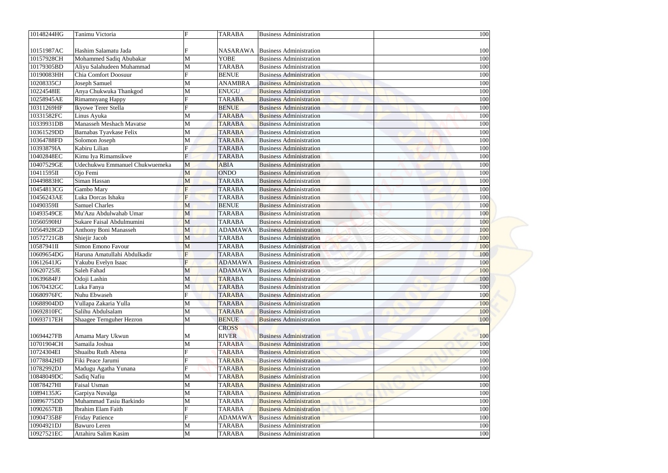| 10148244HG | Tanimu Victoria                 | $\mathbf F$    | <b>TARABA</b>   | <b>Business Administration</b> | 100 |
|------------|---------------------------------|----------------|-----------------|--------------------------------|-----|
| 10151987AC | Hashim Salamatu Jada            |                | <b>NASARAWA</b> | <b>Business Administration</b> | 100 |
| 10157928CH | Mohammed Sadiq Abubakar         | M              | <b>YOBE</b>     | <b>Business Administration</b> | 100 |
| 10179305BD | Aliyu Salahudeen Muhammad       | M              | <b>TARABA</b>   | <b>Business Administration</b> | 100 |
| 10190083HH | Chia Comfort Doosuur            | F              | <b>BENUE</b>    | <b>Business Administration</b> | 100 |
| 10208335CJ | Joseph Samuel                   | M              | <b>ANAMBRA</b>  | <b>Business Administration</b> | 100 |
| 10224548IE | Anya Chukwuka Thankgod          | M              | <b>ENUGU</b>    | <b>Business Administration</b> | 100 |
| 10258945AE | Rimamnyang Happy                |                | <b>TARABA</b>   | <b>Business Administration</b> | 100 |
| 10311269HF | Ikyowe Terer Stella             |                | <b>BENUE</b>    | <b>Business Administration</b> | 100 |
| 10331582FC | Linus Ayuka                     | M              | <b>TARABA</b>   | <b>Business Administration</b> | 100 |
| 10339931DB | <b>Manasseh Meshach Mavatse</b> | M              | <b>TARABA</b>   | <b>Business Administration</b> | 100 |
| 10361529DD | Barnabas Tyavkase Felix         | M              | <b>TARABA</b>   | <b>Business Administration</b> | 100 |
| 10364788FD | Solomon Joseph                  | M              | <b>TARABA</b>   | <b>Business Administration</b> | 100 |
| 10393879IA | Kabiru Lilian                   |                | <b>TARABA</b>   | <b>Business Administration</b> | 100 |
| 10402848EC | Kimu Iya Rimamsikwe             | $F_{\rm}$      | <b>TARABA</b>   | <b>Business Administration</b> | 100 |
| 10407529GE | Udechukwu Emmanuel Chukwuemeka  | M              | <b>ABIA</b>     | <b>Business Administration</b> | 100 |
| 10411595II | Ojo Femi                        | M              | <b>ONDO</b>     | <b>Business Administration</b> | 100 |
| 10449883HC | Siman Hassan                    | M              | <b>TARABA</b>   | <b>Business Administration</b> | 100 |
| 10454813CG | Gambo Mary                      | F              | <b>TARABA</b>   | <b>Business Administration</b> | 100 |
| 10456243AE | Luka Dorcas Ishaku              | F              | <b>TARABA</b>   | <b>Business Administration</b> | 100 |
| 10490359II | <b>Samuel Charles</b>           | M              | <b>BENUE</b>    | <b>Business Administration</b> | 100 |
| 10493549CE | Mu'Azu Abdulwahab Umar          | M              | <b>TARABA</b>   | <b>Business Administration</b> | 100 |
| 10560590HJ | Sukare Faisal Abdulmumini       | M              | <b>TARABA</b>   | <b>Business Administration</b> | 100 |
| 10564928GD | Anthony Boni Manasseh           | M              | <b>ADAMAWA</b>  | <b>Business Administration</b> | 100 |
| 10572721GB | Shiejir Jacob                   | M              | <b>TARABA</b>   | <b>Business Administration</b> | 100 |
| 10587941II | Simon Emono Favour              | M              | <b>TARABA</b>   | <b>Business Administration</b> | 100 |
| 10609654DG | Haruna Amatullahi Abdulkadir    | $\overline{F}$ | <b>TARABA</b>   | <b>Business Administration</b> | 100 |
| 10612641JG | Yakubu Evelyn Isaac             |                | <b>ADAMAWA</b>  | <b>Business Administration</b> | 100 |
| 10620725JE | Saleh Fahad                     | M              | <b>ADAMAWA</b>  | <b>Business Administration</b> | 100 |
| 10639684FJ | Odoji Lashin                    | M              | <b>TARABA</b>   | <b>Business Administration</b> | 100 |
| 10670432GC | Luka Fanya                      | M              | <b>TARABA</b>   | <b>Business Administration</b> | 100 |
| 10680976FC | Nuhu Ebwaseh                    |                | <b>TARABA</b>   | <b>Business Administration</b> | 100 |
| 10688904DD | Vullapa Zakaria Yulla           | M              | <b>TARABA</b>   | <b>Business Administration</b> | 100 |
| 10692810FC | Salihu Abdulsalam               | M              | <b>TARABA</b>   | <b>Business Administration</b> | 100 |
| 10693717EH | Shaagee Ternguher Hezron        | M              | <b>BENUE</b>    | <b>Business Administration</b> | 100 |
|            |                                 |                | <b>CROSS</b>    |                                |     |
| 10694427FB | Amama Mary Ukwun                | M              | <b>RIVER</b>    | <b>Business Administration</b> | 100 |
| 10701904CH | Samaila Joshua                  | M              | <b>TARABA</b>   | <b>Business Administration</b> | 100 |
| 10724304EI | Shuaibu Ruth Abena              |                | <b>TARABA</b>   | <b>Business Administration</b> | 100 |
| 10778842HD | Fiki Peace Jarumi               |                | <b>TARABA</b>   | <b>Business Administration</b> | 100 |
| 10782992DJ | Madugu Agatha Yunana            |                | <b>TARABA</b>   | <b>Business Administration</b> | 100 |
| 10848049DC | Sadiq Nafiu                     | M              | <b>TARABA</b>   | <b>Business Administration</b> | 100 |
| 10878427HI | Faisal Usman                    | M              | <b>TARABA</b>   | <b>Business Administration</b> | 100 |
| 10894135JG | Garpiya Nuvalga                 | M              | <b>TARABA</b>   | <b>Business Administration</b> | 100 |
| 10896775DD | Muhammad Tasiu Barkindo         | M              | <b>TARABA</b>   | <b>Business Administration</b> | 100 |
| 10902657EB | Ibrahim Elam Faith              |                | <b>TARABA</b>   | <b>Business Administration</b> | 100 |
| 10904735BF | <b>Friday Patience</b>          |                | <b>ADAMAWA</b>  | <b>Business Administration</b> | 100 |
| 10904921DJ | <b>Bawuro</b> Leren             | M              | <b>TARABA</b>   | <b>Business Administration</b> | 100 |
| 10927521EC | Attahiru Salim Kasim            | M              | <b>TARABA</b>   | <b>Business Administration</b> | 100 |
|            |                                 |                |                 |                                |     |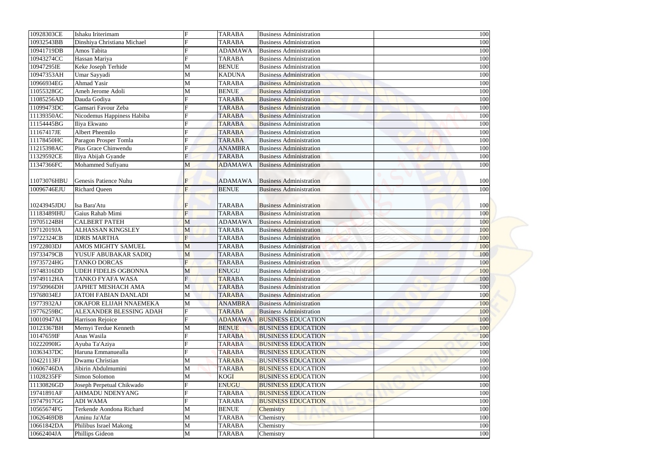| 10928303CE  | Ishaku Iriterimam           | F              | <b>TARABA</b>  | <b>Business Administration</b> | 100 |
|-------------|-----------------------------|----------------|----------------|--------------------------------|-----|
| 10932543BB  | Dinshiya Christiana Michael |                | <b>TARABA</b>  | <b>Business Administration</b> | 100 |
| 10941719DB  | Amos Tabita                 |                | <b>ADAMAWA</b> | <b>Business Administration</b> | 100 |
| 10943274CC  | Hassan Mariya               |                | <b>TARABA</b>  | <b>Business Administration</b> | 100 |
| 10947295IE  | Keke Joseph Terhide         | M              | <b>BENUE</b>   | <b>Business Administration</b> | 100 |
| 10947353AH  | Umar Sayyadi                | $\mathbf M$    | <b>KADUNA</b>  | <b>Business Administration</b> | 100 |
| 10966934EG  | <b>Ahmad Yasir</b>          | M              | <b>TARABA</b>  | <b>Business Administration</b> | 100 |
| 11055328GC  | Ameh Jerome Adoli           | M              | <b>BENUE</b>   | <b>Business Administration</b> | 100 |
| 11085256AD  | Dauda Godiya                |                | <b>TARABA</b>  | <b>Business Administration</b> | 100 |
| 11099473DC  | Gamsari Favour Zeba         |                | <b>TARABA</b>  | <b>Business Administration</b> | 100 |
| 11139350AC  | Nicodemus Happiness Habiba  |                | <b>TARABA</b>  | <b>Business Administration</b> | 100 |
| 11154445BG  | Iliya Ekwano                |                | <b>TARABA</b>  | <b>Business Administration</b> | 100 |
| 11167417JE  | <b>Albert Pheemilo</b>      |                | <b>TARABA</b>  | <b>Business Administration</b> | 100 |
| 11178450HC  | Paragon Prosper Tomla       |                | <b>TARABA</b>  | <b>Business Administration</b> | 100 |
| 11215398AC  | Pius Grace Chinwendu        |                | <b>ANAMBRA</b> | <b>Business Administration</b> | 100 |
| 11329592CE  | Iliya Abijah Gyande         |                | <b>TARABA</b>  | <b>Business Administration</b> | 100 |
| 11347366FC  | Mohammed Sufiyanu           | M              | <b>ADAMAWA</b> | <b>Business Administration</b> | 100 |
|             |                             |                |                |                                |     |
| 11073076HBU | Genesis Patience Nuhu       | $\mathbf F$    | <b>ADAMAWA</b> | <b>Business Administration</b> | 100 |
| 10096746EJU | <b>Richard Queen</b>        | F              | <b>BENUE</b>   | <b>Business Administration</b> | 100 |
|             |                             |                |                |                                |     |
| 10243945JDU | Isa Bara'Atu                |                | <b>TARABA</b>  | <b>Business Administration</b> | 100 |
| 11183489IHU | Gaius Rahab Mimi            | $\overline{F}$ | <b>TARABA</b>  | <b>Business Administration</b> | 100 |
| 19705124BH  | <b>CALBERT PATEH</b>        | M              | <b>ADAMAWA</b> | <b>Business Administration</b> | 100 |
| 19712019JA  | <b>ALHASSAN KINGSLEY</b>    | M              | <b>TARABA</b>  | <b>Business Administration</b> | 100 |
| 19722324CB  | <b>IDRIS MARTHA</b>         | F              | <b>TARABA</b>  | <b>Business Administration</b> | 100 |
| 19722803DJ  | AMOS MIGHTY SAMUEL          | M              | <b>TARABA</b>  | <b>Business Administration</b> | 100 |
| 19733479CB  | YUSUF ABUBAKAR SADIQ        | M              | <b>TARABA</b>  | <b>Business Administration</b> | 100 |
| 19735724HG  | TANKO DORCAS                |                | <b>TARABA</b>  | <b>Business Administration</b> | 100 |
| 19748316DD  | <b>UDEH FIDELIS OGBONNA</b> | M              | <b>ENUGU</b>   | <b>Business Administration</b> | 100 |
| 19749112HA  | TANKO FYAFA WASA            | $\overline{F}$ | <b>TARABA</b>  | <b>Business Administration</b> | 100 |
| 19750966DH  | <b>JAPHET MESHACH AMA</b>   | M              | <b>TARABA</b>  | <b>Business Administration</b> | 100 |
| 19768034EJ  | <b>JATOH FABIAN DANLADI</b> | M              | <b>TARABA</b>  | <b>Business Administration</b> | 100 |
| 19773932AJ  | OKAFOR ELIJAH NNAEMEKA      | M              | <b>ANAMBRA</b> | <b>Business Administration</b> | 100 |
| 19776259BC  | ALEXANDER BLESSING ADAH     | F              | <b>TARABA</b>  | <b>Business Administration</b> | 100 |
| 10010947AI  | Harrison Rejoice            |                | <b>ADAMAWA</b> | <b>BUSINESS EDUCATION</b>      | 100 |
| 10123367BH  | Mernyi Terdue Kenneth       | M              | <b>BENUE</b>   | <b>BUSINESS EDUCATION</b>      | 100 |
| 10147659IF  | Anas Wasila                 |                | <b>TARABA</b>  | <b>BUSINESS EDUCATION</b>      | 100 |
| 10222090IG  | Ayuba Ta'Aziya              |                | <b>TARABA</b>  | <b>BUSINESS EDUCATION</b>      | 100 |
| 10363437DC  | Haruna Emmanuealla          |                | <b>TARABA</b>  | <b>BUSINESS EDUCATION</b>      | 100 |
| 10422113FJ  | Dwamu Christian             | M              | <b>TARABA</b>  | <b>BUSINESS EDUCATION</b>      | 100 |
| 10606746DA  | Jibirin Abdulmumini         | M              | <b>TARABA</b>  | <b>BUSINESS EDUCATION</b>      | 100 |
| 11028235FF  | Simon Solomon               | M              | <b>KOGI</b>    | <b>BUSINESS EDUCATION</b>      | 100 |
| 11130826GD  | Joseph Perpetual Chikwado   |                | <b>ENUGU</b>   | <b>BUSINESS EDUCATION</b>      | 100 |
| 19741891AF  | <b>AHMADU NDENYANG</b>      |                | <b>TARABA</b>  | <b>BUSINESS EDUCATION</b>      | 100 |
| 19747917GG  | <b>ADI WAMA</b>             |                | <b>TARABA</b>  | <b>BUSINESS EDUCATION</b>      | 100 |
| 10565674FG  | Terkende Aondona Richard    | M              | <b>BENUE</b>   | Chemistry                      | 100 |
| 10626469DB  | Aminu Ja'Afar               | M              | <b>TARABA</b>  | Chemistry                      | 100 |
| 10661842DA  | Philibus Israel Makong      |                |                |                                |     |
|             |                             | M              | <b>TARABA</b>  | Chemistry                      | 100 |
| 10662404JA  | Phillips Gideon             | M              | <b>TARABA</b>  | Chemistry                      | 100 |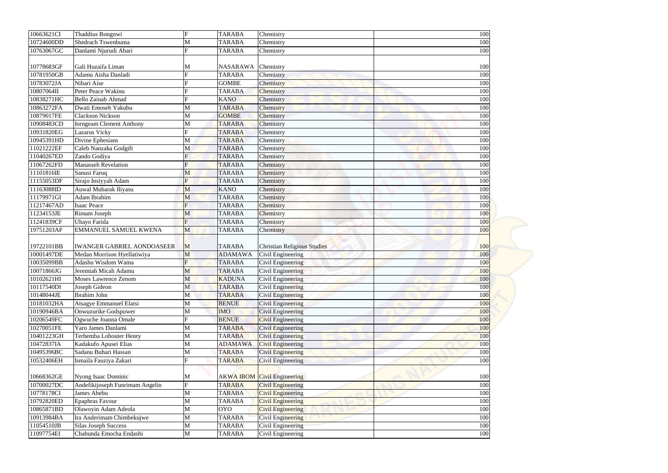| 10663621CI | Thaddius Bongnwi                  | $\mathbf F$    | <b>TARABA</b>   | Chemistry                          | 100 |
|------------|-----------------------------------|----------------|-----------------|------------------------------------|-----|
| 10724600DD | Shedrach Tswenbuma                | M              | <b>TARABA</b>   | Chemistry                          | 100 |
| 10763067GC | Danlami Njurudi Abari             |                | <b>TARABA</b>   | Chemistry                          | 100 |
| 10778683GF | Gali Huzaifa Liman                | M              | <b>NASARAWA</b> | Chemistry                          | 100 |
| 10781950GB | Adamu Aisha Danladi               |                | <b>TARABA</b>   | Chemistry                          | 100 |
| 10783072JA | Nibari Aise                       |                | <b>GOMBE</b>    | Chemistry                          | 100 |
| 10807064II | Peter Peace Wakinu                |                | <b>TARABA</b>   | Chemistry                          | 100 |
| 10838271HC | <b>Bello Zainab Ahmad</b>         |                | <b>KANO</b>     | Chemistry                          | 100 |
| 10863272FA | Dwati Emoseh Yakubu               | M              | <b>TARABA</b>   | Chemistry                          | 100 |
| 10879017FE | <b>Clackson Nickson</b>           | $\mathbf M$    | <b>GOMBE</b>    | Chemistry                          | 100 |
| 10908483CD | <b>Iorngeam Clement Anthony</b>   | M              | <b>TARABA</b>   | Chemistry                          | 100 |
| 10931820EG | <b>Lazarus Vicky</b>              | $\mathbf F$    | <b>TARABA</b>   | Chemistry                          | 100 |
| 10945391HD | Divine Ephesians                  | M              | <b>TARABA</b>   | Chemistry                          | 100 |
| 11021222EF | Caleb Nanzaka Godgift             | M              | <b>TARABA</b>   | Chemistry                          | 100 |
| 11040267ED | Zando Godiya                      |                | <b>TARABA</b>   | Chemistry                          | 100 |
| 11067262FD | <b>Manasseh Revelation</b>        |                | <b>TARABA</b>   | Chemistry                          | 100 |
| 11101816IE | Sanusi Faruq                      | M              | <b>TARABA</b>   | Chemistry                          | 100 |
| 11155053DF | Sirajo Insiyyah Adam              | $\overline{F}$ | <b>TARABA</b>   | Chemistry                          | 100 |
| 11163088ID | Auwal Mubarak Iliyasu             | M              | <b>KANO</b>     | Chemistry                          | 100 |
| 11179971GI | Adam Ibrahim                      |                | <b>TARABA</b>   |                                    | 100 |
| 11217467AD | <b>Isaac Peace</b>                | M              | <b>TARABA</b>   | Chemistry                          |     |
|            |                                   |                |                 | Chemistry                          | 100 |
| 11234153JE | Rimam Joseph                      | M              | <b>TARABA</b>   | Chemistry                          | 100 |
| 11241839CF | Ubayo Farida                      | $\overline{F}$ | <b>TARABA</b>   | Chemistry                          | 100 |
| 19751203AF | <b>EMMANUEL SAMUEL KWENA</b>      | M              | <b>TARABA</b>   | Chemistry                          | 100 |
|            |                                   |                |                 |                                    |     |
| 19722101BB | <b>IWANGER GABRIEL AONDOASEER</b> | $\mathbf{M}$   | <b>TARABA</b>   | <b>Christian Religious Studies</b> | 100 |
| 10001497DE | Medan Morrison Hyellatiwiya       | M              | <b>ADAMAWA</b>  | Civil Engineering                  | 100 |
| 10035099BB | Adashu Wisdom Wama                |                | <b>TARABA</b>   | Civil Engineering                  | 100 |
| 10071866JG | Jeremiah Micah Adamu              | M              | <b>TARABA</b>   | Civil Engineering                  | 100 |
| 10102621HI | <b>Moses Lawrence Zenom</b>       | M              | <b>KADUNA</b>   | Civil Engineering                  | 100 |
| 10117540DI | Joseph Gideon                     | M              | <b>TARABA</b>   | Civil Engineering                  | 100 |
| 10148044JE | Ibrahim John                      | M              | <b>TARABA</b>   | Civil Engineering                  | 100 |
| 10181032HA | Atsagye Emmanuel Elatsi           | M              | <b>BENUE</b>    | Civil Engineering                  | 100 |
| 10190946BA | Onwuzurike Godspower              | M              | <b>IMO</b>      | Civil Engineering                  | 100 |
| 10206549FC | Ogwuche Joanna Omale              |                | <b>BENUE</b>    | <b>Civil Engineering</b>           | 100 |
| 10270051FE | Yaro James Danlami                | M              | <b>TARABA</b>   | Civil Engineering                  | 100 |
| 10401223GH | Terhemba Lohouter Henry           | M              | <b>TARABA</b>   | Civil Engineering                  | 100 |
| 10472837IA | Kadakufo Apusei Elias             | M              | <b>ADAMAWA</b>  | <b>Civil Engineering</b>           | 100 |
| 10495396BC | Sadanu Buhari Hassan              | M              | <b>TARABA</b>   | <b>Civil Engineering</b>           | 100 |
| 10532406EH | Ismaila Fauziya Zakari            | F              | <b>TARABA</b>   | <b>Civil Engineering</b>           | 100 |
|            |                                   |                |                 |                                    |     |
| 10668362GE | Nyong Isaac Dominic               | M              |                 | <b>AKWA IBOM</b> Civil Engineering | 100 |
| 10700027DC | Andefikijoseph Funrimam Angelin   | $\mathbf F$    | <b>TARABA</b>   | <b>Civil Engineering</b>           | 100 |
| 10778178CI | James Abebu                       | M              | <b>TARABA</b>   | <b>Civil Engineering</b>           | 100 |
| 10792820ED | <b>Epaphras Favour</b>            | M              | <b>TARABA</b>   | <b>Civil Engineering</b>           | 100 |
| 10865871BD | Olawoyin Adam Adeola              | M              | <b>OYO</b>      | <b>Civil Engineering</b>           | 100 |
| 10913984BA | Ira Anderimam Chimbekujwe         | M              | <b>TARABA</b>   | Civil Engineering                  | 100 |
| 11054510JB | <b>Silas Joseph Success</b>       | M              | <b>TARABA</b>   | Civil Engineering                  | 100 |
| 11097754EI | Chabunda Emocha Endashi           | M              | <b>TARABA</b>   | Civil Engineering                  | 100 |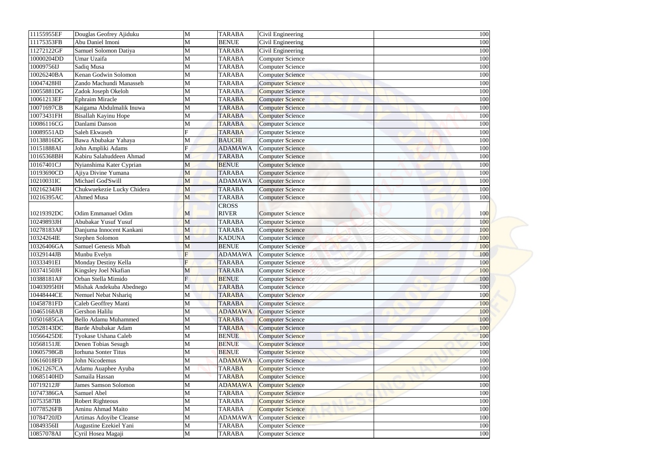| 11155955EF | Douglas Geofrey Ajiduku        | M              | <b>TARABA</b>  | Civil Engineering       | 100 |
|------------|--------------------------------|----------------|----------------|-------------------------|-----|
| 11175353FB | Abu Daniel Imoni               | M              | <b>BENUE</b>   | Civil Engineering       | 100 |
| 11272122GF | Samuel Solomon Datiya          | M              | <b>TARABA</b>  | Civil Engineering       | 100 |
| 10000204DD | Umar Uzaifa                    | M              | <b>TARABA</b>  | <b>Computer Science</b> | 100 |
| 10009756IJ | Sadiq Musa                     | $\mathbf M$    | <b>TARABA</b>  | <b>Computer Science</b> | 100 |
| 10026240BA | Kenan Godwin Solomon           | M              | <b>TARABA</b>  | <b>Computer Science</b> | 100 |
| 10047428HI | Zando Machundi Manasseh        | M              | <b>TARABA</b>  | <b>Computer Science</b> | 100 |
| 10055881DG | Zadok Joseph Okeloh            | M              | <b>TARABA</b>  | <b>Computer Science</b> | 100 |
| 10061213EF | <b>Ephraim Miracle</b>         | M              | <b>TARABA</b>  | <b>Computer Science</b> | 100 |
| 10071697CB | Kaigama Abdulmalik Inuwa       | M              | <b>TARABA</b>  | <b>Computer Science</b> | 100 |
| 10073431FH | Bisallah Kayinu Hope           | M              | <b>TARABA</b>  | <b>Computer Science</b> | 100 |
| 10086116CG | Danlami Danson                 | M              | <b>TARABA</b>  | <b>Computer Science</b> | 100 |
| 10089551AD | Saleh Ekwaseh                  | $\mathbf F$    | <b>TARABA</b>  | <b>Computer Science</b> | 100 |
| 10138816DG | Bawa Abubakar Yahaya           | M              | <b>BAUCHI</b>  | <b>Computer Science</b> | 100 |
| 10151888AI | John Ampliki Adams             | F              | <b>ADAMAWA</b> | <b>Computer Science</b> | 100 |
| 10165368BH | Kabiru Salahuddeen Ahmad       | M              | <b>TARABA</b>  | <b>Computer Science</b> | 100 |
| 10167401CJ | Nyianshima Kater Cyprian       | M              | <b>BENUE</b>   | <b>Computer Science</b> | 100 |
| 10193690CD | Ajiya Divine Yumana            | M              | <b>TARABA</b>  | <b>Computer Science</b> | 100 |
| 10210031IC | Michael God'Swill              | M              | <b>ADAMAWA</b> | <b>Computer Science</b> | 100 |
| 10216234JH | Chukwuekezie Lucky Chidera     | M              | <b>TARABA</b>  | <b>Computer Science</b> | 100 |
| 10216395AC | <b>Ahmed Musa</b>              | M              | <b>TARABA</b>  | <b>Computer Science</b> | 100 |
|            |                                |                | <b>CROSS</b>   |                         |     |
| 10219392DC | <b>Odim Emmanuel Odim</b>      | M              | <b>RIVER</b>   | <b>Computer Science</b> | 100 |
| 10249893JH | Abubakar Yusuf Yusuf           | M              | <b>TARABA</b>  | <b>Computer Science</b> | 100 |
| 10278183AF | Danjuma Innocent Kankani       | M              | <b>TARABA</b>  | <b>Computer Science</b> | 100 |
| 10324264IE | Stephen Solomon                | M              | <b>KADUNA</b>  | <b>Computer Science</b> | 100 |
| 10326406GA | <b>Samuel Genesis Mbah</b>     | M              | <b>BENUE</b>   | <b>Computer Science</b> | 100 |
| 10329144JB | Munbu Evelyn                   | F              | <b>ADAMAWA</b> | <b>Computer Science</b> | 100 |
| 10333491EI | Monday Destiny Kella           |                | <b>TARABA</b>  | <b>Computer Science</b> | 100 |
| 10374150JH | Kingsley Joel Nkafian          | M              | <b>TARABA</b>  | <b>Computer Science</b> | 100 |
| 10388181AF | Orban Stella Mimido            | $\overline{F}$ | <b>BENUE</b>   | <b>Computer Science</b> | 100 |
| 10403095HH | Mishak Andekuba Abednego       | M              | <b>TARABA</b>  | <b>Computer Science</b> | 100 |
| 10448444CE | Nemuel Nebat Nshariq           | M              | <b>TARABA</b>  | <b>Computer Science</b> | 100 |
| 10458781FD | Caleb Geoffrey Manti           | M              | <b>TARABA</b>  | <b>Computer Science</b> | 100 |
| 10465168AB | Gershon Halilu                 | M              | <b>ADAMAWA</b> | <b>Computer Science</b> | 100 |
| 10501685GA | <b>Bello Adamu Muhammed</b>    | M              | <b>TARABA</b>  | <b>Computer Science</b> | 100 |
| 10528143DC | Barde Abubakar Adam            | M              | <b>TARABA</b>  | <b>Computer Science</b> | 100 |
| 10566425DE | Tyokase Ushana Caleb           | M              | <b>BENUE</b>   | <b>Computer Science</b> | 100 |
| 10568151JE | Denen Tobias Sesugh            | M              | <b>BENUE</b>   | <b>Computer Science</b> | 100 |
| 10605798GB | <b>Iorhuna Sonter Titus</b>    | M              | <b>BENUE</b>   | <b>Computer Science</b> | 100 |
| 10616018FD | John Nicodemus                 | M              | <b>ADAMAWA</b> | <b>Computer Science</b> | 100 |
| 10621267CA | Adamu Auaphee Ayuba            | M              | <b>TARABA</b>  | <b>Computer Science</b> | 100 |
| 10685140HD | Samaila Hassan                 | M              | <b>TARABA</b>  | <b>Computer Science</b> | 100 |
| 10719212JF | <b>James Samson Solomon</b>    | M              | <b>ADAMAWA</b> | <b>Computer Science</b> | 100 |
| 10747386GA | Samuel Abel                    | M              | <b>TARABA</b>  | <b>Computer Science</b> | 100 |
| 10753587IB | <b>Robert Righteous</b>        | M              | <b>TARABA</b>  | <b>Computer Science</b> | 100 |
| 10778526FB | Aminu Ahmad Maito              | M              | <b>TARABA</b>  | <b>Computer Science</b> | 100 |
| 10784720JD | <b>Artimas Adoyibe Cleanse</b> | M              | <b>ADAMAWA</b> | <b>Computer Science</b> | 100 |
| 10849356II | Augustine Ezekiel Yani         | M              | <b>TARABA</b>  | <b>Computer Science</b> | 100 |
| 10857078AI | Cyril Hosea Magaji             | M              | <b>TARABA</b>  | <b>Computer Science</b> | 100 |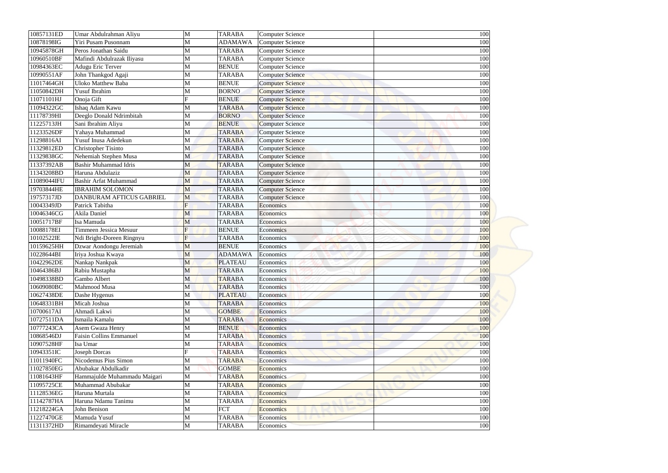| 10857131ED  | Umar Abdulrahman Aliyu                                | M      | <b>TARABA</b>  | <b>Computer Science</b>                            | 100 |
|-------------|-------------------------------------------------------|--------|----------------|----------------------------------------------------|-----|
| 10878198IG  | Yiri Pusam Pusonnam                                   | М      | <b>ADAMAWA</b> | <b>Computer Science</b>                            | 100 |
| 10945878GH  | Peros Jonathan Saidu                                  | M      | <b>TARABA</b>  | <b>Computer Science</b>                            | 100 |
| 10960510BF  | Mafindi Abdulrazak Iliyasu                            | M      | <b>TARABA</b>  | <b>Computer Science</b>                            | 100 |
| 10984363EC  | <b>Adugu Eric Terver</b>                              | M      | <b>BENUE</b>   | <b>Computer Science</b>                            | 100 |
| 10990551AF  | John Thankgod Agaji                                   | M      | <b>TARABA</b>  | <b>Computer Science</b>                            | 100 |
| 11017464GH  | <b>Uloko Matthew Baba</b>                             | М      | <b>BENUE</b>   | <b>Computer Science</b>                            | 100 |
| 11050842DH  | <b>Yusuf Ibrahim</b>                                  | M      | <b>BORNO</b>   | <b>Computer Science</b>                            | 100 |
| 11071101HJ  | Onoja Gift                                            |        | <b>BENUE</b>   | Computer Science                                   | 100 |
| 11094322GC  | Ishaq Adam Kawu                                       | M      | <b>TARABA</b>  | <b>Computer Science</b>                            | 100 |
| 11178739HI  | Deeglo Donald Ndrimbitah                              | M      | <b>BORNO</b>   | <b>Computer Science</b>                            | 100 |
| 11225713JH  | Sani Ibrahim Aliyu                                    | М      | <b>BENUE</b>   | <b>Computer Science</b>                            | 100 |
| 11233526DF  | Yahaya Muhammad                                       | M      | <b>TARABA</b>  | <b>Computer Science</b>                            | 100 |
| 11298816AI  | Yusuf Inusa Adedekun                                  | M      | <b>TARABA</b>  | <b>Computer Science</b>                            | 100 |
| 11329812ED  | Christopher Tisinto                                   | M      | <b>TARABA</b>  | <b>Computer Science</b>                            | 100 |
| 11329838GC  |                                                       | M      | <b>TARABA</b>  |                                                    | 100 |
| 11337392AB  | Nehemiah Stephen Musa<br><b>Bashir Muhammad Idris</b> | M      | <b>TARABA</b>  | <b>Computer Science</b><br><b>Computer Science</b> | 100 |
| 11343208BD  | Haruna Abdulaziz                                      | M      | <b>TARABA</b>  |                                                    | 100 |
| 11089044IFU | <b>Bashir Arfat Muhammad</b>                          |        |                | <b>Computer Science</b>                            |     |
| 19703844HE  | <b>IBRAHIM SOLOMON</b>                                | M      | <b>TARABA</b>  | <b>Computer Science</b>                            | 100 |
|             |                                                       | M      | <b>TARABA</b>  | <b>Computer Science</b>                            | 100 |
| 19757317JD  | DANBURAM AFTICUS GABRIEL                              | M<br>F | <b>TARABA</b>  | <b>Computer Science</b>                            | 100 |
| 10043349JD  | Patrick Tabitha                                       |        | <b>TARABA</b>  | Economics                                          | 100 |
| 10046346CG  | Akila Daniel                                          | M      | <b>TARABA</b>  | Economics                                          | 100 |
| 10051717BF  | Isa Mamuda                                            | M      | <b>TARABA</b>  | Economics                                          | 100 |
| 10088178EI  | Timmeen Jessica Mesuur                                |        | <b>BENUE</b>   | Economics                                          | 100 |
| 10102522IE  | Ndi Bright-Doreen Ringnyu                             |        | <b>TARABA</b>  | Economics                                          | 100 |
| 10159625HH  | Dzwar Aondongu Jeremiah                               | M      | <b>BENUE</b>   | Economics                                          | 100 |
| 10228644BI  | Iriya Joshua Kwaya                                    | M      | <b>ADAMAWA</b> | Economics                                          | 100 |
| 10422962DE  | Nankap Nankpak                                        | M      | <b>PLATEAU</b> | Economics                                          | 100 |
| 10464386BJ  | Rabiu Mustapha                                        | M      | <b>TARABA</b>  | Economics                                          | 100 |
| 10498338BD  | Gambo Albert                                          | M      | <b>TARABA</b>  | Economics                                          | 100 |
| 10609080BC  | Mahmood Musa                                          | M      | <b>TARABA</b>  | Economics                                          | 100 |
| 10627438DE  | Dashe Hygenus                                         | М      | <b>PLATEAU</b> | Economics                                          | 100 |
| 10648331BH  | Micah Joshua                                          | M      | <b>TARABA</b>  | Economics                                          | 100 |
| 10700617AI  | Ahmadi Lakwi                                          | М      | <b>GOMBE</b>   | Economics                                          | 100 |
| 10727511DA  | Ismaila Kamalu                                        | М      | <b>TARABA</b>  | Economics                                          | 100 |
| 10777243CA  | Asem Gwaza Henry                                      | М      | <b>BENUE</b>   | Economics                                          | 100 |
| 10868546DJ  | <b>Faisin Collins Emmanuel</b>                        | М      | <b>TARABA</b>  | Economics                                          | 100 |
| 10907528HF  | Isa Umar                                              | М      | <b>TARABA</b>  | <b>Economics</b>                                   | 100 |
| 10943351IC  | <b>Joseph Dorcas</b>                                  |        | <b>TARABA</b>  | Economics                                          | 100 |
| 11011940FC  | Nicodemus Pius Simon                                  | М      | <b>TARABA</b>  | Economics                                          | 100 |
| 11027850EG  | Abubakar Abdulkadir                                   | М      | <b>GOMBE</b>   | Economics                                          | 100 |
| 11081643HF  | Hammajulde Muhammadu Maigari                          | M      | <b>TARABA</b>  | Economics                                          | 100 |
| 11095725CE  | Muhammad Abubakar                                     | M      | <b>TARABA</b>  | Economics                                          | 100 |
| 11128536EG  | Haruna Murtala                                        | М      | <b>TARABA</b>  | Economics                                          | 100 |
| 11142787HA  | Haruna Ndamu Tanimu                                   | М      | <b>TARABA</b>  | Economics                                          | 100 |
| 11218224GA  | John Benison                                          | М      | <b>FCT</b>     | Economics                                          | 100 |
| 11227470GE  | Mamuda Yusuf                                          | М      | <b>TARABA</b>  | Economics                                          | 100 |
| 11311372HD  | Rimamdeyati Miracle                                   | M      | <b>TARABA</b>  | Economics                                          | 100 |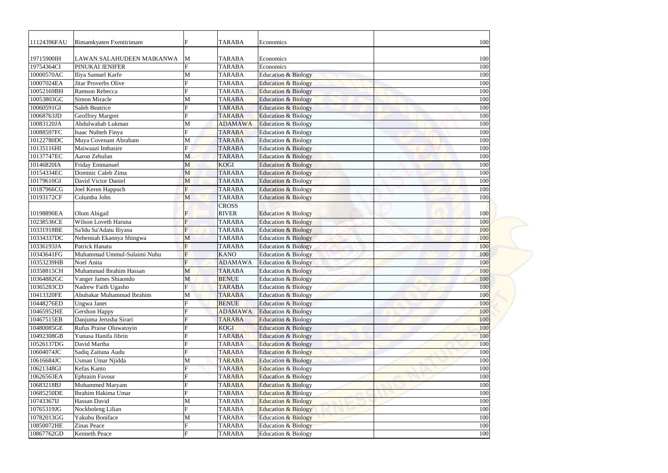| 11124396FAU | Rimamkyaten Fxentirimam     |                | <b>TARABA</b>  | Economics                      | 100 |
|-------------|-----------------------------|----------------|----------------|--------------------------------|-----|
| 19715900IH  | LAWAN SALAHUDEEN MAIKANWA   | M              | <b>TARABA</b>  | Economics                      | 100 |
| 19754364CI  | PINUKAI JENIFER             |                | <b>TARABA</b>  | Economics                      | 100 |
| 10000570AC  | Iliya Samuel Karfe          | M              | <b>TARABA</b>  | <b>Education &amp; Biology</b> | 100 |
| 10007024EA  | <b>Jitar Proverbs Olive</b> | $\mathbf F$    | <b>TARABA</b>  | <b>Education &amp; Biology</b> | 100 |
| 10052169BH  | Ramson Rebecca              |                | <b>TARABA</b>  | <b>Education &amp; Biology</b> | 100 |
| 10053803GC  | Simon Miracle               | M              | <b>TARABA</b>  | <b>Education &amp; Biology</b> | 100 |
| 10060591GI  | <b>Saleh Beatrice</b>       |                | <b>TARABA</b>  | <b>Education &amp; Biology</b> | 100 |
| 10068763JD  | <b>Geoffrey Margret</b>     | $\mathbf{F}$   | <b>TARABA</b>  | <b>Education &amp; Biology</b> | 100 |
| 10083120JA  | Abdulwahab Lukman           | M              | <b>ADAMAWA</b> | <b>Education &amp; Biology</b> | 100 |
| 10088597FC  | Isaac Nuhteh Finya          |                | <b>TARABA</b>  | Education & Biology            | 100 |
| 10122780DC  | Muya Covenant Abraham       | M              | <b>TARABA</b>  | Education & Biology            | 100 |
| 10135116HI  | Maiwaazi Imbasire           | F              | <b>TARABA</b>  | <b>Education &amp; Biology</b> | 100 |
| 10137747EC  | Aaron Zebulun               | M              | <b>TARABA</b>  | <b>Education &amp; Biology</b> | 100 |
| 10146820IA  | Friday Emmanuel             | M              | <b>KOGI</b>    | <b>Education &amp; Biology</b> | 100 |
| 10154334EC  | Dominic Caleb Zima          | M              | <b>TARABA</b>  | <b>Education &amp; Biology</b> | 100 |
| 10179610GI  | David Victor Daniel         | M              | <b>TARABA</b>  | <b>Education &amp; Biology</b> | 100 |
| 10187966CG  | Joel Keren Happuch          | F              | <b>TARABA</b>  | <b>Education &amp; Biology</b> | 100 |
| 10193172CF  | Columba John                | M              | <b>TARABA</b>  | Education & Biology            | 100 |
|             |                             |                | <b>CROSS</b>   |                                |     |
| 10198890EA  | Olom Abigail                | F              | <b>RIVER</b>   | <b>Education &amp; Biology</b> | 100 |
| 10238536CE  | Wilson Loveth Haruna        | $\overline{F}$ | <b>TARABA</b>  | <b>Education &amp; Biology</b> | 100 |
| 10331918BE  | Sa'Idu Sa'Adatu Iliyasu     | F              | <b>TARABA</b>  | <b>Education &amp; Biology</b> | 100 |
| 10334337DC  | Nehemiah Ekannya Shingwa    | M              | <b>TARABA</b>  | Education & Biology            | 100 |
| 10336193JA  | Patrick Hanatu              | $\mathbf F$    | <b>TARABA</b>  | <b>Education &amp; Biology</b> | 100 |
| 10343641FG  | Muhammad Ummul-Sulaimi Nuhu | $\overline{F}$ | <b>KANO</b>    | Education & Biology            | 100 |
| 10353239HB  | Noel Anita                  |                | <b>ADAMAWA</b> | <b>Education &amp; Biology</b> | 100 |
| 10358815CH  | Muhammad Ibrahim Hassan     | M              | <b>TARABA</b>  | <b>Education &amp; Biology</b> | 100 |
| 10364882GC  | Vanger James Shiaondo       | M              | <b>BENUE</b>   | <b>Education &amp; Biology</b> | 100 |
| 10365283CD  | Nadrew Faith Ugasho         | $\mathbf F$    | <b>TARABA</b>  | <b>Education &amp; Biology</b> | 100 |
| 10413320FE  | Abubakar Muhammad Ibrahim   | M              | <b>TARABA</b>  | <b>Education &amp; Biology</b> | 100 |
| 10448276ED  | <b>Ungwa Janet</b>          |                | <b>BENUE</b>   | <b>Education &amp; Biology</b> | 100 |
| 10465952HE  | <b>Gershon Happy</b>        |                | <b>ADAMAWA</b> | <b>Education &amp; Biology</b> | 100 |
| 10467515EB  | Danjuma Jerusha Sirari      |                | <b>TARABA</b>  | <b>Education &amp; Biology</b> | 100 |
| 10480085GE  | Rufus Praise Oluwatoyin     |                | <b>KOGI</b>    | Education & Biology            | 100 |
| 10492308GB  | Yunusa Hanifa Jibrin        |                | <b>TARABA</b>  | <b>Education &amp; Biology</b> | 100 |
| 10526137DG  | David Martha                |                | <b>TARABA</b>  | <b>Education &amp; Biology</b> | 100 |
| 10604074JC  | Sadiq Zaituna Audu          |                | <b>TARABA</b>  | <b>Education &amp; Biology</b> | 100 |
| 10616684JC  | Usman Umar Njidda           | M              | <b>TARABA</b>  | <b>Education &amp; Biology</b> | 100 |
| 10621348GI  | Kefas Kanto                 |                | <b>TARABA</b>  | Education & Biology            | 100 |
| 10626563EA  | <b>Ephraim Favour</b>       |                | <b>TARABA</b>  | <b>Education &amp; Biology</b> | 100 |
| 10683218BJ  | Mohammed Maryam             |                | <b>TARABA</b>  | <b>Education &amp; Biology</b> | 100 |
| 10685250DE  | Ibrahim Hakima Umar         |                | <b>TARABA</b>  | <b>Education &amp; Biology</b> | 100 |
| 10743367IJ  | Hassan David                | M              | <b>TARABA</b>  | <b>Education &amp; Biology</b> | 100 |
| 10765319JG  | Nockboleng Lilian           |                | <b>TARABA</b>  | <b>Education &amp; Biology</b> | 100 |
| 10782013GG  | Yakubu Boniface             | M              | <b>TARABA</b>  | <b>Education &amp; Biology</b> | 100 |
| 10850072HE  | Zinas Peace                 |                | <b>TARABA</b>  | <b>Education &amp; Biology</b> | 100 |
| 10867762GD  | Kenneth Peace               | $\mathbf{F}$   | <b>TARABA</b>  | Education & Biology            | 100 |
|             |                             |                |                |                                |     |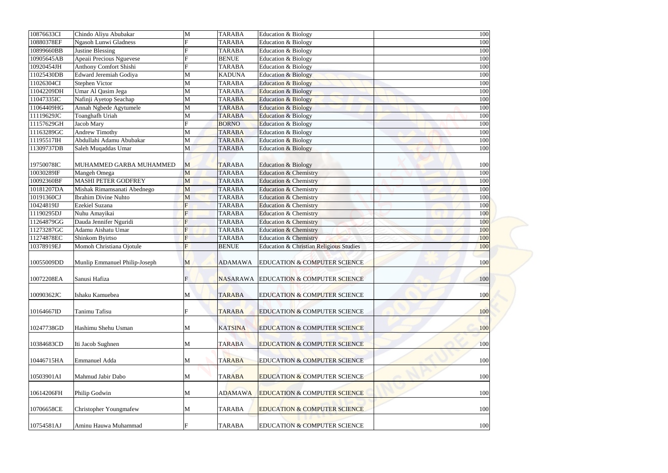| 10876633CI               | Chindo Aliyu Abubakar         | M                   | <b>TARABA</b>   | Education & Biology                                | 100        |
|--------------------------|-------------------------------|---------------------|-----------------|----------------------------------------------------|------------|
| 10880378EF               | <b>Ngasoh Lunwi Gladness</b>  | F                   | <b>TARABA</b>   | Education & Biology                                | 100        |
| 10899660BB               | <b>Justine Blessing</b>       |                     | <b>TARABA</b>   | Education & Biology                                | 100        |
| 10905645AB               | Apeaii Precious Nguevese      |                     | <b>BENUE</b>    | Education & Biology                                | 100        |
| 10920454JH               | <b>Anthony Comfort Shishi</b> |                     | <b>TARABA</b>   | Education & Biology                                | 100        |
| 11025430DB               | Edward Jeremiah Godiya        | M                   | <b>KADUNA</b>   | <b>Education &amp; Biology</b>                     | 100        |
| 11026304CI               | <b>Stephen Victor</b>         | M                   | <b>TARABA</b>   | <b>Education &amp; Biology</b>                     | 100        |
| 11042209DH               | Umar Al Qasim Jega            | M                   | <b>TARABA</b>   | <b>Education &amp; Biology</b>                     | 100        |
| 11047335IC               | Nafinji Ayetop Seachap        | M                   | <b>TARABA</b>   | <b>Education &amp; Biology</b>                     | 100        |
| 11064409HG               | Annah Ngbede Agytumele        | M                   | <b>TARABA</b>   | <b>Education &amp; Biology</b>                     | 100        |
| 11119629JC               | Toanghafh Uriah               | M                   | <b>TARABA</b>   | <b>Education &amp; Biology</b>                     | 100        |
| 11157629GH               | Jacob Mary                    | F                   | <b>BORNO</b>    | Education & Biology                                | 100        |
| 11163289GC               | <b>Andrew Timothy</b>         | M                   | <b>TARABA</b>   | Education & Biology                                | 100        |
| 11195517IH               | Abdullahi Adamu Abubakar      | M                   | <b>TARABA</b>   | Education & Biology                                | 100        |
| 11309737DB               | Saleh Muqaddas Umar           | M                   | <b>TARABA</b>   | <b>Education &amp; Biology</b>                     | 100        |
| 19750078IC               | MUHAMMED GARBA MUHAMMED       | M                   | <b>TARABA</b>   | <b>Education &amp; Biology</b>                     | 100        |
| 10030289IF               | Mangeh Omega                  | M                   | <b>TARABA</b>   | <b>Education &amp; Chemistry</b>                   | 100        |
|                          | <b>MASHI PETER GODFREY</b>    |                     |                 |                                                    |            |
| 10092360BF<br>10181207DA |                               | M                   | <b>TARABA</b>   | <b>Education &amp; Chemistry</b>                   | 100        |
|                          | Mishak Rimamsanati Abednego   | M                   | <b>TARABA</b>   | <b>Education &amp; Chemistry</b>                   | 100        |
| 10191360CJ               | <b>Ibrahim Divine Nuhto</b>   | M                   | <b>TARABA</b>   | <b>Education &amp; Chemistry</b>                   | 100        |
| 10424819IJ               | Ezekiel Suzana                |                     | <b>TARABA</b>   | <b>Education &amp; Chemistry</b>                   | 100        |
| 11190295DJ<br>11264879GG | Nuhu Amayikai                 | $\overline{F}$<br>F | <b>TARABA</b>   | <b>Education &amp; Chemistry</b>                   | 100        |
|                          | Dauda Jennifer Nguridi        |                     | <b>TARABA</b>   | <b>Education &amp; Chemistry</b>                   | 100        |
| 11273287GC               | Adamu Aishatu Umar            |                     | <b>TARABA</b>   | <b>Education &amp; Chemistry</b>                   | 100        |
| 11274878EC               | Shinkom Byirtso               | F                   | <b>TARABA</b>   | <b>Education &amp; Chemistry</b>                   | 100        |
| 10378919EJ               | Momoh Christiana Ojotule      | F                   | <b>BENUE</b>    | <b>Education &amp; Christian Religious Studies</b> | 100        |
| 10055009DD               | Munlip Emmanuel Philip-Joseph | M                   | <b>ADAMAWA</b>  | <b>EDUCATION &amp; COMPUTER SCIENCE</b>            | 100        |
| 10072208EA               | Sanusi Hafiza                 | F                   | <b>NASARAWA</b> | <b>EDUCATION &amp; COMPUTER SCIENCE</b>            | 100        |
| 10090362JC               | Ishaku Kamuebea               | M                   | <b>TARABA</b>   | <b>EDUCATION &amp; COMPUTER SCIENCE</b>            | <b>100</b> |
| 10164667ID               | Tanimu Tafisu                 |                     | <b>TARABA</b>   | <b>EDUCATION &amp; COMPUTER SCIENCE</b>            | 100        |
|                          |                               |                     |                 |                                                    |            |
| 10247738GD               | Hashimu Shehu Usman           | M                   | <b>KATSINA</b>  | <b>EDUCATION &amp; COMPUTER SCIENCE</b>            | 100        |
| 10384683CD               | Iti Jacob Sughnen             | M                   | <b>TARABA</b>   | <b>EDUCATION &amp; COMPUTER SCIENCE</b>            | 100        |
| 10446715HA               | <b>Emmanuel Adda</b>          | M                   | <b>TARABA</b>   | <b>EDUCATION &amp; COMPUTER SCIENCE</b>            | 100        |
| 10503901AI               | Mahmud Jabir Dabo             | M                   | <b>TARABA</b>   | <b>EDUCATION &amp; COMPUTER SCIENCE</b>            | 100        |
| 10614206FH               | Philip Godwin                 | M                   | <b>ADAMAWA</b>  | <b>EDUCATION &amp; COMPUTER SCIENCE</b>            | 100        |
| 10706658CE               | <b>Christopher Youngmafew</b> | M                   | <b>TARABA</b>   | <b>EDUCATION &amp; COMPUTER SCIENCE</b>            | 100        |
| 10754581AJ               | Aminu Hauwa Muhammad          |                     | <b>TARABA</b>   | <b>EDUCATION &amp; COMPUTER SCIENCE</b>            | 100        |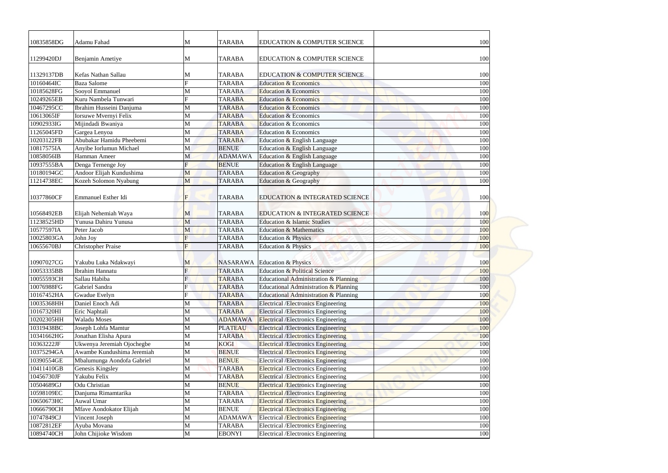| 10835858DG | Adamu Fahad                  | M            | <b>TARABA</b>   | <b>EDUCATION &amp; COMPUTER SCIENCE</b>     | 100 |
|------------|------------------------------|--------------|-----------------|---------------------------------------------|-----|
| 11299420DJ | Benjamin Ametiye             | M            | <b>TARABA</b>   | <b>EDUCATION &amp; COMPUTER SCIENCE</b>     | 100 |
| 11329137DB | Kefas Nathan Sallau          | M            | <b>TARABA</b>   | <b>EDUCATION &amp; COMPUTER SCIENCE</b>     | 100 |
| 10160464IC | <b>Baza Salome</b>           | F            | <b>TARABA</b>   | <b>Education &amp; Economics</b>            | 100 |
| 10185628FG | Sooyol Emmanuel              | M            | <b>TARABA</b>   | <b>Education &amp; Economics</b>            | 100 |
| 10249265EB | Kuru Nambela Tunwari         |              | <b>TARABA</b>   | <b>Education &amp; Economics</b>            | 100 |
| 10467295CC | Ibrahim Husseini Danjuma     | M            | <b>TARABA</b>   | <b>Education &amp; Economics</b>            | 100 |
| 10613065IF | <b>Iorsuwe Mvernyi Felix</b> | M            | <b>TARABA</b>   | <b>Education &amp; Economics</b>            | 100 |
| 10902933IG | Mijindadi Bwaniya            | M            | <b>TARABA</b>   | <b>Education &amp; Economics</b>            | 100 |
| 11265045FD | Gargea Lenyoa                | M            | <b>TARABA</b>   | Education & Economics                       | 100 |
| 10203122FB | Abubakar Hamidu Pheebemi     | M            | <b>TARABA</b>   | Education & English Language                | 100 |
| 10817575IA | Anyibe Iorlumun Michael      | M            | <b>BENUE</b>    | Education & English Language                | 100 |
| 10858056IB | Hamman Ameer                 | M            | <b>ADAMAWA</b>  | Education & English Language                | 100 |
| 10937555BA | Denga Ternenge Joy           |              | <b>BENUE</b>    | Education & English Language                | 100 |
| 10180194GC | Andoor Elijah Kundushima     | M            | <b>TARABA</b>   | Education & Geography                       | 100 |
| 11214738EC |                              | M            | <b>TARABA</b>   |                                             | 100 |
|            | Kozeh Solomon Nyabung        |              |                 | Education & Geography                       |     |
| 10377860CF | Emmanuel Esther Idi          | F            | <b>TARABA</b>   | <b>EDUCATION &amp; INTEGRATED SCIENCE</b>   | 100 |
| 10568492EB | Elijah Nehemiah Waya         | M            | <b>TARABA</b>   | <b>EDUCATION &amp; INTEGRATED SCIENCE</b>   | 100 |
| 11238525HD | Yunusa Dahiru Yunusa         | M            | <b>TARABA</b>   | <b>Education &amp; Islamic Studies</b>      | 100 |
| 10577597IA | Peter Jacob                  | M            | <b>TARABA</b>   | <b>Education &amp; Mathematics</b>          | 100 |
| 10025803GA | John Joy                     | F            | <b>TARABA</b>   | <b>Education &amp; Physics</b>              | 100 |
| 10655670BJ | <b>Christopher Praise</b>    | $\mathbf{F}$ | <b>TARABA</b>   | <b>Education &amp; Physics</b>              | 100 |
|            |                              |              |                 |                                             |     |
| 10907027CG | Yakubu Luka Ndakwayi         | M            | <b>NASARAWA</b> | <b>Education &amp; Physics</b>              | 100 |
| 10053335BB | <b>Ibrahim Hannatu</b>       | $\mathbf{F}$ | <b>TARABA</b>   | <b>Education &amp; Political Science</b>    | 100 |
| 10055593CH | Sallau Habiba                |              | <b>TARABA</b>   | Educational Administration & Planning       | 100 |
| 10076988FG | Gabriel Sandra               |              | <b>TARABA</b>   | Educational Administration & Planning       | 100 |
| 10167452HA | Gwadue Evelyn                |              | <b>TARABA</b>   | Educational Administration & Planning       | 100 |
| 10035368HH | Daniel Enoch Adi             | M            | <b>TARABA</b>   | <b>Electrical /Electronics Engineering</b>  | 100 |
| 10167320HI | Eric Naphtali                | M            | <b>TARABA</b>   | <b>Electrical /Electronics Engineering</b>  | 100 |
| 10202305HH | <b>Waladu Moses</b>          | M            | <b>ADAMAWA</b>  | <b>Electrical /Electronics Engineering</b>  | 100 |
| 10319438BC | Joseph Lohfa Mamtur          | M            | <b>PLATEAU</b>  | <b>Electrical /Electronics Engineering</b>  | 100 |
| 10341662HG | Jonathan Elisha Apura        | M            | <b>TARABA</b>   | <b>Electrical /Electronics Engineering</b>  | 100 |
| 10363222JF | Ukwenya Jeremiah Ojochegbe   | M            | KOGI            | <b>Electrical /Electronics Engineering</b>  | 100 |
| 10375294GA | Awambe Kundushima Jeremiah   | M            | <b>BENUE</b>    | <b>Electrical /Electronics Engineering</b>  | 100 |
| 10390554GE | Mbalumunga Aondofa Gabriel   | M            | <b>BENUE</b>    | <b>Electrical /Electronics Engineering</b>  | 100 |
| 10411410GB | Genesis Kingsley             | M            | <b>TARABA</b>   | <b>Electrical /Electronics Engineering</b>  | 100 |
| 10456730JF | Yakubu Felix                 | M            | <b>TARABA</b>   | <b>Electrical /Electronics Engineering</b>  | 100 |
| 10504689GJ | Odu Christian                | M            | <b>BENUE</b>    | <b>Electrical / Electronics Engineering</b> | 100 |
|            |                              |              |                 |                                             |     |
| 10598109EC | Danjuma Rimamtarika          | M            | <b>TARABA</b>   | <b>Electrical /Electronics Engineering</b>  | 100 |
| 10650673HC | Auwal Umar                   | M            | <b>TARABA</b>   | <b>Electrical /Electronics Engineering</b>  | 100 |
| 10666790CH | Mfave Aondokator Elijah      | M            | <b>BENUE</b>    | <b>Electrical /Electronics Engineering</b>  | 100 |
| 10747849CJ | Vincent Joseph               | M            | <b>ADAMAWA</b>  | <b>Electrical /Electronics Engineering</b>  | 100 |
| 10872812EF | Ayuba Movana                 | M            | <b>TARABA</b>   | <b>Electrical /Electronics Engineering</b>  | 100 |
| 10894740CH | John Chijioke Wisdom         | M            | <b>EBONYI</b>   | Electrical /Electronics Engineering         | 100 |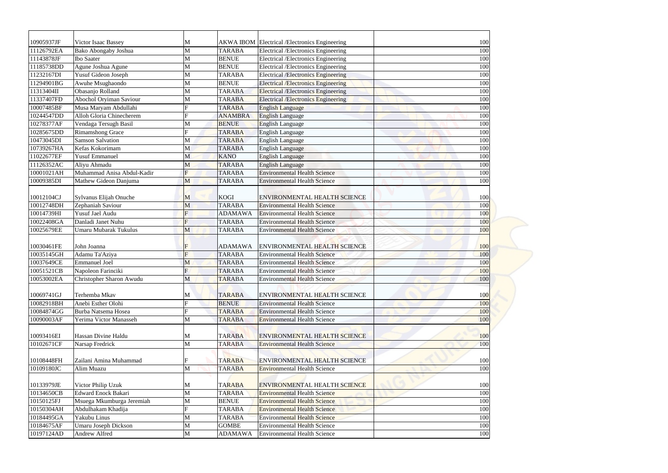| 10905937JF<br>11126792EA | Victor Isaac Bassey                     | M              | <b>TARABA</b>                | AKWA IBOM Electrical /Electronics Engineering                                            | 100        |
|--------------------------|-----------------------------------------|----------------|------------------------------|------------------------------------------------------------------------------------------|------------|
| 11143878JF               | Bako Abongaby Joshua                    | M              |                              | Electrical /Electronics Engineering                                                      | 100        |
| 11185738DD               | <b>Ibo Saater</b><br>Agune Joshua Agune | M              | <b>BENUE</b><br><b>BENUE</b> | Electrical /Electronics Engineering                                                      | 100<br>100 |
| 11232167DI               | Yusuf Gideon Joseph                     | M<br>M         | <b>TARABA</b>                | Electrical /Electronics Engineering                                                      | 100        |
| 11294901BG               |                                         | M              | <b>BENUE</b>                 | <b>Electrical /Electronics Engineering</b><br><b>Electrical /Electronics Engineering</b> | 100        |
| 11313404II               | Awuhe Msughaondo<br>Obasanjo Rolland    | M              | <b>TARABA</b>                | <b>Electrical /Electronics Engineering</b>                                               | 100        |
| 11337407FD               | Abochol Oryiman Saviour                 | M              | <b>TARABA</b>                | <b>Electrical /Electronics Engineering</b>                                               | 100        |
| 10007485BF               | Musa Maryam Abdullahi                   |                | <b>TARABA</b>                | English Language                                                                         | 100        |
| 10244547DD               | Alloh Gloria Chinecherem                | $\mathbf F$    | <b>ANAMBRA</b>               | <b>English Language</b>                                                                  | 100        |
| 10278377AF               | Vendaga Tersugh Basil                   | M              | <b>BENUE</b>                 | <b>English Language</b>                                                                  | 100        |
| 10285675DD               | <b>Rimamshong Grace</b>                 | $\mathbf{F}$   | <b>TARABA</b>                | <b>English Language</b>                                                                  | 100        |
| 10473045DI               | <b>Samson Salvation</b>                 | M              | <b>TARABA</b>                | English Language                                                                         | 100        |
| 10739267HA               | Kefas Kokorimam                         | M              | <b>TARABA</b>                | <b>English Language</b>                                                                  | 100        |
| 11022677EF               | <b>Yusuf Emmanuel</b>                   | M              | <b>KANO</b>                  | <b>English Language</b>                                                                  | 100        |
| 11126352AC               | Aliyu Ahmadu                            | M              | <b>TARABA</b>                | <b>English Language</b>                                                                  | 100        |
| 10001021AH               | Muhammad Anisa Abdul-Kadir              | F              | <b>TARABA</b>                | <b>Environmental Health Science</b>                                                      | 100        |
| 10009385DI               | Mathew Gideon Danjuma                   | M              | <b>TARABA</b>                | <b>Environmental Health Science</b>                                                      | 100        |
|                          |                                         |                |                              |                                                                                          |            |
| 10012104CJ               | Sylvanus Elijah Onuche                  | M              | <b>KOGI</b>                  | <b>ENVIRONMENTAL HEALTH SCIENCE</b>                                                      | 100        |
| 10012748DH               | Zephaniah Saviour                       | M              | <b>TARABA</b>                | <b>Environmental Health Science</b>                                                      | 100        |
| 10014739HI               | Yusuf Jael Audu                         | $\overline{F}$ | <b>ADAMAWA</b>               | <b>Environmental Health Science</b>                                                      | 100        |
| 10022408GA               | Danladi Janet Nuhu                      | $\overline{F}$ | <b>TARABA</b>                | <b>Environmental Health Science</b>                                                      | 100        |
| 10025679EE               | Umaru Mubarak Tukulus                   | M              | <b>TARABA</b>                | <b>Environmental Health Science</b>                                                      | 100        |
|                          |                                         |                |                              |                                                                                          |            |
| 10030461FE               | John Joanna                             | $\mathbf F$    |                              | ADAMAWA ENVIRONMENTAL HEALTH SCIENCE                                                     | 100        |
| 10035145GH               | Adamu Ta'Aziya                          | $\overline{F}$ | <b>TARABA</b>                | <b>Environmental Health Science</b>                                                      | 100        |
| 10037649CE               | <b>Emmanuel Joel</b>                    | M              | <b>TARABA</b>                | <b>Environmental Health Science</b>                                                      | 100        |
| 10051521CB               | Napoleon Farinciki                      | F              | <b>TARABA</b>                | <b>Environmental Health Science</b>                                                      | 100        |
| 10053002EA               | Christopher Sharon Awudu                | M              | <b>TARABA</b>                | <b>Environmental Health Science</b>                                                      | 100        |
| 10069741GJ               | Terhemba Mkav                           | M              | <b>TARABA</b>                | <b>ENVIRONMENTAL HEALTH SCIENCE</b>                                                      | <b>100</b> |
| 10082918BH               | Anebi Esther Olohi                      |                | <b>BENUE</b>                 | <b>Environmental Health Science</b>                                                      | 100        |
| 10084874GG               | Burba Natsema Hosea                     |                | <b>TARABA</b>                | <b>Environmental Health Science</b>                                                      | 100        |
| 10090003AF               | Yerima Victor Manasseh                  | M              | <b>TARABA</b>                | <b>Environmental Health Science</b>                                                      | 100        |
| 10093416EI               | Hassan Divine Haldu                     | M              | <b>TARABA</b>                | <b>ENVIRONMENTAL HEALTH SCIENCE</b>                                                      | 100        |
| 10102671CF               | Narsap Fredrick                         | M              | <b>TARABA</b>                | <b>Environmental Health Science</b>                                                      | 100        |
|                          |                                         |                |                              |                                                                                          |            |
| 10108448FH               | Zailani Amina Muhammad                  | F              | <b>TARABA</b>                | <b>ENVIRONMENTAL HEALTH SCIENCE</b>                                                      | 100        |
| 10109180JC               | Alim Muazu                              | M              | <b>TARABA</b>                | <b>Environmental Health Science</b>                                                      | 100        |
|                          |                                         |                |                              |                                                                                          |            |
| 10133979JE               | Victor Philip Uzuk                      | M              | <b>TARABA</b>                | <b>ENVIRONMENTAL HEALTH SCIENCE</b>                                                      | 100        |
| 10134650CB               | <b>Edward Enock Bakari</b>              | M              | <b>TARABA</b>                | <b>Environmental Health Science</b>                                                      | 100        |
| 10150125FJ               | Msuega Mkumburga Jeremiah               | M              | <b>BENUE</b>                 | <b>Environmental Health Science</b>                                                      | 100        |
| 10150304AH               | Abdulhakam Khadija                      |                | <b>TARABA</b>                | <b>Environmental Health Science</b>                                                      | 100        |
| 10184495GA               | Yakubu Linus                            | M              | <b>TARABA</b>                | <b>Environmental Health Science</b>                                                      | 100        |
| 10184675AF               | <b>Umaru Joseph Dickson</b>             | M              | <b>GOMBE</b>                 | <b>Environmental Health Science</b>                                                      | 100        |
| 10197124AD               | Andrew Alfred                           | M              | <b>ADAMAWA</b>               | <b>Environmental Health Science</b>                                                      | 100        |
|                          |                                         |                |                              |                                                                                          |            |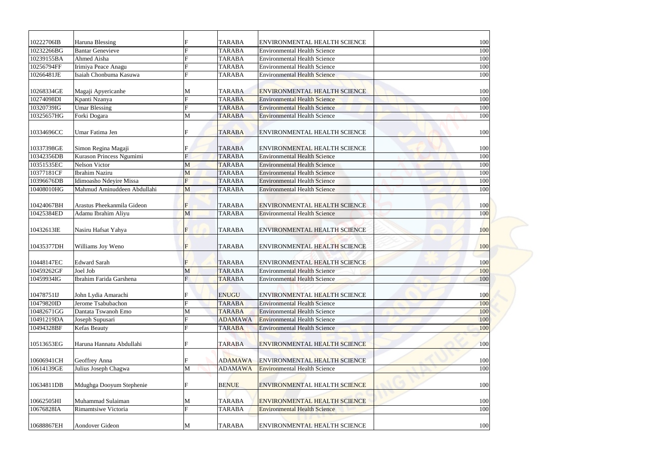| 10222706IB | Haruna Blessing             |                           | <b>TARABA</b>  | <b>ENVIRONMENTAL HEALTH SCIENCE</b> | 100        |
|------------|-----------------------------|---------------------------|----------------|-------------------------------------|------------|
| 10232266BG | <b>Bantar Genevieve</b>     |                           | <b>TARABA</b>  | <b>Environmental Health Science</b> | 100        |
| 10239155BA | Ahmed Aisha                 |                           | <b>TARABA</b>  | <b>Environmental Health Science</b> | 100        |
| 10256794FF | Irimiya Peace Anagu         |                           | <b>TARABA</b>  | <b>Environmental Health Science</b> | 100        |
| 10266481JE | Isaiah Chonbuma Kasuwa      | F                         | <b>TARABA</b>  | <b>Environmental Health Science</b> | 100        |
| 10268334GE | Magaji Apyericanhe          | M                         | <b>TARABA</b>  | ENVIRONMENTAL HEALTH SCIENCE        | 100        |
| 10274098DI | Kpanti Nzanya               |                           | <b>TARABA</b>  | <b>Environmental Health Science</b> | 100        |
| 10320739IG | <b>Umar Blessing</b>        |                           | <b>TARABA</b>  | <b>Environmental Health Science</b> | 100        |
| 10325657HG | Forki Dogara                | M                         | <b>TARABA</b>  | <b>Environmental Health Science</b> | 100        |
| 10334696CC | Umar Fatima Jen             |                           | <b>TARABA</b>  | <b>ENVIRONMENTAL HEALTH SCIENCE</b> | 100        |
| 10337398GE | Simon Regina Magaji         |                           | <b>TARABA</b>  | <b>ENVIRONMENTAL HEALTH SCIENCE</b> | 100        |
| 10342356DB | Kurason Princess Ngumimi    | F                         | <b>TARABA</b>  | <b>Environmental Health Science</b> | 100        |
| 10351535EC | <b>Nelson Victor</b>        | M                         | <b>TARABA</b>  | <b>Environmental Health Science</b> | 100        |
| 10377181CF | <b>Ibrahim Naziru</b>       | M                         | <b>TARABA</b>  | <b>Environmental Health Science</b> | 100        |
| 10396676DB | Idimoasho Ndeyire Missa     | $\boldsymbol{\mathrm{F}}$ | <b>TARABA</b>  | <b>Environmental Health Science</b> | 100        |
| 10408010HG | Mahmud Aminuddeen Abdullahi | M                         | <b>TARABA</b>  | <b>Environmental Health Science</b> | 100        |
| 10424067BH | Arastus Pheekanmila Gideon  | IF                        | <b>TARABA</b>  | <b>ENVIRONMENTAL HEALTH SCIENCE</b> | 100        |
| 10425384ED | Adamu Ibrahim Aliyu         | M                         | <b>TARABA</b>  | <b>Environmental Health Science</b> | 100        |
| 10432613IE | Nasiru Hafsat Yahya         | F                         | <b>TARABA</b>  | <b>ENVIRONMENTAL HEALTH SCIENCE</b> | 100        |
| 10435377DH | Williams Joy Weno           | $\mathbf F$               | <b>TARABA</b>  | <b>ENVIRONMENTAL HEALTH SCIENCE</b> | 100        |
| 10448147EC | <b>Edward Sarah</b>         | F                         | <b>TARABA</b>  | <b>ENVIRONMENTAL HEALTH SCIENCE</b> | 100        |
| 10459262GF | Joel Job                    | M                         | <b>TARABA</b>  | <b>Environmental Health Science</b> | 100        |
| 10459934IG | Ibrahim Farida Garshena     | $\mathbf F$               | <b>TARABA</b>  | <b>Environmental Health Science</b> | 100        |
| 10478751IJ | John Lydia Amarachi         |                           | <b>ENUGU</b>   | <b>ENVIRONMENTAL HEALTH SCIENCE</b> | <b>100</b> |
| 10479820ID | Jerome Tsabubachon          |                           | <b>TARABA</b>  | <b>Environmental Health Science</b> | 100        |
| 10482671GG | Dantata Tswanoh Emo         | M                         | <b>TARABA</b>  | <b>Environmental Health Science</b> | 100        |
| 10491219DA | Joseph Supusari             |                           | <b>ADAMAWA</b> | <b>Environmental Health Science</b> | 100        |
| 10494328BF | Kefas Beauty                |                           | <b>TARABA</b>  | <b>Environmental Health Science</b> | 100        |
| 10513653EG | Haruna Hannatu Abdullahi    |                           | <b>TARABA</b>  | <b>ENVIRONMENTAL HEALTH SCIENCE</b> | 100        |
| 10606941CH | Geoffrey Anna               | IF                        | <b>ADAMAWA</b> | <b>ENVIRONMENTAL HEALTH SCIENCE</b> | 100        |
| 10614139GE | Julius Joseph Chagwa        | M                         | <b>ADAMAWA</b> | <b>Environmental Health Science</b> | 100        |
|            |                             |                           |                |                                     |            |
| 10634811DB | Mdughga Dooyum Stephenie    | IF                        | <b>BENUE</b>   | <b>ENVIRONMENTAL HEALTH SCIENCE</b> | 100        |
| 10662505HI | Muhammad Sulaiman           | M                         | <b>TARABA</b>  | <b>ENVIRONMENTAL HEALTH SCIENCE</b> | 100        |
|            |                             |                           |                |                                     |            |
| 10676828IA | Rimamtsiwe Victoria         |                           | <b>TARABA</b>  | <b>Environmental Health Science</b> | 100        |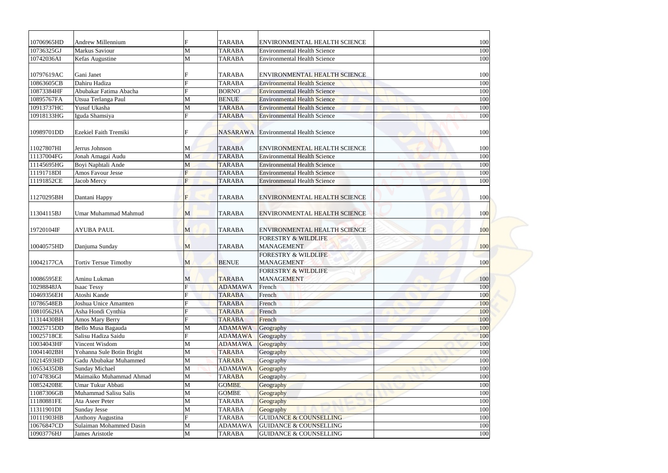| 10706965HD               | Andrew Millennium                               |                | <b>TARABA</b>                  | <b>ENVIRONMENTAL HEALTH SCIENCE</b>                                        | 100        |
|--------------------------|-------------------------------------------------|----------------|--------------------------------|----------------------------------------------------------------------------|------------|
| 10736325GJ               | Markus Saviour                                  | M              | <b>TARABA</b>                  | <b>Environmental Health Science</b>                                        | 100        |
| 10742036AI               | Kefas Augustine                                 | M              | <b>TARABA</b>                  | <b>Environmental Health Science</b>                                        | 100        |
|                          |                                                 |                |                                |                                                                            |            |
| 10797619AC               | Gani Janet                                      |                | <b>TARABA</b>                  | <b>ENVIRONMENTAL HEALTH SCIENCE</b>                                        | 100        |
| 10863605CB               | Dahiru Hadiza                                   |                | <b>TARABA</b>                  | <b>Environmental Health Science</b>                                        | 100        |
| 10873384HF               | Abubakar Fatima Abacha                          |                | <b>BORNO</b>                   | <b>Environmental Health Science</b>                                        | 100        |
| 10895767FA               | Utsua Terlanga Paul                             | M              | <b>BENUE</b>                   | <b>Environmental Health Science</b>                                        | 100        |
| 10913737HC               | Yusuf Ukasha                                    | M              | <b>TARABA</b>                  | <b>Environmental Health Science</b>                                        | 100        |
| 10918133HG               | Iguda Shamsiya                                  |                | <b>TARABA</b>                  | <b>Environmental Health Science</b>                                        | 100        |
| 10989701DD               | Ezekiel Faith Tremiki                           |                | <b>NASARAWA</b>                | <b>Environmental Health Science</b>                                        | 100        |
|                          |                                                 |                |                                |                                                                            |            |
| 11027807HI               | Jerrus Johnson                                  | M              | <b>TARABA</b>                  | <b>ENVIRONMENTAL HEALTH SCIENCE</b>                                        | 100        |
| 11137004FG<br>11145695HG | Jonah Amagai Audu<br>Boyi Naphtali Ande         | M<br>M         | <b>TARABA</b><br><b>TARABA</b> | <b>Environmental Health Science</b><br><b>Environmental Health Science</b> | 100<br>100 |
| 11191718DI               | Amos Favour Jesse                               |                | <b>TARABA</b>                  | <b>Environmental Health Science</b>                                        | 100        |
| 11191852CE               |                                                 | $\overline{F}$ | <b>TARABA</b>                  | <b>Environmental Health Science</b>                                        | 100        |
|                          | Jacob Mercy                                     |                |                                |                                                                            |            |
| 11270295BH               | Dantani Happy                                   | F              | <b>TARABA</b>                  | <b>ENVIRONMENTAL HEALTH SCIENCE</b>                                        | 100        |
| 11304115BJ               | Umar Muhammad Mahmud                            | M              | <b>TARABA</b>                  | <b>ENVIRONMENTAL HEALTH SCIENCE</b>                                        | 100        |
| 19720104IF               | <b>AYUBA PAUL</b>                               | M              | <b>TARABA</b>                  | <b>ENVIRONMENTAL HEALTH SCIENCE</b>                                        | 100        |
| 10040575HD               | Danjuma Sunday                                  | $\mathbf{M}$   | <b>TARABA</b>                  | <b>FORESTRY &amp; WILDLIFE</b><br><b>MANAGEMENT</b>                        | 100        |
| 10042177CA               | <b>Tortiv Tersue Timothy</b>                    | M              | <b>BENUE</b>                   | <b>FORESTRY &amp; WILDLIFE</b><br><b>MANAGEMENT</b>                        | 100        |
|                          |                                                 |                |                                | <b>FORESTRY &amp; WILDLIFE</b>                                             |            |
| 10086595EE               | Aminu Lukman                                    | M              | <b>TARABA</b>                  | <b>MANAGEMENT</b>                                                          | 100        |
| 10298848JA               | <b>Isaac Tessy</b>                              | F              | <b>ADAMAWA</b>                 | French                                                                     | 100        |
| 10469356EH               | Atoshi Kande                                    |                | <b>TARABA</b>                  | French                                                                     | 100        |
| 10786548EB               | Joshua Unice Amamten                            |                | <b>TARABA</b>                  | French                                                                     | 100        |
| 10810562HA               | Asha Hondi Cynthia                              |                | <b>TARABA</b>                  | French                                                                     | 100        |
| 11314430BH               | Amos Mary Berry                                 |                | <b>TARABA</b>                  | French                                                                     | 100        |
| 10025715DD               | Bello Musa Bagauda                              | M              | <b>ADAMAWA</b>                 | Geography                                                                  | 100        |
| 10025718CE               | Salisu Hadiza Saidu                             | F              | <b>ADAMAWA</b>                 | Geography                                                                  | 100        |
| 10034043HF               | Vincent Wisdom                                  | M              | <b>ADAMAWA</b>                 | Geography                                                                  | 100        |
| 10041402BH               | Yohanna Sule Botin Bright                       | M              | <b>TARABA</b>                  | Geography                                                                  | 100        |
| 10214593HD               | Gadu Abubakar Muhammed                          | M              | <b>TARABA</b>                  | Geography                                                                  | 100        |
| 10653435DB               | <b>Sunday Michael</b>                           | M              | <b>ADAMAWA</b>                 | Geography                                                                  | 100        |
| 10747836GI               | Maimaiko Muhammad Ahmad                         | M              | <b>TARABA</b>                  | Geography                                                                  | 100        |
| 10852420BE               | Umar Tukur Abbati                               | M              | <b>GOMBE</b>                   | Geography                                                                  | 100        |
| 11087306GB               | Muhammad Salisu Salis                           | M              | <b>GOMBE</b>                   | Geography                                                                  | 100        |
| 11180881FE               | Ata Aseer Peter                                 | M              | <b>TARABA</b>                  | Geography                                                                  | 100        |
| 11311901DI<br>10111903HB | <b>Sunday Jesse</b><br><b>Anthony Augustina</b> | M<br>F         | <b>TARABA</b><br><b>TARABA</b> | Geography<br><b>GUIDANCE &amp; COUNSELLING</b>                             | 100<br>100 |
| 10676847CD               | Sulaiman Mohammed Dasin                         | M              | <b>ADAMAWA</b>                 | <b>GUIDANCE &amp; COUNSELLING</b>                                          | 100        |
| 10903776HJ               | James Aristotle                                 | M              | <b>TARABA</b>                  | <b>GUIDANCE &amp; COUNSELLING</b>                                          | 100        |
|                          |                                                 |                |                                |                                                                            |            |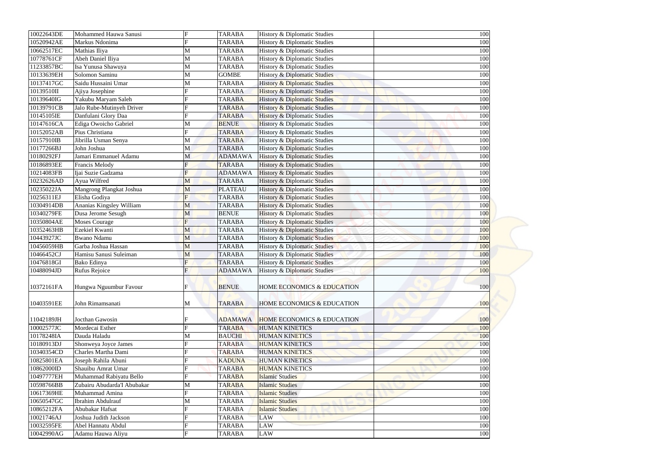| 10022643DE               | Mohammed Hauwa Sanusi                       | F              | <b>TARABA</b>                  | History & Diplomatic Studies                   | 100 |  |
|--------------------------|---------------------------------------------|----------------|--------------------------------|------------------------------------------------|-----|--|
| 10520942AE               | Markus Ndonima                              | $\mathbf{F}$   | <b>TARABA</b>                  | History & Diplomatic Studies                   | 100 |  |
| 10662517EC               | Mathias Iliya                               | M              | <b>TARABA</b>                  | History & Diplomatic Studies                   | 100 |  |
| 10778761CF               | Abeh Daniel Iliya                           | M              | <b>TARABA</b>                  | History & Diplomatic Studies                   | 100 |  |
| 11233857BC               | Isa Yunusa Shawuya                          | M              | <b>TARABA</b>                  | History & Diplomatic Studies                   | 100 |  |
| 10133639EH               | Solomon Saminu                              | M              | <b>GOMBE</b>                   | <b>History &amp; Diplomatic Studies</b>        | 100 |  |
| 10137417GC               | Saidu Hussaini Umar                         | M              | <b>TARABA</b>                  | <b>History &amp; Diplomatic Studies</b>        | 100 |  |
| 10139510II               | Ajiya Josephine                             | F              | <b>TARABA</b>                  | <b>History &amp; Diplomatic Studies</b>        | 100 |  |
| 10139640IG               | Yakubu Maryam Saleh                         |                | <b>TARABA</b>                  | History & Diplomatic Studies                   | 100 |  |
| 10139791CB               | Jalo Rube-Mutinyeh Driver                   |                | <b>TARABA</b>                  | <b>History &amp; Diplomatic Studies</b>        | 100 |  |
| 10145105IE               | Danfulani Glory Daa                         | $\mathbf{F}$   | <b>TARABA</b>                  | <b>History &amp; Diplomatic Studies</b>        | 100 |  |
| 10147616CA               | Ediga Owoicho Gabriel                       | M              | <b>BENUE</b>                   | <b>History &amp; Diplomatic Studies</b>        | 100 |  |
| 10152052AB               | Pius Christiana                             | $\mathbf F$    | <b>TARABA</b>                  | History & Diplomatic Studies                   | 100 |  |
| 10157910IB               | Jibrilla Usman Senya                        | M              | <b>TARABA</b>                  | History & Diplomatic Studies                   | 100 |  |
| 10177266BJ               | John Joshua                                 | $\mathbf{M}$   | <b>TARABA</b>                  | History & Diplomatic Studies                   | 100 |  |
| 10180292FJ               | Jamari Emmanuel Adamu                       | M              | <b>ADAMAWA</b>                 | <b>History &amp; Diplomatic Studies</b>        | 100 |  |
| 10186893EE               | <b>Francis Melody</b>                       | F              | <b>TARABA</b>                  | <b>History &amp; Diplomatic Studies</b>        | 100 |  |
| 10214083FB               | Ijai Suzie Gadzama                          | F              | <b>ADAMAWA</b>                 | <b>History &amp; Diplomatic Studies</b>        | 100 |  |
| 10232626AD               | Ayua Wilfred                                | M              | <b>TARABA</b>                  | <b>History &amp; Diplomatic Studies</b>        | 100 |  |
| 10235022JA               | Mangrong Plangkat Joshua                    | M              | <b>PLATEAU</b>                 | <b>History &amp; Diplomatic Studies</b>        | 100 |  |
| 10256311EJ               | Elisha Godiya                               | $\overline{F}$ | <b>TARABA</b>                  | <b>History &amp; Diplomatic Studies</b>        | 100 |  |
| 10304914DB               | Ananias Kingsley William                    | M              | <b>TARABA</b>                  | <b>History &amp; Diplomatic Studies</b>        | 100 |  |
| 10340279FE               | Dusa Jerome Sesugh                          | M              | <b>BENUE</b>                   | <b>History &amp; Diplomatic Studies</b>        | 100 |  |
| 10350804AE               | <b>Moses Courage</b>                        | F              | <b>TARABA</b>                  | <b>History &amp; Diplomatic Studies</b>        | 100 |  |
| 10352463HB               | Ezekiel Kwanti                              | M              | <b>TARABA</b>                  | <b>History &amp; Diplomatic Studies</b>        | 100 |  |
| 10443927JC               | <b>Bwano Ndamu</b>                          | M              | <b>TARABA</b>                  | <b>History &amp; Diplomatic Studies</b>        | 100 |  |
| 10456059HB               | Garba Joshua Hassan                         | M              | <b>TARABA</b>                  | <b>History &amp; Diplomatic Studies</b>        | 100 |  |
| 10466452CJ               | Hamisu Sanusi Suleiman                      | M              | <b>TARABA</b>                  | <b>History &amp; Diplomatic Studies</b>        | 100 |  |
| 10476818GI               | Bako Edinya                                 |                | <b>TARABA</b>                  | <b>History &amp; Diplomatic Studies</b>        | 100 |  |
| 10488094JD               | Rufus Rejoice                               |                | <b>ADAMAWA</b>                 | History & Diplomatic Studies                   | 100 |  |
| 10372161FA               | Hungwa Nguumbur Favour                      |                | <b>BENUE</b>                   | HOME ECONOMICS & EDUCATION                     | 100 |  |
| 10403591EE               | John Rimamsanati                            | M              | <b>TARABA</b>                  | <b>HOME ECONOMICS &amp; EDUCATION</b>          | 100 |  |
|                          |                                             |                |                                |                                                |     |  |
| 11042189JH               | Jocthan Gawosin                             |                | <b>ADAMAWA</b>                 | <b>HOME ECONOMICS &amp; EDUCATION</b>          | 100 |  |
| 10002577JC               | Mordecai Esther                             |                | <b>TARABA</b>                  | <b>HUMAN KINETICS</b>                          | 100 |  |
| 10178248IA               | Dauda Haladu                                | M              | <b>BAUCHI</b>                  | <b>HUMAN KINETICS</b>                          | 100 |  |
| 10180913DJ               | Shonweya Joyce James<br>Charles Martha Dami |                | <b>TARABA</b>                  | <b>HUMAN KINETICS</b>                          | 100 |  |
| 10340354CD<br>10825801EA |                                             |                | <b>TARABA</b><br><b>KADUNA</b> | <b>HUMAN KINETICS</b><br><b>HUMAN KINETICS</b> | 100 |  |
|                          | Joseph Rahila Abuni                         |                |                                |                                                | 100 |  |
| 10862000ID               | Shauibu Amrat Umar                          |                | <b>TARABA</b>                  | <b>HUMAN KINETICS</b>                          | 100 |  |
| 10497777EH               | Muhammad Rabiyatu Bello                     |                | <b>TARABA</b>                  | <b>Islamic Studies</b>                         | 100 |  |
| 10598766BB               | Zubairu Abudarda'I Abubakar                 | M              | <b>TARABA</b>                  | <b>Islamic Studies</b>                         | 100 |  |
| 10617369HE               | Muhammad Amina                              | F              | <b>TARABA</b>                  | <b>Islamic Studies</b>                         | 100 |  |
| 10650547GC               | Ibrahim Abdulrauf                           | M              | <b>TARABA</b>                  | <b>Islamic Studies</b>                         | 100 |  |
| 10865212FA               | Abubakar Hafsat                             |                | <b>TARABA</b>                  | <b>Islamic Studies</b>                         | 100 |  |
| 10021746AJ               | Joshua Judith Jackson                       |                | <b>TARABA</b>                  | <b>LAW</b>                                     | 100 |  |
| 10032595FE               | Abel Hannatu Abdul                          |                | <b>TARABA</b>                  | <b>LAW</b>                                     | 100 |  |
| 10042990AG               | Adamu Hauwa Aliyu                           | $\mathbf F$    | <b>TARABA</b>                  | <b>LAW</b>                                     | 100 |  |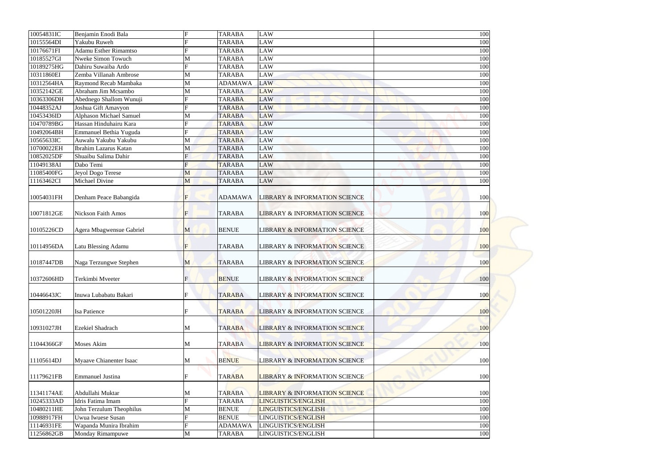| 10054831IC | Benjamin Enodi Bala          | $\mathbf F$ | <b>TARABA</b>  | <b>LAW</b>                               | 100        |
|------------|------------------------------|-------------|----------------|------------------------------------------|------------|
| 10155564DI | Yakubu Ruweh                 |             | <b>TARABA</b>  | <b>LAW</b>                               | 100        |
| 10176671FI | <b>Adamu Esther Rimamtso</b> |             | <b>TARABA</b>  | <b>LAW</b>                               | 100        |
| 10185527GI | Nweke Simon Towuch           | M           | <b>TARABA</b>  | <b>LAW</b>                               | 100        |
| 10189275HG | Dahiru Suwaiba Ardo          | F           | <b>TARABA</b>  | <b>LAW</b>                               | 100        |
| 10311860EI | Zemba Villanah Ambrose       | M           | <b>TARABA</b>  | <b>LAW</b>                               | 100        |
| 10312564HA | Raymond Recab Mambaka        | M           | <b>ADAMAWA</b> | <b>LAW</b>                               | 100        |
| 10352142GE | Abraham Jim Mcsambo          | M           | <b>TARABA</b>  | <b>LAW</b>                               | 100        |
| 10363306DH | Abednego Shallom Wunuji      |             | <b>TARABA</b>  | <b>LAW</b>                               | 100        |
| 10448352AJ | Joshua Gift Amavyon          |             | <b>TARABA</b>  | LAW                                      | 100        |
| 10453436ID | Alphason Michael Samuel      | M           | <b>TARABA</b>  | LAW                                      | 100        |
| 10470789BG | Hassan Hinduhairu Kara       |             | <b>TARABA</b>  | <b>LAW</b>                               | 100        |
| 10492064BH | Emmanuel Bethia Yuguda       |             | <b>TARABA</b>  | <b>LAW</b>                               | 100        |
| 10565633IC | Auwalu Yakubu Yakubu         | M           | <b>TARABA</b>  | <b>LAW</b>                               | 100        |
| 10700022EH | Ibrahim Lazarus Katan        | M           | <b>TARABA</b>  | <b>LAW</b>                               | 100        |
| 10852025DF | Shuaibu Salima Dahir         |             | <b>TARABA</b>  | <b>LAW</b>                               | 100        |
| 11049138AI | Dabo Temi                    |             | <b>TARABA</b>  | <b>LAW</b>                               | 100        |
| 11085400FG | Jeyol Dogo Terese            | M           | <b>TARABA</b>  | <b>LAW</b>                               | 100        |
| 11163462CI | Michael Divine               | M           | <b>TARABA</b>  | <b>LAW</b>                               | 100        |
| 10054031FH | Denham Peace Babangida       | $\mathbf F$ | <b>ADAMAWA</b> | <b>LIBRARY &amp; INFORMATION SCIENCE</b> | 100        |
| 10071812GE | <b>Nickson Faith Amos</b>    | F           | <b>TARABA</b>  | <b>LIBRARY &amp; INFORMATION SCIENCE</b> | 100        |
| 10105226CD | Agera Mbagwensue Gabriel     | M           | <b>BENUE</b>   | <b>LIBRARY &amp; INFORMATION SCIENCE</b> | 100        |
| 10114956DA | Latu Blessing Adamu          | $\mathbf F$ | <b>TARABA</b>  | <b>LIBRARY &amp; INFORMATION SCIENCE</b> | 100        |
| 10187447DB | Naga Terzungwe Stephen       | M           | <b>TARABA</b>  | <b>LIBRARY &amp; INFORMATION SCIENCE</b> | 100        |
| 10372606HD | Terkimbi Mveeter             | F           | <b>BENUE</b>   | <b>LIBRARY &amp; INFORMATION SCIENCE</b> | 100        |
| 10446643JC | Inuwa Lubabatu Bakari        |             | <b>TARABA</b>  | <b>LIBRARY &amp; INFORMATION SCIENCE</b> | <b>100</b> |
| 10501220JH | <b>Isa Patience</b>          |             | <b>TARABA</b>  | <b>LIBRARY &amp; INFORMATION SCIENCE</b> | 100        |
| 10931027JH | Ezekiel Shadrach             | M           | <b>TARABA</b>  | <b>LIBRARY &amp; INFORMATION SCIENCE</b> | 100        |
| 11044366GF | <b>Moses Akim</b>            | M           | <b>TARABA</b>  | <b>LIBRARY &amp; INFORMATION SCIENCE</b> | 100        |
| 11105614DJ | Myaave Chianenter Isaac      | M           | <b>BENUE</b>   | <b>LIBRARY &amp; INFORMATION SCIENCE</b> | 100        |
| 11179621FB | <b>Emmanuel Justina</b>      | F           | <b>TARABA</b>  | <b>LIBRARY &amp; INFORMATION SCIENCE</b> | 100        |
| 11341174AE | Abdullahi Muktar             | M           | <b>TARABA</b>  | <b>LIBRARY &amp; INFORMATION SCIENCE</b> | 100        |
| 10245333AD | Idris Fatima Imam            | $\mathbf F$ | <b>TARABA</b>  | LINGUISTICS/ENGLISH                      | 100        |
| 10480211HE | John Terzulum Theophilus     | M           | <b>BENUE</b>   | LINGUISTICS/ENGLISH                      | 100        |
| 10988917FH | Uwua Iwuese Susan            |             | <b>BENUE</b>   | LINGUISTICS/ENGLISH                      | 100        |
| 11146931FE | Wapanda Munira Ibrahim       |             | <b>ADAMAWA</b> | LINGUISTICS/ENGLISH                      | 100        |
| 11256862GB | Monday Rimampuwe             | M           | <b>TARABA</b>  | LINGUISTICS/ENGLISH                      | 100        |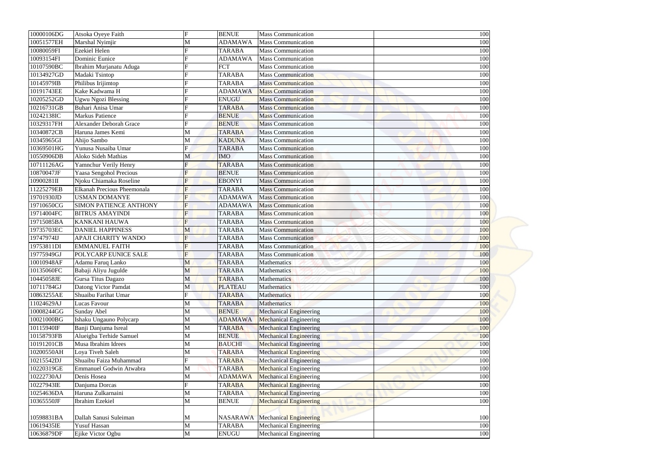| 10000106DG | Atsoka Oyeye Faith             | $\mathbf F$    | <b>BENUE</b>    | <b>Mass Communication</b>              | 100 |  |
|------------|--------------------------------|----------------|-----------------|----------------------------------------|-----|--|
| 10051577EH | Marshal Nyimjir                | M              | <b>ADAMAWA</b>  | <b>Mass Communication</b>              | 100 |  |
| 10080059FI | <b>Ezekiel Helen</b>           |                | <b>TARABA</b>   | <b>Mass Communication</b>              | 100 |  |
| 10093154FI | Dominic Eunice                 |                | <b>ADAMAWA</b>  | <b>Mass Communication</b>              | 100 |  |
| 10107590BC | Ibrahim Murjanatu Aduga        |                | <b>FCT</b>      | <b>Mass Communication</b>              | 100 |  |
| 10134927GD | Madaki Tsintop                 |                | <b>TARABA</b>   | <b>Mass Communication</b>              | 100 |  |
| 10145979IB | Philibus Irijimtop             |                | <b>TARABA</b>   | <b>Mass Communication</b>              | 100 |  |
| 10191743EE | Kake Kadwama H                 |                | <b>ADAMAWA</b>  | <b>Mass Communication</b>              | 100 |  |
| 10205252GD | Ugwu Ngozi Blessing            |                | <b>ENUGU</b>    | <b>Mass Communication</b>              | 100 |  |
| 10216731GB | Buhari Anisa Umar              |                | <b>TARABA</b>   | <b>Mass Communication</b>              | 100 |  |
| 10242138IC | <b>Markus Patience</b>         |                | <b>BENUE</b>    | <b>Mass Communication</b>              | 100 |  |
| 10329317FH | <b>Alexander Deborah Grace</b> |                | <b>BENUE</b>    | <b>Mass Communication</b>              | 100 |  |
| 10340872CB | Haruna James Kemi              | M              | <b>TARABA</b>   | <b>Mass Communication</b>              | 100 |  |
| 10345965GI | Ahijo Sambo                    | M              | <b>KADUNA</b>   | $\overline{\text{Mass}}$ Communication | 100 |  |
| 10369501HG | Yunusa Nusaiba Umar            |                | <b>TARABA</b>   | <b>Mass Communication</b>              | 100 |  |
| 10550906DB | Aloko Sideh Mathias            | M              | <b>IMO</b>      | <b>Mass Communication</b>              | 100 |  |
| 10711126AG | Yamnchur Verily Henry          |                | <b>TARABA</b>   | <b>Mass Communication</b>              | 100 |  |
| 10870047JF | Yaasa Sengohol Precious        |                | <b>BENUE</b>    | <b>Mass Communication</b>              | 100 |  |
| 10900281II | Njoku Chiamaka Roseline        | F              | <b>EBONYI</b>   | <b>Mass Communication</b>              | 100 |  |
| 11225279EB | Elkanah Precious Pheemonala    | F              | <b>TARABA</b>   | <b>Mass Communication</b>              | 100 |  |
| 19701930JD | USMAN DOMANYE                  | F              | <b>ADAMAWA</b>  | <b>Mass Communication</b>              | 100 |  |
| 19710650CG | <b>SIMON PATIENCE ANTHONY</b>  | F              | <b>ADAMAWA</b>  | <b>Mass Communication</b>              | 100 |  |
| 19714004FC | <b>BITRUS AMAYINDI</b>         | $\overline{F}$ | <b>TARABA</b>   | <b>Mass Communication</b>              | 100 |  |
| 19715085BA | <b>KANKANI HAUWA</b>           | F              | <b>TARABA</b>   | <b>Mass Communication</b>              | 100 |  |
| 19735703EC | <b>DANIEL HAPPINESS</b>        | M              | <b>TARABA</b>   | <b>Mass Communication</b>              | 100 |  |
| 19747974IJ | APAJI CHARITY WANDO            | F              | <b>TARABA</b>   | <b>Mass Communication</b>              | 100 |  |
| 19753811DI | <b>EMMANUEL FAITH</b>          | $\mathbf F$    | <b>TARABA</b>   | <b>Mass Communication</b>              | 100 |  |
| 19775949GJ | POLYCARP EUNICE SALE           | $\overline{F}$ | <b>TARABA</b>   | <b>Mass Communication</b>              | 100 |  |
| 10010948AF | Adamu Faruq Lanko              | M              | <b>TARABA</b>   | Mathematics                            | 100 |  |
| 10135060FC | Babaji Aliyu Jugulde           | M              | <b>TARABA</b>   | Mathematics                            | 100 |  |
| 10445058JE | Gursa Titus Dagazo             | M              | <b>TARABA</b>   | Mathematics                            | 100 |  |
| 10711784GJ | Datong Victor Pamdat           | M              | <b>PLATEAU</b>  | Mathematics                            | 100 |  |
| 10863255AE | Shuaibu Farihat Umar           | $\mathbf F$    | <b>TARABA</b>   | Mathematics                            | 100 |  |
| 11024629AJ | Lucas Favour                   | M              | <b>TARABA</b>   | Mathematics                            | 100 |  |
| 10008244GG | Sunday Abel                    | M              | <b>BENUE</b>    | <b>Mechanical Engineering</b>          | 100 |  |
| 10021000BG | Ishaku Ungauno Polycarp        | M              | <b>ADAMAWA</b>  | <b>Mechanical Engineering</b>          | 100 |  |
| 10115940IF | Banji Danjuma Isreal           | M              | <b>TARABA</b>   | <b>Mechanical Engineering</b>          | 100 |  |
| 10158793FB | Alueigba Terhide Samuel        | M              | <b>BENUE</b>    | <b>Mechanical Engineering</b>          | 100 |  |
| 10191201CB | Musa Ibrahim Idrees            | M              | <b>BAUCHI</b>   | <b>Mechanical Engineering</b>          | 100 |  |
| 10200550AH | Loya Tiveh Saleh               | M              | <b>TARABA</b>   | <b>Mechanical Engineering</b>          | 100 |  |
| 10215542DJ | Shuaibu Faiza Muhammad         |                | <b>TARABA</b>   | <b>Mechanical Engineering</b>          | 100 |  |
| 10220319GE | <b>Emmanuel Godwin Atwabra</b> | M              | <b>TARABA</b>   | <b>Mechanical Engineering</b>          | 100 |  |
| 10222730AJ | Denis Hosea                    | M              | <b>ADAMAWA</b>  | <b>Mechanical Engineering</b>          | 100 |  |
| 10227943IE | Danjuma Dorcas                 | $\mathbf F$    | <b>TARABA</b>   | <b>Mechanical Engineering</b>          | 100 |  |
| 10254636DA | Haruna Zulkarnaini             | M              | <b>TARABA</b>   | <b>Mechanical Engineering</b>          | 100 |  |
| 10365550JF | Ibrahim Ezekiel                | M              | <b>BENUE</b>    | <b>Mechanical Engineering</b>          | 100 |  |
|            |                                |                |                 |                                        |     |  |
| 10598831BA | Dallah Sanusi Suleiman         | M              | <b>NASARAWA</b> | <b>Mechanical Engineering</b>          | 100 |  |
| 10619435IE | <b>Yusuf Hassan</b>            | $\mathbf M$    | <b>TARABA</b>   | <b>Mechanical Engineering</b>          | 100 |  |
| 10636879DF | Ejike Victor Ogbu              | $\mathbf M$    | <b>ENUGU</b>    | Mechanical Engineering                 | 100 |  |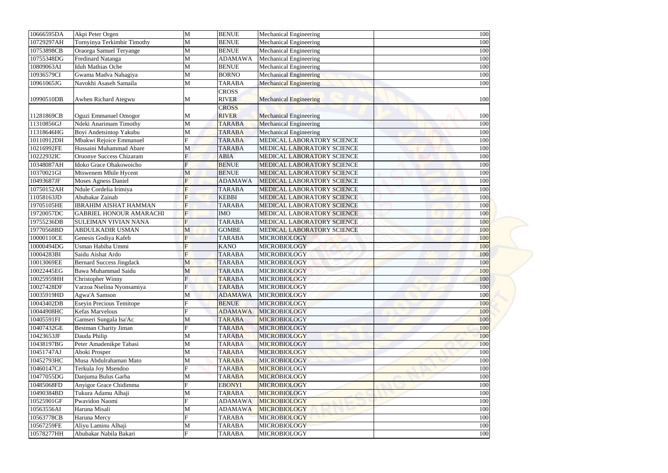| 10666595DA | Akpi Peter Orgen                           | M              | <b>BENUE</b>   | <b>Mechanical Engineering</b> | 100 |
|------------|--------------------------------------------|----------------|----------------|-------------------------------|-----|
| 10729297AH | Tornyinya Terkimbir Timothy                | М              | <b>BENUE</b>   | <b>Mechanical Engineering</b> | 100 |
| 10753898CB | Oraorga Samuel Teryange                    | M              | <b>BENUE</b>   | Mechanical Engineering        | 100 |
| 10755348DG | <b>Fredinard Natanga</b>                   | M              | <b>ADAMAWA</b> | Mechanical Engineering        | 100 |
| 10809063AI | <b>Iduh Mathias Oche</b>                   | M              | <b>BENUE</b>   | <b>Mechanical Engineering</b> | 100 |
| 10936579CI | Gwama Madva Nahagiya                       | M              | <b>BORNO</b>   | <b>Mechanical Engineering</b> | 100 |
| 10961065JG | Navokhi Asaseh Samaila                     | M              | <b>TARABA</b>  | <b>Mechanical Engineering</b> | 100 |
|            |                                            |                | <b>CROSS</b>   |                               |     |
| 10990510DB | Awhen Richard Ategwu                       | M              | <b>RIVER</b>   | <b>Mechanical Engineering</b> | 100 |
|            |                                            |                | <b>CROSS</b>   |                               |     |
| 11281869CB | Oguzi Emmanuel Omogor                      | M              | <b>RIVER</b>   | <b>Mechanical Engineering</b> | 100 |
| 11310856GJ | Ndeki Anarimam Timothy                     | M              | <b>TARABA</b>  | <b>Mechanical Engineering</b> | 100 |
| 11318646HG | Boyi Andetsintop Yakubu                    | M              | <b>TARABA</b>  | Mechanical Engineering        | 100 |
| 10110912DH | Mbakwi Rejoice Emmanuel                    | E              | <b>TARABA</b>  | MEDICAL LABORATORY SCIENCE    | 100 |
| 10216992FE | Hussaini Muhammad Abare                    | M              | <b>TARABA</b>  | MEDICAL LABORATORY SCIENCE    | 100 |
| 10222932IC | Oruonye Success Chizaram                   |                | <b>ABIA</b>    | MEDICAL LABORATORY SCIENCE    | 100 |
| 10348087AH | Idoko Grace Ohakowoicho                    |                | <b>BENUE</b>   | MEDICAL LABORATORY SCIENCE    | 100 |
| 10370021GI | Mtswenem Mhile Hycent                      | M              | <b>BENUE</b>   | MEDICAL LABORATORY SCIENCE    | 100 |
| 10493687JF | Moses Agness Daniel                        | Ħ              | <b>ADAMAWA</b> | MEDICAL LABORATORY SCIENCE    | 100 |
| 10750152AH | Ndule Cordelia Irimiya                     | $F_{\rm}$      | <b>TARABA</b>  | MEDICAL LABORATORY SCIENCE    | 100 |
| 11058163JD | Abubakar Zainab                            | $\mathbf F$    | <b>KEBBI</b>   | MEDICAL LABORATORY SCIENCE    | 100 |
| 19705105HE | <b>IBRAHIM AISHAT HAMMAN</b>               | $\overline{F}$ | <b>TARABA</b>  | MEDICAL LABORATORY SCIENCE    | 100 |
| 19720057DC | <b>GABRIEL HONOUR AMARACHI</b>             | $\overline{F}$ | <b>IMO</b>     | MEDICAL LABORATORY SCIENCE    | 100 |
| 19755236DB | <b>SULEIMAN VIVIAN NANA</b>                | Ħ              | <b>TARABA</b>  | MEDICAL LABORATORY SCIENCE    | 100 |
| 19770568BD | <b>ABDULKADIR USMAN</b>                    | M              | <b>GOMBE</b>   | MEDICAL LABORATORY SCIENCE    | 100 |
| 10000110CE | Genesis Godiya Kafeb                       | F              | <b>TARABA</b>  | <b>MICROBIOLOGY</b>           | 100 |
| 10000494DG | Usman Habiba Ummi                          | F              | <b>KANO</b>    | <b>MICROBIOLOGY</b>           | 100 |
| 10004283BI | Saidu Aishat Ardo                          | F              | <b>TARABA</b>  | <b>MICROBIOLOGY</b>           | 100 |
| 10013069EE | <b>Bernard Success Jingdack</b>            | M              | <b>TARABA</b>  | <b>MICROBIOLOGY</b>           | 100 |
| 10022445EG | Bawa Muhammad Saidu                        | M              | <b>TARABA</b>  | <b>MICROBIOLOGY</b>           | 100 |
| 10025959HH | <b>Christopher Winny</b>                   | E              | <b>TARABA</b>  | <b>MICROBIOLOGY</b>           | 100 |
| 10027428DF | Varzoa Nselina Nyonsamiya                  | E.             | <b>TARABA</b>  | <b>MICROBIOLOGY</b>           | 100 |
| 10035919HD | Agwa'A Samson                              | М              | <b>ADAMAWA</b> | <b>MICROBIOLOGY</b>           | 100 |
| 10043402DB | <b>Eseyin Precious Temitope</b>            |                | <b>BENUE</b>   | <b>MICROBIOLOGY</b>           | 100 |
| 10044908HC | <b>Kefas Marvelous</b>                     |                | <b>ADAMAWA</b> | <b>MICROBIOLOGY</b>           | 100 |
| 10405591FI | Gamseri Sungala Isa'Ac                     | М              | <b>TARABA</b>  | <b>MICROBIOLOGY</b>           | 100 |
| 10407432GE | <b>Bestman Charity Jiman</b>               |                | <b>TARABA</b>  | MICROBIOLOGY                  | 100 |
| 10423653JF | Dauda Philip                               | М              | <b>TARABA</b>  | <b>MICROBIOLOGY</b>           | 100 |
| 10438197BG | Peter Amadenikpe Tabasi                    | M              | <b>TARABA</b>  | <b>MICROBIOLOGY</b>           | 100 |
| 10451747AJ | Aboki Prosper                              | М              | <b>TARABA</b>  | <b>MICROBIOLOGY</b>           | 100 |
| 10452793HC | Musa Abdulrahaman Mato                     | М              | <b>TARABA</b>  | <b>MICROBIOLOGY</b>           | 100 |
| 10460147CJ |                                            |                |                | <b>MICROBIOLOGY</b>           |     |
| 10477055DG | Terkula Joy Msendoo<br>Danjuma Bulus Garba |                | <b>TARABA</b>  | <b>MICROBIOLOGY</b>           | 100 |
|            |                                            | М              | <b>TARABA</b>  |                               | 100 |
| 10485068FD | Anyigor Grace Chidimma                     |                | <b>EBONYI</b>  | <b>MICROBIOLOGY</b>           | 100 |
| 10490384BD | Tukura Adamu Alhaji                        | М<br>Ė         | <b>TARABA</b>  | <b>MICROBIOLOGY</b>           | 100 |
| 10525901GF | Pwavidon Naomi                             |                | <b>ADAMAWA</b> | <b>MICROBIOLOGY</b>           | 100 |
| 10563556AI | Haruna Misali                              | М              | <b>ADAMAWA</b> | <b>MICROBIOLOGY</b>           | 100 |
| 10563778CB | Haruna Mercy                               |                | <b>TARABA</b>  | <b>MICROBIOLOGY</b>           | 100 |
| 10567259FE | Aliyu Laminu Alhaji                        | М              | <b>TARABA</b>  | MICROBIOLOGY                  | 100 |
| 10578277HH | Abubakar Nabila Bakari                     | $\mathbf{F}$   | <b>TARABA</b>  | <b>MICROBIOLOGY</b>           | 100 |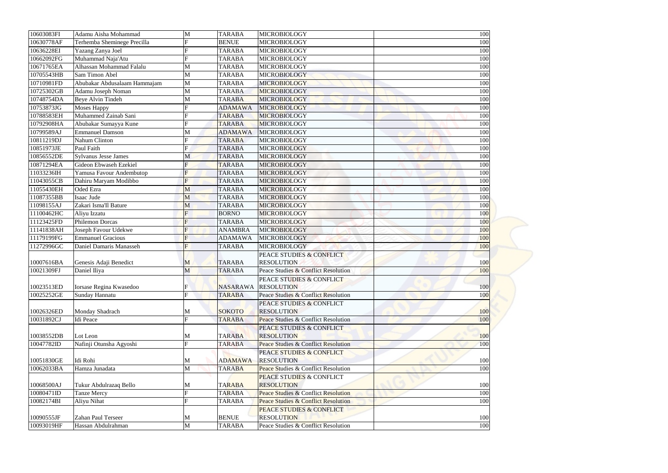| 10603083FI | Adamu Aisha Mohammad                             | M            | <b>TARABA</b>   | <b>MICROBIOLOGY</b>                            | 100 |
|------------|--------------------------------------------------|--------------|-----------------|------------------------------------------------|-----|
| 10630778AF | Terhemba Sheminege Precilla                      |              | <b>BENUE</b>    | MICROBIOLOGY                                   | 100 |
| 10636228EI | Yazang Zanya Joel                                |              | <b>TARABA</b>   | <b>MICROBIOLOGY</b>                            | 100 |
| 10662092FG | Muhammad Naja'Atu                                |              | <b>TARABA</b>   | MICROBIOLOGY                                   | 100 |
| 10671765EA | Alhassan Mohammad Falalu                         | M            | <b>TARABA</b>   | <b>MICROBIOLOGY</b>                            | 100 |
| 10705543HB | Sam Timon Abel                                   | M            | <b>TARABA</b>   | <b>MICROBIOLOGY</b>                            | 100 |
| 10710981FD | Abubakar Abdusalaam Hammajam                     | M            | <b>TARABA</b>   | MICROBIOLOGY                                   | 100 |
| 10725302GB | Adamu Joseph Noman                               | M            | <b>TARABA</b>   | <b>MICROBIOLOGY</b>                            | 100 |
| 10748754DA | <b>Beye Alvin Tindeh</b>                         | $\mathbf{M}$ | <b>TARABA</b>   | MICROBIOLOGY                                   | 100 |
| 10753873JG | <b>Moses Happy</b>                               |              | <b>ADAMAWA</b>  | <b>MICROBIOLOGY</b>                            | 100 |
| 10788583EH | Muhammed Zainab Sani                             |              | <b>TARABA</b>   | MICROBIOLOGY                                   | 100 |
| 10792908HA | Abubakar Sumayya Kune                            |              | <b>TARABA</b>   | MICROBIOLOGY                                   | 100 |
| 10799589AJ | <b>Emmanuel Damson</b>                           | M            | <b>ADAMAWA</b>  | <b>MICROBIOLOGY</b>                            | 100 |
| 10811219DJ | Nahum Clinton                                    | $\mathbf{F}$ | <b>TARABA</b>   | <b>MICROBIOLOGY</b>                            | 100 |
| 10851973JE | Paul Faith                                       |              | <b>TARABA</b>   | <b>MICROBIOLOGY</b>                            | 100 |
| 10856552DE | <b>Sylvanus Jesse James</b>                      | M            | <b>TARABA</b>   | <b>MICROBIOLOGY</b>                            | 100 |
| 10871294EA | Gideon Ebwaseh Ezekiel                           |              | <b>TARABA</b>   | <b>MICROBIOLOGY</b>                            | 100 |
| 11033236IH | Yamusa Favour Andembutop                         |              | <b>TARABA</b>   | <b>MICROBIOLOGY</b>                            | 100 |
| 11043055CB | Dahiru Maryam Modibbo                            | F            | <b>TARABA</b>   | MICROBIOLOGY                                   | 100 |
| 11055430EH | Oded Ezra                                        | M            | <b>TARABA</b>   | MICROBIOLOGY                                   | 100 |
| 11087355BB | Isaac Jude                                       | M            | <b>TARABA</b>   | <b>MICROBIOLOGY</b>                            | 100 |
| 11098155AJ | Zakari Isma'll Bature                            | M            | <b>TARABA</b>   | <b>MICROBIOLOGY</b>                            | 100 |
| 11100462HC | Aliyu Izzatu                                     |              | <b>BORNO</b>    | <b>MICROBIOLOGY</b>                            | 100 |
| 11123425FD | <b>Philemon Dorcas</b>                           |              | <b>TARABA</b>   | <b>MICROBIOLOGY</b>                            | 100 |
| 11141838AH |                                                  |              | <b>ANAMBRA</b>  | <b>MICROBIOLOGY</b>                            | 100 |
|            | Joseph Favour Udekwe<br><b>Emmanuel Gracious</b> |              | <b>ADAMAWA</b>  |                                                |     |
| 11179199FG |                                                  |              |                 | MICROBIOLOGY                                   | 100 |
| 11272996GC | Daniel Damaris Manasseh                          | F            | <b>TARABA</b>   | <b>MICROBIOLOGY</b>                            | 100 |
|            |                                                  |              |                 | PEACE STUDIES & CONFLICT                       |     |
| 10007616BA | Genesis Adaji Benedict                           | M            | <b>TARABA</b>   | <b>RESOLUTION</b>                              | 100 |
| 10021309FJ | Daniel Iliya                                     | M            | <b>TARABA</b>   | Peace Studies & Conflict Resolution            | 100 |
|            |                                                  |              |                 | PEACE STUDIES & CONFLICT                       |     |
| 10023513ED | Iorsase Regina Kwasedoo                          | $\mathbf{E}$ | <b>NASARAWA</b> | <b>RESOLUTION</b>                              | 100 |
| 10025252GE | Sunday Hannatu                                   |              | <b>TARABA</b>   | Peace Studies & Conflict Resolution            | 100 |
|            |                                                  |              |                 | PEACE STUDIES & CONFLICT                       |     |
| 10026326ED | Monday Shadrach                                  | M            | <b>SOKOTO</b>   | <b>RESOLUTION</b>                              | 100 |
| 10031892CJ | <b>Idi</b> Peace                                 | $\mathbf{E}$ | <b>TARABA</b>   | Peace Studies & Conflict Resolution            | 100 |
|            |                                                  |              |                 | PEACE STUDIES & CONFLICT                       |     |
| 10038552DB | Lot Leon                                         | M            | <b>TARABA</b>   | <b>RESOLUTION</b>                              | 100 |
| 10047782ID | Nafinji Otunsha Agyoshi                          | $\mathbf{E}$ | <b>TARABA</b>   | Peace Studies & Conflict Resolution            | 100 |
|            |                                                  |              |                 | PEACE STUDIES & CONFLICT                       |     |
| 10051830GE | Idi Rohi                                         | M            | <b>ADAMAWA</b>  | <b>RESOLUTION</b>                              | 100 |
| 10062033BA | Hamza Junadata                                   | M            | <b>TARABA</b>   | Peace Studies & Conflict Resolution            | 100 |
|            |                                                  |              |                 | <b>PEACE STUDIES &amp; CONFLICT</b>            |     |
| 10068500AJ | Tukur Abdulrazaq Bello                           | M            | <b>TARABA</b>   | <b>RESOLUTION</b>                              | 100 |
| 10080471ID | <b>Tanze Mercy</b>                               |              | <b>TARABA</b>   | <b>Peace Studies &amp; Conflict Resolution</b> | 100 |
| 10082174BI | Aliyu Nihat                                      | $\mathbf{E}$ | <b>TARABA</b>   | Peace Studies & Conflict Resolution            | 100 |
|            |                                                  |              |                 | PEACE STUDIES & CONFLICT                       |     |
| 10090555JF | Zahan Paul Terseer                               | M            | <b>BENUE</b>    | <b>RESOLUTION</b>                              | 100 |
| 10093019HF | Hassan Abdulrahman                               | M            | <b>TARABA</b>   | Peace Studies & Conflict Resolution            | 100 |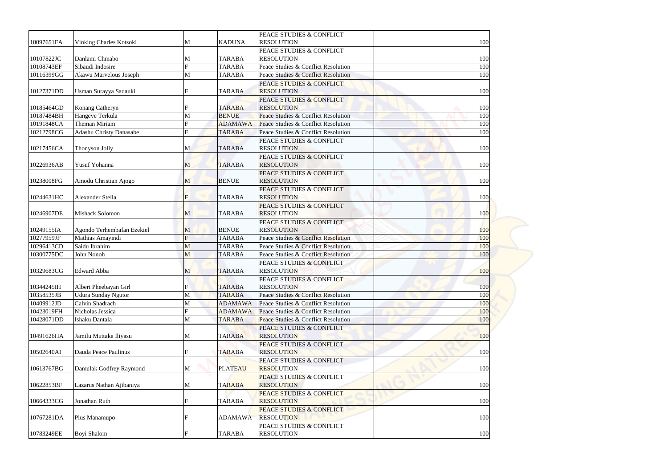|            |                            |              |                | PEACE STUDIES & CONFLICT                      |     |
|------------|----------------------------|--------------|----------------|-----------------------------------------------|-----|
| 10097651FA | Vinking Charles Kotsoki    | M            | <b>KADUNA</b>  | <b>RESOLUTION</b>                             | 100 |
|            |                            |              |                | PEACE STUDIES & CONFLICT                      |     |
| 10107822JC | Danlami Chmabo             | M            | <b>TARABA</b>  | <b>RESOLUTION</b>                             | 100 |
| 10108743EF | Sibaudi Indosire           | $\mathbf{E}$ | <b>TARABA</b>  | Peace Studies & Conflict Resolution           | 100 |
| 10116399GG | Akawu Marvelous Joseph     | M            | <b>TARABA</b>  | Peace Studies & Conflict Resolution           | 100 |
|            |                            |              |                | <b>PEACE STUDIES &amp; CONFLICT</b>           |     |
| 10127371DD | Usman Surayya Sadauki      |              | <b>TARABA</b>  | <b>RESOLUTION</b>                             | 100 |
|            |                            |              |                | PEACE STUDIES & CONFLICT                      |     |
| 10185464GD | Konang Catheryn            |              | <b>TARABA</b>  | <b>RESOLUTION</b>                             | 100 |
| 10187484BH | Hangeve Terkula            |              | <b>BENUE</b>   | Peace Studies & Conflict Resolution           | 100 |
| 10191848CA | Theman Miriam              |              | <b>ADAMAWA</b> | Peace Studies & Conflict Resolution           | 100 |
| 10212798CG | Adashu Christy Danasabe    |              | <b>TARABA</b>  | Peace Studies & Conflict Resolution           | 100 |
|            |                            |              |                | PEACE STUDIES & CONFLICT                      |     |
| 10217456CA | Thonyson Jolly             | M            | <b>TARABA</b>  | <b>RESOLUTION</b>                             | 100 |
|            |                            |              |                | PEACE STUDIES & CONFLICT                      |     |
| 10226936AB | Yusuf Yohanna              | M            | <b>TARABA</b>  | <b>RESOLUTION</b>                             | 100 |
|            |                            |              |                | PEACE STUDIES & CONFLICT                      |     |
| 10238008FG | Amodu Christian Ajogo      | M            | <b>BENUE</b>   | <b>RESOLUTION</b>                             | 100 |
|            |                            |              |                | PEACE STUDIES & CONFLICT                      |     |
| 10244631HC | Alexander Stella           | F            | <b>TARABA</b>  | <b>RESOLUTION</b>                             | 100 |
|            |                            |              |                | PEACE STUDIES & CONFLICT                      |     |
| 10246907DE | <b>Mishack Solomon</b>     | M            | <b>TARABA</b>  | <b>RESOLUTION</b>                             | 100 |
|            |                            |              |                | PEACE STUDIES & CONFLICT                      |     |
| 10249155IA | Agondo Terhembafan Ezekiel | M            | <b>BENUE</b>   | <b>RESOLUTION</b>                             | 100 |
| 10277959JF | Mathias Amayindi           | F            | <b>TARABA</b>  | Peace Studies & Conflict Resolution           | 100 |
| 10296413CD | Saidu Ibrahim              | M            | <b>TARABA</b>  | Peace Studies & Conflict Resolution           | 100 |
| 10300775DC | John Nonoh                 | M            | <b>TARABA</b>  | Peace Studies & Conflict Resolution           | 100 |
|            |                            |              |                | PEACE STUDIES & CONFLICT                      |     |
| 10329683CG | <b>Edward Abba</b>         |              | <b>TARABA</b>  | <b>RESOLUTION</b>                             | 100 |
|            |                            | M            |                | PEACE STUDIES & CONFLICT                      |     |
| 10344245IH | Albert Pheebayan Girl      |              | <b>TARABA</b>  | <b>RESOLUTION</b>                             | 100 |
| 10358535JB | <b>Udura Sunday Ngutor</b> | M            | <b>TARABA</b>  | Peace Studies & Conflict Resolution           | 100 |
| 10409912JD | Calvin Shadrach            | M            | <b>ADAMAWA</b> | Peace Studies & Conflict Resolution           | 100 |
| 10423019FH | Nicholas Jessica           | $\mathbf{F}$ | <b>ADAMAWA</b> | Peace Studies & Conflict Resolution           | 100 |
| 10428071DD | Ishaku Dantala             | M            | <b>TARABA</b>  | Peace Studies & Conflict Resolution           | 100 |
|            |                            |              |                | PEACE STUDIES & CONFLICT                      |     |
| 10491626HA | Jamilu Muttaka Iliyasu     |              | <b>TARABA</b>  | <b>RESOLUTION</b>                             | 100 |
|            |                            | M            |                | PEACE STUDIES & CONFLICT                      |     |
| 10502640AI | Dauda Peace Paulinus       | F            | <b>TARABA</b>  | <b>RESOLUTION</b>                             | 100 |
|            |                            |              |                | PEACE STUDIES & CONFLICT                      |     |
|            |                            |              |                |                                               |     |
| 10613767BG | Damulak Godfrey Raymond    | M            | <b>PLATEAU</b> | <b>RESOLUTION</b>                             | 100 |
|            |                            |              |                | PEACE STUDIES & CONFLICT                      |     |
| 10622853BF | Lazarus Nathan Ajibaniya   | M            | <b>TARABA</b>  | <b>RESOLUTION</b>                             | 100 |
|            |                            |              |                | <b>PEACE STUDIES &amp; CONFLICT</b>           |     |
| 10664333CG | Jonathan Ruth              | $\mathbf F$  | <b>TARABA</b>  | <b>RESOLUTION</b>                             | 100 |
|            |                            |              |                | <b>PEACE STUDIES &amp; CONFLICT</b>           |     |
| 10767281DA | Pius Manamupo              |              | <b>ADAMAWA</b> | <b>RESOLUTION</b>                             | 100 |
| 10783249EE | Boyi Shalom                |              | <b>TARABA</b>  | PEACE STUDIES & CONFLICT<br><b>RESOLUTION</b> | 100 |
|            |                            |              |                |                                               |     |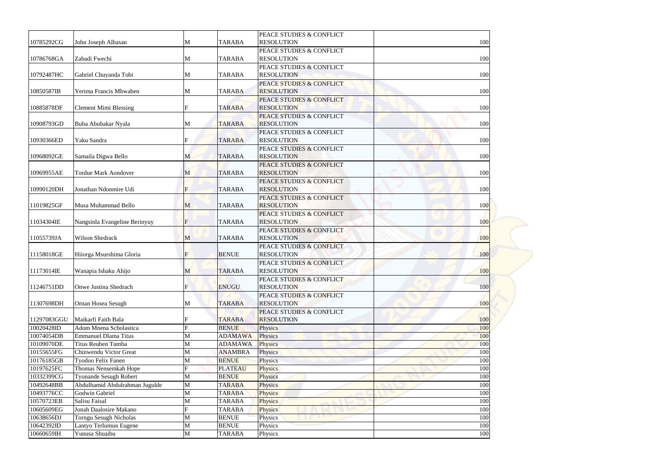|             |                                |              |                | PEACE STUDIES & CONFLICT            |     |
|-------------|--------------------------------|--------------|----------------|-------------------------------------|-----|
| 10785292CG  | John Joseph Alhasan            | M            | <b>TARABA</b>  | <b>RESOLUTION</b>                   | 100 |
|             |                                |              |                | PEACE STUDIES & CONFLICT            |     |
| 10786768GA  | Zabadi Fwechi                  | M            | <b>TARABA</b>  | <b>RESOLUTION</b>                   | 100 |
|             |                                |              |                | PEACE STUDIES & CONFLICT            |     |
| 10792487HC  | Gabriel Chuyanda Tobi          | M            | <b>TARABA</b>  | <b>RESOLUTION</b>                   | 100 |
|             |                                |              |                | <b>PEACE STUDIES &amp; CONFLICT</b> |     |
| 10850587IB  | Yerima Francis Mbwaben         | M            | <b>TARABA</b>  | <b>RESOLUTION</b>                   | 100 |
|             |                                |              |                | PEACE STUDIES & CONFLICT            |     |
| 10885878DF  | <b>Clement Mimi Blessing</b>   |              | <b>TARABA</b>  | <b>RESOLUTION</b>                   | 100 |
|             |                                |              |                | PEACE STUDIES & CONFLICT            |     |
| 10908793GD  | Buba Abubakar Nyala            | M            | <b>TARABA</b>  | <b>RESOLUTION</b>                   | 100 |
|             |                                |              |                | PEACE STUDIES & CONFLICT            |     |
| 10930366ED  | Yaku Sandra                    | F            | <b>TARABA</b>  | <b>RESOLUTION</b>                   | 100 |
|             |                                |              |                | PEACE STUDIES & CONFLICT            |     |
| 10968092GE  | Samaila Digwa Bello            | M            | <b>TARABA</b>  | <b>RESOLUTION</b>                   | 100 |
|             |                                |              |                | PEACE STUDIES & CONFLICT            |     |
| 10969955AE  | <b>Tordue Mark Aondover</b>    | M            | <b>TARABA</b>  | <b>RESOLUTION</b>                   | 100 |
|             |                                |              |                | PEACE STUDIES & CONFLICT            |     |
| 10990120DH  | Jonathan Ndonmire Udi          | F            | <b>TARABA</b>  | <b>RESOLUTION</b>                   | 100 |
|             |                                |              |                | PEACE STUDIES & CONFLICT            |     |
| 11019825GF  | Musa Muhammad Bello            | M            | <b>TARABA</b>  | <b>RESOLUTION</b>                   | 100 |
|             |                                |              |                | PEACE STUDIES & CONFLICT            |     |
| 11034304IE  | Nangsinla Evangeline Berinyuy  | F            | <b>TARABA</b>  | <b>RESOLUTION</b>                   | 100 |
|             |                                |              |                | PEACE STUDIES & CONFLICT            |     |
| 11055739JA  | Wilson Shedrack                | M            | <b>TARABA</b>  | <b>RESOLUTION</b>                   | 100 |
|             |                                |              |                | PEACE STUDIES & CONFLICT            |     |
| 11158018GE  | Hiiorga Msurshima Gloria       | F            | <b>BENUE</b>   | <b>RESOLUTION</b>                   | 100 |
|             |                                |              |                | PEACE STUDIES & CONFLICT            |     |
| 11173014IE  | Wanapia Ishaku Ahijo           | M            | <b>TARABA</b>  | <b>RESOLUTION</b>                   | 100 |
|             |                                |              |                | PEACE STUDIES & CONFLICT            |     |
| 11246751DD  | Onwe Justina Shedrach          | F            | <b>ENUGU</b>   | <b>RESOLUTION</b>                   | 100 |
|             |                                |              |                | PEACE STUDIES & CONFLICT            |     |
| 11307698DH  | Ornan Hosea Sesugh             | M            | <b>TARABA</b>  | <b>RESOLUTION</b>                   | 100 |
|             |                                |              |                | PEACE STUDIES & CONFLICT            |     |
| 11297083GGU | Maikarfi Faith Bala            |              | <b>TARABA</b>  | <b>RESOLUTION</b>                   | 100 |
| 10020428ID  | <b>Adom Mnena Scholastica</b>  | $\mathbf{F}$ | <b>BENUE</b>   | Physics                             | 100 |
| 10074054DB  | <b>Emmanuel Dlama Titus</b>    | M            | <b>ADAMAWA</b> | Physics                             | 100 |
| 10109070DE  | Titus Reuben Tumba             | M            | <b>ADAMAWA</b> | <b>Physics</b>                      | 100 |
| 10155655FG  | Chinwendu Victor Great         | M            | <b>ANAMBRA</b> | Physics                             | 100 |
| 10176185GB  | Tyodoo Felix Fanen             | $\mathbf{M}$ | <b>BENUE</b>   | Physics                             | 100 |
| 10197625FC  | Thomas Nensemkah Hope          |              | <b>PLATEAU</b> | <b>Physics</b>                      | 100 |
| 10332399CG  | <b>Tyonande Sesugh Robert</b>  | M            | <b>BENUE</b>   | Physics                             | 100 |
| 10492648BB  | Abdulhamid Abdulrahman Jugulde | M            | <b>TARABA</b>  | Physics                             | 100 |
| 10493776CC  | Godwin Gabriel                 | M            | <b>TARABA</b>  | Physics                             | 100 |
| 10570723EB  | Salisu Faisal                  | M            | <b>TARABA</b>  | Physics                             | 100 |
| 10605609EG  | Jonah Daalosire Makano         |              | <b>TARABA</b>  | Physics                             | 100 |
| 10638656DJ  | Torngu Sesugh Nicholas         | M            | <b>BENUE</b>   | Physics                             | 100 |
| 10642392ID  | Lantyo Terlumun Eugene         | M            | <b>BENUE</b>   | Physics                             | 100 |
| 10660659IH  | Yunusa Shuaibu                 | M            | <b>TARABA</b>  | Physics                             | 100 |
|             |                                |              |                |                                     |     |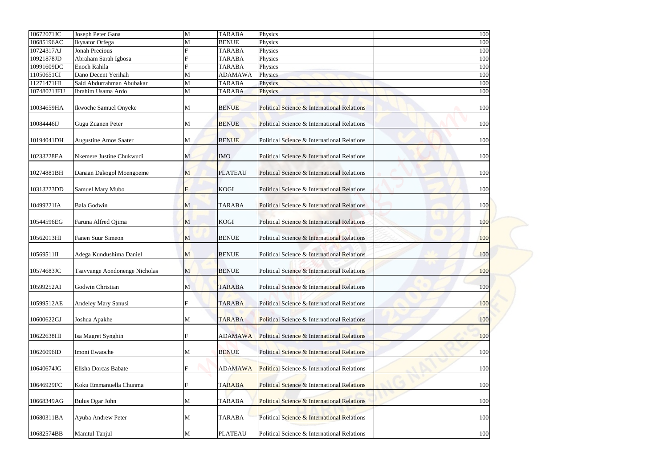| 10672071JC  | Joseph Peter Gana             | M            | <b>TARABA</b>  | Physics                                                | 100 |  |
|-------------|-------------------------------|--------------|----------------|--------------------------------------------------------|-----|--|
| 10685196AC  | Ikyaator Orfega               | M            | <b>BENUE</b>   | Physics                                                | 100 |  |
| 10724317AJ  | <b>Jonah Precious</b>         |              | <b>TARABA</b>  | Physics                                                | 100 |  |
| 10921878JD  | Abraham Sarah Igbosa          |              | <b>TARABA</b>  | Physics                                                | 100 |  |
| 10991609DC  | Enoch Rahila                  | F            | <b>TARABA</b>  | Physics                                                | 100 |  |
| 11050651CI  | Dano Decent Yerihah           | M            | <b>ADAMAWA</b> | Physics                                                | 100 |  |
| 11271471HI  | Said Abdurrahman Abubakar     | M            | <b>TARABA</b>  | Physics                                                | 100 |  |
| 10748021JFU | Ibrahim Usama Ardo            | M            | <b>TARABA</b>  | <b>Physics</b>                                         | 100 |  |
| 10034659HA  | Ikwoche Samuel Onyeke         | M            | <b>BENUE</b>   | <b>Political Science &amp; International Relations</b> | 100 |  |
| 10084446IJ  | <b>Gugu Zuanen Peter</b>      | M            | <b>BENUE</b>   | Political Science & International Relations            | 100 |  |
| 10194041DH  | <b>Augustine Amos Saater</b>  | M            | <b>BENUE</b>   | Political Science & International Relations            | 100 |  |
| 10233228EA  | Nkemere Justine Chukwudi      | M            | <b>IMO</b>     | Political Science & International Relations            | 100 |  |
| 10274881BH  | Danaan Dakogol Moengoeme      | M            | <b>PLATEAU</b> | Political Science & International Relations            | 100 |  |
| 10313223DD  | Samuel Mary Mubo              | F            | <b>KOGI</b>    | Political Science & International Relations            | 100 |  |
| 10499221IA  | <b>Bala Godwin</b>            | M            | <b>TARABA</b>  | Political Science & International Relations            | 100 |  |
| 10544596EG  | Faruna Alfred Ojima           | M            | <b>KOGI</b>    | <b>Political Science &amp; International Relations</b> | 100 |  |
| 10562013HI  | Fanen Suur Simeon             | $\mathbf{M}$ | <b>BENUE</b>   | Political Science & International Relations            | 100 |  |
| 10569511II  | Adega Kundushima Daniel       | M            | <b>BENUE</b>   | Political Science & International Relations            | 100 |  |
| 10574683JC  | Tsavyange Aondonenge Nicholas | M            | <b>BENUE</b>   | Political Science & International Relations            | 100 |  |
| 10599252AI  | Godwin Christian              | M            | <b>TARABA</b>  | Political Science & International Relations            | 100 |  |
| 10599512AE  | Andeley Mary Sanusi           |              | <b>TARABA</b>  | Political Science & International Relations            | 100 |  |
| 10600622GJ  | Joshua Apakhe                 | M            | <b>TARABA</b>  | Political Science & International Relations            | 100 |  |
| 10622638HI  | Isa Magret Synghin            |              | <b>ADAMAWA</b> | Political Science & International Relations            | 100 |  |
| 10626096ID  | Imoni Ewaoche                 | M            | <b>BENUE</b>   | Political Science & International Relations            | 100 |  |
| 10640674JG  | Elisha Dorcas Babate          | F            | <b>ADAMAWA</b> | Political Science & International Relations            | 100 |  |
| 10646929FC  | Koku Emmanuella Chunma        | F            | <b>TARABA</b>  | Political Science & International Relations            | 100 |  |
| 10668349AG  | <b>Bulus Ogar John</b>        | M            | <b>TARABA</b>  | <b>Political Science &amp; International Relations</b> | 100 |  |
| 10680311BA  | Ayuba Andrew Peter            | M            | <b>TARABA</b>  | Political Science & International Relations            | 100 |  |
| 10682574BB  | Mamtul Tanjul                 | M            | <b>PLATEAU</b> | Political Science & International Relations            | 100 |  |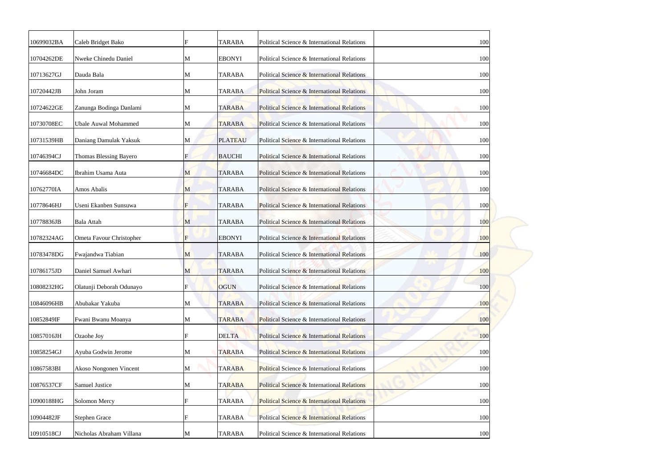| 10699032BA | Caleb Bridget Bako          |                           | <b>TARABA</b>  | Political Science & International Relations            | 100 |
|------------|-----------------------------|---------------------------|----------------|--------------------------------------------------------|-----|
| 10704262DE | Nweke Chinedu Daniel        | M                         | <b>EBONYI</b>  | Political Science & International Relations            | 100 |
| 10713627GJ | Dauda Bala                  | M                         | <b>TARABA</b>  | Political Science & International Relations            | 100 |
| 10720442JB | John Joram                  | M                         | <b>TARABA</b>  | Political Science & International Relations            | 100 |
| 10724622GE | Zanunga Bodinga Danlami     | M                         | <b>TARABA</b>  | <b>Political Science &amp; International Relations</b> | 100 |
| 10730708EC | <b>Ubale Auwal Mohammed</b> | M                         | <b>TARABA</b>  | Political Science & International Relations            | 100 |
| 10731539HB | Daniang Damulak Yaksuk      | M                         | <b>PLATEAU</b> | Political Science & International Relations            | 100 |
| 10746394CJ | Thomas Blessing Bayero      |                           | <b>BAUCHI</b>  | Political Science & International Relations            | 100 |
| 10746684DC | Ibrahim Usama Auta          | M                         | <b>TARABA</b>  | Political Science & International Relations            | 100 |
| 10762770IA | Amos Abalis                 | M                         | <b>TARABA</b>  | Political Science & International Relations            | 100 |
| 10778646HJ | Useni Ekanben Sunsuwa       | $\mathbf F$               | <b>TARABA</b>  | Political Science & International Relations            | 100 |
| 10778836JB | <b>Bala Attah</b>           | M                         | <b>TARABA</b>  | Political Science & International Relations            | 100 |
| 10782324AG | Ometa Favour Christopher    | F                         | <b>EBONYI</b>  | Political Science & International Relations            | 100 |
| 10783478DG | Fwajandwa Tiabian           | M                         | <b>TARABA</b>  | Political Science & International Relations            | 100 |
| 10786175JD | Daniel Samuel Awhari        | M                         | <b>TARABA</b>  | Political Science & International Relations            | 100 |
| 10808232HG | Olatunji Deborah Odunayo    | $\boldsymbol{\mathrm{F}}$ | <b>OGUN</b>    | Political Science & International Relations            | 100 |
| 10846096HB | Abubakar Yakuba             | M                         | <b>TARABA</b>  | Political Science & International Relations            | 100 |
| 10852849IF | Fwani Bwanu Moanya          | M                         | <b>TARABA</b>  | Political Science & International Relations            | 100 |
| 10857016JH | Ozaohe Joy                  |                           | <b>DELTA</b>   | Political Science & International Relations            | 100 |
| 10858254GJ | Ayuba Godwin Jerome         | M                         | <b>TARABA</b>  | Political Science & International Relations            | 100 |
| 10867583BI | Akoso Nongonen Vincent      | M                         | <b>TARABA</b>  | Political Science & International Relations            | 100 |
| 10876537CF | Samuel Justice              | M                         | <b>TARABA</b>  | Political Science & International Relations            | 100 |
| 10900188HG | Solomon Mercy               |                           | <b>TARABA</b>  | <b>Political Science &amp; International Relations</b> | 100 |
| 10904482JF | <b>Stephen Grace</b>        | F                         | <b>TARABA</b>  | Political Science & International Relations            | 100 |
| 10910518CJ | Nicholas Abraham Villana    | M                         | <b>TARABA</b>  | Political Science & International Relations            | 100 |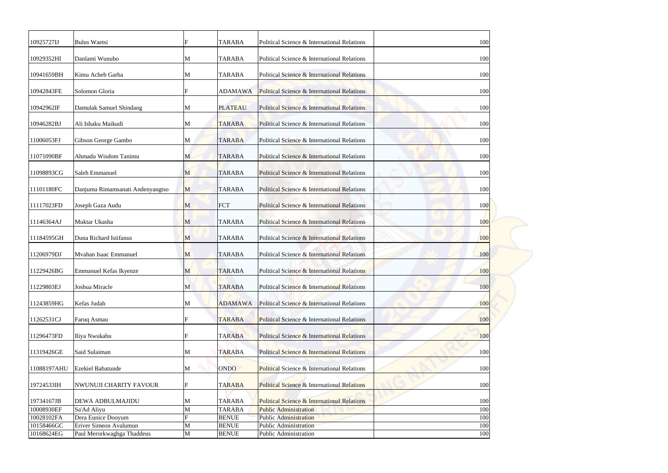| 10925727IJ               | <b>Bulus Waetsi</b>                          |                              | <b>TARABA</b>                | Political Science & International Relations                  | 100        |  |
|--------------------------|----------------------------------------------|------------------------------|------------------------------|--------------------------------------------------------------|------------|--|
| 10929352HI               | Danlami Wunubo                               | M                            | <b>TARABA</b>                | Political Science & International Relations                  | 100        |  |
| 10941659BH               | Kimu Acheb Garba                             | M                            | <b>TARABA</b>                | Political Science & International Relations                  | 100        |  |
| 10942843FE               | Solomon Gloria                               |                              | <b>ADAMAWA</b>               | Political Science & International Relations                  | 100        |  |
| 10942962IF               | Damulak Samuel Shindang                      | M                            | <b>PLATEAU</b>               | <b>Political Science &amp; International Relations</b>       | 100        |  |
| 10946282BJ               | Ali Ishaku Maikudi                           | M                            | <b>TARABA</b>                | Political Science & International Relations                  | 100        |  |
| 11006053FJ               | Gibson George Gambo                          | M                            | <b>TARABA</b>                | Political Science & International Relations                  | 100        |  |
| 11071090BF               | Ahmadu Wisdom Tanimu                         | M                            | <b>TARABA</b>                | Political Science & International Relations                  | 100        |  |
| 11098893CG               | Saleh Emmanuel                               | M                            | <b>TARABA</b>                | Political Science & International Relations                  | 100        |  |
| 11101180FC               | Danjuma Rimamsanati Andenyangtso             | M                            | <b>TARABA</b>                | Political Science & International Relations                  | 100        |  |
| 11117023FD               | Joseph Gaza Audu                             | M                            | <b>FCT</b>                   | Political Science & International Relations                  | 100        |  |
| 11146364AJ               | Muktar Ukasha                                | M                            | <b>TARABA</b>                | Political Science & International Relations                  | 100        |  |
| 11184595GH               | Duna Richard Istifanus                       | M                            | <b>TARABA</b>                | Political Science & International Relations                  | 100        |  |
| 11206979DJ               | Mvahan Isaac Emmanuel                        | M                            | <b>TARABA</b>                | Political Science & International Relations                  | 100        |  |
| 11229426BG               | Emmanuel Kefas Ikyenze                       | M                            | <b>TARABA</b>                | Political Science & International Relations                  | 100        |  |
| 11229803EJ               | Joshua Miracle                               | M                            | <b>TARABA</b>                | Political Science & International Relations                  | 100        |  |
| 11243859HG               | Kefas Judah                                  | M                            | <b>ADAMAWA</b>               | Political Science & International Relations                  | 100        |  |
| 11262531CJ               | Faruq Asmau                                  |                              | <b>TARABA</b>                | Political Science & International Relations                  | 100        |  |
| 11296473FD               | Iliya Nwukabu                                |                              | <b>TARABA</b>                | Political Science & International Relations                  |            |  |
|                          |                                              |                              |                              |                                                              | 100        |  |
| 11319426GE               | Said Sulaiman                                | M                            | <b>TARABA</b>                | Political Science & International Relations                  | 100        |  |
| 11088197AHU              | <b>Ezekiel Babatunde</b>                     | M                            | <b>ONDO</b>                  | Political Science & International Relations                  | 100        |  |
| 19724533IH               | <b>NWUNUJI CHARITY FAVOUR</b>                | F                            | <b>TARABA</b>                | Political Science & International Relations                  | 100        |  |
| 19734167JB               | <b>DEWA ADBULMAJIDU</b>                      | M                            | <b>TARABA</b>                | Political Science & International Relations                  | 100        |  |
| 10008930EF               | Sa'Ad Aliyu                                  | $\mathbf{M}$<br>$\mathbf{F}$ | <b>TARABA</b>                | <b>Public Administration</b>                                 | 100        |  |
| 10028102FA<br>10158466GC | Dera Eunice Dooyum<br>Eriver Simeon Avalumun | $\mathbf M$                  | <b>BENUE</b><br><b>BENUE</b> | <b>Public Administration</b><br><b>Public Administration</b> | 100<br>100 |  |
| 10168624EG               | Paul Merorkwaghga Thaddeus                   | $\mathbf M$                  | <b>BENUE</b>                 | Public Administration                                        | 100        |  |
|                          |                                              |                              |                              |                                                              |            |  |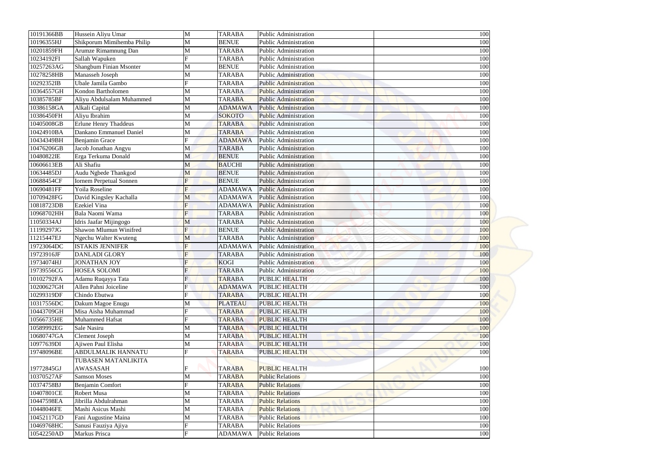| 10191366BB | Hussein Aliyu Umar             | M              | <b>TARABA</b>  | <b>Public Administration</b> | 100 |
|------------|--------------------------------|----------------|----------------|------------------------------|-----|
| 10196355HJ | Shikporum Mimihemba Philip     | М              | <b>BENUE</b>   | <b>Public Administration</b> | 100 |
| 10201859FH | Arumze Rimamnung Dan           | M              | <b>TARABA</b>  | <b>Public Administration</b> | 100 |
| 10234192FI | Sallah Wapuken                 |                | <b>TARABA</b>  | <b>Public Administration</b> | 100 |
| 10257263AG | Shangbum Finian Msonter        | М              | <b>BENUE</b>   | Public Administration        | 100 |
| 10278258HB | Manasseh Joseph                | M              | <b>TARABA</b>  | <b>Public Administration</b> | 100 |
| 10292352IB | Ubale Jamila Gambo             | Ħ              | <b>TARABA</b>  | <b>Public Administration</b> | 100 |
| 10364557GH | Kondon Bartholomen             | М              | <b>TARABA</b>  | <b>Public Administration</b> | 100 |
| 10385785BF | Aliyu Abdulsalam Muhammed      | M              | <b>TARABA</b>  | <b>Public Administration</b> | 100 |
| 10386158GA | Alkali Capital                 | M              | <b>ADAMAWA</b> | <b>Public Administration</b> | 100 |
| 10386450FH | Aliyu Ibrahim                  | M              | <b>SOKOTO</b>  | <b>Public Administration</b> | 100 |
| 10405008GB | <b>Erlune Henry Thaddeus</b>   |                | <b>TARABA</b>  | <b>Public Administration</b> | 100 |
| 10424910BA | Dankano Emmanuel Daniel        | M              | <b>TARABA</b>  | <b>Public Administration</b> | 100 |
| 10434349BH | Benjamin Grace                 | E              | <b>ADAMAWA</b> | <b>Public Administration</b> | 100 |
| 10476206GB | Jacob Jonathan Angyu           | M              | <b>TARABA</b>  | <b>Public Administration</b> | 100 |
| 10480822IE | Erga Terkuma Donald            | M              | <b>BENUE</b>   | <b>Public Administration</b> | 100 |
| 10606613EB | Ali Shafiu                     | M              | <b>BAUCHI</b>  | <b>Public Administration</b> | 100 |
| 10634485DJ | Audu Ngbede Thankgod           | M              | <b>BENUE</b>   | <b>Public Administration</b> | 100 |
| 10688454CF | <b>Iornem Perpetual Sonnen</b> |                | <b>BENUE</b>   | <b>Public Administration</b> | 100 |
| 10690481FF | Yoila Roseline                 | $F_{\rm}$      | <b>ADAMAWA</b> | <b>Public Administration</b> | 100 |
| 10709428FG | David Kingsley Kachalla        | M              | <b>ADAMAWA</b> | <b>Public Administration</b> | 100 |
| 10818723DB | <b>Ezekiel Vina</b>            |                | <b>ADAMAWA</b> | <b>Public Administration</b> | 100 |
| 10968702HH | Bala Naomi Wama                | F              | <b>TARABA</b>  | <b>Public Administration</b> | 100 |
| 11050334AJ | Idris Jaafar Mijingogo         | M              | <b>TARABA</b>  | <b>Public Administration</b> | 100 |
| 11199297JG | Shawon Mlumun Winifred         |                | <b>BENUE</b>   | <b>Public Administration</b> | 100 |
| 11215447EJ | Ngechu Walter Kwuteng          | M              | <b>TARABA</b>  | <b>Public Administration</b> | 100 |
| 19723064DC | <b>ISTAKIS JENNIFER</b>        | $\overline{F}$ | <b>ADAMAWA</b> | <b>Public Administration</b> | 100 |
| 19723916JF | <b>DANLADI GLORY</b>           | F              | <b>TARABA</b>  | <b>Public Administration</b> | 100 |
| 19734074HJ | <b>JONATHAN JOY</b>            |                | <b>KOGI</b>    | <b>Public Administration</b> | 100 |
| 19739556CG | <b>HOSEA SOLOMI</b>            |                | <b>TARABA</b>  | <b>Public Administration</b> | 100 |
| 10102792FA | Adamu Ruqayya Tata             |                | <b>TARABA</b>  | PUBLIC HEALTH                | 100 |
| 10200627GH | Allen Pahni Joiceline          |                | <b>ADAMAWA</b> | <b>PUBLIC HEALTH</b>         | 100 |
| 10299319DF | Chindo Ebutwa                  |                | <b>TARABA</b>  | PUBLIC HEALTH                | 100 |
| 10317556DC | Dakum Magoe Enugu              | М              | <b>PLATEAU</b> | PUBLIC HEALTH                | 100 |
| 10443709GH | Misa Aisha Muhammad            |                | <b>TARABA</b>  | <b>PUBLIC HEALTH</b>         | 100 |
| 10566735HE | Muhammed Hafsat                |                | <b>TARABA</b>  | <b>PUBLIC HEALTH</b>         | 100 |
| 10589992EG | Sale Nasiru                    | М              | <b>TARABA</b>  | <b>PUBLIC HEALTH</b>         | 100 |
| 10680747GA | <b>Clement Joseph</b>          | М              | <b>TARABA</b>  | <b>PUBLIC HEALTH</b>         | 100 |
| 10977639DI | Ajiwen Paul Elisha             | M              | <b>TARABA</b>  | <b>PUBLIC HEALTH</b>         | 100 |
| 19748096BE | <b>ABDULMALIK HANNATU</b>      |                | <b>TARABA</b>  | <b>PUBLIC HEALTH</b>         | 100 |
|            | TUBASEN MATANLIKITA            |                |                |                              |     |
| 19772845GJ | <b>AWASASAH</b>                |                | <b>TARABA</b>  | <b>PUBLIC HEALTH</b>         | 100 |
| 10370527AF | <b>Samson Moses</b>            | M              | <b>TARABA</b>  | <b>Public Relations</b>      | 100 |
| 10374758BJ | Benjamin Comfort               |                | <b>TARABA</b>  | <b>Public Relations</b>      | 100 |
| 10407801CE | <b>Robert Musa</b>             | М              | <b>TARABA</b>  | <b>Public Relations</b>      | 100 |
| 10447598EA | Jibrilla Abdulrahman           | M              | <b>TARABA</b>  | <b>Public Relations</b>      | 100 |
| 10448046FE | Mashi Asicus Mashi             | М              | <b>TARABA</b>  | <b>Public Relations</b>      | 100 |
| 10452117GD | Fani Augustine Maina           | М              | <b>TARABA</b>  | <b>Public Relations</b>      | 100 |
| 10469768HC | Sanusi Fauziya Ajiya           |                | <b>TARABA</b>  | <b>Public Relations</b>      | 100 |
| 10542250AD | Markus Prisca                  | Ħ              | <b>ADAMAWA</b> | <b>Public Relations</b>      | 100 |
|            |                                |                |                |                              |     |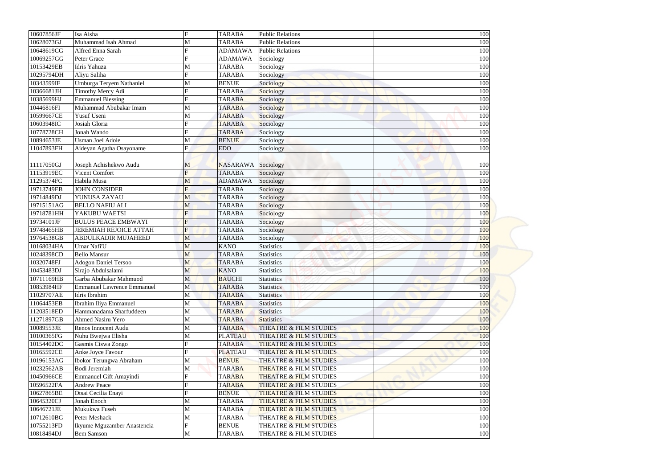| 10607856JF | Isa Aisha                         | $\boldsymbol{\mathrm{F}}$ | <b>TARABA</b>             | <b>Public Relations</b>           | 100 |
|------------|-----------------------------------|---------------------------|---------------------------|-----------------------------------|-----|
| 10628073GJ | Muhammad Isah Ahmad               | M                         | <b>TARABA</b>             | <b>Public Relations</b>           | 100 |
| 10648619CG | Alfred Enna Sarah                 |                           | <b>ADAMAWA</b>            | <b>Public Relations</b>           | 100 |
| 10069257GG | Peter Grace                       |                           | <b>ADAMAWA</b>            | Sociology                         | 100 |
| 10153429EB | Idris Yahuza                      | M                         | <b>TARABA</b>             | Sociology                         | 100 |
| 10295794DH | Aliyu Saliha                      | F                         | <b>TARABA</b>             | Sociology                         | 100 |
| 10343599IF | Umburga Teryem Nathaniel          | M                         | <b>BENUE</b>              | Sociology                         | 100 |
| 10366681JH | Timothy Mercy Adi                 |                           | <b>TARABA</b>             | Sociology                         | 100 |
| 10385699HJ | <b>Emmanuel Blessing</b>          |                           | <b>TARABA</b>             | Sociology                         | 100 |
| 10446816FI | Muhammad Abubakar Imam            | M                         | <b>TARABA</b>             | Sociology                         | 100 |
| 10599667CE | Yusuf Useni                       | M                         | <b>TARABA</b>             | Sociology                         | 100 |
| 10603948IC | Josiah Gloria                     | F                         | <b>TARABA</b>             | Sociology                         | 100 |
| 10778728CH | Jonah Wando                       |                           | <b>TARABA</b>             | Sociology                         | 100 |
| 10894653JE | Usman Joel Adole                  | M                         | <b>BENUE</b>              | Sociology                         | 100 |
| 11047893FH | Aideyan Agatha Osayoname          | F                         | <b>EDO</b>                | Sociology                         | 100 |
|            |                                   |                           |                           |                                   |     |
| 11117050GJ | Joseph Achishekwo Audu            | M                         | <b>NASARAWA</b> Sociology |                                   | 100 |
| 11153919EC | Vicent Comfort                    | F                         | <b>TARABA</b>             | Sociology                         | 100 |
| 11295374FC | Habila Musa                       | M                         | <b>ADAMAWA</b>            | Sociology                         | 100 |
| 19713749EB | <b>JOHN CONSIDER</b>              | F                         | <b>TARABA</b>             | Sociology                         | 100 |
| 19714849DJ | YUNUSA ZAYAU                      | M                         | <b>TARABA</b>             | Sociology                         | 100 |
| 19715151AG | <b>BELLO NAFIU ALI</b>            | M                         | <b>TARABA</b>             | Sociology                         | 100 |
| 19718781HH | YAKUBU WAETSI                     | $\overline{F}$            | <b>TARABA</b>             | Sociology                         | 100 |
| 19734101JF | <b>BULUS PEACE EMBWAYI</b>        | F                         | <b>TARABA</b>             | Sociology                         | 100 |
| 19748465HB | <b>JEREMIAH REJOICE ATTAH</b>     | $\overline{F}$            | <b>TARABA</b>             | Sociology                         | 100 |
| 19764538GB | <b>ABDULKADIR MUJAHEED</b>        | M                         | <b>TARABA</b>             | Sociology                         | 100 |
| 10168034HA | Umar Nafi'U                       | M                         | <b>KANO</b>               | Statistics                        | 100 |
| 10248398CD | <b>Bello Mansur</b>               | M                         | <b>TARABA</b>             | <b>Statistics</b>                 | 100 |
| 10320748FJ | <b>Adogon Daniel Tersoo</b>       | M                         | <b>TARABA</b>             | <b>Statistics</b>                 | 100 |
| 10453483DJ | Sirajo Abdulsalami                | M                         | <b>KANO</b>               | <b>Statistics</b>                 | 100 |
| 10711169HB | Garba Abubakar Mahmuod            | M                         | <b>BAUCHI</b>             | <b>Statistics</b>                 | 100 |
| 10853984HF | <b>Emmanuel Lawrence Emmanuel</b> | M                         | <b>TARABA</b>             | <b>Statistics</b>                 | 100 |
| 11029707AE | Idris Ibrahim                     | M                         | <b>TARABA</b>             | <b>Statistics</b>                 | 100 |
| 11064453EB | Ibrahim Iliya Emmanuel            | M                         | <b>TARABA</b>             | <b>Statistics</b>                 | 100 |
| 11203518ED | Hammanadama Sharfuddeen           | M                         | <b>TARABA</b>             | <b>Statistics</b>                 | 100 |
| 11271897GB | <b>Ahmed Nasiru Yero</b>          | M                         | <b>TARABA</b>             | <b>Statistics</b>                 | 100 |
| 10089553JE | Renos Innocent Audu               | M                         | <b>TARABA</b>             | THEATRE & FILM STUDIES            | 100 |
| 10100365FG | Nuhu Bwejwa Elisha                | M                         | <b>PLATEAU</b>            | THEATRE & FILM STUDIES            | 100 |
| 10154402DC | Gasmis Ciswa Zongo                |                           | <b>TARABA</b>             | THEATRE & FILM STUDIES            | 100 |
| 10165592CE | Anke Joyce Favour                 |                           | <b>PLATEAU</b>            | THEATRE & FILM STUDIES            | 100 |
| 10196153AG | Ibokor Terungwa Abraham           | M                         | <b>BENUE</b>              | THEATRE & FILM STUDIES            | 100 |
| 10232562AB | Bodi Jeremiah                     | M                         | <b>TARABA</b>             | <b>THEATRE &amp; FILM STUDIES</b> | 100 |
| 10450966CE | Emmanuel Gift Amayindi            |                           | <b>TARABA</b>             | <b>THEATRE &amp; FILM STUDIES</b> | 100 |
| 10596522FA | <b>Andrew Peace</b>               |                           | <b>TARABA</b>             | THEATRE & FILM STUDIES            |     |
|            |                                   |                           |                           |                                   | 100 |
| 10627865BE | Otsai Cecilia Enayi               |                           | <b>BENUE</b>              | <b>THEATRE &amp; FILM STUDIES</b> | 100 |
| 10645320CJ | Jonah Enoch                       | M                         | <b>TARABA</b>             | <b>THEATRE &amp; FILM STUDIES</b> | 100 |
| 10646721JE | Mukukwa Fuseh                     | M                         | <b>TARABA</b>             | <b>THEATRE &amp; FILM STUDIES</b> | 100 |
| 10712610BG | Peter Meshack                     | M                         | <b>TARABA</b>             | THEATRE & FILM STUDIES            | 100 |
| 10755213FD | Ikyume Mguzamber Anastencia       | ${\bf F}$                 | <b>BENUE</b>              | THEATRE & FILM STUDIES            | 100 |
| 10818494DJ | <b>Bem Samson</b>                 | M                         | <b>TARABA</b>             | THEATRE & FILM STUDIES            | 100 |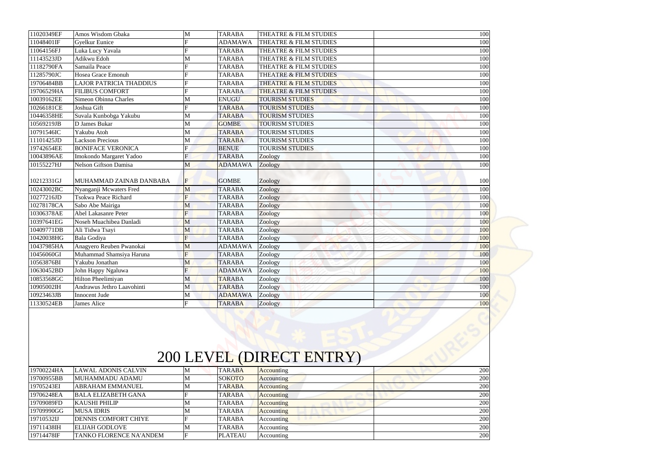| 19700224HA<br>1070005500 | <b>LAWAL ADONIS CALVIN</b><br><b>MULLAMATINI ADAMIT</b> | M              | <b>TARABA</b><br>00K <sub>CD</sub> | Accounting               | 200 |
|--------------------------|---------------------------------------------------------|----------------|------------------------------------|--------------------------|-----|
|                          |                                                         |                |                                    |                          |     |
|                          |                                                         |                |                                    | 200 LEVEL (DIRECT ENTRY) |     |
|                          |                                                         |                |                                    |                          |     |
|                          |                                                         |                |                                    |                          |     |
|                          |                                                         |                |                                    |                          |     |
|                          |                                                         |                |                                    |                          |     |
| 11330524EB               | James Alice                                             | $\mathbf{F}$   | <b>TARABA</b>                      | Zoology                  | 100 |
| 10923463JB               | Innocent Jude                                           | M              | <b>ADAMAWA</b>                     | Zoology                  | 100 |
| 10905002IH               | Andrawus Jethro Laavohinti                              | M              | <b>TARABA</b>                      | Zoology                  | 100 |
| 10853568GC               | Hilton Pheelimiyan                                      | M              | <b>TARABA</b>                      | Zoology                  | 100 |
| 10630452BD               | John Happy Ngaluwa                                      | F              | <b>ADAMAWA</b>                     | Zoology                  | 100 |
| 10563876BI               | Yakubu Jonathan                                         | M              | <b>TARABA</b>                      | Zoology                  | 100 |
| 10456060GI               | Muhammad Shamsiya Haruna                                | $\overline{F}$ | <b>TARABA</b>                      | Zoology                  | 100 |
| 10437985HA               | Anagyero Reuben Pwanokai                                | M              | <b>ADAMAWA</b>                     | Zoology                  | 100 |
| 10420038HG               | Bala Godiya                                             | F              | <b>TARABA</b>                      | Zoology                  | 100 |
| 10409771DB               | Ali Tidwa Tsayi                                         | M              | <b>TARABA</b>                      | Zoology                  | 100 |
| 10397641EG               | Noseh Muachibea Danladi                                 | M              | <b>TARABA</b>                      | Zoology                  | 100 |
| 10306378AE               | Abel Lakasanre Peter                                    | $\overline{F}$ | <b>TARABA</b>                      | Zoology                  | 100 |
| 10278178CA               | Sabo Abe Mairiga                                        | M              | <b>TARABA</b>                      | Zoology                  | 100 |
| 10277216JD               | <b>Tsokwa Peace Richard</b>                             | F              | <b>TARABA</b>                      | Zoology                  | 100 |
| 10243002BC               | Nyanganji Mcwaters Fred                                 | M              | <b>TARABA</b>                      | Zoology                  | 100 |
| 10212331GJ               | MUHAMMAD ZAINAB DANBABA                                 | F              | <b>GOMBE</b>                       | Zoology                  | 100 |
| 10155227HJ               | <b>Nelson Giftson Damisa</b>                            | M              | <b>ADAMAWA</b>                     | Zoology                  | 100 |
| 10043896AE               | Imokondo Margaret Yadoo                                 | $\mathbf F$    | <b>TARABA</b>                      | Zoology                  | 100 |
| 19742654EE               | <b>BONIFACE VERONICA</b>                                |                | <b>BENUE</b>                       | <b>TOURISM STUDIES</b>   | 100 |
| 11101425JD               | <b>Lackson Precious</b>                                 | M              | <b>TARABA</b>                      | <b>TOURISM STUDIES</b>   | 100 |
| 10791546IC               | Yakubu Atoh                                             | M              | <b>TARABA</b>                      | <b>TOURISM STUDIES</b>   | 100 |
| 10569219JB               | D James Bukar                                           | M              | <b>GOMBE</b>                       | <b>TOURISM STUDIES</b>   | 100 |
| 10446358HE               | Suvala Kunbobga Yakubu                                  | M              | <b>TARABA</b>                      | <b>TOURISM STUDIES</b>   | 100 |
| 10266181CE               | Joshua Gift                                             |                | <b>TARABA</b>                      | <b>TOURISM STUDIES</b>   | 100 |
| 10039162EE               | Simeon Obinna Charles                                   | M              | <b>ENUGU</b>                       | <b>TOURISM STUDIES</b>   | 100 |
| 19706529HA               | <b>FILIBUS COMFORT</b>                                  |                | <b>TARABA</b>                      | THEATRE & FILM STUDIES   | 100 |
| 19706484BB               | <b>LAJOR PATRICIA THADDIUS</b>                          |                | <b>TARABA</b>                      | THEATRE & FILM STUDIES   | 100 |
| 11285790JC               | Hosea Grace Emonuh                                      |                | <b>TARABA</b>                      | THEATRE & FILM STUDIES   | 100 |
| 11182790FA               | Samaila Peace                                           | F              | <b>TARABA</b>                      | THEATRE & FILM STUDIES   | 100 |
| 11143523JD               | Adikwu Edoh                                             | M              | <b>TARABA</b>                      | THEATRE & FILM STUDIES   | 100 |
| 11064156FJ               | Luka Lucy Yavala                                        |                | <b>TARABA</b>                      | THEATRE & FILM STUDIES   | 100 |
| 11048401IF               | Gyelkur Eunice                                          |                | <b>ADAMAWA</b>                     | THEATRE & FILM STUDIES   | 100 |
|                          | Amos Wisdom Gbaka                                       | M              | <b>TARABA</b>                      | THEATRE & FILM STUDIES   | 100 |

| 19700224HA | <b>LAWAL ADONIS CALVIN</b>     | <b>TARABA</b>  | <b>Accounting</b> | 200 |
|------------|--------------------------------|----------------|-------------------|-----|
| 19700955BB | MUHAMMADU ADAMU                | <b>SOKOTO</b>  | <b>Accounting</b> | 200 |
| 19705243EI | ABRAHAM EMMANUEL               | <b>TARABA</b>  | <b>Accounting</b> | 200 |
| 19706248EA | <b>BALA ELIZABETH GANA</b>     | <b>TARABA</b>  | <b>Accounting</b> | 200 |
| 19709089FD | <b>KAUSHI PHILIP</b>           | <b>TARABA</b>  | <b>Accounting</b> | 200 |
| 19709990GG | <b>MUSA IDRIS</b>              | <b>TARABA</b>  | Accounting        | 200 |
| 19710532IJ | <b>DENNIS COMFORT CHIYE</b>    | <b>TARABA</b>  | Accounting        | 200 |
| 19711438IH | <b>ELIJAH GODLOVE</b>          | <b>TARABA</b>  | Accounting        | 200 |
| 19714478IF | <b>TANKO FLORENCE NA'ANDEM</b> | <b>PLATEAU</b> | Accounting        | 200 |

## 200 LEVEL (DIRECT ENTRY)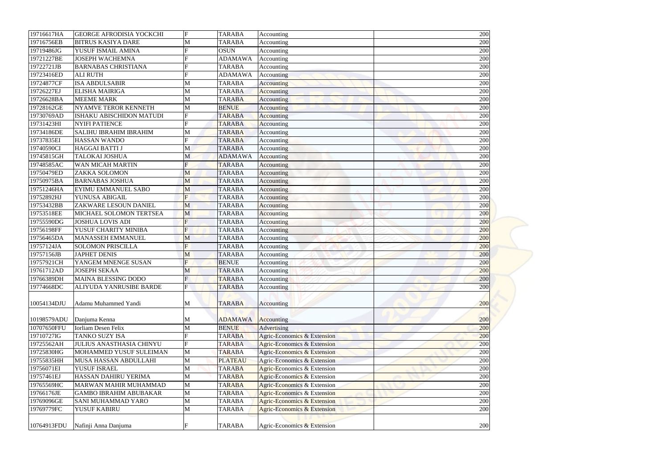| 19716617HA  | <b>GEORGE AFRODISIA YOCKCHI</b> | $\mathbf F$    | <b>TARABA</b>  | Accounting                             | 200        |
|-------------|---------------------------------|----------------|----------------|----------------------------------------|------------|
| 19716756EB  | <b>BITRUS KASIYA DARE</b>       | M              | <b>TARABA</b>  | Accounting                             | 200        |
| 19719486JG  | YUSUF ISMAIL AMINA              |                | <b>OSUN</b>    | Accounting                             | 200        |
| 19721227BE  | <b>JOSEPH WACHEMNA</b>          |                | <b>ADAMAWA</b> | Accounting                             | 200        |
| 19722721JB  | <b>BARNABAS CHRISTIANA</b>      |                | <b>TARABA</b>  | Accounting                             | 200        |
| 19723416ED  | <b>ALI RUTH</b>                 | $\mathbf F$    | <b>ADAMAWA</b> | Accounting                             | 200        |
| 19724877CF  | <b>ISA ABDULSABIR</b>           | M              | <b>TARABA</b>  | Accounting                             | 200        |
| 19726227EJ  | <b>ELISHA MAIRIGA</b>           | M              | <b>TARABA</b>  | Accounting                             | 200        |
| 19726628BA  | <b>MEEME MARK</b>               | M              | <b>TARABA</b>  | Accounting                             | 200        |
| 19728162GE  | <b>NYAMVE TEROR KENNETH</b>     | M              | <b>BENUE</b>   | <b>Accounting</b>                      | 200        |
| 19730769AD  | <b>ISHAKU ABISCHIDON MATUDI</b> | $\mathbf F$    | <b>TARABA</b>  | Accounting                             | 200        |
| 19731423HI  | <b>NYIFI PATIENCE</b>           | F              | <b>TARABA</b>  | Accounting                             | 200        |
| 19734186DE  | <b>SALIHU IBRAHIM IBRAHIM</b>   | M              | <b>TARABA</b>  | Accounting                             | 200        |
| 19737835EI  | <b>HASSAN WANDO</b>             | F              | <b>TARABA</b>  | Accounting                             | 200        |
| 19740590CI  | <b>HAGGAI BATTI J</b>           | M              | <b>TARABA</b>  | Accounting                             | 200        |
| 19745815GH  | <b>TALOKAI JOSHUA</b>           | M              | <b>ADAMAWA</b> | Accounting                             | 200        |
| 19748585AC  | <b>WAN MICAH MARTIN</b>         | F              | <b>TARABA</b>  | Accounting                             | 200        |
| 19750479ED  | <b>ZAKKA SOLOMON</b>            | M              | <b>TARABA</b>  | Accounting                             | 200        |
| 19750975BA  | <b>BARNABAS JOSHUA</b>          | M              | <b>TARABA</b>  | Accounting                             | 200        |
| 19751246HA  | <b>EYIMU EMMANUEL SABO</b>      | M              | <b>TARABA</b>  | Accounting                             | 200        |
| 19752892HJ  | YUNUSA ABIGAIL                  | F              | <b>TARABA</b>  | Accounting                             | 200        |
| 19753432BB  | ZAKWARE LESOUN DANIEL           | M              | <b>TARABA</b>  | Accounting                             | 200        |
| 19753518EE  | MICHAEL SOLOMON TERTSEA         | M              | <b>TARABA</b>  | Accounting                             | 200        |
| 19755590DG  | <b>JOSHUA LOVIS ADI</b>         | $\overline{F}$ | <b>TARABA</b>  | Accounting                             | 200        |
| 19756198FF  | YUSUF CHARITY MINIBA            | F              | <b>TARABA</b>  | Accounting                             | 200        |
| 19756465DA  | <b>MANASSEH EMMANUEL</b>        | M              | <b>TARABA</b>  | Accounting                             | 200        |
| 19757124JA  | <b>SOLOMON PRISCILLA</b>        | $\mathbf{F}$   | <b>TARABA</b>  | Accounting                             | 200        |
| 19757156JB  | <b>JAPHET DENIS</b>             | M              | <b>TARABA</b>  | Accounting                             | 200        |
| 19757921CH  | YANGEM MNENGE SUSAN             | F              | <b>BENUE</b>   | Accounting                             | 200        |
| 19761712AD  | <b>JOSEPH SEKAA</b>             | M              | <b>TARABA</b>  | Accounting                             | 200        |
| 19766389DH  | <b>MAINA BLESSING DODO</b>      | $\mathbf{F}$   | <b>TARABA</b>  | Accounting                             | 200        |
| 19774668DC  | ALIYUDA YANRUSIBE BARDE         | F              | <b>TARABA</b>  | Accounting                             | 200        |
|             |                                 |                |                |                                        |            |
| 10054134DJU | Adamu Muhammed Yandi            | M              | <b>TARABA</b>  | Accounting                             | 200        |
|             |                                 |                |                |                                        |            |
| 10198579ADU | Danjuma Kenna                   | M              | <b>ADAMAWA</b> | Accounting                             | 200        |
| 10707650FFU | Iorliam Desen Felix             | M              | <b>BENUE</b>   | Advertising                            | 200        |
| 19710727IG  | TANKO SUZY ISA                  |                | <b>TARABA</b>  | Agric-Economics & Extension            | 200        |
| 19725562AH  | <b>JULIUS ANASTHASIA CHINYU</b> | $\mathbf F$    | <b>TARABA</b>  | Agric-Economics & Extension            | 200        |
| 19725830HG  | MOHAMMED YUSUF SULEIMAN         | M              | <b>TARABA</b>  | <b>Agric-Economics &amp; Extension</b> | 200        |
| 19755835HH  | MUSA HASSAN ABDULLAHI           | M              | <b>PLATEAU</b> | Agric-Economics & Extension            | 200        |
| 19756071EI  | YUSUF ISRAEL                    | M              | <b>TARABA</b>  | Agric-Economics & Extension            | 200        |
| 19757461EJ  | HASSAN DAHIRU YERIMA            | M              | <b>TARABA</b>  | Agric-Economics & Extension            | 200        |
| 19765569HC  | <b>MARWAN MAHIR MUHAMMAD</b>    | M              | <b>TARABA</b>  | Agric-Economics & Extension            | 200        |
| 19766176JE  | <b>GAMBO IBRAHIM ABUBAKAR</b>   | M              | <b>TARABA</b>  | Agric-Economics & Extension            | 200        |
| 19769096GE  | <b>SANI MUHAMMAD YARO</b>       | M              | <b>TARABA</b>  | Agric-Economics & Extension            |            |
| 19769779FC  | YUSUF KABIRU                    | M              | <b>TARABA</b>  | Agric-Economics & Extension            | 200<br>200 |
|             |                                 |                |                |                                        |            |
| 10764913FDU |                                 | F              |                |                                        | 200        |
|             | Nafinji Anna Danjuma            |                | <b>TARABA</b>  | Agric-Economics & Extension            |            |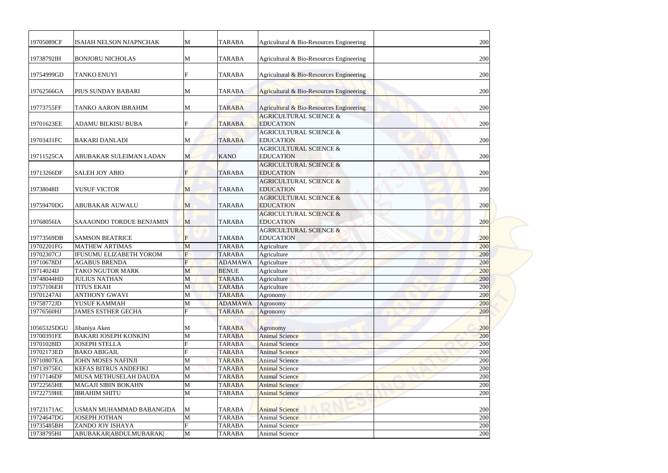| 19705089CF  | ISAIAH NELSON NJAPNCHAK         | M           | <b>TARABA</b>  | Agricultural & Bio-Resources Engineering | 200 |
|-------------|---------------------------------|-------------|----------------|------------------------------------------|-----|
|             |                                 |             |                |                                          |     |
| 19738792IH  | <b>BONJORU NICHOLAS</b>         | M           | <b>TARABA</b>  | Agricultural & Bio-Resources Engineering | 200 |
| 19754999GD  | <b>TANKO ENUYI</b>              | F           | <b>TARABA</b>  | Agricultural & Bio-Resources Engineering | 200 |
|             |                                 |             |                |                                          |     |
| 19762566GA  | PIUS SUNDAY BABARI              | M           | <b>TARABA</b>  | Agricultural & Bio-Resources Engineering | 200 |
| 19773755FF  | TANKO AARON IBRAHIM             | M           | <b>TARABA</b>  | Agricultural & Bio-Resources Engineering | 200 |
|             |                                 |             |                | <b>AGRICULTURAL SCIENCE &amp;</b>        |     |
| 19701623EE  | <b>ADAMU BILKISU BUBA</b>       | F           | <b>TARABA</b>  | <b>EDUCATION</b>                         | 200 |
|             |                                 |             |                | <b>AGRICULTURAL SCIENCE &amp;</b>        |     |
| 19703431FC  | <b>BAKARI DANLADI</b>           | M           | <b>TARABA</b>  | <b>EDUCATION</b>                         | 200 |
|             |                                 |             |                | <b>AGRICULTURAL SCIENCE &amp;</b>        |     |
| 19711525CA  | ABUBAKAR SULEIMAN LADAN         | M           | <b>KANO</b>    | <b>EDUCATION</b>                         | 200 |
|             |                                 |             |                | <b>AGRICULTURAL SCIENCE &amp;</b>        |     |
| 19713266DF  | <b>SALEH JOY ABIO</b>           |             | <b>TARABA</b>  | <b>EDUCATION</b>                         | 200 |
|             |                                 |             |                | <b>AGRICULTURAL SCIENCE &amp;</b>        |     |
| 19738048II  | YUSUF VICTOR                    | M           | <b>TARABA</b>  | <b>EDUCATION</b>                         | 200 |
|             |                                 |             |                | <b>AGRICULTURAL SCIENCE &amp;</b>        |     |
| 19759470DG  | <b>ABUBAKAR AUWALU</b>          | M           | <b>TARABA</b>  | <b>EDUCATION</b>                         | 200 |
|             |                                 |             |                | <b>AGRICULTURAL SCIENCE &amp;</b>        |     |
| 19768056IA  | <b>SAAAONDO TORDUE BENJAMIN</b> | M           | <b>TARABA</b>  | <b>EDUCATION</b>                         | 200 |
|             |                                 |             |                | <b>AGRICULTURAL SCIENCE &amp;</b>        |     |
| 19773569DB  | <b>SAMSON BEATRICE</b>          |             | <b>TARABA</b>  | <b>EDUCATION</b>                         | 200 |
| 19702201FG  | <b>MATHEW ARTIMAS</b>           | M           | <b>TARABA</b>  | Agriculture                              | 200 |
| 19702307CJ  | <b>IFUSUMU ELIZABETH YOROM</b>  | F           | <b>TARABA</b>  | Agriculture                              | 200 |
| 19710678DJ  | <b>AGABUS BRENDA</b>            |             | <b>ADAMAWA</b> | Agriculture                              | 200 |
| 19714024IJ  | TAKO NGUTOR MARK                | M           | <b>BENUE</b>   | Agriculture                              | 200 |
| 19748044HD  | <b>JULIUS NATHAN</b>            | M           | <b>TARABA</b>  | Agriculture                              | 200 |
| 19757106EH  | <b>TITUS EKAH</b>               | M           | <b>TARABA</b>  | Agriculture                              | 200 |
| 19701247AI  | <b>ANTHONY GWAVI</b>            | M           | <b>TARABA</b>  | Agronomy                                 | 200 |
| 19758772JD  | YUSUF KAMMAH                    | M           | <b>ADAMAWA</b> | Agronomy                                 | 200 |
| 19776560HJ  | <b>JAMES ESTHER GECHA</b>       | $\mathbf F$ | <b>TARABA</b>  | Agronomy                                 | 200 |
|             |                                 |             |                |                                          |     |
| 10565325DGU | Jibaniya Aken                   | M           | <b>TARABA</b>  | Agronomy                                 | 200 |
| 19700391FE  | <b>BAKARI JOSEPH KONKINI</b>    | M           | <b>TARABA</b>  | <b>Animal Science</b>                    | 200 |
| 19701028ID  | <b>JOSEPH STELLA</b>            |             | <b>TARABA</b>  | <b>Animal Science</b>                    | 200 |
| 19702173ED  | <b>BAKO ABIGAIL</b>             |             | <b>TARABA</b>  | <b>Animal Science</b>                    | 200 |
| 19710807EA  | <b>JOHN MOSES NAFINJI</b>       | M           | <b>TARABA</b>  | <b>Animal Science</b>                    | 200 |
| 19713975EC  | <b>KEFAS BITRUS ANDEFIKI</b>    | M           | <b>TARABA</b>  | <b>Animal Science</b>                    | 200 |
| 19717146DF  | MUSA METHUSELAH DAUDA           | M           | <b>TARABA</b>  | <b>Animal Science</b>                    | 200 |
| 19722565HE  | <b>MAGAJI SIBIN BOKAHN</b>      | M           | <b>TARABA</b>  | <b>Animal Science</b>                    | 200 |
| 19722759HE  | <b>IBRAHIM SHITU</b>            | M           | <b>TARABA</b>  | <b>Animal Science</b>                    | 200 |
| 19723171AC  | USMAN MUHAMMAD BABANGIDA        | M           | <b>TARABA</b>  | <b>Animal Science</b>                    | 200 |
| 19724647DG  | <b>JOSEPH JOTHAN</b>            | M           | <b>TARABA</b>  | <b>Animal Science</b>                    | 200 |
| 19735485BH  | ZANDO JOY ISHAYA                |             | <b>TARABA</b>  | <b>Animal Science</b>                    | 200 |
| 19738795HI  | ABUBAKAR ABDULMUBARAK           | M           | <b>TARABA</b>  | Animal Science                           | 200 |
|             |                                 |             |                |                                          |     |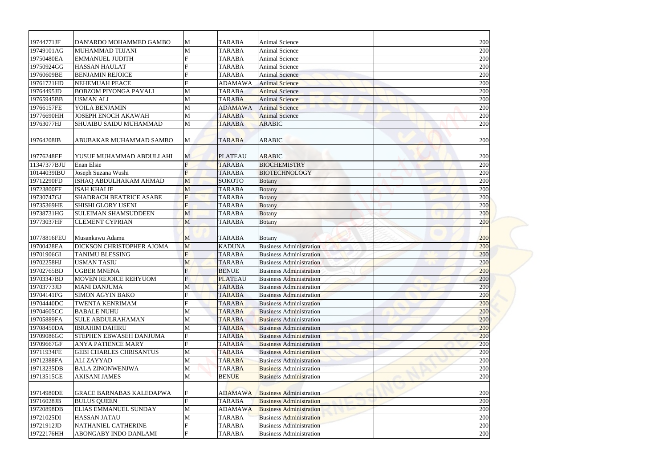| 19744771JF  | DAN'ARDO MOHAMMED GAMBO         | M              | <b>TARABA</b>  | Animal Science                 | 200 |
|-------------|---------------------------------|----------------|----------------|--------------------------------|-----|
| 19749101AG  | MUHAMMAD TIJJANI                | M              | <b>TARABA</b>  | <b>Animal Science</b>          | 200 |
| 19750480EA  | <b>EMMANUEL JUDITH</b>          |                | <b>TARABA</b>  | <b>Animal Science</b>          | 200 |
| 19750924GG  | <b>HASSAN HAULAT</b>            |                | <b>TARABA</b>  | <b>Animal Science</b>          | 200 |
| 19760609BE  | <b>BENJAMIN REJOICE</b>         |                | <b>TARABA</b>  | <b>Animal Science</b>          | 200 |
| 19761721HD  | NEHEMUAH PEACE                  |                | <b>ADAMAWA</b> | <b>Animal Science</b>          | 200 |
| 19764495JD  | <b>BOBZOM PIYONGA PAVALI</b>    | M              | <b>TARABA</b>  | <b>Animal Science</b>          | 200 |
| 19765945BB  | <b>USMAN ALI</b>                | M              | <b>TARABA</b>  | <b>Animal Science</b>          | 200 |
| 19766157FE  | YOILA BENJAMIN                  | M              | <b>ADAMAWA</b> | <b>Animal Science</b>          | 200 |
| 19776690HH  | <b>JOSEPH ENOCH AKAWAH</b>      | M              | <b>TARABA</b>  | <b>Animal Science</b>          | 200 |
|             | SHUAIBU SAIDU MUHAMMAD          | M              |                |                                | 200 |
| 19763077HJ  |                                 |                | <b>TARABA</b>  | <b>ARABIC</b>                  |     |
| 19764208IB  | ABUBAKAR MUHAMMAD SAMBO         | M              | <b>TARABA</b>  | <b>ARABIC</b>                  | 200 |
| 19776248EF  | YUSUF MUHAMMAD ABDULLAHI        |                | <b>PLATEAU</b> | <b>ARABIC</b>                  | 200 |
| 11347377BJU | <b>Enan Elsie</b>               | M              | <b>TARABA</b>  | <b>BIOCHEMISTRY</b>            | 200 |
| 10144039IBU | Joseph Suzana Wushi             | $\mathbf F$    |                | <b>BIOTECHNOLOGY</b>           |     |
|             |                                 |                | <b>TARABA</b>  |                                | 200 |
| 19712290FD  | ISHAQ ABDULHAKAM AHMAD          | M              | <b>SOKOTO</b>  | <b>Botany</b>                  | 200 |
| 19723800FF  | <b>ISAH KHALIF</b>              | M              | <b>TARABA</b>  | <b>Botany</b>                  | 200 |
| 19730747GJ  | <b>SHADRACH BEATRICE ASABE</b>  | F              | <b>TARABA</b>  | <b>Botany</b>                  | 200 |
| 19735369HE  | SHISHI GLORY USENI              | F              | <b>TARABA</b>  | <b>Botany</b>                  | 200 |
| 19738731HG  | <b>SULEIMAN SHAMSUDDEEN</b>     | M              | <b>TARABA</b>  | <b>Botany</b>                  | 200 |
| 19773037HF  | <b>CLEMENT CYPRIAN</b>          | M              | <b>TARABA</b>  | <b>Botany</b>                  | 200 |
|             |                                 |                |                |                                |     |
| 10778816FEU | Musankawu Adamu                 | M              | <b>TARABA</b>  | <b>Botany</b>                  | 200 |
| 19700428EA  | DICKSON CHRISTOPHER AJOMA       | M              | <b>KADUNA</b>  | <b>Business Administration</b> | 200 |
| 19701906GI  | <b>TANIMU BLESSING</b>          | $\overline{F}$ | <b>TARABA</b>  | <b>Business Administration</b> | 200 |
| 19702258HJ  | <b>USMAN TASIU</b>              | M              | <b>TARABA</b>  | <b>Business Administration</b> | 200 |
| 19702765BD  | <b>UGBER MNENA</b>              | F              | <b>BENUE</b>   | <b>Business Administration</b> | 200 |
| 19703347BD  | <b>MOVEN REJOICE REHYUOM</b>    | F              | <b>PLATEAU</b> | <b>Business Administration</b> | 200 |
| 19703773JD  | <b>MANI DANJUMA</b>             | M              | <b>TARABA</b>  | <b>Business Administration</b> | 200 |
| 19704141FG  | <b>SIMON AGYIN BAKO</b>         |                | <b>TARABA</b>  | <b>Business Administration</b> | 200 |
| 19704440DC  | <b>TWENTA KENRIMAM</b>          |                | <b>TARABA</b>  | <b>Business Administration</b> | 200 |
| 19704605CC  | <b>BABALE NUHU</b>              | M              | <b>TARABA</b>  | <b>Business Administration</b> | 200 |
| 19705889FA  | <b>SULE ABDULRAHAMAN</b>        | M              | <b>TARABA</b>  | <b>Business Administration</b> | 200 |
| 19708450DA  | <b>IBRAHIM DAHIRU</b>           | M              | <b>TARABA</b>  | <b>Business Administration</b> | 200 |
| 19709086GC  | STEPHEN EBWASEH DANJUMA         | F              | <b>TARABA</b>  | <b>Business Administration</b> | 200 |
| 19709667GF  | <b>ANYA PATIENCE MARY</b>       |                | <b>TARABA</b>  | <b>Business Administration</b> | 200 |
| 19711934FE  | <b>GEBI CHARLES CHRISANTUS</b>  | M              | <b>TARABA</b>  | <b>Business Administration</b> | 200 |
| 19712388FA  | <b>ALIZAYYAD</b>                | M              | <b>TARABA</b>  | <b>Business Administration</b> | 200 |
| 19713235DB  | <b>BALA ZINONWENJWA</b>         | M              | <b>TARABA</b>  | <b>Business Administration</b> | 200 |
| 19713515GE  | <b>AKISANI JAMES</b>            | M              | <b>BENUE</b>   | <b>Business Administration</b> | 200 |
|             |                                 |                |                |                                |     |
| 19714980DE  | <b>GRACE BARNABAS KALEDAPWA</b> | F              | <b>ADAMAWA</b> | <b>Business Administration</b> | 200 |
| 19716028JB  | <b>BULUS QUEEN</b>              | $\mathbf F$    | <b>TARABA</b>  | <b>Business Administration</b> | 200 |
| 19720898DB  | <b>ELIAS EMMANUEL SUNDAY</b>    | M              | <b>ADAMAWA</b> | <b>Business Administration</b> | 200 |
| 19721025DI  | <b>HASSAN JATAU</b>             | M              | <b>TARABA</b>  | <b>Business Administration</b> | 200 |
| 19721912JD  | NATHANIEL CATHERINE             |                | <b>TARABA</b>  | <b>Business Administration</b> | 200 |
|             | ABONGABY INDO DANLAMI           | $\mathbf F$    | <b>TARABA</b>  | <b>Business Administration</b> |     |
| 19722176HH  |                                 |                |                |                                | 200 |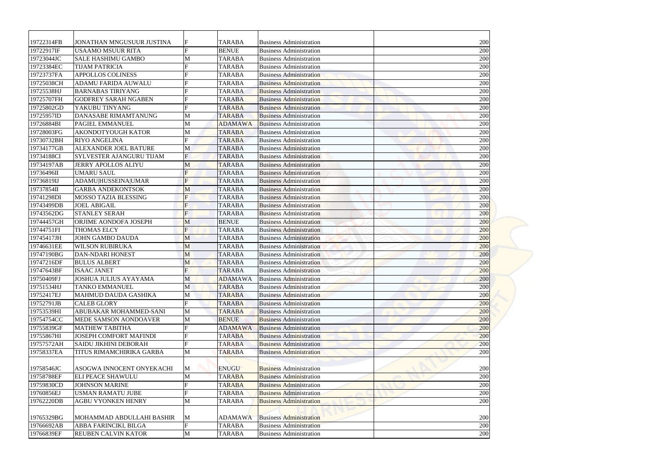| 200<br>19722314FB<br>F<br><b>TARABA</b><br><b>JONATHAN MNGUSUUR JUSTINA</b><br><b>Business Administration</b><br>19722917IF<br><b>BENUE</b><br>200<br><b>USAAMO MSUUR RITA</b><br><b>Business Administration</b><br>200<br>19723044JC<br><b>SALE HASHIMU GAMBO</b><br><b>TARABA</b><br>M<br><b>Business Administration</b><br>200<br>19723384EC<br><b>TIJAM PATRICIA</b><br>F<br><b>TARABA</b><br><b>Business Administration</b><br>19723737FA<br><b>APPOLLOS COLINESS</b><br><b>TARABA</b><br>200<br><b>Business Administration</b><br>19725038CH<br><b>ADAMU FARIDA AUWALU</b><br><b>TARABA</b><br><b>Business Administration</b><br>200<br>19725538HJ<br><b>BARNABAS TIRIYANG</b><br><b>TARABA</b><br>200<br><b>Business Administration</b><br>200<br>19725707FH<br><b>GODFREY SARAH NGABEN</b><br><b>TARABA</b><br><b>Business Administration</b><br>19725802GD<br>YAKUBU TINYANG<br>200<br><b>TARABA</b><br><b>Business Administration</b><br>200<br>19725957ID<br>DANASABE RIMAMTANUNG<br>M<br><b>TARABA</b><br><b>Business Administration</b><br>19726884BI<br><b>PAGIEL EMMANUEL</b><br><b>ADAMAWA</b><br><b>Business Administration</b><br>200<br>M<br>19728003FG<br><b>AKONDOTYOUGH KATOR</b><br>M<br>200<br><b>TARABA</b><br><b>Business Administration</b><br>$\mathbf F$<br>200<br>19730732BH<br><b>RIYO ANGELINA</b><br><b>TARABA</b><br><b>Business Administration</b><br>19734177GB<br><b>ALEXANDER JOEL BATURE</b><br>200<br>M<br><b>TARABA</b><br><b>Business Administration</b><br>$\mathbf F$<br>200<br>19734188CI<br>SYLVESTER AJANGURU TIJAM<br><b>TARABA</b><br><b>Business Administration</b><br>19734197AB<br><b>JERRY APOLLOS ALIYU</b><br>200<br>M<br><b>TARABA</b><br><b>Business Administration</b><br>F<br>19736496II<br><b>UMARU SAUL</b><br><b>TARABA</b><br>200<br><b>Business Administration</b><br>$\mathbf{F}$<br>19736819IJ<br><b>ADAMU HUSSEINA UMAR</b><br><b>TARABA</b><br>200<br><b>Business Administration</b><br>19737854II<br><b>TARABA</b><br>200<br><b>GARBA ANDEKONTSOK</b><br>M<br><b>Business Administration</b><br>19741298DI<br><b>MOSSO TAZIA BLESSING</b><br>$\mathbf F$<br>200<br><b>TARABA</b><br><b>Business Administration</b><br>F<br>19743499DB<br>200<br><b>JOEL ABIGAIL</b><br><b>TARABA</b><br><b>Business Administration</b><br>$\overline{F}$<br>200<br>19743562DG<br><b>STANLEY SERAH</b><br><b>TARABA</b><br><b>Business Administration</b><br>19744457GH<br>ORJIME AONDOFA JOSEPH<br><b>BENUE</b><br>200<br>M<br><b>Business Administration</b><br>$\mathbf F$<br>19744751FI<br><b>THOMAS ELCY</b><br><b>TARABA</b><br>200<br><b>Business Administration</b><br><b>JOHN GAMBO DAUDA</b><br><b>Business Administration</b><br>200<br>M<br><b>TARABA</b><br><b>WILSON RUBIRUKA</b><br>M<br><b>TARABA</b><br>200<br><b>Business Administration</b><br>M<br><b>DAN-NDARI HONEST</b><br><b>TARABA</b><br>200<br><b>Business Administration</b><br>200<br><b>BULUS ALBERT</b><br><b>TARABA</b><br>M<br><b>Business Administration</b><br>F<br>200<br><b>ISAAC JANET</b><br><b>TARABA</b><br><b>Business Administration</b><br><b>JOSHUA JULIUS AYAYAMA</b><br><b>ADAMAWA</b><br><b>Business Administration</b><br>200<br>M<br><b>TANKO EMMANUEL</b><br>M<br>200<br><b>TARABA</b><br><b>Business Administration</b><br>200<br>MAHMUD DAUDA GASHIKA<br><b>TARABA</b><br><b>Business Administration</b><br>M<br>200<br><b>CALEB GLORY</b><br><b>TARABA</b><br><b>Business Administration</b><br>ABUBAKAR MOHAMMED-SANI<br><b>TARABA</b><br>200<br>M<br><b>Business Administration</b><br><b>BENUE</b><br>200<br><b>MEDE SAMSON AONDOAVER</b><br>M<br><b>Business Administration</b><br><b>MATHEW TABITHA</b><br><b>ADAMAWA</b><br>200<br><b>Business Administration</b><br><b>JOSEPH COMFORT MAFINDI</b><br><b>TARABA</b><br>200<br><b>Business Administration</b><br>200<br><b>SAIDU JIKHINI DEBORAH</b><br><b>TARABA</b><br><b>Business Administration</b><br>TITUS RIMAMCHIRIKA GARBA<br>200<br>M<br><b>TARABA</b><br><b>Business Administration</b><br><b>ENUGU</b><br>ASOGWA INNOCENT ONYEKACHI<br>M<br><b>Business Administration</b><br>200<br><b>ELI PEACE SHAWULU</b><br>M<br><b>TARABA</b><br>200<br><b>Business Administration</b><br><b>JOHNSON MARINE</b><br><b>TARABA</b><br>200<br><b>Business Administration</b><br><b>USMAN RAMATU JUBE</b><br><b>TARABA</b><br><b>Business Administration</b><br>200<br><b>AGBU VYONKEN HENRY</b><br><b>TARABA</b><br>200<br>M<br><b>Business Administration</b><br>MOHAMMAD ABDULLAHI BASHIR<br><b>ADAMAWA</b><br><b>Business Administration</b><br>200<br>M<br>$\mathbf F$<br>ABBA FARINCIKI, BILGA<br><b>TARABA</b><br><b>Business Administration</b><br>200<br>M<br>REUBEN CALVIN KATOR<br><b>TARABA</b><br>200<br><b>Business Administration</b> |            |  |  |  |
|-------------------------------------------------------------------------------------------------------------------------------------------------------------------------------------------------------------------------------------------------------------------------------------------------------------------------------------------------------------------------------------------------------------------------------------------------------------------------------------------------------------------------------------------------------------------------------------------------------------------------------------------------------------------------------------------------------------------------------------------------------------------------------------------------------------------------------------------------------------------------------------------------------------------------------------------------------------------------------------------------------------------------------------------------------------------------------------------------------------------------------------------------------------------------------------------------------------------------------------------------------------------------------------------------------------------------------------------------------------------------------------------------------------------------------------------------------------------------------------------------------------------------------------------------------------------------------------------------------------------------------------------------------------------------------------------------------------------------------------------------------------------------------------------------------------------------------------------------------------------------------------------------------------------------------------------------------------------------------------------------------------------------------------------------------------------------------------------------------------------------------------------------------------------------------------------------------------------------------------------------------------------------------------------------------------------------------------------------------------------------------------------------------------------------------------------------------------------------------------------------------------------------------------------------------------------------------------------------------------------------------------------------------------------------------------------------------------------------------------------------------------------------------------------------------------------------------------------------------------------------------------------------------------------------------------------------------------------------------------------------------------------------------------------------------------------------------------------------------------------------------------------------------------------------------------------------------------------------------------------------------------------------------------------------------------------------------------------------------------------------------------------------------------------------------------------------------------------------------------------------------------------------------------------------------------------------------------------------------------------------------------------------------------------------------------------------------------------------------------------------------------------------------------------------------------------------------------------------------------------------------------------------------------------------------------------------------------------------------------------------------------------------------------------------------------------------------------------------------------------------------------------------------------------------------------------------------------------------------------------------------------------------------------------------------------------------------------------------------------------------------------------------------------------------------------------------------------------------------------------------------------------------------------------------------------------------------------------------------------------------------------------------------------------------------------------------------------------------------------------------------------------|------------|--|--|--|
|                                                                                                                                                                                                                                                                                                                                                                                                                                                                                                                                                                                                                                                                                                                                                                                                                                                                                                                                                                                                                                                                                                                                                                                                                                                                                                                                                                                                                                                                                                                                                                                                                                                                                                                                                                                                                                                                                                                                                                                                                                                                                                                                                                                                                                                                                                                                                                                                                                                                                                                                                                                                                                                                                                                                                                                                                                                                                                                                                                                                                                                                                                                                                                                                                                                                                                                                                                                                                                                                                                                                                                                                                                                                                                                                                                                                                                                                                                                                                                                                                                                                                                                                                                                                                                                                                                                                                                                                                                                                                                                                                                                                                                                                                                                                                                   |            |  |  |  |
|                                                                                                                                                                                                                                                                                                                                                                                                                                                                                                                                                                                                                                                                                                                                                                                                                                                                                                                                                                                                                                                                                                                                                                                                                                                                                                                                                                                                                                                                                                                                                                                                                                                                                                                                                                                                                                                                                                                                                                                                                                                                                                                                                                                                                                                                                                                                                                                                                                                                                                                                                                                                                                                                                                                                                                                                                                                                                                                                                                                                                                                                                                                                                                                                                                                                                                                                                                                                                                                                                                                                                                                                                                                                                                                                                                                                                                                                                                                                                                                                                                                                                                                                                                                                                                                                                                                                                                                                                                                                                                                                                                                                                                                                                                                                                                   |            |  |  |  |
|                                                                                                                                                                                                                                                                                                                                                                                                                                                                                                                                                                                                                                                                                                                                                                                                                                                                                                                                                                                                                                                                                                                                                                                                                                                                                                                                                                                                                                                                                                                                                                                                                                                                                                                                                                                                                                                                                                                                                                                                                                                                                                                                                                                                                                                                                                                                                                                                                                                                                                                                                                                                                                                                                                                                                                                                                                                                                                                                                                                                                                                                                                                                                                                                                                                                                                                                                                                                                                                                                                                                                                                                                                                                                                                                                                                                                                                                                                                                                                                                                                                                                                                                                                                                                                                                                                                                                                                                                                                                                                                                                                                                                                                                                                                                                                   |            |  |  |  |
|                                                                                                                                                                                                                                                                                                                                                                                                                                                                                                                                                                                                                                                                                                                                                                                                                                                                                                                                                                                                                                                                                                                                                                                                                                                                                                                                                                                                                                                                                                                                                                                                                                                                                                                                                                                                                                                                                                                                                                                                                                                                                                                                                                                                                                                                                                                                                                                                                                                                                                                                                                                                                                                                                                                                                                                                                                                                                                                                                                                                                                                                                                                                                                                                                                                                                                                                                                                                                                                                                                                                                                                                                                                                                                                                                                                                                                                                                                                                                                                                                                                                                                                                                                                                                                                                                                                                                                                                                                                                                                                                                                                                                                                                                                                                                                   |            |  |  |  |
|                                                                                                                                                                                                                                                                                                                                                                                                                                                                                                                                                                                                                                                                                                                                                                                                                                                                                                                                                                                                                                                                                                                                                                                                                                                                                                                                                                                                                                                                                                                                                                                                                                                                                                                                                                                                                                                                                                                                                                                                                                                                                                                                                                                                                                                                                                                                                                                                                                                                                                                                                                                                                                                                                                                                                                                                                                                                                                                                                                                                                                                                                                                                                                                                                                                                                                                                                                                                                                                                                                                                                                                                                                                                                                                                                                                                                                                                                                                                                                                                                                                                                                                                                                                                                                                                                                                                                                                                                                                                                                                                                                                                                                                                                                                                                                   |            |  |  |  |
|                                                                                                                                                                                                                                                                                                                                                                                                                                                                                                                                                                                                                                                                                                                                                                                                                                                                                                                                                                                                                                                                                                                                                                                                                                                                                                                                                                                                                                                                                                                                                                                                                                                                                                                                                                                                                                                                                                                                                                                                                                                                                                                                                                                                                                                                                                                                                                                                                                                                                                                                                                                                                                                                                                                                                                                                                                                                                                                                                                                                                                                                                                                                                                                                                                                                                                                                                                                                                                                                                                                                                                                                                                                                                                                                                                                                                                                                                                                                                                                                                                                                                                                                                                                                                                                                                                                                                                                                                                                                                                                                                                                                                                                                                                                                                                   |            |  |  |  |
|                                                                                                                                                                                                                                                                                                                                                                                                                                                                                                                                                                                                                                                                                                                                                                                                                                                                                                                                                                                                                                                                                                                                                                                                                                                                                                                                                                                                                                                                                                                                                                                                                                                                                                                                                                                                                                                                                                                                                                                                                                                                                                                                                                                                                                                                                                                                                                                                                                                                                                                                                                                                                                                                                                                                                                                                                                                                                                                                                                                                                                                                                                                                                                                                                                                                                                                                                                                                                                                                                                                                                                                                                                                                                                                                                                                                                                                                                                                                                                                                                                                                                                                                                                                                                                                                                                                                                                                                                                                                                                                                                                                                                                                                                                                                                                   |            |  |  |  |
|                                                                                                                                                                                                                                                                                                                                                                                                                                                                                                                                                                                                                                                                                                                                                                                                                                                                                                                                                                                                                                                                                                                                                                                                                                                                                                                                                                                                                                                                                                                                                                                                                                                                                                                                                                                                                                                                                                                                                                                                                                                                                                                                                                                                                                                                                                                                                                                                                                                                                                                                                                                                                                                                                                                                                                                                                                                                                                                                                                                                                                                                                                                                                                                                                                                                                                                                                                                                                                                                                                                                                                                                                                                                                                                                                                                                                                                                                                                                                                                                                                                                                                                                                                                                                                                                                                                                                                                                                                                                                                                                                                                                                                                                                                                                                                   |            |  |  |  |
|                                                                                                                                                                                                                                                                                                                                                                                                                                                                                                                                                                                                                                                                                                                                                                                                                                                                                                                                                                                                                                                                                                                                                                                                                                                                                                                                                                                                                                                                                                                                                                                                                                                                                                                                                                                                                                                                                                                                                                                                                                                                                                                                                                                                                                                                                                                                                                                                                                                                                                                                                                                                                                                                                                                                                                                                                                                                                                                                                                                                                                                                                                                                                                                                                                                                                                                                                                                                                                                                                                                                                                                                                                                                                                                                                                                                                                                                                                                                                                                                                                                                                                                                                                                                                                                                                                                                                                                                                                                                                                                                                                                                                                                                                                                                                                   |            |  |  |  |
|                                                                                                                                                                                                                                                                                                                                                                                                                                                                                                                                                                                                                                                                                                                                                                                                                                                                                                                                                                                                                                                                                                                                                                                                                                                                                                                                                                                                                                                                                                                                                                                                                                                                                                                                                                                                                                                                                                                                                                                                                                                                                                                                                                                                                                                                                                                                                                                                                                                                                                                                                                                                                                                                                                                                                                                                                                                                                                                                                                                                                                                                                                                                                                                                                                                                                                                                                                                                                                                                                                                                                                                                                                                                                                                                                                                                                                                                                                                                                                                                                                                                                                                                                                                                                                                                                                                                                                                                                                                                                                                                                                                                                                                                                                                                                                   |            |  |  |  |
|                                                                                                                                                                                                                                                                                                                                                                                                                                                                                                                                                                                                                                                                                                                                                                                                                                                                                                                                                                                                                                                                                                                                                                                                                                                                                                                                                                                                                                                                                                                                                                                                                                                                                                                                                                                                                                                                                                                                                                                                                                                                                                                                                                                                                                                                                                                                                                                                                                                                                                                                                                                                                                                                                                                                                                                                                                                                                                                                                                                                                                                                                                                                                                                                                                                                                                                                                                                                                                                                                                                                                                                                                                                                                                                                                                                                                                                                                                                                                                                                                                                                                                                                                                                                                                                                                                                                                                                                                                                                                                                                                                                                                                                                                                                                                                   |            |  |  |  |
|                                                                                                                                                                                                                                                                                                                                                                                                                                                                                                                                                                                                                                                                                                                                                                                                                                                                                                                                                                                                                                                                                                                                                                                                                                                                                                                                                                                                                                                                                                                                                                                                                                                                                                                                                                                                                                                                                                                                                                                                                                                                                                                                                                                                                                                                                                                                                                                                                                                                                                                                                                                                                                                                                                                                                                                                                                                                                                                                                                                                                                                                                                                                                                                                                                                                                                                                                                                                                                                                                                                                                                                                                                                                                                                                                                                                                                                                                                                                                                                                                                                                                                                                                                                                                                                                                                                                                                                                                                                                                                                                                                                                                                                                                                                                                                   |            |  |  |  |
|                                                                                                                                                                                                                                                                                                                                                                                                                                                                                                                                                                                                                                                                                                                                                                                                                                                                                                                                                                                                                                                                                                                                                                                                                                                                                                                                                                                                                                                                                                                                                                                                                                                                                                                                                                                                                                                                                                                                                                                                                                                                                                                                                                                                                                                                                                                                                                                                                                                                                                                                                                                                                                                                                                                                                                                                                                                                                                                                                                                                                                                                                                                                                                                                                                                                                                                                                                                                                                                                                                                                                                                                                                                                                                                                                                                                                                                                                                                                                                                                                                                                                                                                                                                                                                                                                                                                                                                                                                                                                                                                                                                                                                                                                                                                                                   |            |  |  |  |
|                                                                                                                                                                                                                                                                                                                                                                                                                                                                                                                                                                                                                                                                                                                                                                                                                                                                                                                                                                                                                                                                                                                                                                                                                                                                                                                                                                                                                                                                                                                                                                                                                                                                                                                                                                                                                                                                                                                                                                                                                                                                                                                                                                                                                                                                                                                                                                                                                                                                                                                                                                                                                                                                                                                                                                                                                                                                                                                                                                                                                                                                                                                                                                                                                                                                                                                                                                                                                                                                                                                                                                                                                                                                                                                                                                                                                                                                                                                                                                                                                                                                                                                                                                                                                                                                                                                                                                                                                                                                                                                                                                                                                                                                                                                                                                   |            |  |  |  |
|                                                                                                                                                                                                                                                                                                                                                                                                                                                                                                                                                                                                                                                                                                                                                                                                                                                                                                                                                                                                                                                                                                                                                                                                                                                                                                                                                                                                                                                                                                                                                                                                                                                                                                                                                                                                                                                                                                                                                                                                                                                                                                                                                                                                                                                                                                                                                                                                                                                                                                                                                                                                                                                                                                                                                                                                                                                                                                                                                                                                                                                                                                                                                                                                                                                                                                                                                                                                                                                                                                                                                                                                                                                                                                                                                                                                                                                                                                                                                                                                                                                                                                                                                                                                                                                                                                                                                                                                                                                                                                                                                                                                                                                                                                                                                                   |            |  |  |  |
|                                                                                                                                                                                                                                                                                                                                                                                                                                                                                                                                                                                                                                                                                                                                                                                                                                                                                                                                                                                                                                                                                                                                                                                                                                                                                                                                                                                                                                                                                                                                                                                                                                                                                                                                                                                                                                                                                                                                                                                                                                                                                                                                                                                                                                                                                                                                                                                                                                                                                                                                                                                                                                                                                                                                                                                                                                                                                                                                                                                                                                                                                                                                                                                                                                                                                                                                                                                                                                                                                                                                                                                                                                                                                                                                                                                                                                                                                                                                                                                                                                                                                                                                                                                                                                                                                                                                                                                                                                                                                                                                                                                                                                                                                                                                                                   |            |  |  |  |
|                                                                                                                                                                                                                                                                                                                                                                                                                                                                                                                                                                                                                                                                                                                                                                                                                                                                                                                                                                                                                                                                                                                                                                                                                                                                                                                                                                                                                                                                                                                                                                                                                                                                                                                                                                                                                                                                                                                                                                                                                                                                                                                                                                                                                                                                                                                                                                                                                                                                                                                                                                                                                                                                                                                                                                                                                                                                                                                                                                                                                                                                                                                                                                                                                                                                                                                                                                                                                                                                                                                                                                                                                                                                                                                                                                                                                                                                                                                                                                                                                                                                                                                                                                                                                                                                                                                                                                                                                                                                                                                                                                                                                                                                                                                                                                   |            |  |  |  |
|                                                                                                                                                                                                                                                                                                                                                                                                                                                                                                                                                                                                                                                                                                                                                                                                                                                                                                                                                                                                                                                                                                                                                                                                                                                                                                                                                                                                                                                                                                                                                                                                                                                                                                                                                                                                                                                                                                                                                                                                                                                                                                                                                                                                                                                                                                                                                                                                                                                                                                                                                                                                                                                                                                                                                                                                                                                                                                                                                                                                                                                                                                                                                                                                                                                                                                                                                                                                                                                                                                                                                                                                                                                                                                                                                                                                                                                                                                                                                                                                                                                                                                                                                                                                                                                                                                                                                                                                                                                                                                                                                                                                                                                                                                                                                                   |            |  |  |  |
|                                                                                                                                                                                                                                                                                                                                                                                                                                                                                                                                                                                                                                                                                                                                                                                                                                                                                                                                                                                                                                                                                                                                                                                                                                                                                                                                                                                                                                                                                                                                                                                                                                                                                                                                                                                                                                                                                                                                                                                                                                                                                                                                                                                                                                                                                                                                                                                                                                                                                                                                                                                                                                                                                                                                                                                                                                                                                                                                                                                                                                                                                                                                                                                                                                                                                                                                                                                                                                                                                                                                                                                                                                                                                                                                                                                                                                                                                                                                                                                                                                                                                                                                                                                                                                                                                                                                                                                                                                                                                                                                                                                                                                                                                                                                                                   |            |  |  |  |
|                                                                                                                                                                                                                                                                                                                                                                                                                                                                                                                                                                                                                                                                                                                                                                                                                                                                                                                                                                                                                                                                                                                                                                                                                                                                                                                                                                                                                                                                                                                                                                                                                                                                                                                                                                                                                                                                                                                                                                                                                                                                                                                                                                                                                                                                                                                                                                                                                                                                                                                                                                                                                                                                                                                                                                                                                                                                                                                                                                                                                                                                                                                                                                                                                                                                                                                                                                                                                                                                                                                                                                                                                                                                                                                                                                                                                                                                                                                                                                                                                                                                                                                                                                                                                                                                                                                                                                                                                                                                                                                                                                                                                                                                                                                                                                   |            |  |  |  |
|                                                                                                                                                                                                                                                                                                                                                                                                                                                                                                                                                                                                                                                                                                                                                                                                                                                                                                                                                                                                                                                                                                                                                                                                                                                                                                                                                                                                                                                                                                                                                                                                                                                                                                                                                                                                                                                                                                                                                                                                                                                                                                                                                                                                                                                                                                                                                                                                                                                                                                                                                                                                                                                                                                                                                                                                                                                                                                                                                                                                                                                                                                                                                                                                                                                                                                                                                                                                                                                                                                                                                                                                                                                                                                                                                                                                                                                                                                                                                                                                                                                                                                                                                                                                                                                                                                                                                                                                                                                                                                                                                                                                                                                                                                                                                                   |            |  |  |  |
|                                                                                                                                                                                                                                                                                                                                                                                                                                                                                                                                                                                                                                                                                                                                                                                                                                                                                                                                                                                                                                                                                                                                                                                                                                                                                                                                                                                                                                                                                                                                                                                                                                                                                                                                                                                                                                                                                                                                                                                                                                                                                                                                                                                                                                                                                                                                                                                                                                                                                                                                                                                                                                                                                                                                                                                                                                                                                                                                                                                                                                                                                                                                                                                                                                                                                                                                                                                                                                                                                                                                                                                                                                                                                                                                                                                                                                                                                                                                                                                                                                                                                                                                                                                                                                                                                                                                                                                                                                                                                                                                                                                                                                                                                                                                                                   |            |  |  |  |
|                                                                                                                                                                                                                                                                                                                                                                                                                                                                                                                                                                                                                                                                                                                                                                                                                                                                                                                                                                                                                                                                                                                                                                                                                                                                                                                                                                                                                                                                                                                                                                                                                                                                                                                                                                                                                                                                                                                                                                                                                                                                                                                                                                                                                                                                                                                                                                                                                                                                                                                                                                                                                                                                                                                                                                                                                                                                                                                                                                                                                                                                                                                                                                                                                                                                                                                                                                                                                                                                                                                                                                                                                                                                                                                                                                                                                                                                                                                                                                                                                                                                                                                                                                                                                                                                                                                                                                                                                                                                                                                                                                                                                                                                                                                                                                   |            |  |  |  |
|                                                                                                                                                                                                                                                                                                                                                                                                                                                                                                                                                                                                                                                                                                                                                                                                                                                                                                                                                                                                                                                                                                                                                                                                                                                                                                                                                                                                                                                                                                                                                                                                                                                                                                                                                                                                                                                                                                                                                                                                                                                                                                                                                                                                                                                                                                                                                                                                                                                                                                                                                                                                                                                                                                                                                                                                                                                                                                                                                                                                                                                                                                                                                                                                                                                                                                                                                                                                                                                                                                                                                                                                                                                                                                                                                                                                                                                                                                                                                                                                                                                                                                                                                                                                                                                                                                                                                                                                                                                                                                                                                                                                                                                                                                                                                                   |            |  |  |  |
|                                                                                                                                                                                                                                                                                                                                                                                                                                                                                                                                                                                                                                                                                                                                                                                                                                                                                                                                                                                                                                                                                                                                                                                                                                                                                                                                                                                                                                                                                                                                                                                                                                                                                                                                                                                                                                                                                                                                                                                                                                                                                                                                                                                                                                                                                                                                                                                                                                                                                                                                                                                                                                                                                                                                                                                                                                                                                                                                                                                                                                                                                                                                                                                                                                                                                                                                                                                                                                                                                                                                                                                                                                                                                                                                                                                                                                                                                                                                                                                                                                                                                                                                                                                                                                                                                                                                                                                                                                                                                                                                                                                                                                                                                                                                                                   |            |  |  |  |
|                                                                                                                                                                                                                                                                                                                                                                                                                                                                                                                                                                                                                                                                                                                                                                                                                                                                                                                                                                                                                                                                                                                                                                                                                                                                                                                                                                                                                                                                                                                                                                                                                                                                                                                                                                                                                                                                                                                                                                                                                                                                                                                                                                                                                                                                                                                                                                                                                                                                                                                                                                                                                                                                                                                                                                                                                                                                                                                                                                                                                                                                                                                                                                                                                                                                                                                                                                                                                                                                                                                                                                                                                                                                                                                                                                                                                                                                                                                                                                                                                                                                                                                                                                                                                                                                                                                                                                                                                                                                                                                                                                                                                                                                                                                                                                   |            |  |  |  |
|                                                                                                                                                                                                                                                                                                                                                                                                                                                                                                                                                                                                                                                                                                                                                                                                                                                                                                                                                                                                                                                                                                                                                                                                                                                                                                                                                                                                                                                                                                                                                                                                                                                                                                                                                                                                                                                                                                                                                                                                                                                                                                                                                                                                                                                                                                                                                                                                                                                                                                                                                                                                                                                                                                                                                                                                                                                                                                                                                                                                                                                                                                                                                                                                                                                                                                                                                                                                                                                                                                                                                                                                                                                                                                                                                                                                                                                                                                                                                                                                                                                                                                                                                                                                                                                                                                                                                                                                                                                                                                                                                                                                                                                                                                                                                                   |            |  |  |  |
|                                                                                                                                                                                                                                                                                                                                                                                                                                                                                                                                                                                                                                                                                                                                                                                                                                                                                                                                                                                                                                                                                                                                                                                                                                                                                                                                                                                                                                                                                                                                                                                                                                                                                                                                                                                                                                                                                                                                                                                                                                                                                                                                                                                                                                                                                                                                                                                                                                                                                                                                                                                                                                                                                                                                                                                                                                                                                                                                                                                                                                                                                                                                                                                                                                                                                                                                                                                                                                                                                                                                                                                                                                                                                                                                                                                                                                                                                                                                                                                                                                                                                                                                                                                                                                                                                                                                                                                                                                                                                                                                                                                                                                                                                                                                                                   | 19745417JH |  |  |  |
|                                                                                                                                                                                                                                                                                                                                                                                                                                                                                                                                                                                                                                                                                                                                                                                                                                                                                                                                                                                                                                                                                                                                                                                                                                                                                                                                                                                                                                                                                                                                                                                                                                                                                                                                                                                                                                                                                                                                                                                                                                                                                                                                                                                                                                                                                                                                                                                                                                                                                                                                                                                                                                                                                                                                                                                                                                                                                                                                                                                                                                                                                                                                                                                                                                                                                                                                                                                                                                                                                                                                                                                                                                                                                                                                                                                                                                                                                                                                                                                                                                                                                                                                                                                                                                                                                                                                                                                                                                                                                                                                                                                                                                                                                                                                                                   | 19746631EE |  |  |  |
|                                                                                                                                                                                                                                                                                                                                                                                                                                                                                                                                                                                                                                                                                                                                                                                                                                                                                                                                                                                                                                                                                                                                                                                                                                                                                                                                                                                                                                                                                                                                                                                                                                                                                                                                                                                                                                                                                                                                                                                                                                                                                                                                                                                                                                                                                                                                                                                                                                                                                                                                                                                                                                                                                                                                                                                                                                                                                                                                                                                                                                                                                                                                                                                                                                                                                                                                                                                                                                                                                                                                                                                                                                                                                                                                                                                                                                                                                                                                                                                                                                                                                                                                                                                                                                                                                                                                                                                                                                                                                                                                                                                                                                                                                                                                                                   | 19747190BG |  |  |  |
|                                                                                                                                                                                                                                                                                                                                                                                                                                                                                                                                                                                                                                                                                                                                                                                                                                                                                                                                                                                                                                                                                                                                                                                                                                                                                                                                                                                                                                                                                                                                                                                                                                                                                                                                                                                                                                                                                                                                                                                                                                                                                                                                                                                                                                                                                                                                                                                                                                                                                                                                                                                                                                                                                                                                                                                                                                                                                                                                                                                                                                                                                                                                                                                                                                                                                                                                                                                                                                                                                                                                                                                                                                                                                                                                                                                                                                                                                                                                                                                                                                                                                                                                                                                                                                                                                                                                                                                                                                                                                                                                                                                                                                                                                                                                                                   | 19747216DF |  |  |  |
|                                                                                                                                                                                                                                                                                                                                                                                                                                                                                                                                                                                                                                                                                                                                                                                                                                                                                                                                                                                                                                                                                                                                                                                                                                                                                                                                                                                                                                                                                                                                                                                                                                                                                                                                                                                                                                                                                                                                                                                                                                                                                                                                                                                                                                                                                                                                                                                                                                                                                                                                                                                                                                                                                                                                                                                                                                                                                                                                                                                                                                                                                                                                                                                                                                                                                                                                                                                                                                                                                                                                                                                                                                                                                                                                                                                                                                                                                                                                                                                                                                                                                                                                                                                                                                                                                                                                                                                                                                                                                                                                                                                                                                                                                                                                                                   | 19747643BF |  |  |  |
|                                                                                                                                                                                                                                                                                                                                                                                                                                                                                                                                                                                                                                                                                                                                                                                                                                                                                                                                                                                                                                                                                                                                                                                                                                                                                                                                                                                                                                                                                                                                                                                                                                                                                                                                                                                                                                                                                                                                                                                                                                                                                                                                                                                                                                                                                                                                                                                                                                                                                                                                                                                                                                                                                                                                                                                                                                                                                                                                                                                                                                                                                                                                                                                                                                                                                                                                                                                                                                                                                                                                                                                                                                                                                                                                                                                                                                                                                                                                                                                                                                                                                                                                                                                                                                                                                                                                                                                                                                                                                                                                                                                                                                                                                                                                                                   | 19750409FJ |  |  |  |
|                                                                                                                                                                                                                                                                                                                                                                                                                                                                                                                                                                                                                                                                                                                                                                                                                                                                                                                                                                                                                                                                                                                                                                                                                                                                                                                                                                                                                                                                                                                                                                                                                                                                                                                                                                                                                                                                                                                                                                                                                                                                                                                                                                                                                                                                                                                                                                                                                                                                                                                                                                                                                                                                                                                                                                                                                                                                                                                                                                                                                                                                                                                                                                                                                                                                                                                                                                                                                                                                                                                                                                                                                                                                                                                                                                                                                                                                                                                                                                                                                                                                                                                                                                                                                                                                                                                                                                                                                                                                                                                                                                                                                                                                                                                                                                   | 19751534HJ |  |  |  |
|                                                                                                                                                                                                                                                                                                                                                                                                                                                                                                                                                                                                                                                                                                                                                                                                                                                                                                                                                                                                                                                                                                                                                                                                                                                                                                                                                                                                                                                                                                                                                                                                                                                                                                                                                                                                                                                                                                                                                                                                                                                                                                                                                                                                                                                                                                                                                                                                                                                                                                                                                                                                                                                                                                                                                                                                                                                                                                                                                                                                                                                                                                                                                                                                                                                                                                                                                                                                                                                                                                                                                                                                                                                                                                                                                                                                                                                                                                                                                                                                                                                                                                                                                                                                                                                                                                                                                                                                                                                                                                                                                                                                                                                                                                                                                                   | 19752417EJ |  |  |  |
|                                                                                                                                                                                                                                                                                                                                                                                                                                                                                                                                                                                                                                                                                                                                                                                                                                                                                                                                                                                                                                                                                                                                                                                                                                                                                                                                                                                                                                                                                                                                                                                                                                                                                                                                                                                                                                                                                                                                                                                                                                                                                                                                                                                                                                                                                                                                                                                                                                                                                                                                                                                                                                                                                                                                                                                                                                                                                                                                                                                                                                                                                                                                                                                                                                                                                                                                                                                                                                                                                                                                                                                                                                                                                                                                                                                                                                                                                                                                                                                                                                                                                                                                                                                                                                                                                                                                                                                                                                                                                                                                                                                                                                                                                                                                                                   | 19752791JB |  |  |  |
|                                                                                                                                                                                                                                                                                                                                                                                                                                                                                                                                                                                                                                                                                                                                                                                                                                                                                                                                                                                                                                                                                                                                                                                                                                                                                                                                                                                                                                                                                                                                                                                                                                                                                                                                                                                                                                                                                                                                                                                                                                                                                                                                                                                                                                                                                                                                                                                                                                                                                                                                                                                                                                                                                                                                                                                                                                                                                                                                                                                                                                                                                                                                                                                                                                                                                                                                                                                                                                                                                                                                                                                                                                                                                                                                                                                                                                                                                                                                                                                                                                                                                                                                                                                                                                                                                                                                                                                                                                                                                                                                                                                                                                                                                                                                                                   | 19753539HI |  |  |  |
|                                                                                                                                                                                                                                                                                                                                                                                                                                                                                                                                                                                                                                                                                                                                                                                                                                                                                                                                                                                                                                                                                                                                                                                                                                                                                                                                                                                                                                                                                                                                                                                                                                                                                                                                                                                                                                                                                                                                                                                                                                                                                                                                                                                                                                                                                                                                                                                                                                                                                                                                                                                                                                                                                                                                                                                                                                                                                                                                                                                                                                                                                                                                                                                                                                                                                                                                                                                                                                                                                                                                                                                                                                                                                                                                                                                                                                                                                                                                                                                                                                                                                                                                                                                                                                                                                                                                                                                                                                                                                                                                                                                                                                                                                                                                                                   | 19754754CC |  |  |  |
|                                                                                                                                                                                                                                                                                                                                                                                                                                                                                                                                                                                                                                                                                                                                                                                                                                                                                                                                                                                                                                                                                                                                                                                                                                                                                                                                                                                                                                                                                                                                                                                                                                                                                                                                                                                                                                                                                                                                                                                                                                                                                                                                                                                                                                                                                                                                                                                                                                                                                                                                                                                                                                                                                                                                                                                                                                                                                                                                                                                                                                                                                                                                                                                                                                                                                                                                                                                                                                                                                                                                                                                                                                                                                                                                                                                                                                                                                                                                                                                                                                                                                                                                                                                                                                                                                                                                                                                                                                                                                                                                                                                                                                                                                                                                                                   | 19755839GF |  |  |  |
|                                                                                                                                                                                                                                                                                                                                                                                                                                                                                                                                                                                                                                                                                                                                                                                                                                                                                                                                                                                                                                                                                                                                                                                                                                                                                                                                                                                                                                                                                                                                                                                                                                                                                                                                                                                                                                                                                                                                                                                                                                                                                                                                                                                                                                                                                                                                                                                                                                                                                                                                                                                                                                                                                                                                                                                                                                                                                                                                                                                                                                                                                                                                                                                                                                                                                                                                                                                                                                                                                                                                                                                                                                                                                                                                                                                                                                                                                                                                                                                                                                                                                                                                                                                                                                                                                                                                                                                                                                                                                                                                                                                                                                                                                                                                                                   | 19755867HI |  |  |  |
|                                                                                                                                                                                                                                                                                                                                                                                                                                                                                                                                                                                                                                                                                                                                                                                                                                                                                                                                                                                                                                                                                                                                                                                                                                                                                                                                                                                                                                                                                                                                                                                                                                                                                                                                                                                                                                                                                                                                                                                                                                                                                                                                                                                                                                                                                                                                                                                                                                                                                                                                                                                                                                                                                                                                                                                                                                                                                                                                                                                                                                                                                                                                                                                                                                                                                                                                                                                                                                                                                                                                                                                                                                                                                                                                                                                                                                                                                                                                                                                                                                                                                                                                                                                                                                                                                                                                                                                                                                                                                                                                                                                                                                                                                                                                                                   | 19757572AH |  |  |  |
|                                                                                                                                                                                                                                                                                                                                                                                                                                                                                                                                                                                                                                                                                                                                                                                                                                                                                                                                                                                                                                                                                                                                                                                                                                                                                                                                                                                                                                                                                                                                                                                                                                                                                                                                                                                                                                                                                                                                                                                                                                                                                                                                                                                                                                                                                                                                                                                                                                                                                                                                                                                                                                                                                                                                                                                                                                                                                                                                                                                                                                                                                                                                                                                                                                                                                                                                                                                                                                                                                                                                                                                                                                                                                                                                                                                                                                                                                                                                                                                                                                                                                                                                                                                                                                                                                                                                                                                                                                                                                                                                                                                                                                                                                                                                                                   | 19758337EA |  |  |  |
|                                                                                                                                                                                                                                                                                                                                                                                                                                                                                                                                                                                                                                                                                                                                                                                                                                                                                                                                                                                                                                                                                                                                                                                                                                                                                                                                                                                                                                                                                                                                                                                                                                                                                                                                                                                                                                                                                                                                                                                                                                                                                                                                                                                                                                                                                                                                                                                                                                                                                                                                                                                                                                                                                                                                                                                                                                                                                                                                                                                                                                                                                                                                                                                                                                                                                                                                                                                                                                                                                                                                                                                                                                                                                                                                                                                                                                                                                                                                                                                                                                                                                                                                                                                                                                                                                                                                                                                                                                                                                                                                                                                                                                                                                                                                                                   |            |  |  |  |
|                                                                                                                                                                                                                                                                                                                                                                                                                                                                                                                                                                                                                                                                                                                                                                                                                                                                                                                                                                                                                                                                                                                                                                                                                                                                                                                                                                                                                                                                                                                                                                                                                                                                                                                                                                                                                                                                                                                                                                                                                                                                                                                                                                                                                                                                                                                                                                                                                                                                                                                                                                                                                                                                                                                                                                                                                                                                                                                                                                                                                                                                                                                                                                                                                                                                                                                                                                                                                                                                                                                                                                                                                                                                                                                                                                                                                                                                                                                                                                                                                                                                                                                                                                                                                                                                                                                                                                                                                                                                                                                                                                                                                                                                                                                                                                   | 19758546JC |  |  |  |
|                                                                                                                                                                                                                                                                                                                                                                                                                                                                                                                                                                                                                                                                                                                                                                                                                                                                                                                                                                                                                                                                                                                                                                                                                                                                                                                                                                                                                                                                                                                                                                                                                                                                                                                                                                                                                                                                                                                                                                                                                                                                                                                                                                                                                                                                                                                                                                                                                                                                                                                                                                                                                                                                                                                                                                                                                                                                                                                                                                                                                                                                                                                                                                                                                                                                                                                                                                                                                                                                                                                                                                                                                                                                                                                                                                                                                                                                                                                                                                                                                                                                                                                                                                                                                                                                                                                                                                                                                                                                                                                                                                                                                                                                                                                                                                   | 19758788EF |  |  |  |
|                                                                                                                                                                                                                                                                                                                                                                                                                                                                                                                                                                                                                                                                                                                                                                                                                                                                                                                                                                                                                                                                                                                                                                                                                                                                                                                                                                                                                                                                                                                                                                                                                                                                                                                                                                                                                                                                                                                                                                                                                                                                                                                                                                                                                                                                                                                                                                                                                                                                                                                                                                                                                                                                                                                                                                                                                                                                                                                                                                                                                                                                                                                                                                                                                                                                                                                                                                                                                                                                                                                                                                                                                                                                                                                                                                                                                                                                                                                                                                                                                                                                                                                                                                                                                                                                                                                                                                                                                                                                                                                                                                                                                                                                                                                                                                   | 19759830CD |  |  |  |
|                                                                                                                                                                                                                                                                                                                                                                                                                                                                                                                                                                                                                                                                                                                                                                                                                                                                                                                                                                                                                                                                                                                                                                                                                                                                                                                                                                                                                                                                                                                                                                                                                                                                                                                                                                                                                                                                                                                                                                                                                                                                                                                                                                                                                                                                                                                                                                                                                                                                                                                                                                                                                                                                                                                                                                                                                                                                                                                                                                                                                                                                                                                                                                                                                                                                                                                                                                                                                                                                                                                                                                                                                                                                                                                                                                                                                                                                                                                                                                                                                                                                                                                                                                                                                                                                                                                                                                                                                                                                                                                                                                                                                                                                                                                                                                   | 19760856EJ |  |  |  |
|                                                                                                                                                                                                                                                                                                                                                                                                                                                                                                                                                                                                                                                                                                                                                                                                                                                                                                                                                                                                                                                                                                                                                                                                                                                                                                                                                                                                                                                                                                                                                                                                                                                                                                                                                                                                                                                                                                                                                                                                                                                                                                                                                                                                                                                                                                                                                                                                                                                                                                                                                                                                                                                                                                                                                                                                                                                                                                                                                                                                                                                                                                                                                                                                                                                                                                                                                                                                                                                                                                                                                                                                                                                                                                                                                                                                                                                                                                                                                                                                                                                                                                                                                                                                                                                                                                                                                                                                                                                                                                                                                                                                                                                                                                                                                                   | 19762220DB |  |  |  |
|                                                                                                                                                                                                                                                                                                                                                                                                                                                                                                                                                                                                                                                                                                                                                                                                                                                                                                                                                                                                                                                                                                                                                                                                                                                                                                                                                                                                                                                                                                                                                                                                                                                                                                                                                                                                                                                                                                                                                                                                                                                                                                                                                                                                                                                                                                                                                                                                                                                                                                                                                                                                                                                                                                                                                                                                                                                                                                                                                                                                                                                                                                                                                                                                                                                                                                                                                                                                                                                                                                                                                                                                                                                                                                                                                                                                                                                                                                                                                                                                                                                                                                                                                                                                                                                                                                                                                                                                                                                                                                                                                                                                                                                                                                                                                                   | 19765329BG |  |  |  |
|                                                                                                                                                                                                                                                                                                                                                                                                                                                                                                                                                                                                                                                                                                                                                                                                                                                                                                                                                                                                                                                                                                                                                                                                                                                                                                                                                                                                                                                                                                                                                                                                                                                                                                                                                                                                                                                                                                                                                                                                                                                                                                                                                                                                                                                                                                                                                                                                                                                                                                                                                                                                                                                                                                                                                                                                                                                                                                                                                                                                                                                                                                                                                                                                                                                                                                                                                                                                                                                                                                                                                                                                                                                                                                                                                                                                                                                                                                                                                                                                                                                                                                                                                                                                                                                                                                                                                                                                                                                                                                                                                                                                                                                                                                                                                                   | 19766692AB |  |  |  |
|                                                                                                                                                                                                                                                                                                                                                                                                                                                                                                                                                                                                                                                                                                                                                                                                                                                                                                                                                                                                                                                                                                                                                                                                                                                                                                                                                                                                                                                                                                                                                                                                                                                                                                                                                                                                                                                                                                                                                                                                                                                                                                                                                                                                                                                                                                                                                                                                                                                                                                                                                                                                                                                                                                                                                                                                                                                                                                                                                                                                                                                                                                                                                                                                                                                                                                                                                                                                                                                                                                                                                                                                                                                                                                                                                                                                                                                                                                                                                                                                                                                                                                                                                                                                                                                                                                                                                                                                                                                                                                                                                                                                                                                                                                                                                                   | 19766839EF |  |  |  |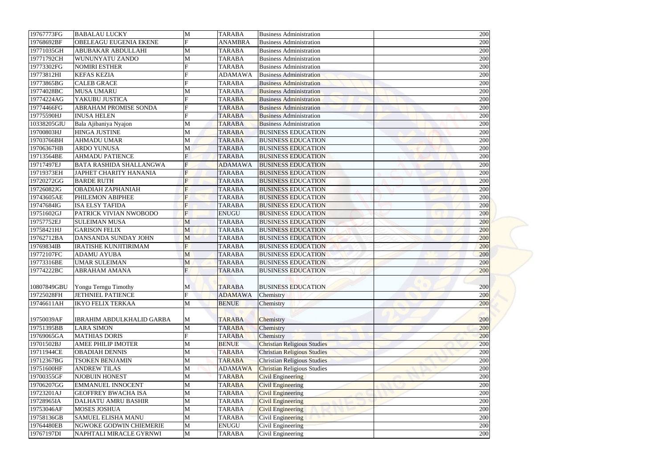| 19767773FG<br><b>TARABA</b><br><b>BABALAU LUCKY</b><br>M<br><b>Business Administration</b>                        | 200 |
|-------------------------------------------------------------------------------------------------------------------|-----|
| F<br>19768692BF<br>OBELEAGU EUGENIA EKENE<br><b>ANAMBRA</b><br><b>Business Administration</b>                     | 200 |
| 19771035GH<br><b>ABUBAKAR ABDULLAHI</b><br>M<br><b>TARABA</b><br><b>Business Administration</b>                   | 200 |
| 19771792CH<br><b>WUNUNYATU ZANDO</b><br>M<br><b>TARABA</b><br><b>Business Administration</b>                      | 200 |
| 19773302FG<br><b>NOMIRI ESTHER</b><br>F<br><b>TARABA</b><br><b>Business Administration</b>                        | 200 |
| 19773812HI<br><b>KEFAS KEZIA</b><br><b>ADAMAWA</b><br><b>Business Administration</b>                              | 200 |
| F<br>19773865BG<br><b>CALEB GRACE</b><br><b>TARABA</b><br><b>Business Administration</b>                          | 200 |
| 19774028BC<br><b>MUSA UMARU</b><br>M<br><b>TARABA</b><br><b>Business Administration</b>                           | 200 |
| 19774224AG<br>YAKUBU JUSTICA<br><b>TARABA</b><br><b>Business Administration</b>                                   | 200 |
| 19774466FG<br><b>ABRAHAM PROMISE SONDA</b><br><b>TARABA</b><br><b>Business Administration</b>                     | 200 |
| $\mathbf F$<br>19775590HJ<br><b>INUSA HELEN</b><br><b>TARABA</b><br><b>Business Administration</b>                | 200 |
| 10338205GIU<br>M<br><b>TARABA</b><br><b>Business Administration</b>                                               | 200 |
| Bala Ajibaniya Nyajon<br>19700803HJ<br><b>HINGA JUSTINE</b><br>M<br><b>BUSINESS EDUCATION</b><br><b>TARABA</b>    | 200 |
| 19703766BH<br><b>AHMADU UMAR</b><br>M<br><b>TARABA</b><br><b>BUSINESS EDUCATION</b>                               | 200 |
| <b>ARDO YUNUSA</b><br>M<br><b>BUSINESS EDUCATION</b><br>19706367HB<br><b>TARABA</b>                               | 200 |
| <b>AHMADU PATIENCE</b><br><b>TARABA</b><br><b>BUSINESS EDUCATION</b>                                              | 200 |
| 19713564BE<br>19717497EJ<br><b>BATA RASHIDA SHALLANGWA</b><br>F<br><b>ADAMAWA</b><br><b>BUSINESS EDUCATION</b>    | 200 |
| 19719373EH<br><b>JAPHET CHARITY HANANIA</b><br><b>BUSINESS EDUCATION</b><br>$\mathbf{F}$<br><b>TARABA</b>         | 200 |
| F<br>19720272GG<br><b>BARDE RUTH</b><br><b>TARABA</b><br><b>BUSINESS EDUCATION</b>                                | 200 |
| 19726082JG<br><b>OBADIAH ZAPHANIAH</b><br>$\overline{F}$<br><b>TARABA</b><br><b>BUSINESS EDUCATION</b>            | 200 |
| 19743605AE<br>PHILEMON ABIPHEE<br>F<br><b>BUSINESS EDUCATION</b><br><b>TARABA</b>                                 | 200 |
| <b>ISA ELSY TAFIDA</b><br><b>BUSINESS EDUCATION</b>                                                               |     |
| 19747684IG<br><b>TARABA</b>                                                                                       | 200 |
| $\overline{F}$<br>19751602GJ<br>PATRICK VIVIAN NWOBODO<br><b>ENUGU</b><br><b>BUSINESS EDUCATION</b><br>19757752EJ | 200 |
| <b>BUSINESS EDUCATION</b><br><b>SULEIMAN MUSA</b><br><b>TARABA</b><br>M                                           | 200 |
| 19758421HJ<br><b>BUSINESS EDUCATION</b><br><b>GARISON FELIX</b><br>M<br><b>TARABA</b>                             | 200 |
| 19762712BA<br>DANSANDA SUNDAY JOHN<br><b>BUSINESS EDUCATION</b><br>M<br><b>TARABA</b>                             | 200 |
| $\mathbf F$<br><b>BUSINESS EDUCATION</b><br>19769834IB<br><b>IRATISHE KUNJITIRIMAM</b><br><b>TARABA</b>           | 200 |
| 19772107FC<br>M<br><b>TARABA</b><br><b>BUSINESS EDUCATION</b><br><b>ADAMU AYUBA</b>                               | 200 |
| 19773316BE<br><b>UMAR SULEIMAN</b><br><b>TARABA</b><br><b>BUSINESS EDUCATION</b><br>M                             | 200 |
| 19774222BC<br><b>ABRAHAM AMANA</b><br>$\overline{F}$<br><b>TARABA</b><br><b>BUSINESS EDUCATION</b>                | 200 |
|                                                                                                                   |     |
| 10807849GBU<br>Yongu Terngu Timothy<br><b>TARABA</b><br><b>BUSINESS EDUCATION</b><br>M<br>$\mathbf{F}$            | 200 |
| 19725028FH<br><b>JETHNIEL PATIENCE</b><br><b>ADAMAWA</b><br>Chemistry                                             | 200 |
| 19746611AH<br><b>IKYO FELIX TERKAA</b><br><b>BENUE</b><br>M<br>Chemistry                                          | 200 |
| <b>IBRAHIM ABDULKHALID GARBA</b>                                                                                  |     |
| 19750039AF<br><b>TARABA</b><br>Chemistry<br>M                                                                     | 200 |
| 19751395BB<br><b>LARA SIMON</b><br>M<br><b>TARABA</b><br>Chemistry                                                | 200 |
| <b>MATHIAS DORIS</b><br>19769065GA<br><b>TARABA</b><br>Chemistry                                                  | 200 |
| <b>Christian Religious Studies</b><br>19701502BJ<br><b>BENUE</b><br><b>AMEE PHILIP IMOTER</b><br>M                | 200 |
| 19711944CE<br><b>Christian Religious Studies</b><br><b>OBADIAH DENNIS</b><br>M<br><b>TARABA</b>                   | 200 |
| 19712367BG<br><b>TARABA</b><br><b>Christian Religious Studies</b><br><b>TSOKEN BENJAMIN</b><br>M                  | 200 |
| 19751600HF<br><b>ANDREW TILAS</b><br><b>ADAMAWA</b><br><b>Christian Religious Studies</b><br>M                    | 200 |
| 19700355GF<br><b>NJOBUIN HONEST</b><br><b>TARABA</b><br><b>Civil Engineering</b><br>M                             | 200 |
| 19706207GG<br><b>EMMANUEL INNOCENT</b><br>M<br><b>TARABA</b><br><b>Civil Engineering</b>                          | 200 |
| <b>Civil Engineering</b><br>19723201AJ<br><b>GEOFFREY BWACHA ISA</b><br>M<br><b>TARABA</b>                        | 200 |
| 19728965IA<br><b>DALHATU AMRU BASHIR</b><br>M<br><b>TARABA</b><br><b>Civil Engineering</b>                        | 200 |
| 19753046AF<br><b>MOSES JOSHUA</b><br>M<br><b>TARABA</b><br><b>Civil Engineering</b>                               | 200 |
| 19758136GB<br><b>SAMUEL ELISHA MANU</b><br><b>TARABA</b><br><b>Civil Engineering</b><br>M                         | 200 |
| 19764480EB<br>NGWOKE GODWIN CHIEMERIE<br><b>ENUGU</b><br>Civil Engineering<br>M                                   | 200 |
| 19767197DI<br>M<br>Civil Engineering<br>NAPHTALI MIRACLE GYRNWI<br><b>TARABA</b>                                  | 200 |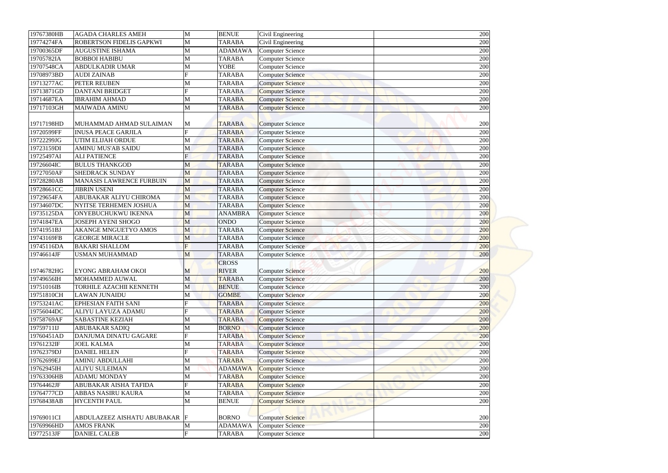| 19767380HB               | <b>AGADA CHARLES AMEH</b>                       | M              | <b>BENUE</b>   | Civil Engineering       | 200 |
|--------------------------|-------------------------------------------------|----------------|----------------|-------------------------|-----|
| 19774274FA               | ROBERTSON FIDELIS GAPKWI                        | M              | <b>TARABA</b>  | Civil Engineering       | 200 |
| 19700365DF               | <b>AUGUSTINE ISHAMA</b>                         | M              | <b>ADAMAWA</b> | <b>Computer Science</b> | 200 |
| 19705782IA               | <b>BOBBOI HABIBU</b>                            | M              | <b>TARABA</b>  | <b>Computer Science</b> | 200 |
| 19707548CA               | <b>ABDULKADIR UMAR</b>                          | M              | <b>YOBE</b>    | <b>Computer Science</b> | 200 |
| 19708973BD               | <b>AUDI ZAINAB</b>                              | F              | <b>TARABA</b>  | <b>Computer Science</b> | 200 |
| 19713277AC               | PETER REUBEN                                    | M              | <b>TARABA</b>  | <b>Computer Science</b> | 200 |
| 19713871GD               | <b>DANTANI BRIDGET</b>                          | F              | <b>TARABA</b>  | <b>Computer Science</b> | 200 |
| 19714687EA               | <b>IBRAHIM AHMAD</b>                            | M              | <b>TARABA</b>  | <b>Computer Science</b> | 200 |
| 19717103GH               | <b>MAIWADA AMINU</b>                            | M              | <b>TARABA</b>  | <b>Computer Science</b> | 200 |
| 19717198HD               | MUHAMMAD AHMAD SULAIMAN                         | M              | <b>TARABA</b>  | <b>Computer Science</b> | 200 |
| 19720599FF               | <b>INUSA PEACE GARJILA</b>                      | $\mathbf F$    | <b>TARABA</b>  | <b>Computer Science</b> | 200 |
| 19722299JG               | UTIM ELIJAH ORDUE                               | M              | <b>TARABA</b>  | <b>Computer Science</b> | 200 |
| 19723159DI               | <b>AMINU MUS'AB SAIDU</b>                       | M              | <b>TARABA</b>  | <b>Computer Science</b> | 200 |
| 19725497AI               | <b>ALI PATIENCE</b>                             | $\overline{F}$ | <b>TARABA</b>  | <b>Computer Science</b> | 200 |
| 19726604IC               | <b>BULUS THANKGOD</b>                           |                | <b>TARABA</b>  |                         | 200 |
| 19727050AF               | <b>SHEDRACK SUNDAY</b>                          | M              |                | <b>Computer Science</b> |     |
|                          |                                                 | M              | <b>TARABA</b>  | <b>Computer Science</b> | 200 |
| 19728280AB               | MANASIS LAWRENCE FURBUIN<br><b>JIBRIN USENI</b> | M              | <b>TARABA</b>  | <b>Computer Science</b> | 200 |
| 19728661CC<br>19729654FA | ABUBAKAR ALIYU CHIROMA                          | M              | <b>TARABA</b>  | <b>Computer Science</b> | 200 |
|                          |                                                 | M              | <b>TARABA</b>  | <b>Computer Science</b> | 200 |
| 19734607DC               | NYITSE TERHEMEN JOSHUA                          | M              | <b>TARABA</b>  | <b>Computer Science</b> | 200 |
| 19735125DA               | ONYEBUCHUKWU IKENNA                             | M              | <b>ANAMBRA</b> | <b>Computer Science</b> | 200 |
| 19741847EA               | <b>JOSEPH AYENI SHOGO</b>                       | M              | <b>ONDO</b>    | <b>Computer Science</b> | 200 |
| 19741951BJ               | <b>AKANGE MNGUETYO AMOS</b>                     | M              | <b>TARABA</b>  | <b>Computer Science</b> | 200 |
| 19743169FB               | <b>GEORGE MIRACLE</b>                           | M              | <b>TARABA</b>  | <b>Computer Science</b> | 200 |
| 19745116DA               | <b>BAKARI SHALLOM</b>                           | $\overline{F}$ | <b>TARABA</b>  | <b>Computer Science</b> | 200 |
| 19746614JF               | <b>USMAN MUHAMMAD</b>                           | M              | <b>TARABA</b>  | <b>Computer Science</b> | 200 |
|                          |                                                 |                | <b>CROSS</b>   |                         |     |
| 19746782HG               | EYONG ABRAHAM OKOI                              | M              | <b>RIVER</b>   | <b>Computer Science</b> | 200 |
| 19749656IH               | MOHAMMED AUWAL                                  | M              | <b>TARABA</b>  | <b>Computer Science</b> | 200 |
| 19751016IB               | TORHILE AZACHII KENNETH                         | M              | <b>BENUE</b>   | <b>Computer Science</b> | 200 |
| 19751810CH               | <b>LAWAN JUNAIDU</b>                            | M              | <b>GOMBE</b>   | <b>Computer Science</b> | 200 |
| 19753241AC               | <b>EPHESIAN FAITH SANI</b>                      |                | <b>TARABA</b>  | <b>Computer Science</b> | 200 |
| 19756044DC               | <b>ALIYU LAYUZA ADAMU</b>                       |                | <b>TARABA</b>  | Computer Science        | 200 |
| 19758769AF               | <b>SABASTINE KEZIAH</b>                         | M              | <b>TARABA</b>  | <b>Computer Science</b> | 200 |
| 19759711IJ               | <b>ABUBAKAR SADIQ</b>                           | M              | <b>BORNO</b>   | <b>Computer Science</b> | 200 |
| 19760451AD               | DANJUMA DINATU GAGARE                           | F              | <b>TARABA</b>  | <b>Computer Science</b> | 200 |
| 19761232IF               | <b>JOEL KALMA</b>                               | M              | <b>TARABA</b>  | <b>Computer Science</b> | 200 |
| 19762379DJ               | <b>DANIEL HELEN</b>                             | F              | <b>TARABA</b>  | <b>Computer Science</b> | 200 |
| 19762699EJ               | <b>AMINU ABDULLAHI</b>                          | M              | <b>TARABA</b>  | <b>Computer Science</b> | 200 |
| 19762945IH               | <b>ALIYU SULEIMAN</b>                           | M              | <b>ADAMAWA</b> | <b>Computer Science</b> | 200 |
| 19763306HB               | <b>ADAMU MONDAY</b>                             | M              | <b>TARABA</b>  | <b>Computer Science</b> | 200 |
| 19764462JF               | ABUBAKAR AISHA TAFIDA                           | F              | <b>TARABA</b>  | <b>Computer Science</b> | 200 |
| 19764777CD               | ABBAS NASIRU KAURA                              | M              | <b>TARABA</b>  | <b>Computer Science</b> | 200 |
| 19768438AB               | <b>HYCENTH PAUL</b>                             | M              | <b>BENUE</b>   | <b>Computer Science</b> | 200 |
|                          |                                                 |                |                |                         |     |
| 19769011CI               | ABDULAZEEZ AISHATU ABUBAKAR                     | F              | <b>BORNO</b>   | <b>Computer Science</b> | 200 |
| 19769966HD               | <b>AMOS FRANK</b>                               | M              | <b>ADAMAWA</b> | <b>Computer Science</b> | 200 |
| 19772513JF               | <b>DANIEL CALEB</b>                             | F              | <b>TARABA</b>  | <b>Computer Science</b> | 200 |
|                          |                                                 |                |                |                         |     |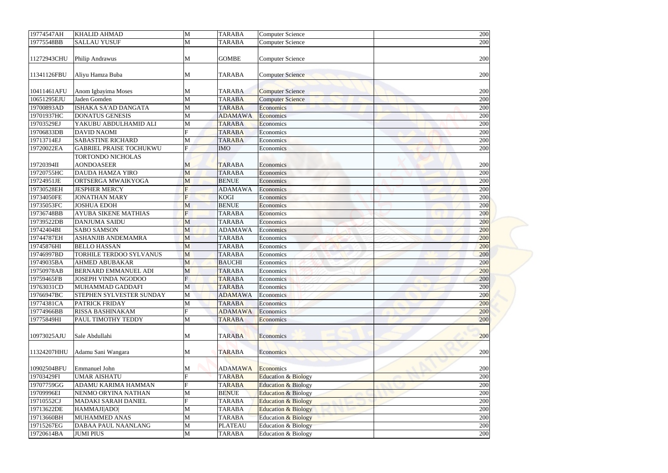| 19774547AH               | <b>KHALID AHMAD</b>                        | M            | <b>TARABA</b>                 | <b>Computer Science</b>        | 200        |
|--------------------------|--------------------------------------------|--------------|-------------------------------|--------------------------------|------------|
| 19775548BB               | <b>SALLAU YUSUF</b>                        | M            | <b>TARABA</b>                 | <b>Computer Science</b>        | 200        |
|                          |                                            |              |                               |                                |            |
| 11272943CHU              | Philip Andrawus                            | M            | <b>GOMBE</b>                  | <b>Computer Science</b>        | 200        |
|                          |                                            |              |                               |                                |            |
| 11341126FBU              | Aliyu Hamza Buba                           | M            | <b>TARABA</b>                 | <b>Computer Science</b>        | 200        |
|                          |                                            |              |                               |                                |            |
| 10411461AFU              | Anom Igbayima Moses                        | M            | <b>TARABA</b>                 | <b>Computer Science</b>        | 200        |
| 10651295EJU              | Jaden Gomden                               | M            | <b>TARABA</b>                 | <b>Computer Science</b>        | 200        |
| 19700893AD               | ISHAKA SA'AD DANGATA                       | M            | <b>TARABA</b>                 | Economics                      | 200        |
| 19701937HC               | <b>DONATUS GENESIS</b>                     | M            | <b>ADAMAWA</b>                | Economics                      | 200        |
| 19703529EJ               | YAKUBU ABDULHAMID ALI                      | M            | <b>TARABA</b>                 | Economics                      | 200        |
| 19706833DB               | <b>DAVID NAOMI</b>                         | F            | <b>TARABA</b>                 | Economics                      | 200        |
| 19713714EJ               | <b>SABASTINE RICHARD</b>                   | M            | <b>TARABA</b>                 | Economics                      | 200        |
| 19720022EA               | <b>GABRIEL PRAISE TOCHUKWU</b>             | $\mathbf{F}$ | <b>IMO</b>                    | Economics                      | 200        |
|                          | <b>TORTONDO NICHOLAS</b>                   |              |                               |                                |            |
| 19720394II               | <b>AONDOASEER</b>                          | M            | <b>TARABA</b>                 | Economics                      | 200        |
| 19720755HC               | <b>DAUDA HAMZA YIRO</b>                    | M            | <b>TARABA</b><br><b>BENUE</b> | Economics                      | 200        |
| 19724951JE<br>19730528EH | ORTSERGA MWAIKYOGA<br><b>JESPHER MERCY</b> | M<br>F       | <b>ADAMAWA</b>                | Economics<br>Economics         | 200<br>200 |
| 19734050FE               | <b>JONATHAN MARY</b>                       | $\mathbf{F}$ | <b>KOGI</b>                   |                                | 200        |
| 19735053FC               | <b>JOSHUA EDOH</b>                         | M            | <b>BENUE</b>                  | Economics<br>Economics         | 200        |
| 19736748BB               | <b>AYUBA SIKENE MATHIAS</b>                | F            | <b>TARABA</b>                 | Economics                      | 200        |
| 19739522DB               | <b>DANJUMA SAIDU</b>                       | M            | <b>TARABA</b>                 | Economics                      | 200        |
| 19742404BI               | <b>SABO SAMSON</b>                         | M            | <b>ADAMAWA</b>                | Economics                      | 200        |
| 19744787EH               | ASHANJIB ANDEMAMRA                         | M            | <b>TARABA</b>                 | Economics                      | 200        |
| 19745876HI               | <b>BELLO HASSAN</b>                        | M            | <b>TARABA</b>                 | Economics                      | 200        |
| 19746997BD               | <b>TORHILE TERDOO SYLVANUS</b>             | M            | <b>TARABA</b>                 | Economics                      | 200        |
| 19749035BA               | <b>AHMED ABUBAKAR</b>                      | M            | <b>BAUCHI</b>                 | Economics                      | 200        |
| 19750978AB               | <b>BERNARD EMMANUEL ADI</b>                | M            | <b>TARABA</b>                 | Economics                      | 200        |
| 19759465FB               | <b>JOSEPH VINDA NGODOO</b>                 | $\mathbf{F}$ | <b>TARABA</b>                 | Economics                      | 200        |
| 19763031CD               | MUHAMMAD GADDAFI                           | M            | <b>TARABA</b>                 | Economics                      | 200        |
| 19766947BC               | STEPHEN SYLVESTER SUNDAY                   | M            | <b>ADAMAWA</b>                | Economics                      | 200        |
| 19774381CA               | <b>PATRICK FRIDAY</b>                      | M            | <b>TARABA</b>                 | Economics                      | 200        |
| 19774966BB               | <b>RISSA BASHINAKAM</b>                    | $\mathbf F$  | <b>ADAMAWA</b>                | Economics                      | 200        |
| 19775849HI               | PAUL TIMOTHY TEDDY                         | M            | <b>TARABA</b>                 | Economics                      | 200        |
|                          |                                            |              |                               |                                |            |
| 10973025AJU              | Sale Abdullahi                             | M            | <b>TARABA</b>                 | Economics                      | 200        |
|                          |                                            |              |                               |                                |            |
| 11324207HHU              | Adamu Sani Wangara                         | M            | <b>TARABA</b>                 | Economics                      | 200        |
|                          |                                            |              |                               |                                |            |
| 10902504BFU              | <b>Emmanuel John</b>                       | M            | <b>ADAMAWA</b>                | Economics                      | 200        |
| 19703429FI               | <b>UMAR AISHATU</b>                        | $\mathbf{F}$ | <b>TARABA</b>                 | <b>Education &amp; Biology</b> | 200        |
| 19707759GG               | ADAMU KARIMA HAMMAN                        |              | <b>TARABA</b>                 | <b>Education &amp; Biology</b> | 200        |
| 19709996EI               | NENMO ORYINA NATHAN                        | M            | <b>BENUE</b>                  | <b>Education &amp; Biology</b> | 200        |
| 19710552CJ               | <b>MADAKI SARAH DANIEL</b>                 | $\mathbf{F}$ | <b>TARABA</b>                 | <b>Education &amp; Biology</b> | 200        |
| 19713622DE               | HAMMAJI ADO                                | M            | <b>TARABA</b>                 | <b>Education &amp; Biology</b> | 200        |
| 19713660BH               | <b>MUHAMMED ANAS</b>                       | M            | <b>TARABA</b>                 | <b>Education &amp; Biology</b> | 200        |
| 19715267EG               | <b>DABAA PAUL NAANLANG</b>                 | M            | <b>PLATEAU</b>                | <b>Education &amp; Biology</b> | 200        |
| 19720614BA               | <b>JUMI PIUS</b>                           | M            | <b>TARABA</b>                 | Education & Biology            | 200        |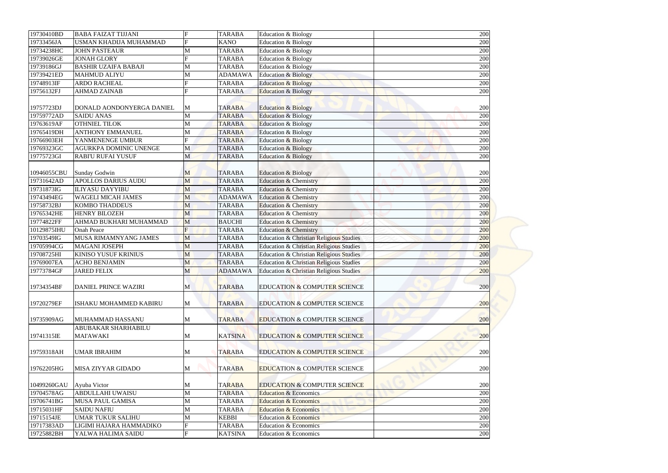| 19730410BD               | <b>BABA FAIZAT TIJJANI</b>                         | $\mathbf F$       | <b>TARABA</b>  | Education & Biology                                |            |
|--------------------------|----------------------------------------------------|-------------------|----------------|----------------------------------------------------|------------|
| 19733456JA               | USMAN KHADIJA MUHAMMAD                             | F                 | <b>KANO</b>    | Education & Biology                                | 200<br>200 |
| 19734238HC               | <b>JOHN PASTEAUR</b>                               |                   | <b>TARABA</b>  |                                                    | 200        |
| 19739026GE               | <b>JONAH GLORY</b>                                 | M<br>F            | <b>TARABA</b>  | Education & Biology                                |            |
| 19739186GJ               | <b>BASHIR UZAIFA BABAJI</b>                        |                   | <b>TARABA</b>  | Education & Biology                                | 200        |
|                          |                                                    | M                 |                | Education & Biology                                | 200        |
| 19739421ED               | <b>MAHMUD ALIYU</b>                                | M                 | <b>ADAMAWA</b> | <b>Education &amp; Biology</b>                     | 200        |
| 19748913IF               | <b>ARDO RACHEAL</b>                                | F<br>$\mathbf{F}$ | <b>TARABA</b>  | <b>Education &amp; Biology</b>                     | 200        |
| 19756132FJ               | <b>AHMAD ZAINAB</b>                                |                   | <b>TARABA</b>  | <b>Education &amp; Biology</b>                     | 200        |
| 19757723DJ               | DONALD AONDONYERGA DANIEL                          | M                 | <b>TARABA</b>  | <b>Education &amp; Biology</b>                     | 200        |
| 19759772AD               | <b>SAIDU ANAS</b>                                  | M                 | <b>TARABA</b>  | <b>Education &amp; Biology</b>                     | 200        |
| 19763619AF               | <b>OTHNIEL TILOK</b>                               | $\mathbf{M}$      | <b>TARABA</b>  | Education & Biology                                | 200        |
| 19765419DH               | <b>ANTHONY EMMANUEL</b>                            |                   |                |                                                    |            |
|                          |                                                    | M                 | <b>TARABA</b>  | Education & Biology                                | 200        |
| 19766903EH               | YANMENENGE UMBUR                                   | F                 | <b>TARABA</b>  | <b>Education &amp; Biology</b>                     | 200        |
| 19769323GC               | <b>AGURKPA DOMINIC UNENGE</b>                      | M                 | <b>TARABA</b>  | <b>Education &amp; Biology</b>                     | 200        |
| 19775723GI               | <b>RABI'U RUFAI YUSUF</b>                          | M                 | <b>TARABA</b>  | <b>Education &amp; Biology</b>                     | 200        |
|                          |                                                    |                   |                |                                                    |            |
| 10946055CBU              | <b>Sunday Godwin</b><br><b>APOLLOS DARIUS AUDU</b> | M                 | <b>TARABA</b>  | <b>Education &amp; Biology</b>                     | 200        |
| 19731642AD<br>19731873IG |                                                    | M                 | <b>TARABA</b>  | <b>Education &amp; Chemistry</b>                   | 200        |
|                          | <b>ILIYASU DAYYIBU</b>                             | M                 | <b>TARABA</b>  | <b>Education &amp; Chemistry</b>                   | 200        |
| 19743494EG               | <b>WAGELI MICAH JAMES</b>                          | M                 | <b>ADAMAWA</b> | <b>Education &amp; Chemistry</b>                   | 200        |
| 19758732BJ               | <b>KOMBO THADDEUS</b>                              | M                 | <b>TARABA</b>  | <b>Education &amp; Chemistry</b>                   | 200        |
| 19765342HE               | <b>HENRY BILOZEH</b>                               | M                 | <b>TARABA</b>  | <b>Education &amp; Chemistry</b>                   | 200        |
| 19774822FF               | AHMAD BUKHARI MUHAMMAD                             | M                 | <b>BAUCHI</b>  | <b>Education &amp; Chemistry</b>                   | 200        |
| 10129875IHU              | <b>Onah Peace</b>                                  | F                 | <b>TARABA</b>  | <b>Education &amp; Chemistry</b>                   | 200        |
| 19703549IG               | MUSA RIMAMNYANG JAMES                              | M                 | <b>TARABA</b>  | Education & Christian Religious Studies            | 200        |
| 19705994CG               | <b>MAGANI JOSEPH</b>                               | M                 | <b>TARABA</b>  | <b>Education &amp; Christian Religious Studies</b> | 200        |
| 19708725HI               | <b>KINISO YUSUF KRINIUS</b>                        | M                 | <b>TARABA</b>  | Education & Christian Religious Studies            | 200        |
| 19769007EA               | <b>ACHO BENJAMIN</b>                               | M                 | <b>TARABA</b>  | Education & Christian Religious Studies            | 200        |
| 19773784GF               | <b>JARED FELIX</b>                                 | M                 | <b>ADAMAWA</b> | <b>Education &amp; Christian Religious Studies</b> | 200        |
| 19734354BF               | <b>DANIEL PRINCE WAZIRI</b>                        | M                 | <b>TARABA</b>  | <b>EDUCATION &amp; COMPUTER SCIENCE</b>            | 200        |
|                          |                                                    |                   |                |                                                    |            |
| 19720279EF               | ISHAKU MOHAMMED KABIRU                             | M                 | <b>TARABA</b>  | <b>EDUCATION &amp; COMPUTER SCIENCE</b>            | 200        |
|                          |                                                    |                   |                |                                                    |            |
| 19735909AG               | MUHAMMAD HASSANU                                   | M                 | <b>TARABA</b>  | <b>EDUCATION &amp; COMPUTER SCIENCE</b>            | 200        |
|                          | ABUBAKAR SHARHABILU                                |                   |                |                                                    |            |
| 19741315IE               | <b>MAI'AWAKI</b>                                   | M                 | <b>KATSINA</b> | <b>EDUCATION &amp; COMPUTER SCIENCE</b>            | 200        |
|                          |                                                    |                   |                |                                                    |            |
| 19759318AH               | <b>UMAR IBRAHIM</b>                                | M                 | <b>TARABA</b>  | <b>EDUCATION &amp; COMPUTER SCIENCE</b>            | 200        |
|                          |                                                    |                   |                |                                                    |            |
| 19762205HG               | <b>MISA ZIYYAR GIDADO</b>                          | M                 | <b>TARABA</b>  | <b>EDUCATION &amp; COMPUTER SCIENCE</b>            | 200        |
|                          |                                                    |                   |                |                                                    |            |
| 10499260GAU              | Ayuba Victor                                       | M                 | <b>TARABA</b>  | <b>EDUCATION &amp; COMPUTER SCIENCE</b>            | 200        |
| 19704578AG               | <b>ABDULLAHI UWAISU</b>                            | M                 | <b>TARABA</b>  | <b>Education &amp; Economics</b>                   | 200        |
| 19706741BG               | <b>MUSA PAUL GAMISA</b>                            | M                 | <b>TARABA</b>  | <b>Education &amp; Economics</b>                   | 200        |
| 19715031HF               | <b>SAIDU NAFIU</b>                                 | $\mathbf{M}$      | <b>TARABA</b>  | <b>Education &amp; Economics</b>                   | 200        |
| 19715154JE               | <b>UMAR TUKUR SALIHU</b>                           | M                 | <b>KEBBI</b>   | <b>Education &amp; Economics</b>                   | 200        |
| 19717383AD               | LIGIMI HAJARA HAMMADIKO                            |                   | <b>TARABA</b>  | <b>Education &amp; Economics</b>                   | 200        |
| 19725882BH               | YALWA HALIMA SAIDU                                 | F                 | <b>KATSINA</b> | Education & Economics                              |            |
|                          |                                                    |                   |                |                                                    | 200        |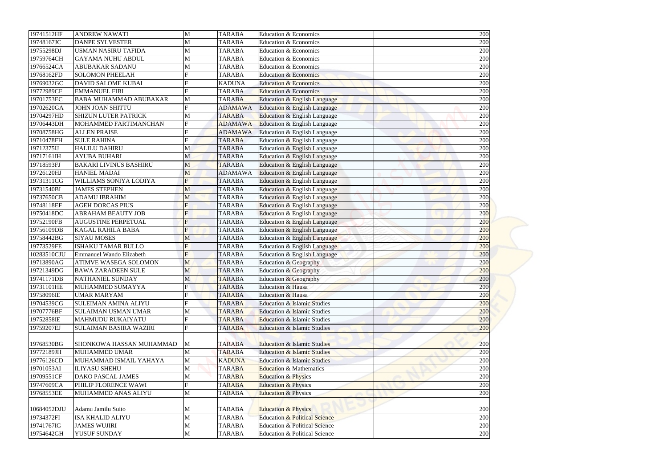| 19741512HF  | <b>ANDREW NAWATI</b>          | M              | <b>TARABA</b>  | Education & Economics                    | 200 |
|-------------|-------------------------------|----------------|----------------|------------------------------------------|-----|
| 19748167JC  | <b>DANPE SYLVESTER</b>        | M              | <b>TARABA</b>  | Education & Economics                    | 200 |
| 19755298DJ  | <b>USMAN NASIRU TAFIDA</b>    | M              | <b>TARABA</b>  | Education & Economics                    | 200 |
| 19759764CH  | <b>GAYAMA NUHU ABDUL</b>      | M              | <b>TARABA</b>  | Education & Economics                    | 200 |
| 19766524CA  | <b>ABUBAKAR SADANU</b>        | M              | <b>TARABA</b>  | <b>Education &amp; Economics</b>         | 200 |
| 19768162FD  | <b>SOLOMON PHEELAH</b>        | F              | <b>TARABA</b>  | <b>Education &amp; Economics</b>         | 200 |
| 19769032GC  | <b>DAVID SALOME KUBAI</b>     | F              | <b>KADUNA</b>  | <b>Education &amp; Economics</b>         | 200 |
| 19772989CF  | <b>EMMANUEL FIBI</b>          | $\mathbf F$    | <b>TARABA</b>  | <b>Education &amp; Economics</b>         | 200 |
| 19701753EC  | <b>BABA MUHAMMAD ABUBAKAR</b> | M              | <b>TARABA</b>  | Education & English Language             | 200 |
| 19702620GA  | <b>JOHN JOAN SHITTU</b>       | $\mathbf F$    | <b>ADAMAWA</b> | Education & English Language             | 200 |
| 19704297HD  | <b>SHIZUN LUTER PATRICK</b>   | M              | <b>TARABA</b>  | Education & English Language             | 200 |
| 19706443DH  | MOHAMMED FARTIMANCHAN         | $\mathbf F$    | <b>ADAMAWA</b> | Education & English Language             | 200 |
| 19708758HG  | <b>ALLEN PRAISE</b>           |                | <b>ADAMAWA</b> | Education & English Language             | 200 |
| 19710478FH  | <b>SULE RAHINA</b>            | F              | <b>TARABA</b>  | Education & English Language             | 200 |
| 19712375IJ  | <b>HALILU DAHIRU</b>          | M              | <b>TARABA</b>  | Education & English Language             | 200 |
| 19717161IH  | <b>AYUBA BUHARI</b>           | M              | <b>TARABA</b>  | Education & English Language             | 200 |
| 19718593FJ  | <b>BAKARI LIVINUS BASHIRU</b> | M              | <b>TARABA</b>  | Education & English Language             | 200 |
| 19726120HJ  | <b>HANIEL MADAI</b>           | M              | <b>ADAMAWA</b> | Education & English Language             | 200 |
| 19731311CG  | WILLIAMS SONIYA LODIYA        | $\overline{F}$ | <b>TARABA</b>  | Education & English Language             | 200 |
| 19731540BI  | <b>JAMES STEPHEN</b>          | M              | <b>TARABA</b>  | Education & English Language             | 200 |
| 19737650CB  | <b>ADAMU IBRAHIM</b>          | M              | <b>TARABA</b>  | Education & English Language             | 200 |
| 19748118EF  | <b>AGEH DORCAS PIUS</b>       |                | <b>TARABA</b>  | Education & English Language             | 200 |
| 19750418DC  | <b>ABRAHAM BEAUTY JOB</b>     | $\overline{F}$ | <b>TARABA</b>  | Education & English Language             | 200 |
| 19752190FB  | <b>AUGUSTINE PERPETUAL</b>    | F              | <b>TARABA</b>  | Education & English Language             | 200 |
| 19756109DB  | <b>KAGAL RAHILA BABA</b>      | F              | <b>TARABA</b>  | Education & English Language             | 200 |
| 19758442BG  | <b>SIYAU MOSES</b>            | M              | <b>TARABA</b>  | Education & English Language             | 200 |
| 19773529FE  | <b>ISHAKU TAMAR BULLO</b>     | $\overline{F}$ | <b>TARABA</b>  | Education & English Language             | 200 |
| 10283510CJU | Emmanuel Wando Elizabeth      | F              | <b>TARABA</b>  | Education & English Language             | 200 |
| 19713890AG  | <b>ATIMVE WASEGA SOLOMON</b>  | M              | <b>TARABA</b>  | Education & Geography                    | 200 |
| 19721349DG  | <b>BAWA ZARADEEN SULE</b>     | M              | <b>TARABA</b>  | Education & Geography                    | 200 |
| 19741171DB  | NATHANIEL SUNDAY              | M              | <b>TARABA</b>  | Education & Geography                    | 200 |
| 19731101HE  | MUHAMMED SUMAYYA              |                | <b>TARABA</b>  | Education & Hausa                        | 200 |
| 19758096IE  | <b>UMAR MARYAM</b>            |                | <b>TARABA</b>  | <b>Education &amp; Hausa</b>             | 200 |
| 19704539CG  | <b>SULEIMAN AMINA ALIYU</b>   |                | <b>TARABA</b>  | <b>Education &amp; Islamic Studies</b>   | 200 |
| 19707776BF  | <b>SULAIMAN USMAN UMAR</b>    | M              | <b>TARABA</b>  | Education & Islamic Studies              | 200 |
| 19752858IE  | <b>MAHMUDU RUKAIYATU</b>      |                | <b>TARABA</b>  | Education & Islamic Studies              | 200 |
| 19759207EJ  | <b>SULAIMAN BASIRA WAZIRI</b> |                | <b>TARABA</b>  | Education & Islamic Studies              | 200 |
|             |                               |                |                |                                          |     |
| 19768530BG  | SHONKOWA HASSAN MUHAMMAD      | M              | <b>TARABA</b>  | <b>Education &amp; Islamic Studies</b>   | 200 |
| 19772189JH  | <b>MUHAMMED UMAR</b>          | M              | <b>TARABA</b>  | <b>Education &amp; Islamic Studies</b>   | 200 |
| 19776126CD  | MUHAMMAD ISMAIL YAHAYA        | M              | <b>KADUNA</b>  | <b>Education &amp; Islamic Studies</b>   | 200 |
| 19701053AI  | <b>ILIYASU SHEHU</b>          | M              | <b>TARABA</b>  | <b>Education &amp; Mathematics</b>       | 200 |
| 19709551CF  | <b>DAKO PASCAL JAMES</b>      | M              | <b>TARABA</b>  | <b>Education &amp; Physics</b>           | 200 |
| 19747609CA  | PHILIP FLORENCE WAWI          |                | <b>TARABA</b>  | <b>Education &amp; Physics</b>           | 200 |
| 19768553EE  | MUHAMMED ANAS ALIYU           | M              | <b>TARABA</b>  | <b>Education &amp; Physics</b>           | 200 |
| 10684052DJU | Adamu Jamilu Suito            | M              | <b>TARABA</b>  | <b>Education &amp; Physics</b>           | 200 |
| 19734372FI  | <b>ISA KHALID ALIYU</b>       | M              | <b>TARABA</b>  | <b>Education &amp; Political Science</b> | 200 |
| 19741767IG  | <b>JAMES WUJIRI</b>           | M              | <b>TARABA</b>  | <b>Education &amp; Political Science</b> | 200 |
| 19754642GH  | YUSUF SUNDAY                  | M              | <b>TARABA</b>  | <b>Education &amp; Political Science</b> | 200 |
|             |                               |                |                |                                          |     |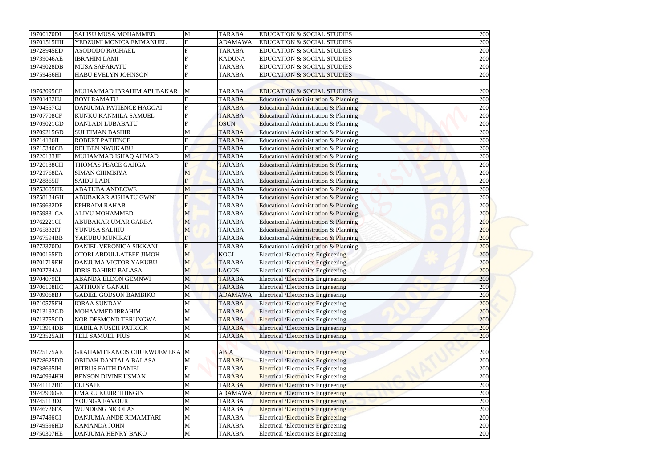| 19700170DI | <b>SALISU MUSA MOHAMMED</b>         | M              | <b>TARABA</b>  | <b>EDUCATION &amp; SOCIAL STUDIES</b>            | 200 |
|------------|-------------------------------------|----------------|----------------|--------------------------------------------------|-----|
| 19701515HH | YEDZUMI MONICA EMMANUEL             | F              | <b>ADAMAWA</b> | <b>EDUCATION &amp; SOCIAL STUDIES</b>            | 200 |
| 19728945ED | <b>ASODODO RACHAEL</b>              |                | <b>TARABA</b>  | <b>EDUCATION &amp; SOCIAL STUDIES</b>            | 200 |
| 19739046AE | <b>IBRAHIM LAMI</b>                 |                | <b>KADUNA</b>  | <b>EDUCATION &amp; SOCIAL STUDIES</b>            | 200 |
| 19749028DB | <b>MUSA SAFARATU</b>                |                | <b>TARABA</b>  | <b>EDUCATION &amp; SOCIAL STUDIES</b>            | 200 |
| 19759456HI | HABU EVELYN JOHNSON                 |                | <b>TARABA</b>  | <b>EDUCATION &amp; SOCIAL STUDIES</b>            | 200 |
|            |                                     |                |                |                                                  |     |
| 19763095CF | MUHAMMAD IBRAHIM ABUBAKAR           | M              | <b>TARABA</b>  | <b>EDUCATION &amp; SOCIAL STUDIES</b>            | 200 |
| 19701482HJ | <b>BOYI RAMATU</b>                  |                | <b>TARABA</b>  | Educational Administration & Planning            | 200 |
| 19704557GJ | DANJUMA PATIENCE HAGGAI             | F              | <b>TARABA</b>  | Educational Administration & Planning            | 200 |
| 19707708CF | <b>KUNKU KANMILA SAMUEL</b>         |                | <b>TARABA</b>  | Educational Administration & Planning            | 200 |
| 19709021GD | <b>DANLADI LUBABATU</b>             |                | <b>OSUN</b>    | Educational Administration & Planning            | 200 |
| 19709215GD | <b>SULEIMAN BASHIR</b>              | M              | <b>TARABA</b>  | Educational Administration & Planning            | 200 |
| 19714186II | <b>ROBERT PATIENCE</b>              | E              | <b>TARABA</b>  | Educational Administration & Planning            | 200 |
| 19715340CB | <b>REUBEN NWUKABU</b>               | Ē              | <b>TARABA</b>  | Educational Administration & Planning            | 200 |
| 19720133JF | MUHAMMAD ISHAQ AHMAD                | M              | <b>TARABA</b>  | Educational Administration & Planning            | 200 |
| 19720188CH | THOMAS PEACE GAJIGA                 | E              | <b>TARABA</b>  | Educational Administration & Planning            | 200 |
| 19721768EA | <b>SIMAN CHIMBIYA</b>               | M              | <b>TARABA</b>  | Educational Administration & Planning            | 200 |
| 19728865IJ | <b>SAIDU LADI</b>                   | $\mathbf{F}$   | <b>TARABA</b>  | Educational Administration & Planning            | 200 |
| 19753605HE | <b>ABATUBA ANDECWE</b>              | M              | <b>TARABA</b>  | Educational Administration & Planning            | 200 |
| 19758134GH | ABUBAKAR AISHATU GWNI               | $\mathbf F$    | <b>TARABA</b>  | <b>Educational Administration &amp; Planning</b> | 200 |
| 19759632DF | <b>EPHRAIM RAHAB</b>                |                | <b>TARABA</b>  | Educational Administration & Planning            | 200 |
| 19759831CA | <b>ALIYU MOHAMMED</b>               | M              | <b>TARABA</b>  | Educational Administration & Planning            | 200 |
| 19762221CI | ABUBAKAR UMAR GARBA                 | M              | <b>TARABA</b>  | Educational Administration & Planning            | 200 |
| 19765832FJ | YUNUSA SALIHU                       | M              | <b>TARABA</b>  | Educational Administration & Planning            | 200 |
| 19767594BB | YAKUBU MUNIRAT                      | $\mathbf{F}$   | <b>TARABA</b>  | Educational Administration & Planning            | 200 |
| 19772370DJ | DANIEL VERONICA SIKKANI             | $\overline{F}$ | <b>TARABA</b>  | Educational Administration & Planning            | 200 |
| 19700165FD | OTORI ABDULLATEEF JIMOH             | M              | <b>KOGI</b>    | <b>Electrical /Electronics Engineering</b>       | 200 |
| 19701719EH | DANJUMA VICTOR YAKUBU               | M              | <b>TARABA</b>  | <b>Electrical /Electronics Engineering</b>       | 200 |
| 19702734AJ | <b>IDRIS DAHIRU BALASA</b>          | M              | <b>LAGOS</b>   | <b>Electrical /Electronics Engineering</b>       | 200 |
| 19704079EI | <b>ABANDA ELDON GEMNWI</b>          | M              | <b>TARABA</b>  | <b>Electrical /Electronics Engineering</b>       | 200 |
| 19706108HC | <b>ANTHONY GANAH</b>                | M              | <b>TARABA</b>  | <b>Electrical /Electronics Engineering</b>       | 200 |
| 19709068BJ | <b>GADIEL GODSON BAMBIKO</b>        | M              | <b>ADAMAWA</b> | <b>Electrical /Electronics Engineering</b>       | 200 |
| 19710575FH | <b>IORAA SUNDAY</b>                 | М              | <b>TARABA</b>  | <b>Electrical /Electronics Engineering</b>       | 200 |
| 19713192GD | MOHAMMED IBRAHIM                    | M              | <b>TARABA</b>  | <b>Electrical /Electronics Engineering</b>       | 200 |
| 19713755CD | <b>NOR DESMOND TERUNGWA</b>         | M              | <b>TARABA</b>  | <b>Electrical /Electronics Engineering</b>       | 200 |
| 19713914DB | <b>HABILA NUSEH PATRICK</b>         | М              | <b>TARABA</b>  | <b>Electrical /Electronics Engineering</b>       | 200 |
| 19723525AH | TELI SAMUEL PIUS                    | M              | <b>TARABA</b>  | <b>Electrical /Electronics Engineering</b>       | 200 |
|            |                                     |                |                |                                                  |     |
| 19725175AE | <b>GRAHAM FRANCIS CHUKWUEMEKA M</b> |                | <b>ABIA</b>    | <b>Electrical /Electronics Engineering</b>       | 200 |
| 19728625DD | OBIDAH DANTALA BALASA               | М              | <b>TARABA</b>  | <b>Electrical /Electronics Engineering</b>       | 200 |
| 19738695IH | <b>BITRUS FAITH DANIEL</b>          |                | <b>TARABA</b>  | <b>Electrical /Electronics Engineering</b>       | 200 |
| 19740994HH | <b>BENSON DIVINE USMAN</b>          | М              | <b>TARABA</b>  | <b>Electrical /Electronics Engineering</b>       | 200 |
| 19741112BE | <b>ELI SAJE</b>                     | М              | <b>TARABA</b>  | <b>Electrical /Electronics Engineering</b>       | 200 |
| 19742906GE | <b>UMARU KUJIR THINGIN</b>          | M              | <b>ADAMAWA</b> | <b>Electrical /Electronics Engineering</b>       | 200 |
| 19745113DJ | YOUNGA FAVOUR                       | M              | <b>TARABA</b>  | <b>Electrical /Electronics Engineering</b>       | 200 |
| 19746726FA | <b>WUNDENG NICOLAS</b>              | М              | <b>TARABA</b>  | <b>Electrical /Electronics Engineering</b>       | 200 |
| 19747496GI | DANJUMA ANDE RIMAMTARI              | M              | <b>TARABA</b>  | <b>Electrical /Electronics Engineering</b>       | 200 |
| 19749596HD | <b>KAMANDA JOHN</b>                 | M              | <b>TARABA</b>  | <b>Electrical /Electronics Engineering</b>       | 200 |
| 19750307HE | DANJUMA HENRY BAKO                  | $\mathbf M$    | <b>TARABA</b>  | Electrical /Electronics Engineering              | 200 |
|            |                                     |                |                |                                                  |     |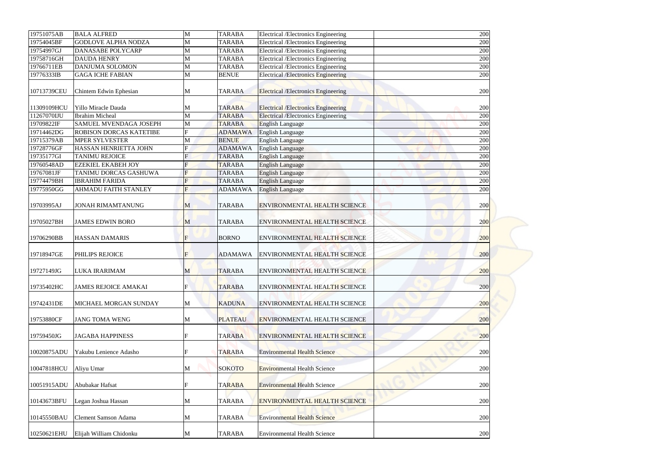| 19751075AB  | <b>BALA ALFRED</b>             | M              | <b>TARABA</b>  | <b>Electrical /Electronics Engineering</b> | 200 |
|-------------|--------------------------------|----------------|----------------|--------------------------------------------|-----|
| 19754045BF  | <b>GODLOVE ALPHA NODZA</b>     | M              | <b>TARABA</b>  | Electrical /Electronics Engineering        | 200 |
| 19754997GJ  | <b>DANASABE POLYCARP</b>       | M              | <b>TARABA</b>  | Electrical /Electronics Engineering        | 200 |
| 19758716GH  | <b>DAUDA HENRY</b>             | M              | <b>TARABA</b>  | <b>Electrical /Electronics Engineering</b> | 200 |
| 19766711EB  | <b>DANJUMA SOLOMON</b>         | M              | <b>TARABA</b>  | Electrical /Electronics Engineering        | 200 |
| 19776333IB  | <b>GAGA ICHE FABIAN</b>        | M              | <b>BENUE</b>   | <b>Electrical /Electronics Engineering</b> | 200 |
| 10713739CEU | Chintem Edwin Ephesian         | M              | <b>TARABA</b>  | <b>Electrical /Electronics Engineering</b> | 200 |
| 11309109HCU | Yillo Miracle Dauda            | M              | <b>TARABA</b>  | <b>Electrical /Electronics Engineering</b> | 200 |
| 11267070IJU | <b>Ibrahim Micheal</b>         | M              | <b>TARABA</b>  | <b>Electrical /Electronics Engineering</b> | 200 |
| 19709822IF  | SAMUEL MVENDAGA JOSEPH         | M              | <b>TARABA</b>  | <b>English Language</b>                    | 200 |
| 19714462DG  | <b>ROBISON DORCAS KATETIBE</b> | $\mathbf F$    | <b>ADAMAWA</b> | <b>English Language</b>                    | 200 |
| 19715379AB  | <b>MPER SYLVESTER</b>          | M              | <b>BENUE</b>   | <b>English Language</b>                    | 200 |
| 19728776GF  | HASSAN HENRIETTA JOHN          |                | <b>ADAMAWA</b> | <b>English Language</b>                    | 200 |
| 19735177GI  | <b>TANIMU REJOICE</b>          |                | <b>TARABA</b>  | <b>English Language</b>                    | 200 |
| 19760548AD  | <b>EZEKIEL EKABEH JOY</b>      |                | <b>TARABA</b>  | <b>English Language</b>                    | 200 |
| 19767081JF  | TANIMU DORCAS GASHUWA          | $\mathbf F$    | <b>TARABA</b>  | <b>English Language</b>                    | 200 |
| 19774479BH  | <b>IBRAHIM FARIDA</b>          | $\overline{F}$ | <b>TARABA</b>  | <b>English Language</b>                    | 200 |
| 19775950GG  | <b>AHMADU FAITH STANLEY</b>    | F              | <b>ADAMAWA</b> | <b>English Language</b>                    | 200 |
| 19703995AJ  | <b>JONAH RIMAMTANUNG</b>       | M              | <b>TARABA</b>  | <b>ENVIRONMENTAL HEALTH SCIENCE</b>        | 200 |
| 19705027BH  | <b>JAMES EDWIN BORO</b>        | M              | <b>TARABA</b>  | <b>ENVIRONMENTAL HEALTH SCIENCE</b>        | 200 |
| 19706290BB  | <b>HASSAN DAMARIS</b>          | F              | <b>BORNO</b>   | <b>ENVIRONMENTAL HEALTH SCIENCE</b>        | 200 |
| 19718947GE  | PHILIPS REJOICE                | $\overline{F}$ | <b>ADAMAWA</b> | <b>ENVIRONMENTAL HEALTH SCIENCE</b>        | 200 |
| 19727149JG  | LUKA IRARIMAM                  | M              | <b>TARABA</b>  | <b>ENVIRONMENTAL HEALTH SCIENCE</b>        | 200 |
| 19735402HC  | <b>JAMES REJOICE AMAKAI</b>    | F              | <b>TARABA</b>  | <b>ENVIRONMENTAL HEALTH SCIENCE</b>        | 200 |
| 19742431DE  | MICHAEL MORGAN SUNDAY          | M              | <b>KADUNA</b>  | <b>ENVIRONMENTAL HEALTH SCIENCE</b>        | 200 |
| 19753880CF  | <b>JANG TOMA WENG</b>          | M              | <b>PLATEAU</b> | <b>ENVIRONMENTAL HEALTH SCIENCE</b>        | 200 |
| 19759450JG  | <b>JAGABA HAPPINESS</b>        |                | <b>TARABA</b>  | <b>ENVIRONMENTAL HEALTH SCIENCE</b>        | 200 |
| 10020875ADU | Yakubu Lenience Adasho         |                | <b>TARABA</b>  | <b>Environmental Health Science</b>        | 200 |
| 10047818HCU | Aliyu Umar                     | M              | <b>SOKOTO</b>  | <b>Environmental Health Science</b>        | 200 |
| 10051915ADU | Abubakar Hafsat                |                | <b>TARABA</b>  | <b>Environmental Health Science</b>        | 200 |
| 10143673BFU | Legan Joshua Hassan            | M              | <b>TARABA</b>  | <b>ENVIRONMENTAL HEALTH SCIENCE</b>        | 200 |
| 10145550BAU | <b>Clement Samson Adama</b>    | M              | <b>TARABA</b>  | <b>Environmental Health Science</b>        | 200 |
| 10250621EHU | Elijah William Chidonku        | M              | <b>TARABA</b>  | <b>Environmental Health Science</b>        | 200 |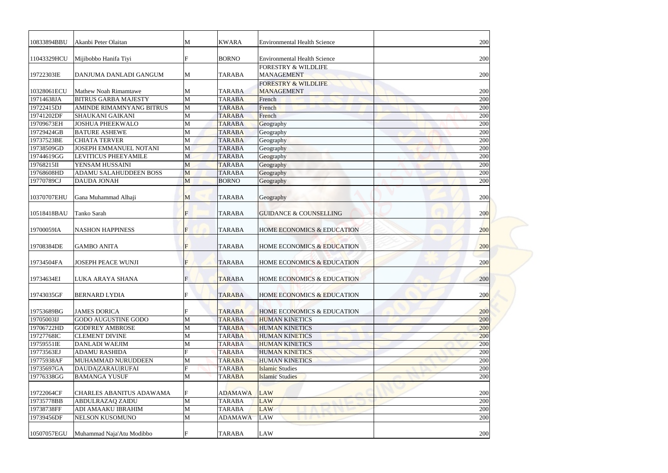| 10833894BBU<br>11043329HCU |                                 |             |                |                                       |            |
|----------------------------|---------------------------------|-------------|----------------|---------------------------------------|------------|
|                            | Akanbi Peter Olaitan            | М           | <b>KWARA</b>   | <b>Environmental Health Science</b>   | 200        |
|                            | Mijibobbo Hanifa Tiyi           |             | <b>BORNO</b>   | <b>Environmental Health Science</b>   | 200        |
|                            |                                 |             |                | <b>FORESTRY &amp; WILDLIFE</b>        |            |
| 19722303IE                 | DANJUMA DANLADI GANGUM          | M           | <b>TARABA</b>  | <b>MANAGEMENT</b>                     | 200        |
|                            |                                 |             |                | <b>FORESTRY &amp; WILDLIFE</b>        |            |
| 10328061ECU                | <b>Mathew Noah Rimamtawe</b>    | M           | <b>TARABA</b>  | <b>MANAGEMENT</b>                     | 200        |
| 19714638JA                 | <b>BITRUS GARBA MAJESTY</b>     | M           | <b>TARABA</b>  | French                                | 200        |
| 19722415DJ                 | <b>AMINDE RIMAMNYANG BITRUS</b> | M           | <b>TARABA</b>  | French                                | 200        |
| 19741202DF                 | <b>SHAUKANI GAIKANI</b>         | M           | <b>TARABA</b>  | French                                | 200        |
| 19709673EH                 | <b>JOSHUA PHEEKWALO</b>         | М           | <b>TARABA</b>  | Geography                             | 200        |
| 19729424GB                 | <b>BATURE ASHEWE</b>            | M           | <b>TARABA</b>  | Geography                             | 200        |
| 19737523BE                 | <b>CHIATA TERVER</b>            | M           | <b>TARABA</b>  | Geography                             | 200        |
| 19738509GD                 | <b>JOSEPH EMMANUEL NOTANI</b>   | M           | <b>TARABA</b>  | Geography                             | 200        |
| 19744619GG                 | <b>LEVITICUS PHEEYAMILE</b>     | M           | <b>TARABA</b>  | Geography                             | 200        |
| 19768215II                 | YENSAM HUSSAINI                 | M           | <b>TARABA</b>  | Geography                             | 200        |
| 19768608HD                 | <b>ADAMU SALAHUDDEEN BOSS</b>   | M           | <b>TARABA</b>  | Geography                             | 200        |
| 19770789CJ                 | <b>DAUDA JONAH</b>              | M           | <b>BORNO</b>   | Geography                             | 200        |
| 10370707EHU                | Gana Muhammad Alhaji            | M           | <b>TARABA</b>  | Geography                             | 200        |
| 10518418BAU                | Tanko Sarah                     | F           | <b>TARABA</b>  | <b>GUIDANCE &amp; COUNSELLING</b>     | <b>200</b> |
| 19700059IA                 | <b>NASHON HAPPINESS</b>         | F           | <b>TARABA</b>  | HOME ECONOMICS & EDUCATION            | 200        |
| 19708384DE                 | <b>GAMBO ANITA</b>              | $\mathbf F$ | <b>TARABA</b>  | <b>HOME ECONOMICS &amp; EDUCATION</b> | 200        |
| 19734504FA                 | <b>JOSEPH PEACE WUNJI</b>       | $\mathbf F$ | <b>TARABA</b>  | <b>HOME ECONOMICS &amp; EDUCATION</b> | 200        |
| 19734634EI                 | LUKA ARAYA SHANA                | F           | <b>TARABA</b>  | <b>HOME ECONOMICS &amp; EDUCATION</b> | 200        |
| 19743035GF                 | <b>BERNARD LYDIA</b>            |             | <b>TARABA</b>  | <b>HOME ECONOMICS &amp; EDUCATION</b> | <b>200</b> |
| 19753689BG                 | <b>JAMES DORICA</b>             |             | <b>TARABA</b>  | <b>HOME ECONOMICS &amp; EDUCATION</b> | 200        |
| 19705003IJ                 | <b>GODO AUGUSTINE GODO</b>      | M           | <b>TARABA</b>  | <b>HUMAN KINETICS</b>                 | 200        |
| 19706722HD                 | <b>GODFREY AMBROSE</b>          | M           | <b>TARABA</b>  | <b>HUMAN KINETICS</b>                 | 200        |
| 19727768IC                 | <b>CLEMENT DIVINE</b>           | M           | <b>TARABA</b>  | <b>HUMAN KINETICS</b>                 | 200        |
| 19759551IE                 | <b>DANLADI WAEJIM</b>           | M           | <b>TARABA</b>  | <b>HUMAN KINETICS</b>                 | 200        |
| 19773563EJ                 | <b>ADAMU RASHIDA</b>            | F           | <b>TARABA</b>  | <b>HUMAN KINETICS</b>                 | 200        |
| 19775938AF                 | MUHAMMAD NURUDDEEN              | M           | <b>TARABA</b>  | <b>HUMAN KINETICS</b>                 | 200        |
| 19735697GA                 | <b>DAUDA ZARAU RUFAI</b>        |             | <b>TARABA</b>  | <b>Islamic Studies</b>                | 200        |
| 19776338GG                 | <b>BAMANGA YUSUF</b>            | M           | <b>TARABA</b>  | <b>Islamic Studies</b>                | 200        |
| 19722064CF                 | <b>CHARLES ABANITUS ADAWAMA</b> | F           | <b>ADAMAWA</b> | LAW                                   | 200        |
| 19735778BB                 | ABDULRAZAQ ZAIDU                | M           | <b>TARABA</b>  | <b>LAW</b>                            | 200        |
| 19738738FF                 | ADI AMAAKU IBRAHIM              | M           | <b>TARABA</b>  | LAW                                   | 200        |
| 19739456DF                 | <b>NELSON KUSOMUNO</b>          | M           | <b>ADAMAWA</b> | <b>LAW</b>                            | 200        |
|                            |                                 |             |                |                                       |            |
| 10507057EGU                | Muhammad Naja'Atu Modibbo       |             | <b>TARABA</b>  | <b>LAW</b>                            | 200        |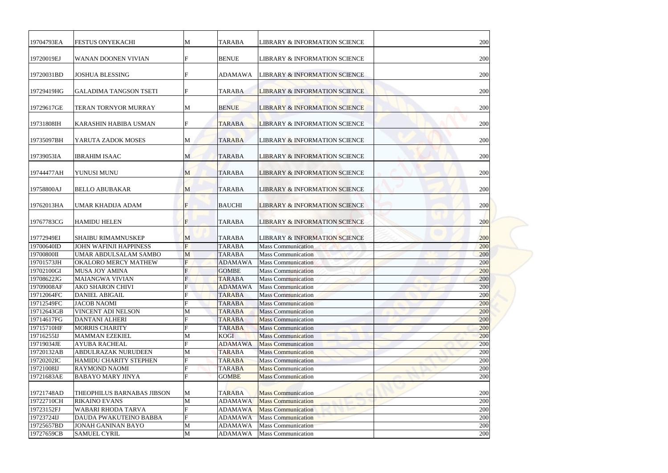| 19704793EA | <b>FESTUS ONYEKACHI</b>       | M              | <b>TARABA</b>  | <b>LIBRARY &amp; INFORMATION SCIENCE</b> | 200        |
|------------|-------------------------------|----------------|----------------|------------------------------------------|------------|
| 19720019EJ | <b>WANAN DOONEN VIVIAN</b>    |                | <b>BENUE</b>   | <b>LIBRARY &amp; INFORMATION SCIENCE</b> | 200        |
| 19720031BD | <b>JOSHUA BLESSING</b>        | F              | <b>ADAMAWA</b> | <b>LIBRARY &amp; INFORMATION SCIENCE</b> | 200        |
| 19729419HG | <b>GALADIMA TANGSON TSETI</b> | F              | <b>TARABA</b>  | <b>LIBRARY &amp; INFORMATION SCIENCE</b> | 200        |
| 19729617GE | TERAN TORNYOR MURRAY          | M              | <b>BENUE</b>   | <b>LIBRARY &amp; INFORMATION SCIENCE</b> | 200        |
| 19731808IH | KARASHIN HABIBA USMAN         | F              | <b>TARABA</b>  | <b>LIBRARY &amp; INFORMATION SCIENCE</b> | 200        |
| 19735097BH | YARUTA ZADOK MOSES            | M              | <b>TARABA</b>  | <b>LIBRARY &amp; INFORMATION SCIENCE</b> | 200        |
| 19739053IA | <b>IBRAHIM ISAAC</b>          | M              | <b>TARABA</b>  | <b>LIBRARY &amp; INFORMATION SCIENCE</b> | 200        |
| 19744477AH | YUNUSI MUNU                   | M              | <b>TARABA</b>  | <b>LIBRARY &amp; INFORMATION SCIENCE</b> | 200        |
| 19758800AJ | <b>BELLO ABUBAKAR</b>         | $\mathbf{M}$   | <b>TARABA</b>  | <b>LIBRARY &amp; INFORMATION SCIENCE</b> | 200        |
| 19762013HA | <b>UMAR KHADIJA ADAM</b>      | F              | <b>BAUCHI</b>  | <b>LIBRARY &amp; INFORMATION SCIENCE</b> | 200        |
| 19767783CG | <b>HAMIDU HELEN</b>           | F              | <b>TARABA</b>  | <b>LIBRARY &amp; INFORMATION SCIENCE</b> | <b>200</b> |
| 19772949EI | <b>SHAIBU RIMAMNUSKEP</b>     | M              | <b>TARABA</b>  | <b>LIBRARY &amp; INFORMATION SCIENCE</b> | 200        |
| 19700640ID | <b>JOHN WAFINJI HAPPINESS</b> | $\overline{F}$ | <b>TARABA</b>  | <b>Mass Communication</b>                | 200        |
| 19700800II | <b>UMAR ABDULSALAM SAMBO</b>  | M              | <b>TARABA</b>  | <b>Mass Communication</b>                | 200        |
| 19701573JH | <b>OKALORO MERCY MATHEW</b>   |                | <b>ADAMAWA</b> | <b>Mass Communication</b>                | 200        |
| 19702100GI | <b>MUSA JOY AMINA</b>         | F              | <b>GOMBE</b>   | <b>Mass Communication</b>                | 200        |
| 19708622JG | <b>MAIANGWA VIVIAN</b>        |                | <b>TARABA</b>  | <b>Mass Communication</b>                | 200        |
| 19709008AF | <b>AKO SHARON CHIVI</b>       |                | <b>ADAMAWA</b> | <b>Mass Communication</b>                | 200        |
| 19712064FC | <b>DANIEL ABIGAIL</b>         |                | <b>TARABA</b>  | <b>Mass Communication</b>                | 200        |
| 19712549FC | <b>JACOB NAOMI</b>            |                | <b>TARABA</b>  | <b>Mass Communication</b>                | 200        |
| 19712643GB | <b>VINCENT ADI NELSON</b>     | M              | <b>TARABA</b>  | <b>Mass Communication</b>                | 200        |
| 19714617FG | <b>DANTANI ALHERI</b>         |                | <b>TARABA</b>  | <b>Mass Communication</b>                | 200        |
| 19715710HF | <b>MORRIS CHARITY</b>         |                | <b>TARABA</b>  | <b>Mass Communication</b>                | 200        |
| 19716255IJ | <b>MAMMAN EZEKIEL</b>         | M              | <b>KOGI</b>    | <b>Mass Communication</b>                | 200        |
| 19719034JE | <b>AYUBA RACHEAL</b>          |                | <b>ADAMAWA</b> | <b>Mass Communication</b>                | 200        |
| 19720132AB | ABDULRAZAK NURUDEEN           | M              | <b>TARABA</b>  | <b>Mass Communication</b>                | 200        |
| 19720202IC | <b>HAMIDU CHARITY STEPHEN</b> |                | <b>TARABA</b>  | <b>Mass Communication</b>                | 200        |
| 19721008IJ | <b>RAYMOND NAOMI</b>          |                | <b>TARABA</b>  | <b>Mass Communication</b>                | 200        |
| 19721683AE | <b>BABAYO MARY JINYA</b>      |                | <b>GOMBE</b>   | <b>Mass Communication</b>                | 200        |
| 19721748AD | THEOPHILUS BARNABAS JIBSON    | M              | <b>TARABA</b>  | <b>Mass Communication</b>                | 200        |
| 19722710CH | <b>RIKAINO EVANS</b>          | M              | <b>ADAMAWA</b> | <b>Mass Communication</b>                | 200        |
| 19723152FJ | <b>WABARI RHODA TARVA</b>     |                | <b>ADAMAWA</b> | <b>Mass Communication</b>                | 200        |
| 19723724IJ | DAUDA PWAKUTEINO BABBA        |                | <b>ADAMAWA</b> | <b>Mass Communication</b>                | 200        |
| 19725657BD | <b>JONAH GANINAN BAYO</b>     | M              | <b>ADAMAWA</b> | <b>Mass Communication</b>                | 200        |
| 19727659CB | <b>SAMUEL CYRIL</b>           | M              | <b>ADAMAWA</b> | <b>Mass Communication</b>                | 200        |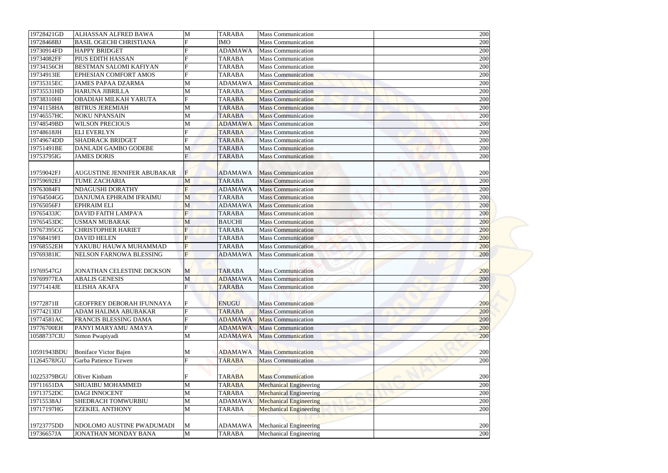| 19728421GD  | ALHASSAN ALFRED BAWA                                            | M              | <b>TARABA</b>  | <b>Mass Communication</b>     | 200        |
|-------------|-----------------------------------------------------------------|----------------|----------------|-------------------------------|------------|
| 19728468BJ  | <b>BASIL OGECHI CHRISTIANA</b>                                  | F              | <b>IMO</b>     | <b>Mass Communication</b>     | 200        |
| 19730914FD  | <b>HAPPY BRIDGET</b>                                            |                | <b>ADAMAWA</b> | <b>Mass Communication</b>     | 200        |
| 19734082FF  | PIUS EDITH HASSAN                                               |                | <b>TARABA</b>  | <b>Mass Communication</b>     | 200        |
| 19734156CH  | <b>BESTMAN SALOMI KAFIYAN</b>                                   | F              | <b>TARABA</b>  | <b>Mass Communication</b>     | 200        |
| 19734913IE  | <b>EPHESIAN COMFORT AMOS</b>                                    | F              | <b>TARABA</b>  | <b>Mass Communication</b>     | 200        |
| 19735315EC  | <b>JAMES PAPAA DZARMA</b>                                       | M              | <b>ADAMAWA</b> | <b>Mass Communication</b>     | 200        |
| 19735531HD  | <b>HARUNA JIBRILLA</b>                                          | M              | <b>TARABA</b>  | <b>Mass Communication</b>     | 200        |
| 19738310HI  | OBADIAH MILKAH YARUTA                                           |                | <b>TARABA</b>  | <b>Mass Communication</b>     | 200        |
| 19741158HA  | <b>BITRUS JEREMIAH</b>                                          | M              | <b>TARABA</b>  | <b>Mass Communication</b>     | 200        |
| 19746557HC  | <b>NOKU NPANSAIN</b>                                            | M              | <b>TARABA</b>  | <b>Mass Communication</b>     | 200        |
| 19748549BD  | <b>WILSON PRECIOUS</b>                                          | M              | <b>ADAMAWA</b> | <b>Mass Communication</b>     | 200        |
| 19748618JH  | <b>ELI EVERLYN</b>                                              |                | <b>TARABA</b>  | <b>Mass Communication</b>     | 200        |
| 19749674DD  | <b>SHADRACK BRIDGET</b>                                         | F              | <b>TARABA</b>  | <b>Mass Communication</b>     | 200        |
| 19751491BE  | <b>DANLADI GAMBO GODEBE</b>                                     | M              | <b>TARABA</b>  | <b>Mass Communication</b>     | 200        |
| 19753795IG  | <b>JAMES DORIS</b>                                              | $\overline{F}$ | <b>TARABA</b>  | <b>Mass Communication</b>     | 200        |
|             |                                                                 |                |                |                               |            |
| 19759042FJ  | <b>AUGUSTINE JENNIFER ABUBAKAR</b>                              | $\mathbf F$    | <b>ADAMAWA</b> | <b>Mass Communication</b>     | 200        |
| 19759692EJ  | <b>TUME ZACHARIA</b>                                            | M              | <b>TARABA</b>  | <b>Mass Communication</b>     | 200        |
| 19763084FI  | <b>NDAGUSHI DORATHY</b>                                         | $\overline{F}$ | <b>ADAMAWA</b> | <b>Mass Communication</b>     | 200        |
| 19764504GG  | DANJUMA EPHRAIM IFRAIMU                                         | M              | <b>TARABA</b>  | <b>Mass Communication</b>     | 200        |
| 19765056FJ  | <b>EPHRAIM ELI</b>                                              | M              | <b>ADAMAWA</b> | <b>Mass Communication</b>     | 200        |
| 19765433JC  | <b>DAVID FAITH LAMPA'A</b>                                      | $\overline{F}$ | <b>TARABA</b>  | <b>Mass Communication</b>     | 200        |
| 19765453DC  | <b>USMAN MUBARAK</b>                                            | M              | <b>BAUCHI</b>  | <b>Mass Communication</b>     | <b>200</b> |
| 19767395CG  | <b>CHRISTOPHER HARIET</b>                                       |                | <b>TARABA</b>  | <b>Mass Communication</b>     | 200        |
| 19768419FI  | <b>DAVID HELEN</b>                                              |                | <b>TARABA</b>  | <b>Mass Communication</b>     | 200        |
| 19768552EH  | YAKUBU HAUWA MUHAMMAD                                           | $\mathbf F$    | <b>TARABA</b>  | <b>Mass Communication</b>     | 200        |
| 19769381IC  | NELSON FARNOWA BLESSING                                         | F              | <b>ADAMAWA</b> | <b>Mass Communication</b>     | 200        |
|             |                                                                 |                |                |                               |            |
| 19769547GJ  | JONATHAN CELESTINE DICKSON                                      | M              | <b>TARABA</b>  | <b>Mass Communication</b>     | 200        |
| 19769977EA  | <b>ABALIS GENESIS</b>                                           | M              | <b>ADAMAWA</b> | <b>Mass Communication</b>     | 200        |
| 19771414JE  | <b>ELISHA AKAFA</b>                                             | $\overline{F}$ | <b>TARABA</b>  | <b>Mass Communication</b>     | 200        |
|             |                                                                 |                |                |                               |            |
| 19772871II  | <b>GEOFFREY DEBORAH IFUNNAYA</b><br><b>ADAM HALIMA ABUBAKAR</b> | $\mathbf{F}$   | <b>ENUGU</b>   | <b>Mass Communication</b>     | 200        |
| 19774213DJ  |                                                                 |                | <b>TARABA</b>  | <b>Mass Communication</b>     | 200        |
| 19774581AC  | FRANCIS BLESSING DAMA                                           |                | <b>ADAMAWA</b> | <b>Mass Communication</b>     | 200        |
| 19776700EH  | PANYI MARYAMU AMAYA                                             |                | <b>ADAMAWA</b> | <b>Mass Communication</b>     | 200        |
| 10588737CIU | Simon Pwapiyadi                                                 | M              | <b>ADAMAWA</b> | <b>Mass Communication</b>     | 200        |
| 10591943BDU | Boniface Victor Bajen                                           | M              | <b>ADAMAWA</b> | <b>Mass Communication</b>     | 200        |
| 11264578JGU | Garba Patience Tizwen                                           |                | <b>TARABA</b>  | <b>Mass Communication</b>     | 200        |
|             |                                                                 |                |                |                               |            |
| 10225379BGU | Oliver Kinbam                                                   |                | <b>TARABA</b>  | <b>Mass Communication</b>     | 200        |
| 19711651DA  | <b>SHUAIBU MOHAMMED</b>                                         | M              | <b>TARABA</b>  | <b>Mechanical Engineering</b> | 200        |
| 19713752DC  | <b>DAGI INNOCENT</b>                                            | M              | <b>TARABA</b>  | <b>Mechanical Engineering</b> | 200        |
| 19715538AJ  | <b>SHEDRACH TOMWURBIU</b>                                       | M              | <b>ADAMAWA</b> | <b>Mechanical Engineering</b> | 200        |
| 19717197HG  | <b>EZEKIEL ANTHONY</b>                                          | M              | <b>TARABA</b>  | <b>Mechanical Engineering</b> | 200        |
|             |                                                                 |                |                |                               |            |
| 19723775DD  | NDOLOMO AUSTINE PWADUMADI                                       | M              | <b>ADAMAWA</b> | <b>Mechanical Engineering</b> | 200        |
| 19736657JA  | <b>JONATHAN MONDAY BANA</b>                                     | M              | <b>TARABA</b>  | Mechanical Engineering        | 200        |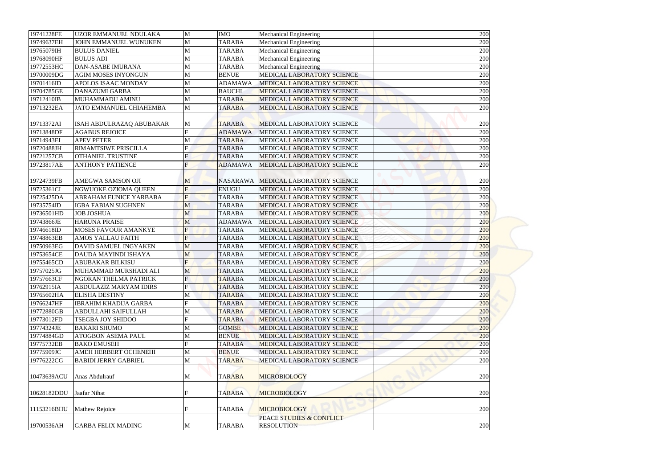| 19741228FE  | UZOR EMMANUEL NDULAKA                             | M                   | <b>IMO</b>      |                                                             |            |
|-------------|---------------------------------------------------|---------------------|-----------------|-------------------------------------------------------------|------------|
| 19749637EH  | JOHN EMMANUEL WUNUKEN                             | M                   | <b>TARABA</b>   | <b>Mechanical Engineering</b><br>Mechanical Engineering     | 200<br>200 |
| 19765079IH  | <b>BULUS DANIEL</b>                               | M                   | <b>TARABA</b>   |                                                             | 200        |
| 19768090HF  | <b>BULUS ADI</b>                                  |                     | <b>TARABA</b>   | <b>Mechanical Engineering</b>                               | 200        |
| 19772553HC  | <b>DAN-ASABE IMURANA</b>                          | M                   | <b>TARABA</b>   | <b>Mechanical Engineering</b>                               | 200        |
| 19700009DG  | <b>AGIM MOSES INYONGUN</b>                        | M<br>M              | <b>BENUE</b>    | <b>Mechanical Engineering</b><br>MEDICAL LABORATORY SCIENCE |            |
|             | <b>APOLOS ISAAC MONDAY</b>                        |                     |                 |                                                             | 200        |
| 19701416ID  |                                                   | M                   | <b>ADAMAWA</b>  | MEDICAL LABORATORY SCIENCE                                  | 200        |
| 19704785GE  | <b>DANAZUMI GARBA</b>                             | M                   | <b>BAUCHI</b>   | MEDICAL LABORATORY SCIENCE                                  | 200        |
| 19712410IB  | MUHAMMADU AMINU                                   | M                   | <b>TARABA</b>   | MEDICAL LABORATORY SCIENCE                                  | 200        |
| 19713232EA  | <b>JATO EMMANUEL CHIAHEMBA</b>                    | M                   | <b>TARABA</b>   | MEDICAL LABORATORY SCIENCE                                  | 200        |
|             |                                                   |                     |                 |                                                             |            |
| 19713372AI  | ISAH ABDULRAZAQ ABUBAKAR<br><b>AGABUS REJOICE</b> | M<br>$\overline{F}$ | <b>TARABA</b>   | MEDICAL LABORATORY SCIENCE<br>MEDICAL LABORATORY SCIENCE    | 200        |
| 19713848DF  | <b>APEV PETER</b>                                 |                     | <b>ADAMAWA</b>  | MEDICAL LABORATORY SCIENCE                                  | 200        |
| 19714943EI  |                                                   | M<br>Ħ              | <b>TARABA</b>   |                                                             | 200        |
| 19720488JH  | <b>RIMAMTSIWE PRISCILLA</b>                       |                     | <b>TARABA</b>   | MEDICAL LABORATORY SCIENCE                                  | 200        |
| 19721257CB  | <b>OTHANIEL TRUSTINE</b>                          |                     | <b>TARABA</b>   | <b>MEDICAL LABORATORY SCIENCE</b>                           | 200        |
| 19723817AE  | <b>ANTHONY PATIENCE</b>                           |                     | <b>ADAMAWA</b>  | MEDICAL LABORATORY SCIENCE                                  | 200        |
|             |                                                   |                     |                 |                                                             |            |
| 19724739FB  | AMEGWA SAMSON OJI                                 | M                   | <b>NASARAWA</b> | MEDICAL LABORATORY SCIENCE                                  | 200        |
| 19725361CI  | NGWUOKE OZIOMA QUEEN                              | F                   | <b>ENUGU</b>    | MEDICAL LABORATORY SCIENCE                                  | 200        |
| 19725425DA  | ABRAHAM EUNICE YARBABA                            | F                   | <b>TARABA</b>   | MEDICAL LABORATORY SCIENCE                                  | 200        |
| 19735754ID  | <b>IGBA FABIAN SUGHNEN</b>                        | M                   | <b>TARABA</b>   | MEDICAL LABORATORY SCIENCE                                  | 200        |
| 19736501HD  | <b>JOB JOSHUA</b>                                 | M                   | <b>TARABA</b>   | MEDICAL LABORATORY SCIENCE                                  | 200        |
| 19743866JE  | <b>HARUNA PRAISE</b>                              | M                   | <b>ADAMAWA</b>  | MEDICAL LABORATORY SCIENCE                                  | 200        |
| 19746618ID  | <b>MOSES FAVOUR AMANKYE</b>                       | $\overline{F}$      | <b>TARABA</b>   | MEDICAL LABORATORY SCIENCE                                  | 200        |
| 19748863EB  | <b>AMOS YALLAU FAITH</b>                          | F                   | <b>TARABA</b>   | MEDICAL LABORATORY SCIENCE                                  | 200        |
| 19750963EG  | DAVID SAMUEL INGYAKEN                             | M                   | <b>TARABA</b>   | MEDICAL LABORATORY SCIENCE                                  | 200        |
| 19753654CE  | DAUDA MAYINDI ISHAYA                              | M                   | <b>TARABA</b>   | <b>MEDICAL LABORATORY SCIENCE</b>                           | 200        |
| 19755465CD  | <b>ABUBAKAR BILKISU</b>                           |                     | <b>TARABA</b>   | MEDICAL LABORATORY SCIENCE                                  | 200        |
| 19757025JG  | MUHAMMAD MURSHADI ALI                             | M                   | <b>TARABA</b>   | MEDICAL LABORATORY SCIENCE                                  | 200        |
| 19757663CF  | NGORAN THELMA PATRICK                             | F                   | <b>TARABA</b>   | MEDICAL LABORATORY SCIENCE                                  | 200        |
| 19762915IA  | <b>ABDULAZIZ MARYAM IDIRS</b>                     | $\mathbf{F}$        | <b>TARABA</b>   | MEDICAL LABORATORY SCIENCE                                  | 200        |
| 19765602HA  | <b>ELISHA DESTINY</b>                             | M                   | <b>TARABA</b>   | MEDICAL LABORATORY SCIENCE                                  | 200        |
| 19766247HF  | <b>IBRAHIM KHADIJA GARBA</b>                      | Ħ                   | <b>TARABA</b>   | MEDICAL LABORATORY SCIENCE                                  | 200        |
| 19772880GB  | ABDULLAHI SAIFULLAH                               | M                   | <b>TARABA</b>   | MEDICAL LABORATORY SCIENCE                                  | 200        |
| 19773012FD  | <b>TSEGBA JOY SHIDOO</b>                          | Ħ                   | <b>TARABA</b>   | <b>MEDICAL LABORATORY SCIENCE</b>                           | 200        |
| 19774324JE  | <b>BAKARI SHUMO</b>                               | М                   | <b>GOMBE</b>    | MEDICAL LABORATORY SCIENCE                                  | 200        |
| 19774884GD  | <b>ATOGBON ASEMA PAUL</b>                         | М                   | <b>BENUE</b>    | MEDICAL LABORATORY SCIENCE                                  | 200        |
| 19775732EB  | <b>BAKO EMUSEH</b>                                | F                   | <b>TARABA</b>   | <b>MEDICAL LABORATORY SCIENCE</b>                           | 200        |
| 19775909JC  | AMEH HERBERT OCHENEHI                             | M                   | <b>BENUE</b>    | MEDICAL LABORATORY SCIENCE                                  | 200        |
| 19776222CG  | <b>BABIDI JERRY GABRIEL</b>                       | M                   | <b>TARABA</b>   | MEDICAL LABORATORY SCIENCE                                  | 200        |
| 10473639ACU | Anas Abdulrauf                                    | M                   | <b>TARABA</b>   | <b>MICROBIOLOGY</b>                                         | 200        |
| 10628182DDU | Jaafar Nihat                                      |                     | <b>TARABA</b>   | <b>MICROBIOLOGY</b>                                         | 200        |
| 11153216BHU | Mathew Rejoice                                    |                     | <b>TARABA</b>   | <b>MICROBIOLOGY</b>                                         | 200        |
|             |                                                   |                     |                 | PEACE STUDIES & CONFLICT                                    |            |
| 19700536AH  | <b>GARBA FELIX MADING</b>                         | M                   | <b>TARABA</b>   | <b>RESOLUTION</b>                                           | 200        |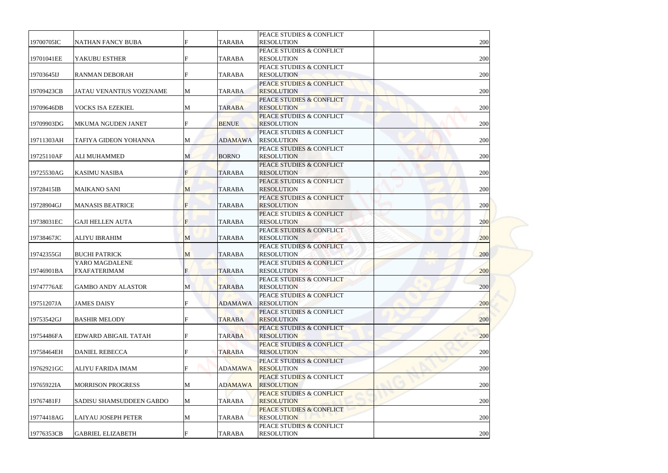|            |                                 |              |                | PEACE STUDIES & CONFLICT            |     |
|------------|---------------------------------|--------------|----------------|-------------------------------------|-----|
| 19700705IC | <b>NATHAN FANCY BUBA</b>        |              | <b>TARABA</b>  | <b>RESOLUTION</b>                   | 200 |
|            |                                 |              |                | PEACE STUDIES & CONFLICT            |     |
| 19701041EE | YAKUBU ESTHER                   |              | <b>TARABA</b>  | <b>RESOLUTION</b>                   | 200 |
|            |                                 |              |                | PEACE STUDIES & CONFLICT            |     |
| 19703645IJ | <b>RANMAN DEBORAH</b>           |              | <b>TARABA</b>  | <b>RESOLUTION</b>                   | 200 |
|            |                                 |              |                | PEACE STUDIES & CONFLICT            |     |
| 19709423CB | <b>JATAU VENANTIUS VOZENAME</b> | M            | <b>TARABA</b>  | <b>RESOLUTION</b>                   | 200 |
|            |                                 |              |                | PEACE STUDIES & CONFLICT            |     |
| 19709646DB | <b>VOCKS ISA EZEKIEL</b>        | M            | <b>TARABA</b>  | <b>RESOLUTION</b>                   | 200 |
|            |                                 |              |                | PEACE STUDIES & CONFLICT            |     |
| 19709903DG | <b>MKUMA NGUDEN JANET</b>       | F            | <b>BENUE</b>   | <b>RESOLUTION</b>                   | 200 |
|            |                                 |              |                | PEACE STUDIES & CONFLICT            |     |
| 19711303AH | TAFIYA GIDEON YOHANNA           | M            | <b>ADAMAWA</b> | <b>RESOLUTION</b>                   | 200 |
|            |                                 |              |                | PEACE STUDIES & CONFLICT            |     |
| 19725110AF | <b>ALI MUHAMMED</b>             | M            | <b>BORNO</b>   | <b>RESOLUTION</b>                   | 200 |
|            |                                 |              |                | PEACE STUDIES & CONFLICT            |     |
| 19725530AG | <b>KASIMU NASIBA</b>            |              | <b>TARABA</b>  | <b>RESOLUTION</b>                   | 200 |
|            |                                 |              |                | PEACE STUDIES & CONFLICT            |     |
| 19728415IB | <b>MAIKANO SANI</b>             | $\mathbf{M}$ | <b>TARABA</b>  | <b>RESOLUTION</b>                   | 200 |
|            |                                 |              |                | PEACE STUDIES & CONFLICT            |     |
| 19728904GJ | <b>MANASIS BEATRICE</b>         | F            | <b>TARABA</b>  | <b>RESOLUTION</b>                   | 200 |
|            |                                 |              |                | PEACE STUDIES & CONFLICT            |     |
| 19738031EC | <b>GAJI HELLEN AUTA</b>         | F            | <b>TARABA</b>  | <b>RESOLUTION</b>                   | 200 |
|            |                                 |              |                | PEACE STUDIES & CONFLICT            |     |
| 19738467JC | <b>ALIYU IBRAHIM</b>            | M            | <b>TARABA</b>  | <b>RESOLUTION</b>                   | 200 |
|            |                                 |              |                | <b>PEACE STUDIES &amp; CONFLICT</b> |     |
| 19742355GI | <b>BUCHI PATRICK</b>            | M            | <b>TARABA</b>  | <b>RESOLUTION</b>                   | 200 |
|            | YARO MAGDALENE                  |              |                | PEACE STUDIES & CONFLICT            |     |
| 19746901BA | <b>FXAFATERIMAM</b>             |              | <b>TARABA</b>  | <b>RESOLUTION</b>                   | 200 |
|            |                                 |              |                | PEACE STUDIES & CONFLICT            |     |
| 19747776AE | <b>GAMBO ANDY ALASTOR</b>       | M            | <b>TARABA</b>  | <b>RESOLUTION</b>                   | 200 |
|            |                                 |              |                | PEACE STUDIES & CONFLICT            |     |
| 19751207JA | <b>JAMES DAISY</b>              |              | <b>ADAMAWA</b> | <b>RESOLUTION</b>                   | 200 |
|            |                                 |              |                | PEACE STUDIES & CONFLICT            |     |
| 19753542GJ | <b>BASHIR MELODY</b>            |              | <b>TARABA</b>  | <b>RESOLUTION</b>                   | 200 |
|            |                                 |              |                | PEACE STUDIES & CONFLICT            |     |
| 19754486FA | <b>EDWARD ABIGAIL TATAH</b>     |              | <b>TARABA</b>  | <b>RESOLUTION</b>                   | 200 |
|            |                                 |              |                | <b>PEACE STUDIES &amp; CONFLICT</b> |     |
| 19758464EH | <b>DANIEL REBECCA</b>           |              | <b>TARABA</b>  | <b>RESOLUTION</b>                   | 200 |
|            |                                 |              |                | PEACE STUDIES & CONFLICT            |     |
| 19762921GC | <b>ALIYU FARIDA IMAM</b>        |              | <b>ADAMAWA</b> | <b>RESOLUTION</b>                   | 200 |
|            |                                 |              |                | <b>PEACE STUDIES &amp; CONFLICT</b> |     |
| 19765922IA | <b>MORRISON PROGRESS</b>        | M            | <b>ADAMAWA</b> | <b>RESOLUTION</b>                   | 200 |
|            |                                 |              |                | <b>PEACE STUDIES &amp; CONFLICT</b> |     |
| 19767481FJ | <b>SADISU SHAMSUDDEEN GABDO</b> | M            | <b>TARABA</b>  | <b>RESOLUTION</b>                   | 200 |
|            |                                 |              |                | <b>PEACE STUDIES &amp; CONFLICT</b> |     |
| 19774418AG | <b>LAIYAU JOSEPH PETER</b>      | M            | <b>TARABA</b>  | <b>RESOLUTION</b>                   | 200 |
|            |                                 |              |                | PEACE STUDIES & CONFLICT            |     |
| 19776353CB | <b>GABRIEL ELIZABETH</b>        |              | <b>TARABA</b>  | <b>RESOLUTION</b>                   | 200 |
|            |                                 |              |                |                                     |     |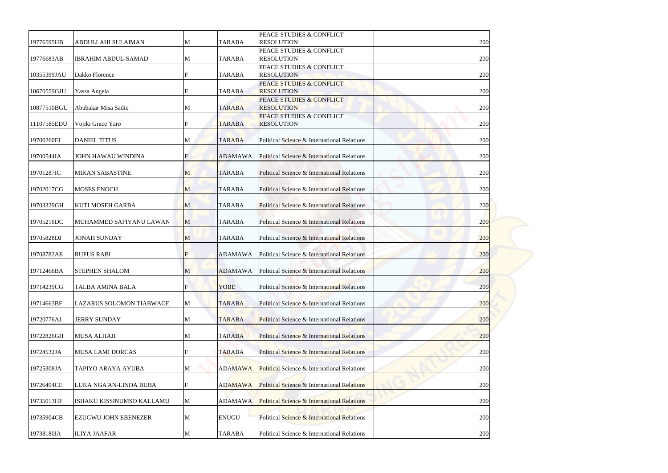| 19776595HB  | ABDULLAHI SULAIMAN              | M | <b>TARABA</b>  | PEACE STUDIES & CONFLICT<br><b>RESOLUTION</b>            | 200 |
|-------------|---------------------------------|---|----------------|----------------------------------------------------------|-----|
| 19776683AB  | <b>IBRAHIM ABDUL-SAMAD</b>      | M | <b>TARABA</b>  | PEACE STUDIES & CONFLICT<br><b>RESOLUTION</b>            | 200 |
| 10355399JAU | Dakko Florence                  | F | <b>TARABA</b>  | PEACE STUDIES & CONFLICT<br><b>RESOLUTION</b>            | 200 |
| 10670559GJU | Yassa Angela                    |   | <b>TARABA</b>  | <b>PEACE STUDIES &amp; CONFLICT</b><br><b>RESOLUTION</b> | 200 |
| 10877510BGU | Abubakar Misa Sadiq             | M | <b>TARABA</b>  | PEACE STUDIES & CONFLICT<br><b>RESOLUTION</b>            | 200 |
| 11107585EDU | Vojiki Grace Yaro               |   | <b>TARABA</b>  | PEACE STUDIES & CONFLICT<br><b>RESOLUTION</b>            | 200 |
| 19700260FJ  | <b>DANIEL TITUS</b>             | M | <b>TARABA</b>  | Political Science & International Relations              | 200 |
| 19700544IA  | <b>JOHN HAWAU WINDINA</b>       |   | <b>ADAMAWA</b> | Political Science & International Relations              | 200 |
| 19701287IC  | <b>MIKAN SABASTINE</b>          | M | <b>TARABA</b>  | Political Science & International Relations              | 200 |
| 19702017CG  | <b>MOSES ENOCH</b>              | M | <b>TARABA</b>  | Political Science & International Relations              | 200 |
| 19703329GH  | <b>KUTI MOSEH GARBA</b>         | M | <b>TARABA</b>  | Political Science & International Relations              | 200 |
| 19705216DC  | MUHAMMED SAFIYANU LAWAN         | M | <b>TARABA</b>  | Political Science & International Relations              | 200 |
| 19705828DJ  | <b>JONAH SUNDAY</b>             | M | <b>TARABA</b>  | Political Science & International Relations              | 200 |
| 19708782AE  | <b>RUFUS RABI</b>               | F | <b>ADAMAWA</b> | Political Science & International Relations              | 200 |
| 19712466BA  | <b>STEPHEN SHALOM</b>           | M | <b>ADAMAWA</b> | Political Science & International Relations              | 200 |
| 19714239CG  | <b>TALBA AMINA BALA</b>         |   | <b>YOBE</b>    | Political Science & International Relations              | 200 |
| 19714663BF  | <b>LAZARUS SOLOMON TIABWAGE</b> | M | <b>TARABA</b>  | Political Science & International Relations              | 200 |
| 19720776AJ  | <b>JERRY SUNDAY</b>             | M | <b>TARABA</b>  | <b>Political Science &amp; International Relations</b>   | 200 |
| 19722826GH  | <b>MUSA ALHAJI</b>              | M | <b>TARABA</b>  | Political Science & International Relations              | 200 |
| 19724532JA  | <b>MUSA LAMI DORCAS</b>         |   | <b>TARABA</b>  | <b>Political Science &amp; International Relations</b>   | 200 |
| 19725308JA  | TAPIYO ARAYA AYUBA              | M | <b>ADAMAWA</b> | Political Science & International Relations              | 200 |
| 19726494CE  | LUKA NGA'AN-LINDA BUBA          |   | <b>ADAMAWA</b> | Political Science & International Relations              | 200 |
| 19735013HF  | ISHAKU KISSINUMSO KALLAMU       | M | <b>ADAMAWA</b> | <b>Political Science &amp; International Relations</b>   | 200 |
| 19735904CB  | <b>EZUGWU JOHN EBENEZER</b>     | M | <b>ENUGU</b>   | Political Science & International Relations              | 200 |
| 19738180IA  | <b>ILIYA JAAFAR</b>             | M | <b>TARABA</b>  | Political Science & International Relations              | 200 |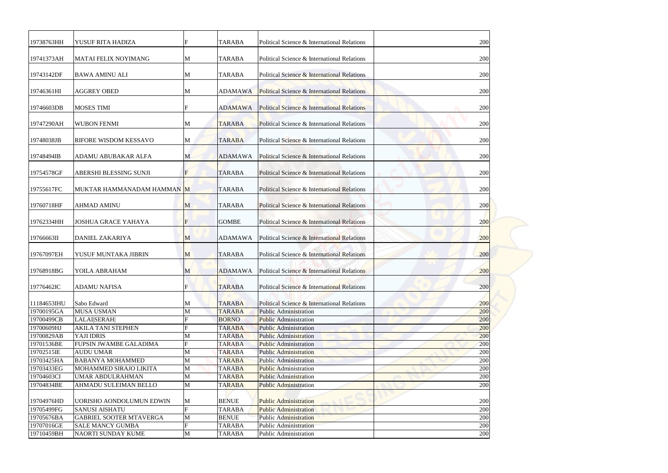| 19738763HH  | YUSUF RITA HADIZA              |                | <b>TARABA</b>  | Political Science & International Relations            | 200 |
|-------------|--------------------------------|----------------|----------------|--------------------------------------------------------|-----|
| 19741373AH  | <b>MATAI FELIX NOYIMANG</b>    | M              | <b>TARABA</b>  | Political Science & International Relations            | 200 |
| 19743142DF  | <b>BAWA AMINU ALI</b>          | M              | <b>TARABA</b>  | Political Science & International Relations            | 200 |
| 19746361HI  | <b>AGGREY OBED</b>             | M              | <b>ADAMAWA</b> | Political Science & International Relations            | 200 |
| 19746603DB  | <b>MOSES TIMI</b>              | F              | <b>ADAMAWA</b> | <b>Political Science &amp; International Relations</b> | 200 |
| 19747290AH  | <b>WUBON FENMI</b>             | M              | <b>TARABA</b>  | Political Science & International Relations            | 200 |
| 19748038JB  | RIFORE WISDOM KESSAVO          | M              | <b>TARABA</b>  | Political Science & International Relations            | 200 |
| 19748494IB  | <b>ADAMU ABUBAKAR ALFA</b>     | M              | <b>ADAMAWA</b> | Political Science & International Relations            | 200 |
| 19754578GF  | ABERSHI BLESSING SUNJI         |                | <b>TARABA</b>  | Political Science & International Relations            | 200 |
| 19755617FC  | MUKTAR HAMMANADAM HAMMAN M     |                | <b>TARABA</b>  | Political Science & International Relations            | 200 |
| 19760718HF  | <b>AHMAD AMINU</b>             | M              | <b>TARABA</b>  | Political Science & International Relations            | 200 |
| 19762334HH  | <b>JOSHUA GRACE YAHAYA</b>     | $\overline{F}$ | <b>GOMBE</b>   | Political Science & International Relations            | 200 |
| 19766663II  | <b>DANIEL ZAKARIYA</b>         | $\mathbf{M}$   | <b>ADAMAWA</b> | Political Science & International Relations            | 200 |
| 19767097EH  | YUSUF MUNTAKA JIBRIN           | M              | <b>TARABA</b>  | Political Science & International Relations            | 200 |
| 19768918BG  | YOILA ABRAHAM                  | M              | <b>ADAMAWA</b> | Political Science & International Relations            | 200 |
| 19776462IC  | <b>ADAMU NAFISA</b>            | F              | <b>TARABA</b>  | Political Science & International Relations            | 200 |
| 11184653IHU | Sabo Edward                    | M              | <b>TARABA</b>  | Political Science & International Relations            | 200 |
| 19700195GA  | <b>MUSA USMAN</b>              | M              | <b>TARABA</b>  | <b>Public Administration</b>                           | 200 |
| 19700499CB  | <b>LALAISERAH</b>              |                | <b>BORNO</b>   | <b>Public Administration</b>                           | 200 |
| 19700609HJ  | <b>AKILA TANI STEPHEN</b>      |                | <b>TARABA</b>  | <b>Public Administration</b>                           | 200 |
| 19700829AB  | YAJI IDRIS                     | M              | <b>TARABA</b>  | <b>Public Administration</b>                           | 200 |
| 19701536BE  | FUPSIN JWAMBE GALADIMA         |                | <b>TARABA</b>  | <b>Public Administration</b>                           | 200 |
| 19702515IE  | <b>AUDU UMAR</b>               | M              | <b>TARABA</b>  | <b>Public Administration</b>                           | 200 |
| 19703425HA  | <b>BABANYA MOHAMMED</b>        | M              | <b>TARABA</b>  | <b>Public Administration</b>                           | 200 |
| 19703433EG  | MOHAMMED SIRAJO LIKITA         | M              | <b>TARABA</b>  | <b>Public Administration</b>                           | 200 |
| 19704603CI  | <b>UMAR ABDULRAHMAN</b>        | M              | <b>TARABA</b>  | <b>Public Administration</b>                           | 200 |
| 19704834BE  | AHMADU SULEIMAN BELLO          | M              | <b>TARABA</b>  | <b>Public Administration</b>                           | 200 |
| 19704976HD  | UORISHO AONDOLUMUN EDWIN       | M              | <b>BENUE</b>   | <b>Public Administration</b>                           | 200 |
| 19705499FG  | <b>SANUSI AISHATU</b>          |                | <b>TARABA</b>  | <b>Public Administration</b>                           | 200 |
| 19705676BA  | <b>GABRIEL SOOTER MTAVERGA</b> | M              | <b>BENUE</b>   | <b>Public Administration</b>                           | 200 |
| 19707016GE  | <b>SALE MANCY GUMBA</b>        |                | <b>TARABA</b>  | <b>Public Administration</b>                           | 200 |
| 19710459BH  | NAORTI SUNDAY KUME             | M              | <b>TARABA</b>  | Public Administration                                  | 200 |
|             |                                |                |                |                                                        |     |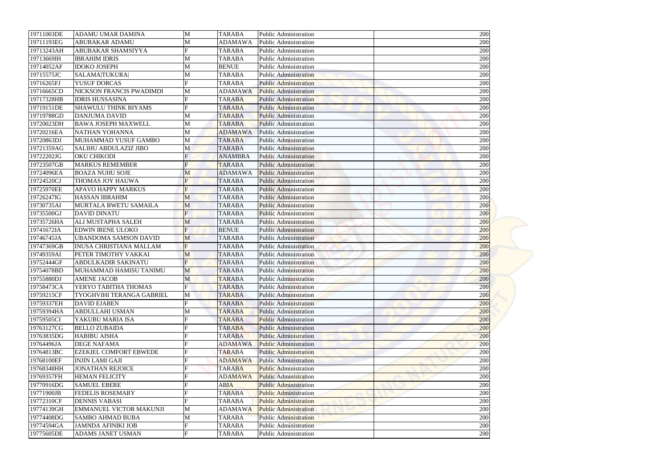| 19711003DE               | <b>ADAMU UMAR DAMINA</b>                              | M                | <b>TARABA</b>                   | Public Administration                                        | 200        |
|--------------------------|-------------------------------------------------------|------------------|---------------------------------|--------------------------------------------------------------|------------|
| 19711193EG               | ABUBAKAR ADAMU                                        | M                | <b>ADAMAWA</b>                  | <b>Public Administration</b>                                 | 200        |
| 19713243AH               | ABUBAKAR SHAMSIYYA                                    |                  | <b>TARABA</b>                   | <b>Public Administration</b>                                 | 200        |
| 19713669IH               | <b>IBRAHIM IDRIS</b>                                  | M                | <b>TARABA</b>                   | <b>Public Administration</b>                                 | 200        |
| 19714052AF<br>19715575JC | <b>IDOKO JOSEPH</b>                                   | M                | <b>BENUE</b>                    | <b>Public Administration</b>                                 | 200        |
|                          | <b>SALAMA TUKURA </b>                                 | M                | <b>TARABA</b>                   | <b>Public Administration</b>                                 | 200        |
| 19716265FJ               | <b>YUSUF DORCAS</b>                                   | F                | <b>TARABA</b>                   | <b>Public Administration</b>                                 | 200        |
| 19716665CD               | NICKSON FRANCIS PWADIMDI                              | M                | <b>ADAMAWA</b>                  | <b>Public Administration</b>                                 | 200        |
| 19717328HB               | <b>IDRIS HUSSASINA</b><br><b>SHAWULU THINK BIYAMS</b> |                  | <b>TARABA</b>                   | <b>Public Administration</b>                                 | 200        |
| 19719151DE               |                                                       |                  | <b>TARABA</b>                   | <b>Public Administration</b>                                 | 200        |
| 19719788GD               | <b>DANJUMA DAVID</b>                                  | M                | <b>TARABA</b>                   | <b>Public Administration</b>                                 | 200        |
| 19720023DH               | <b>BAWA JOSEPH MAXWELL</b>                            | M                | <b>TARABA</b>                   | <b>Public Administration</b>                                 | 200        |
| 19720216EA               | NATHAN YOHANNA<br>MUHAMMAD YUSUF GAMBO                | M                | <b>ADAMAWA</b>                  | <b>Public Administration</b>                                 | 200        |
| 19720863DJ               | <b>SALIHU ABDULAZIZ JIBO</b>                          | M                | <b>TARABA</b><br><b>TARABA</b>  | <b>Public Administration</b>                                 | 200<br>200 |
| 19721359AG               |                                                       | M                |                                 | <b>Public Administration</b>                                 |            |
| 19722202JG<br>19723507GB | OKU CHIKODI<br><b>MARKUS REMEMBER</b>                 |                  | <b>ANAMBRA</b><br><b>TARABA</b> | <b>Public Administration</b>                                 | 200        |
| 19724096EA               | <b>BOAZA NUHU SOJE</b>                                |                  | <b>ADAMAWA</b>                  | <b>Public Administration</b><br><b>Public Administration</b> | 200<br>200 |
|                          |                                                       | M                |                                 |                                                              |            |
| 19724520CJ               | THOMAS JOY HAUWA<br><b>APAVO HAPPY MARKUS</b>         | F<br>F           | <b>TARABA</b>                   | <b>Public Administration</b>                                 | 200        |
| 19725970EE               |                                                       |                  | <b>TARABA</b>                   | <b>Public Administration</b>                                 | 200        |
| 19726247IG               | <b>HASSAN IBRAHIM</b>                                 | M                | <b>TARABA</b>                   | <b>Public Administration</b>                                 | 200        |
| 19730735AI               | MURTALA BWETU SAMAILA                                 | M                | <b>TARABA</b>                   | <b>Public Administration</b>                                 | 200        |
| 19735500GJ               | <b>DAVID DINATU</b>                                   | $\overline{F}$   | <b>TARABA</b>                   | <b>Public Administration</b>                                 | 200        |
| 19735726HA               | <b>ALI MUSTAPHA SALEH</b>                             | M                | <b>TARABA</b>                   | <b>Public Administration</b>                                 | <b>200</b> |
| 19741672IA               | <b>EDWIN IRENE ULOKO</b>                              | F                | <b>BENUE</b>                    | <b>Public Administration</b>                                 | 200        |
| 19746745JA               | <b>UBANDOMA SAMSON DAVID</b>                          | M                | <b>TARABA</b>                   | <b>Public Administration</b>                                 | 200        |
| 19747369GB               | <b>INUSA CHRISTIANA MALLAM</b>                        | $\overline{F}$   | <b>TARABA</b>                   | <b>Public Administration</b>                                 | 200        |
| 19749359AI               | PETER TIMOTHY VAKKAI                                  | M                | <b>TARABA</b>                   | <b>Public Administration</b>                                 | 200        |
| 19752444GF               | ABDULKADIR SAKINATU                                   |                  | <b>TARABA</b>                   | <b>Public Administration</b>                                 | 200        |
| 19754078BD               | MUHAMMAD HAMISU TANIMU                                | M                | <b>TARABA</b>                   | <b>Public Administration</b>                                 | 200        |
| 19755880DJ               | <b>AMENE JACOB</b>                                    | M<br>$\mathbf F$ | <b>TARABA</b>                   | <b>Public Administration</b>                                 | 200        |
| 19758473CA               | YERYO TABITHA THOMAS                                  |                  | <b>TARABA</b>                   | <b>Public Administration</b>                                 | 200        |
| 19759215CF               | TYOGHVIHI TERANGA GABRIEL                             | M                | <b>TARABA</b>                   | <b>Public Administration</b>                                 | 200        |
| 19759337EH<br>19759394HA | <b>DAVID EJABEN</b><br><b>ABDULLAHI USMAN</b>         |                  | <b>TARABA</b><br><b>TARABA</b>  | <b>Public Administration</b><br><b>Public Administration</b> | 200<br>200 |
| 19759505CI               | YAKUBU MARIA ISA                                      | M                | <b>TARABA</b>                   | <b>Public Administration</b>                                 | 200        |
| 19763127CG               | <b>BELLO ZUBAIDA</b>                                  |                  |                                 | <b>Public Administration</b>                                 | 200        |
|                          |                                                       |                  | <b>TARABA</b>                   |                                                              |            |
| 19763835DG               | <b>HABIBU AISHA</b>                                   |                  | <b>TARABA</b>                   | <b>Public Administration</b>                                 | 200        |
| 19764496JA               | <b>DEGE NAFAMA</b>                                    |                  | <b>ADAMAWA</b>                  | <b>Public Administration</b>                                 | 200        |
| 19764813BC               | <b>EZEKIEL COMFORT EBWEDE</b>                         |                  | <b>TARABA</b>                   | <b>Public Administration</b>                                 | 200        |
| 19768100EF               | <b>INJIN LAMI GAJI</b>                                |                  | <b>ADAMAWA</b>                  | <b>Public Administration</b>                                 | 200        |
| 19768348HH               | <b>JONATHAN REJOICE</b>                               |                  | <b>TARABA</b>                   | <b>Public Administration</b>                                 | 200        |
| 19769357FH               | <b>HEMAN FELICITY</b>                                 |                  | <b>ADAMAWA</b>                  | <b>Public Administration</b>                                 | 200        |
| 19770916DG               | <b>SAMUEL EBERE</b>                                   |                  | <b>ABIA</b>                     | <b>Public Administration</b>                                 | 200        |
| 19771900JB               | <b>FEDELIS ROSEMARY</b>                               |                  | <b>TARABA</b>                   | <b>Public Administration</b>                                 | 200        |
| 19772310CF               | <b>DENNIS VABASI</b>                                  |                  | <b>TARABA</b>                   | <b>Public Administration</b>                                 | 200        |
| 19774139GH               | <b>EMMANUEL VICTOR MAKUNJI</b>                        | M                | <b>ADAMAWA</b>                  | <b>Public Administration</b>                                 | 200        |
| 19774408DG               | <b>SAMBO AHMAD BUBA</b>                               | M                | <b>TARABA</b>                   | <b>Public Administration</b>                                 | 200        |
| 19774594GA               | <b>JAMNDA AFINIKI JOB</b>                             |                  | <b>TARABA</b>                   | <b>Public Administration</b>                                 | 200        |
| 19775605DE               | <b>ADAMS JANET USMAN</b>                              | F                | <b>TARABA</b>                   | Public Administration                                        | 200        |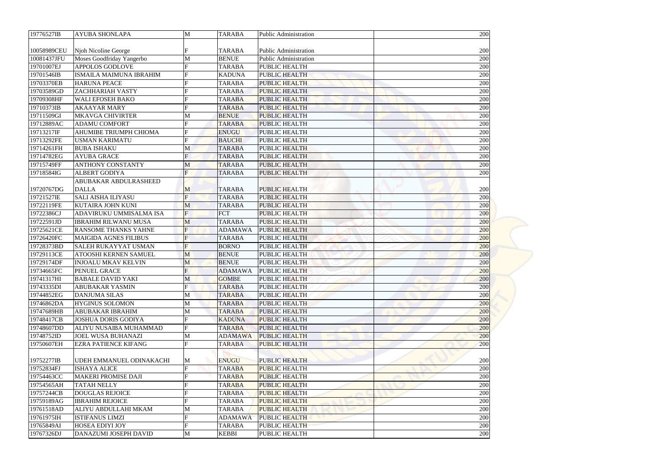| 19776527IB  | <b>AYUBA SHONLAPA</b>          | M            | <b>TARABA</b>  | Public Administration        | 200 |
|-------------|--------------------------------|--------------|----------------|------------------------------|-----|
| 10058989CEU | Njoh Nicoline George           |              | <b>TARABA</b>  | <b>Public Administration</b> | 200 |
| 10081437JFU | Moses Goodfriday Yangerbo      | M            | <b>BENUE</b>   | <b>Public Administration</b> | 200 |
| 19701007EJ  | <b>APPOLOS GODLOVE</b>         | $\mathbf{F}$ | <b>TARABA</b>  | PUBLIC HEALTH                | 200 |
| 19701546IB  | <b>ISMAILA MAIMUNA IBRAHIM</b> | $\mathbf{F}$ | <b>KADUNA</b>  | <b>PUBLIC HEALTH</b>         | 200 |
| 19703370EB  | <b>HARUNA PEACE</b>            |              | <b>TARABA</b>  | <b>PUBLIC HEALTH</b>         | 200 |
| 19703589GD  | <b>ZACHHARIAH VASTY</b>        |              | <b>TARABA</b>  | <b>PUBLIC HEALTH</b>         | 200 |
| 19709308HF  | <b>WALI EFOSEH BAKO</b>        |              | <b>TARABA</b>  | <b>PUBLIC HEALTH</b>         | 200 |
| 19710373IB  | <b>AKAAYAR MARY</b>            |              | <b>TARABA</b>  | <b>PUBLIC HEALTH</b>         | 200 |
| 19711509GI  | <b>MKAVGA CHIVIRTER</b>        | M            | <b>BENUE</b>   | <b>PUBLIC HEALTH</b>         | 200 |
| 19712889AC  | <b>ADAMU COMFORT</b>           |              | <b>TARABA</b>  | <b>PUBLIC HEALTH</b>         | 200 |
| 19713217IF  | AHUMIBE TRIUMPH CHIOMA         |              | <b>ENUGU</b>   | <b>PUBLIC HEALTH</b>         | 200 |
| 19713292FE  | <b>USMAN KARIMATU</b>          | $\mathbf{F}$ | <b>BAUCHI</b>  | PUBLIC HEALTH                | 200 |
| 19714261FH  | <b>BUBA ISHAKU</b>             | M            | <b>TARABA</b>  | <b>PUBLIC HEALTH</b>         | 200 |
| 19714782EG  | <b>AYUBA GRACE</b>             |              | <b>TARABA</b>  | <b>PUBLIC HEALTH</b>         | 200 |
| 19715749FF  | <b>ANTHONY CONSTANTY</b>       | M            | <b>TARABA</b>  | PUBLIC HEALTH                | 200 |
|             | <b>ALBERT GODIYA</b>           | $\mathbf{F}$ |                | <b>PUBLIC HEALTH</b>         |     |
| 19718584IG  |                                |              | <b>TARABA</b>  |                              | 200 |
|             | ABUBAKAR ABDULRASHEED          |              |                |                              |     |
| 19720767DG  | <b>DALLA</b>                   | M            | <b>TARABA</b>  | <b>PUBLIC HEALTH</b>         | 200 |
| 19721527IE  | <b>SALI AISHA ILIYASU</b>      | F            | <b>TARABA</b>  | <b>PUBLIC HEALTH</b>         | 200 |
| 19722119FE  | <b>KUTAIRA JOHN KUNI</b>       | M            | <b>TARABA</b>  | <b>PUBLIC HEALTH</b>         | 200 |
| 19722386CJ  | ADAVIRUKU UMMISALMA ISA        | F            | <b>FCT</b>     | <b>PUBLIC HEALTH</b>         | 200 |
| 19722591JD  | <b>IBRAHIM RILWANU MUSA</b>    | M            | <b>TARABA</b>  | <b>PUBLIC HEALTH</b>         | 200 |
| 19725621CE  | <b>RANSOME THANKS YAHNE</b>    | F            | <b>ADAMAWA</b> | <b>PUBLIC HEALTH</b>         | 200 |
| 19726420FC  | <b>MAIGIDA AGNES FILIBUS</b>   |              | <b>TARABA</b>  | <b>PUBLIC HEALTH</b>         | 200 |
| 19728373BD  | <b>SALEH RUKAYYAT USMAN</b>    | F            | <b>BORNO</b>   | PUBLIC HEALTH                | 200 |
| 19729113CE  | <b>ATOOSHI KERNEN SAMUEL</b>   | M            | <b>BENUE</b>   | <b>PUBLIC HEALTH</b>         | 200 |
| 19729174DF  | <b>INJOALU MKAV KELVIN</b>     | M            | <b>BENUE</b>   | <b>PUBLIC HEALTH</b>         | 200 |
| 19734665FC  | <b>PENUEL GRACE</b>            | F            | <b>ADAMAWA</b> | <b>PUBLIC HEALTH</b>         | 200 |
| 19741317HI  | <b>BABALE DAVID YAKI</b>       | M            | <b>GOMBE</b>   | <b>PUBLIC HEALTH</b>         | 200 |
| 19743335DI  | <b>ABUBAKAR YASMIN</b>         | F            | <b>TARABA</b>  | <b>PUBLIC HEALTH</b>         | 200 |
| 19744852EG  | <b>DANJUMA SILAS</b>           | M            | <b>TARABA</b>  | <b>PUBLIC HEALTH</b>         | 200 |
| 19746862DA  | <b>HYGINUS SOLOMON</b>         | M            | <b>TARABA</b>  | <b>PUBLIC HEALTH</b>         | 200 |
| 19747689HB  | <b>ABUBAKAR IBRAHIM</b>        | M            | <b>TARABA</b>  | <b>PUBLIC HEALTH</b>         | 200 |
| 19748417CB  | <b>JOSHUA DORIS GODIYA</b>     |              | <b>KADUNA</b>  | <b>PUBLIC HEALTH</b>         | 200 |
| 19748607DD  | ALIYU NUSAIBA MUHAMMAD         | F            | <b>TARABA</b>  | <b>PUBLIC HEALTH</b>         | 200 |
| 19748752ID  | <b>JOEL WUSA BUHANAZI</b>      | M            | <b>ADAMAWA</b> | <b>PUBLIC HEALTH</b>         | 200 |
| 19750607EH  | <b>EZRA PATIENCE KIFANG</b>    | $\mathbf F$  | <b>TARABA</b>  | <b>PUBLIC HEALTH</b>         | 200 |
|             |                                |              |                |                              |     |
| 19752277IB  | UDEH EMMANUEL ODINAKACHI       | M            | <b>ENUGU</b>   | <b>PUBLIC HEALTH</b>         | 200 |
| 19752834FJ  | <b>ISHAYA ALICE</b>            |              | <b>TARABA</b>  | <b>PUBLIC HEALTH</b>         | 200 |
| 19754463CC  | <b>MAKERI PROMISE DAJI</b>     |              | <b>TARABA</b>  | <b>PUBLIC HEALTH</b>         | 200 |
| 19754565AH  | <b>TATAH NELLY</b>             |              | <b>TARABA</b>  | <b>PUBLIC HEALTH</b>         | 200 |
| 19757244CB  | <b>DOUGLAS REJOICE</b>         |              | <b>TARABA</b>  | <b>PUBLIC HEALTH</b>         | 200 |
| 19759189AG  | <b>IBRAHIM REJOICE</b>         |              | <b>TARABA</b>  | <b>PUBLIC HEALTH</b>         | 200 |
| 19761518AD  | ALIYU ABDULLAHI MKAM           | M            | <b>TARABA</b>  | <b>PUBLIC HEALTH</b>         | 200 |
| 19761975IH  | <b>ISTIFANUS LIMZI</b>         |              | <b>ADAMAWA</b> | <b>PUBLIC HEALTH</b>         | 200 |
| 19765849AI  | <b>HOSEA EDIYI JOY</b>         |              | <b>TARABA</b>  | <b>PUBLIC HEALTH</b>         | 200 |
| 19767326DJ  | DANAZUMI JOSEPH DAVID          | M            | <b>KEBBI</b>   | <b>PUBLIC HEALTH</b>         | 200 |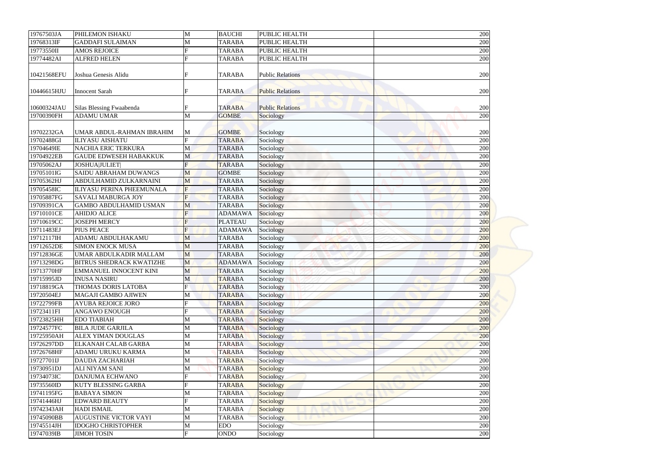| 19767503JA  | PHILEMON ISHAKU                  | M              | <b>BAUCHI</b>  | PUBLIC HEALTH           | 200 |
|-------------|----------------------------------|----------------|----------------|-------------------------|-----|
| 19768313IF  | <b>GADDAFI SULAIMAN</b>          | M              | <b>TARABA</b>  | PUBLIC HEALTH           | 200 |
| 19773550II  | <b>AMOS REJOICE</b>              |                | <b>TARABA</b>  | PUBLIC HEALTH           | 200 |
| 19774482AI  | <b>ALFRED HELEN</b>              | $\mathbf{E}$   | <b>TARABA</b>  | PUBLIC HEALTH           | 200 |
|             |                                  |                |                |                         |     |
| 10421568EFU | Joshua Genesis Alidu             | F              | <b>TARABA</b>  | <b>Public Relations</b> | 200 |
| 10446615HJU | <b>Innocent Sarah</b>            |                | <b>TARABA</b>  | <b>Public Relations</b> | 200 |
| 10600324JAU | Silas Blessing Fwaabenda         |                | <b>TARABA</b>  | <b>Public Relations</b> | 200 |
| 19700390FH  | <b>ADAMU UMAR</b>                | M              | <b>GOMBE</b>   | Sociology               | 200 |
|             |                                  |                |                |                         |     |
| 19702232GA  | UMAR ABDUL-RAHMAN IBRAHIM        | M              | <b>GOMBE</b>   | Sociology               | 200 |
| 19702488GI  | <b>ILIYASU AISHATU</b>           | $\mathbf{F}$   | <b>TARABA</b>  | Sociology               | 200 |
| 19704649IE  | <b>NACHIA ERIC TERKURA</b>       | M              | <b>TARABA</b>  | Sociology               | 200 |
| 19704922EB  | <b>GAUDE EDWESEH HABAKKUK</b>    | M              | <b>TARABA</b>  | Sociology               | 200 |
| 19705062AJ  | <b>JOSHUA JULIET </b>            | F              | <b>TARABA</b>  | Sociology               | 200 |
| 19705101IG  | <b>SAIDU ABRAHAM DUWANGS</b>     | M              | <b>GOMBE</b>   | Sociology               | 200 |
| 19705362HJ  | ABDULHAMID ZULKARNAINI           | M              | <b>TARABA</b>  | Sociology               | 200 |
| 19705458IC  | <b>ILIYASU PERINA PHEEMUNALA</b> | F              | <b>TARABA</b>  | Sociology               | 200 |
| 19705887FG  | <b>SAVALI MABURGA JOY</b>        | $\mathbf{F}$   | <b>TARABA</b>  | Sociology               | 200 |
| 19709391CA  | <b>GAMBO ABDULHAMID USMAN</b>    | M              | <b>TARABA</b>  | Sociology               | 200 |
| 19710101CE  | <b>AHIDJO ALICE</b>              | $\overline{F}$ | <b>ADAMAWA</b> | Sociology               | 200 |
| 19710619CC  | <b>JOSEPH MERCY</b>              | F              | <b>PLATEAU</b> | Sociology               | 200 |
| 19711483EJ  | <b>PIUS PEACE</b>                | F              | <b>ADAMAWA</b> | Sociology               | 200 |
| 19712117IH  | ADAMU ABDULHAKAMU                | M              | <b>TARABA</b>  | Sociology               | 200 |
| 19712652DE  | <b>SIMON ENOCK MUSA</b>          | M              | <b>TARABA</b>  | Sociology               | 200 |
| 19712836GE  | UMAR ABDULKADIR MALLAM           | M              | <b>TARABA</b>  | Sociology               | 200 |
| 19713298DG  | <b>BITRUS SHEDRACK KWATIZHE</b>  | M              | <b>ADAMAWA</b> | Sociology               | 200 |
| 19713770HF  | <b>EMMANUEL INNOCENT KINI</b>    | M              | <b>TARABA</b>  | Sociology               | 200 |
| 19715995JD  | <b>INUSA NASIRU</b>              | M              | <b>TARABA</b>  | Sociology               | 200 |
| 19718819GA  | THOMAS DORIS LATOBA              | F              | <b>TARABA</b>  | Sociology               | 200 |
| 19720504EJ  | <b>MAGAJI GAMBO AJIWEN</b>       | M              | <b>TARABA</b>  | Sociology               | 200 |
| 19722799FB  | <b>AYUBA REJOICE JORO</b>        |                | <b>TARABA</b>  | Sociology               | 200 |
| 19723411FI  | <b>ANGAWO ENOUGH</b>             | F              | <b>TARABA</b>  | Sociology               | 200 |
| 19723825HH  | <b>EDO TIABIAH</b>               | M              | <b>TARABA</b>  | Sociology               | 200 |
| 19724577FC  | <b>BILA JUDE GARJILA</b>         | M              | <b>TARABA</b>  | Sociology               | 200 |
| 19725950AH  | <b>ALEX YIMAN DOUGLAS</b>        | M              | <b>TARABA</b>  | Sociology               | 200 |
| 19726297DD  | <b>ELKANAH CALAB GARBA</b>       | M              | <b>TARABA</b>  | Sociology               | 200 |
| 19726768HF  | ADAMU URUKU KARMA                | M              | <b>TARABA</b>  | Sociology               | 200 |
| 19727701IJ  | <b>DAUDA ZACHARIAH</b>           | M              | <b>TARABA</b>  | Sociology               | 200 |
| 19730951DJ  | <b>ALI NIYAM SANI</b>            | M              | <b>TARABA</b>  | Sociology               | 200 |
| 19734073IC  | <b>DANJUMA ECHWANO</b>           | $\mathbf{F}$   | <b>TARABA</b>  | Sociology               | 200 |
| 19735560ID  | <b>KUTY BLESSING GARBA</b>       |                | <b>TARABA</b>  | Sociology               | 200 |
| 19741195FG  | <b>BABAYA SIMON</b>              | M              | <b>TARABA</b>  | Sociology               | 200 |
| 19741446HJ  | <b>EDWARD BEAUTY</b>             | $\mathbf{F}$   | <b>TARABA</b>  | Sociology               | 200 |
| 19742343AH  | <b>HADI ISMAIL</b>               | M              | <b>TARABA</b>  | Sociology               | 200 |
| 19745090BB  | <b>AUGUSTINE VICTOR VAYI</b>     | M              | <b>TARABA</b>  | Sociology               | 200 |
| 19745514JH  | <b>IDOGHO CHRISTOPHER</b>        | M              | <b>EDO</b>     | Sociology               | 200 |
| 19747039IB  | <b>JIMOH TOSIN</b>               | F              | <b>ONDO</b>    | Sociology               | 200 |
|             |                                  |                |                |                         |     |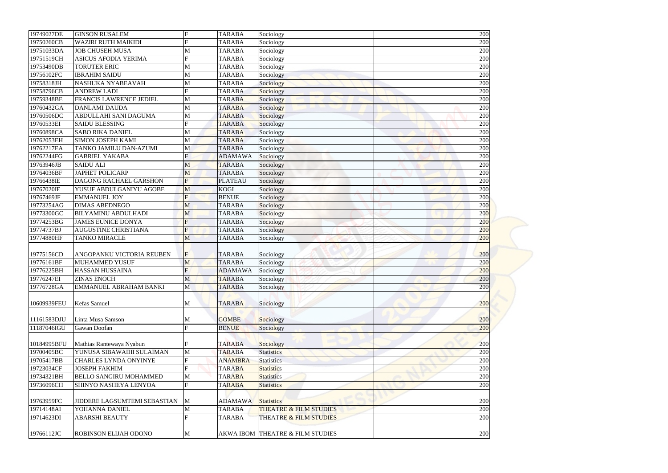| 19749027DE  | <b>GINSON RUSALEM</b>          | F              | <b>TARABA</b>  | Sociology                         | 200 |
|-------------|--------------------------------|----------------|----------------|-----------------------------------|-----|
| 19750260CB  | <b>WAZIRI RUTH MAIKIDI</b>     |                | <b>TARABA</b>  | Sociology                         | 200 |
| 19751033DA  | <b>JOB CHUSEH MUSA</b>         | M              | <b>TARABA</b>  | Sociology                         | 200 |
| 19751519CH  | <b>ASICUS AFODIA YERIMA</b>    | $\mathbf F$    | <b>TARABA</b>  | Sociology                         | 200 |
| 19753490DB  | <b>TORUTER ERIC</b>            | M              | <b>TARABA</b>  | Sociology                         | 200 |
| 19756102FC  | <b>IBRAHIM SAIDU</b>           | M              | <b>TARABA</b>  | Sociology                         | 200 |
| 19758318JH  | NASHUKA NYABEAVAH              | M              | <b>TARABA</b>  | Sociology                         | 200 |
| 19758796CB  | <b>ANDREW LADI</b>             | $\mathbf{F}$   | <b>TARABA</b>  | <b>Sociology</b>                  | 200 |
| 19759348BE  | <b>FRANCIS LAWRENCE JEDIEL</b> | M              | <b>TARABA</b>  | Sociology                         | 200 |
| 19760432GA  | <b>DANLAMI DAUDA</b>           | M              | <b>TARABA</b>  | Sociology                         | 200 |
| 19760506DC  | ABDULLAHI SANI DAGUMA          | M              | <b>TARABA</b>  | Sociology                         | 200 |
| 19760533EI  | <b>SAIDU BLESSING</b>          | F              | <b>TARABA</b>  | Sociology                         | 200 |
| 19760898CA  | <b>SABO RIKA DANIEL</b>        | M              | <b>TARABA</b>  | Sociology                         | 200 |
| 19762053EH  | <b>SIMON JOSEPH KAMI</b>       | M              | <b>TARABA</b>  | Sociology                         | 200 |
| 19762217EA  | TANKO JAMILU DAN-AZUMI         | M              | <b>TARABA</b>  | Sociology                         | 200 |
| 19762244FG  | <b>GABRIEL YAKABA</b>          | F              | <b>ADAMAWA</b> | Sociology                         | 200 |
| 19763946JB  | <b>SAIDU ALI</b>               | M              | <b>TARABA</b>  | Sociology                         | 200 |
| 19764036BF  | <b>JAPHET POLICARP</b>         | M              | <b>TARABA</b>  | Sociology                         | 200 |
| 19766438IE  | <b>DAGONG RACHAEL GARSHON</b>  | $\overline{F}$ | <b>PLATEAU</b> | Sociology                         | 200 |
| 19767020IE  | YUSUF ABDULGANIYU AGOBE        | M              | <b>KOGI</b>    | Sociology                         | 200 |
| 19767469JF  | <b>EMMANUEL JOY</b>            | F              | <b>BENUE</b>   | Sociology                         | 200 |
| 19773254AG  | <b>DIMAS ABEDNEGO</b>          | M              | <b>TARABA</b>  | Sociology                         | 200 |
| 19773300GC  | <b>BILYAMINU ABDULHADI</b>     | M              | <b>TARABA</b>  | Sociology                         | 200 |
| 19774253BG  | <b>JAMES EUNICE DONYA</b>      | F              | <b>TARABA</b>  | Sociology                         | 200 |
| 19774737BJ  | <b>AUGUSTINE CHRISTIANA</b>    | F              | <b>TARABA</b>  | Sociology                         | 200 |
| 19774880HF  | <b>TANKO MIRACLE</b>           | M              | <b>TARABA</b>  | Sociology                         | 200 |
|             |                                |                |                |                                   |     |
| 19775156CD  | ANGOPANKU VICTORIA REUBEN      | F              | <b>TARABA</b>  | Sociology                         | 200 |
| 19776161BF  | <b>MUHAMMED YUSUF</b>          | M              | <b>TARABA</b>  | Sociology                         | 200 |
| 19776225BH  | <b>HASSAN HUSSAINA</b>         | F              | <b>ADAMAWA</b> | Sociology                         | 200 |
| 19776247EI  | <b>ZINAS ENOCH</b>             | M              | <b>TARABA</b>  | Sociology                         | 200 |
| 19776728GA  | <b>EMMANUEL ABRAHAM BANKI</b>  | M              | <b>TARABA</b>  | Sociology                         | 200 |
|             |                                |                |                |                                   |     |
| 10609939FEU | Kefas Samuel                   | M              | <b>TARABA</b>  | Sociology                         | 200 |
|             |                                |                |                |                                   |     |
| 11161583DJU | Linta Musa Samson              | M              | <b>GOMBE</b>   | Sociology                         | 200 |
| 11187046IGU | Gawan Doofan                   | F              | <b>BENUE</b>   | Sociology                         | 200 |
|             |                                |                |                |                                   |     |
| 10184995BFU | Mathias Rantewaya Nyabun       |                | <b>TARABA</b>  | Sociology                         | 200 |
| 19700405BC  | YUNUSA SIBAWAIHI SULAIMAN      | M              | <b>TARABA</b>  | <b>Statistics</b>                 | 200 |
| 19705417BB  | <b>CHARLES LYNDA ONYINYE</b>   |                | <b>ANAMBRA</b> | <b>Statistics</b>                 | 200 |
| 19723034CF  | <b>JOSEPH FAKHIM</b>           |                | <b>TARABA</b>  | <b>Statistics</b>                 | 200 |
| 19734321BH  | <b>BELLO SANGIRU MOHAMMED</b>  | M              | <b>TARABA</b>  | <b>Statistics</b>                 | 200 |
| 19736096CH  | SHINYO NASHEYA LENYOA          | $\mathbf F$    | <b>TARABA</b>  | <b>Statistics</b>                 | 200 |
|             |                                |                |                |                                   |     |
| 19763959FC  | JIDDERE LAGSUMTEMI SEBASTIAN   | M              | <b>ADAMAWA</b> | <b>Statistics</b>                 | 200 |
| 19714148AI  | YOHANNA DANIEL                 | M              | <b>TARABA</b>  | <b>THEATRE &amp; FILM STUDIES</b> | 200 |
| 19714623DI  | <b>ABARSHI BEAUTY</b>          | $\mathbf F$    | <b>TARABA</b>  | THEATRE & FILM STUDIES            | 200 |
|             |                                |                |                |                                   |     |
|             | <b>ROBINSON ELIJAH ODONO</b>   |                |                |                                   |     |
| 19766112JC  |                                | M              |                | AKWA IBOM THEATRE & FILM STUDIES  | 200 |